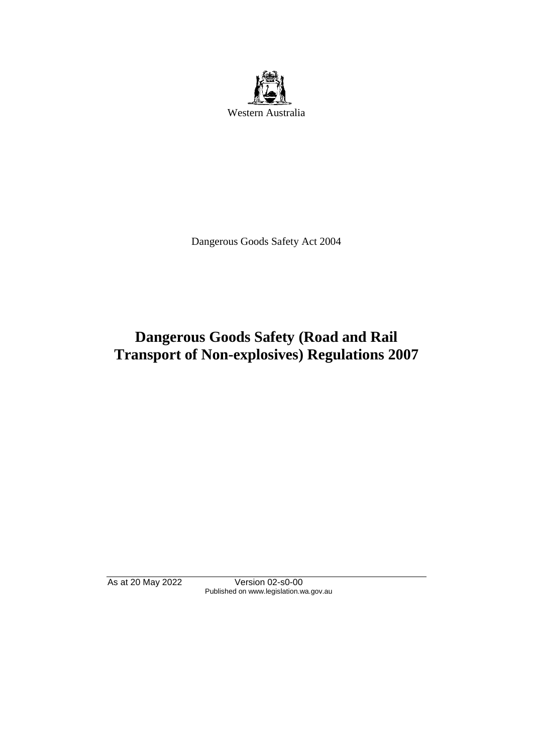

Dangerous Goods Safety Act 2004

# **Dangerous Goods Safety (Road and Rail Transport of Non-explosives) Regulations 2007**

As at 20 May 2022 Version 02-s0-00 Published on www.legislation.wa.gov.au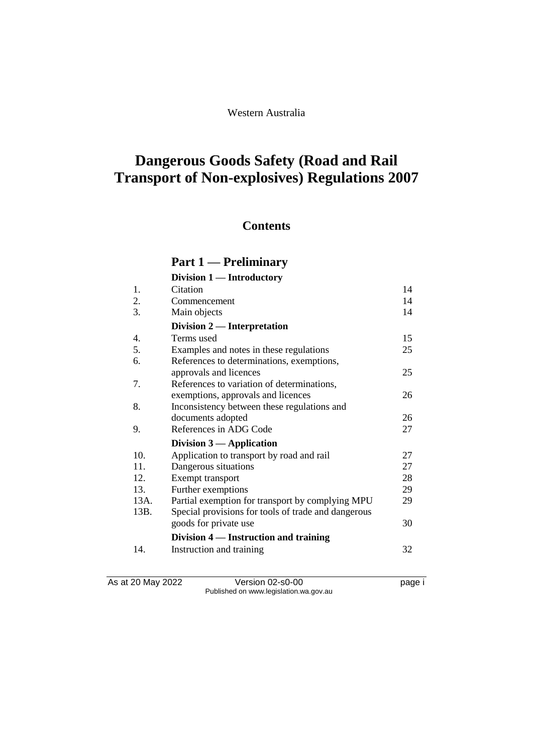Western Australia

# **Dangerous Goods Safety (Road and Rail Transport of Non-explosives) Regulations 2007**

# **Contents**

# **Part 1 — Preliminary**

|      | Division 1 — Introductory                           |    |
|------|-----------------------------------------------------|----|
| 1.   | Citation                                            | 14 |
| 2.   | Commencement                                        | 14 |
| 3.   | Main objects                                        | 14 |
|      | Division 2 — Interpretation                         |    |
| 4.   | Terms used                                          | 15 |
| 5.   | Examples and notes in these regulations             | 25 |
| 6.   | References to determinations, exemptions,           |    |
|      | approvals and licences                              | 25 |
| 7.   | References to variation of determinations,          |    |
|      | exemptions, approvals and licences                  | 26 |
| 8.   | Inconsistency between these regulations and         |    |
|      | documents adopted                                   | 26 |
| 9.   | References in ADG Code                              | 27 |
|      | Division $3$ — Application                          |    |
| 10.  | Application to transport by road and rail           | 27 |
| 11.  | Dangerous situations                                | 27 |
| 12.  | Exempt transport                                    | 28 |
| 13.  | Further exemptions                                  | 29 |
| 13A. | Partial exemption for transport by complying MPU    | 29 |
| 13B. | Special provisions for tools of trade and dangerous |    |
|      | goods for private use                               | 30 |
|      | Division 4 — Instruction and training               |    |
| 14.  | Instruction and training                            | 32 |

As at 20 May 2022 Version 02-s0-00 Page i Published on www.legislation.wa.gov.au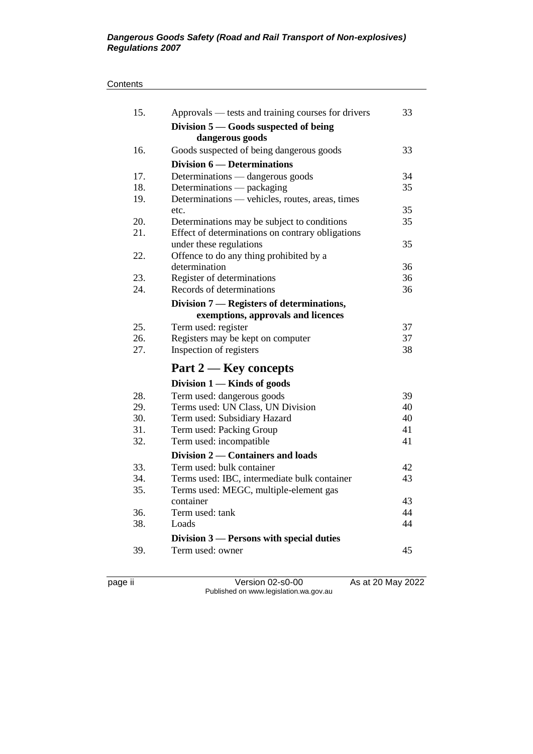#### **Contents**

| 15. | Approvals — tests and training courses for drivers                            | 33       |
|-----|-------------------------------------------------------------------------------|----------|
|     | Division $5 -$ Goods suspected of being                                       |          |
|     | dangerous goods                                                               |          |
| 16. | Goods suspected of being dangerous goods                                      | 33       |
|     | Division 6 — Determinations                                                   |          |
| 17. | Determinations — dangerous goods                                              | 34       |
| 18. | Determinations — packaging<br>Determinations — vehicles, routes, areas, times | 35       |
| 19. |                                                                               |          |
|     | etc.                                                                          | 35       |
| 20. | Determinations may be subject to conditions                                   | 35       |
| 21. | Effect of determinations on contrary obligations                              |          |
|     | under these regulations                                                       | 35       |
| 22. | Offence to do any thing prohibited by a                                       |          |
| 23. | determination                                                                 | 36<br>36 |
| 24. | Register of determinations<br>Records of determinations                       | 36       |
|     |                                                                               |          |
|     | Division 7 — Registers of determinations,                                     |          |
|     | exemptions, approvals and licences                                            |          |
| 25. | Term used: register                                                           | 37       |
| 26. | Registers may be kept on computer                                             | 37       |
| 27. | Inspection of registers                                                       | 38       |
|     | Part 2 — Key concepts                                                         |          |
|     | Division 1 — Kinds of goods                                                   |          |
| 28. | Term used: dangerous goods                                                    | 39       |
| 29. | Terms used: UN Class, UN Division                                             | 40       |
| 30. | Term used: Subsidiary Hazard                                                  | 40       |
| 31. | Term used: Packing Group                                                      | 41       |
| 32. | Term used: incompatible                                                       | 41       |
|     | Division 2 — Containers and loads                                             |          |
| 33. | Term used: bulk container                                                     | 42       |
| 34. | Terms used: IBC, intermediate bulk container                                  | 43       |
| 35. | Terms used: MEGC, multiple-element gas                                        |          |
|     | container                                                                     | 43       |
| 36. | Term used: tank                                                               | 44       |
| 38. | Loads                                                                         | 44       |
|     | Division 3 — Persons with special duties                                      |          |
| 39. | Term used: owner                                                              | 45       |
|     |                                                                               |          |

page ii Version 02-s0-00 As at 20 May 2022 Published on www.legislation.wa.gov.au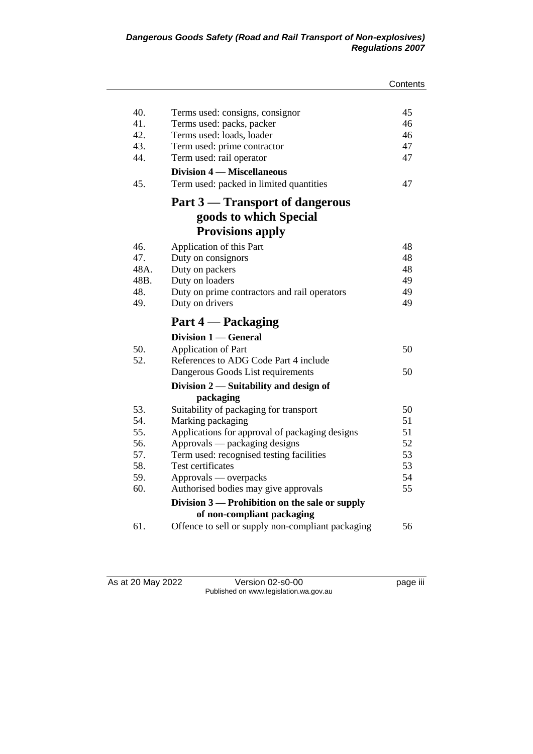|      |                                                   | Contents |
|------|---------------------------------------------------|----------|
|      |                                                   |          |
| 40.  | Terms used: consigns, consignor                   | 45       |
| 41.  | Terms used: packs, packer                         | 46       |
| 42.  | Terms used: loads, loader                         | 46       |
| 43.  | Term used: prime contractor                       | 47       |
| 44.  | Term used: rail operator                          | 47       |
|      | <b>Division 4 – Miscellaneous</b>                 |          |
| 45.  | Term used: packed in limited quantities           | 47       |
|      | Part 3 – Transport of dangerous                   |          |
|      | goods to which Special                            |          |
|      | <b>Provisions apply</b>                           |          |
| 46.  | Application of this Part                          | 48       |
| 47.  | Duty on consignors                                | 48       |
| 48A. | Duty on packers                                   | 48       |
| 48B. | Duty on loaders                                   | 49       |
| 48.  | Duty on prime contractors and rail operators      | 49       |
| 49.  | Duty on drivers                                   | 49       |
|      | Part 4 — Packaging                                |          |
|      | Division 1 — General                              |          |
| 50.  | Application of Part                               | 50       |
| 52.  | References to ADG Code Part 4 include             |          |
|      | Dangerous Goods List requirements                 | 50       |
|      | Division $2$ — Suitability and design of          |          |
|      | packaging                                         |          |
| 53.  | Suitability of packaging for transport            | 50       |
| 54.  | Marking packaging                                 | 51       |
| 55.  | Applications for approval of packaging designs    | 51       |
| 56.  | Approvals — packaging designs                     | 52       |
| 57.  | Term used: recognised testing facilities          | 53       |
| 58.  | Test certificates                                 | 53       |
| 59.  | Approvals — overpacks                             | 54       |
| 60.  | Authorised bodies may give approvals              | 55       |
|      | Division 3 — Prohibition on the sale or supply    |          |
|      | of non-compliant packaging                        |          |
| 61.  | Offence to sell or supply non-compliant packaging | 56       |

As at 20 May 2022 Version 02-s0-00 page iii Published on www.legislation.wa.gov.au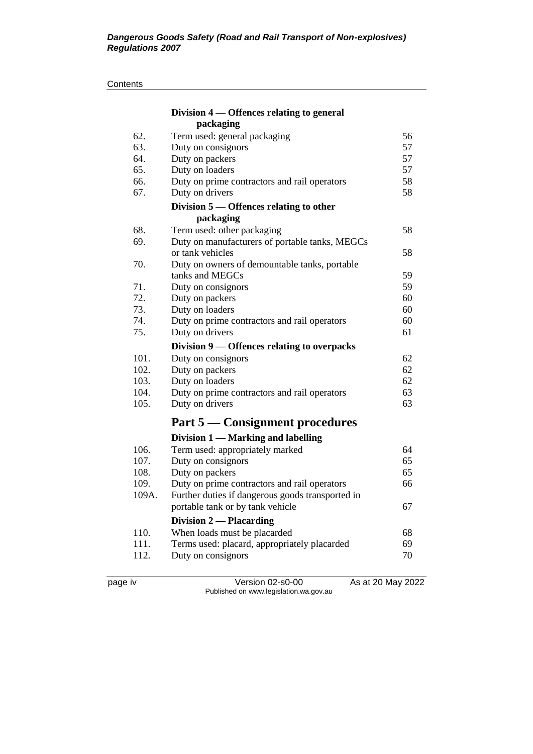#### **Contents**

|       | Division 4 — Offences relating to general        |    |
|-------|--------------------------------------------------|----|
|       | packaging                                        |    |
| 62.   | Term used: general packaging                     | 56 |
| 63.   | Duty on consignors                               | 57 |
| 64.   | Duty on packers                                  | 57 |
| 65.   | Duty on loaders                                  | 57 |
| 66.   | Duty on prime contractors and rail operators     | 58 |
| 67.   | Duty on drivers                                  | 58 |
|       | Division 5 – Offences relating to other          |    |
|       | packaging                                        |    |
| 68.   | Term used: other packaging                       | 58 |
| 69.   | Duty on manufacturers of portable tanks, MEGCs   |    |
|       | or tank vehicles                                 | 58 |
| 70.   | Duty on owners of demountable tanks, portable    |    |
|       | tanks and MEGCs                                  | 59 |
| 71.   | Duty on consignors                               | 59 |
| 72.   | Duty on packers                                  | 60 |
| 73.   | Duty on loaders                                  | 60 |
| 74.   | Duty on prime contractors and rail operators     | 60 |
| 75.   | Duty on drivers                                  | 61 |
|       | Division 9 - Offences relating to overpacks      |    |
| 101.  | Duty on consignors                               | 62 |
| 102.  | Duty on packers                                  | 62 |
| 103.  | Duty on loaders                                  | 62 |
| 104.  | Duty on prime contractors and rail operators     | 63 |
| 105.  | Duty on drivers                                  | 63 |
|       | <b>Part 5 — Consignment procedures</b>           |    |
|       | Division 1 - Marking and labelling               |    |
| 106.  | Term used: appropriately marked                  | 64 |
| 107.  | Duty on consignors                               | 65 |
| 108.  | Duty on packers                                  | 65 |
| 109.  | Duty on prime contractors and rail operators     | 66 |
| 109A. | Further duties if dangerous goods transported in |    |
|       | portable tank or by tank vehicle                 | 67 |
|       | <b>Division 2 – Placarding</b>                   |    |
| 110.  | When loads must be placarded                     | 68 |
| 111.  | Terms used: placard, appropriately placarded     | 69 |
| 112.  | Duty on consignors                               | 70 |
|       |                                                  |    |

page iv Version 02-s0-00 As at 20 May 2022 Published on www.legislation.wa.gov.au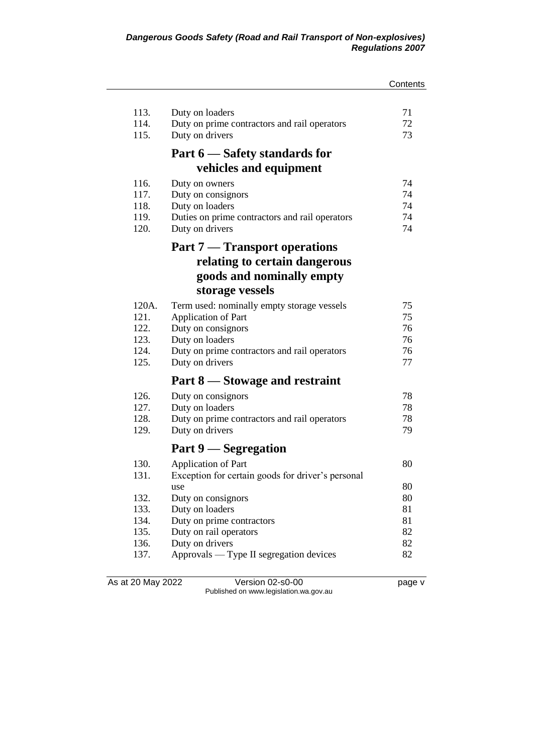|       |                                                   | Contents |
|-------|---------------------------------------------------|----------|
|       |                                                   |          |
| 113.  | Duty on loaders                                   | 71       |
| 114.  | Duty on prime contractors and rail operators      | 72       |
| 115.  | Duty on drivers                                   | 73       |
|       | Part 6 – Safety standards for                     |          |
|       | vehicles and equipment                            |          |
| 116.  | Duty on owners                                    | 74       |
| 117.  | Duty on consignors                                | 74       |
| 118.  | Duty on loaders                                   | 74       |
| 119.  | Duties on prime contractors and rail operators    | 74       |
| 120.  | Duty on drivers                                   | 74       |
|       | <b>Part 7 — Transport operations</b>              |          |
|       | relating to certain dangerous                     |          |
|       | goods and nominally empty                         |          |
|       | storage vessels                                   |          |
| 120A. | Term used: nominally empty storage vessels        | 75       |
| 121.  | Application of Part                               | 75       |
| 122.  | Duty on consignors                                | 76       |
| 123.  | Duty on loaders                                   | 76       |
| 124.  | Duty on prime contractors and rail operators      | 76       |
| 125.  | Duty on drivers                                   | 77       |
|       | Part 8 – Stowage and restraint                    |          |
| 126.  | Duty on consignors                                | 78       |
| 127.  | Duty on loaders                                   | 78       |
| 128.  | Duty on prime contractors and rail operators      | 78       |
| 129.  | Duty on drivers                                   | 79       |
|       | Part 9 — Segregation                              |          |
| 130.  | Application of Part                               | 80       |
| 131.  | Exception for certain goods for driver's personal |          |
|       | use                                               | 80       |
| 132.  | Duty on consignors                                | 80       |
| 133.  | Duty on loaders                                   | 81       |
| 134.  | Duty on prime contractors                         | 81       |
| 135.  | Duty on rail operators                            | 82       |
| 136.  | Duty on drivers                                   | 82       |
| 137.  | Approvals — Type II segregation devices           | 82       |
|       |                                                   |          |

As at 20 May 2022 Version 02-s0-00 Page v Published on www.legislation.wa.gov.au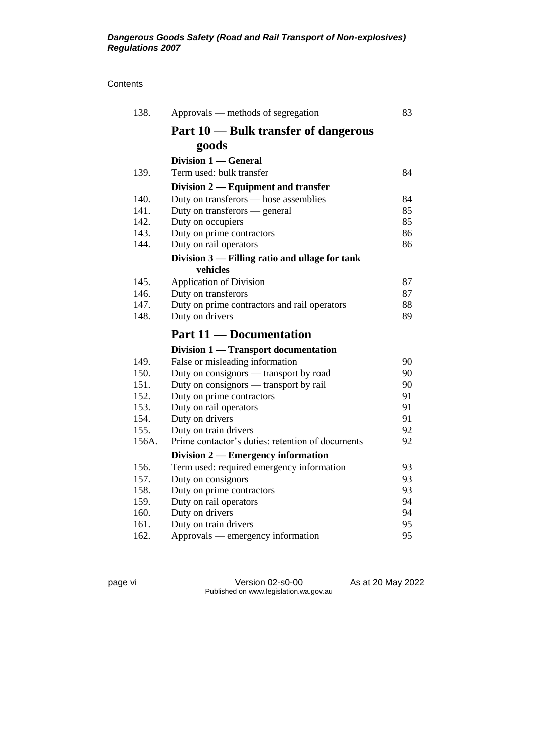#### **Contents**

| 138.  | Approvals — methods of segregation                              | 83 |
|-------|-----------------------------------------------------------------|----|
|       | Part 10 — Bulk transfer of dangerous                            |    |
|       | goods                                                           |    |
|       | Division 1 - General                                            |    |
| 139.  | Term used: bulk transfer                                        | 84 |
|       | Division 2 — Equipment and transfer                             |    |
| 140.  | Duty on transferors — hose assemblies                           | 84 |
| 141.  | Duty on transferors — general                                   | 85 |
| 142.  | Duty on occupiers                                               | 85 |
| 143.  | Duty on prime contractors                                       | 86 |
| 144.  | Duty on rail operators                                          | 86 |
|       | Division 3 - Filling ratio and ullage for tank                  |    |
|       | vehicles                                                        |    |
| 145.  | <b>Application of Division</b>                                  | 87 |
| 146.  | Duty on transferors                                             | 87 |
| 147.  | Duty on prime contractors and rail operators                    | 88 |
| 148.  | Duty on drivers                                                 | 89 |
|       |                                                                 |    |
|       | <b>Part 11 — Documentation</b>                                  |    |
|       |                                                                 |    |
| 149.  | Division 1 — Transport documentation                            | 90 |
| 150.  | False or misleading information                                 | 90 |
| 151.  | Duty on consignors - transport by road                          | 90 |
| 152.  | Duty on consignors — transport by rail                          | 91 |
| 153.  | Duty on prime contractors<br>Duty on rail operators             | 91 |
| 154.  | Duty on drivers                                                 | 91 |
| 155.  | Duty on train drivers                                           | 92 |
| 156A. | Prime contactor's duties: retention of documents                | 92 |
|       |                                                                 |    |
| 156.  | Division $2$ — Emergency information                            | 93 |
| 157.  | Term used: required emergency information<br>Duty on consignors | 93 |
| 158.  | Duty on prime contractors                                       | 93 |
| 159.  | Duty on rail operators                                          | 94 |
| 160.  | Duty on drivers                                                 | 94 |
| 161.  | Duty on train drivers                                           | 95 |

page vi Version 02-s0-00 As at 20 May 2022 Published on www.legislation.wa.gov.au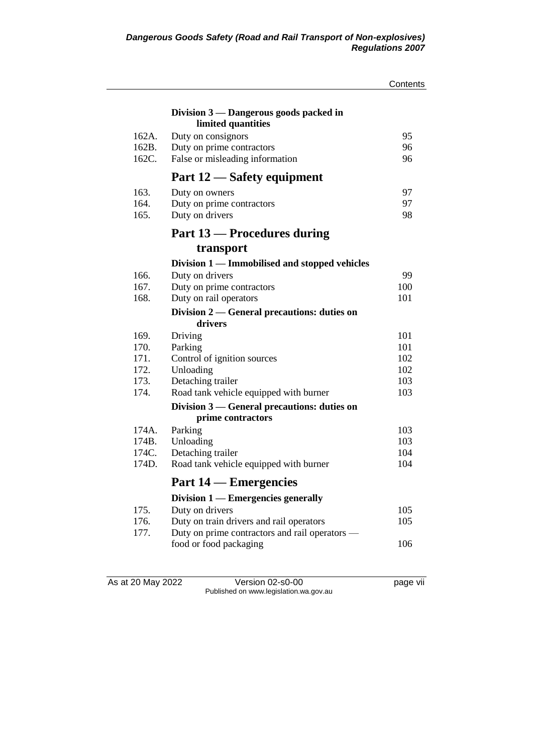|                |                                                | Contents   |
|----------------|------------------------------------------------|------------|
|                | Division $3$ — Dangerous goods packed in       |            |
|                | limited quantities                             |            |
| 162A.          | Duty on consignors                             | 95         |
| 162B.<br>162C. | Duty on prime contractors                      | 96<br>96   |
|                | False or misleading information                |            |
|                | Part 12 — Safety equipment                     |            |
| 163.           | Duty on owners                                 | 97         |
| 164.           | Duty on prime contractors                      | 97         |
| 165.           | Duty on drivers                                | 98         |
|                | <b>Part 13 – Procedures during</b>             |            |
|                | transport                                      |            |
|                | Division 1 — Immobilised and stopped vehicles  |            |
| 166.           | Duty on drivers                                | 99         |
| 167.           | Duty on prime contractors                      | 100        |
| 168.           | Duty on rail operators                         | 101        |
|                | Division 2 — General precautions: duties on    |            |
|                | drivers                                        |            |
| 169.<br>170.   | Driving                                        | 101        |
| 171.           | Parking<br>Control of ignition sources         | 101<br>102 |
| 172.           | Unloading                                      | 102        |
| 173.           | Detaching trailer                              | 103        |
| 174.           | Road tank vehicle equipped with burner         | 103        |
|                | Division 3 — General precautions: duties on    |            |
|                | prime contractors                              |            |
| 174A.          | Parking                                        | 103        |
| 174B.          | Unloading                                      | 103        |
| 174C.          | Detaching trailer                              | 104        |
| 174D.          | Road tank vehicle equipped with burner         | 104        |
|                | <b>Part 14 – Emergencies</b>                   |            |
|                | Division 1 — Emergencies generally             |            |
| 175.           | Duty on drivers                                | 105        |
| 176.           | Duty on train drivers and rail operators       | 105        |
| 177.           | Duty on prime contractors and rail operators - |            |
|                | food or food packaging                         | 106        |
|                |                                                |            |

As at 20 May 2022 Version 02-s0-00 Page vii Published on www.legislation.wa.gov.au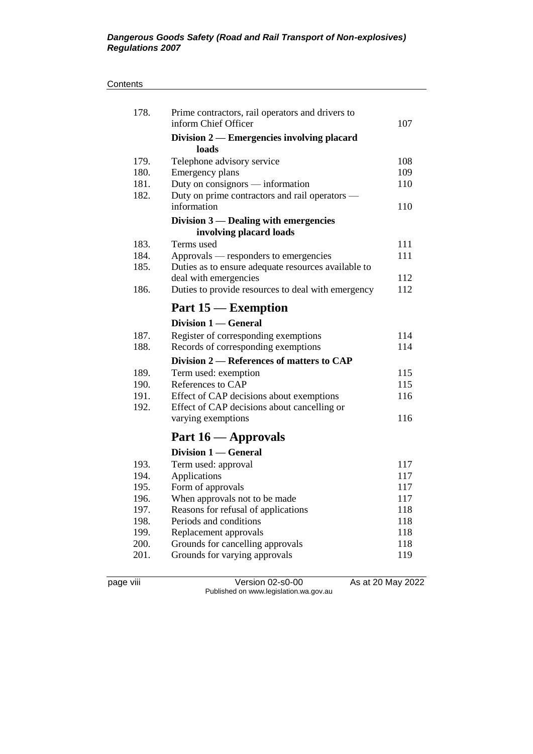#### **Contents**

| 178. | Prime contractors, rail operators and drivers to<br>inform Chief Officer | 107 |
|------|--------------------------------------------------------------------------|-----|
|      | Division 2 — Emergencies involving placard<br>loads                      |     |
| 179. | Telephone advisory service                                               | 108 |
| 180. | Emergency plans                                                          | 109 |
| 181. | Duty on consignors - information                                         | 110 |
| 182. | Duty on prime contractors and rail operators —                           |     |
|      | information                                                              | 110 |
|      | Division 3 — Dealing with emergencies                                    |     |
|      | involving placard loads                                                  |     |
| 183. | Terms used                                                               | 111 |
| 184. | Approvals — responders to emergencies                                    | 111 |
| 185. | Duties as to ensure adequate resources available to                      |     |
|      | deal with emergencies                                                    | 112 |
| 186. | Duties to provide resources to deal with emergency                       | 112 |
|      | Part 15 – Exemption                                                      |     |
|      | Division 1 — General                                                     |     |
| 187. | Register of corresponding exemptions                                     | 114 |
| 188. | Records of corresponding exemptions                                      | 114 |
|      | Division 2 – References of matters to CAP                                |     |
| 189. | Term used: exemption                                                     | 115 |
| 190. | References to CAP                                                        | 115 |
| 191. | Effect of CAP decisions about exemptions                                 | 116 |
| 192. | Effect of CAP decisions about cancelling or                              |     |
|      | varying exemptions                                                       | 116 |
|      | Part 16 - Approvals                                                      |     |
|      | Division 1 — General                                                     |     |
| 193. | Term used: approval                                                      | 117 |
| 194. | Applications                                                             | 117 |
| 195. | Form of approvals                                                        | 117 |
| 196. | When approvals not to be made                                            | 117 |
| 197. | Reasons for refusal of applications                                      | 118 |
| 198. | Periods and conditions                                                   | 118 |
| 199. | Replacement approvals                                                    | 118 |
| 200. | Grounds for cancelling approvals                                         | 118 |
| 201. | Grounds for varying approvals                                            | 119 |
|      |                                                                          |     |

page viii Version 02-s0-00 As at 20 May 2022 Published on www.legislation.wa.gov.au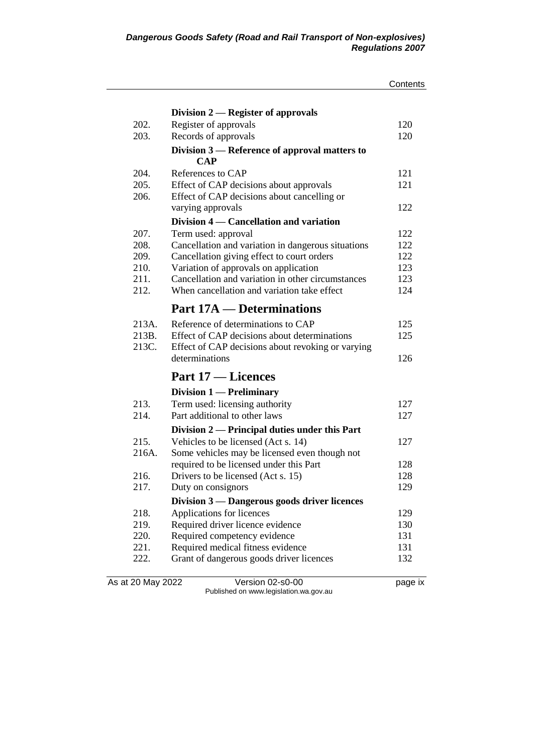|                   |                                                             | Contents |
|-------------------|-------------------------------------------------------------|----------|
|                   | Division 2 — Register of approvals                          |          |
| 202.              | Register of approvals                                       | 120      |
| 203.              | Records of approvals                                        | 120      |
|                   |                                                             |          |
|                   | Division 3 — Reference of approval matters to<br><b>CAP</b> |          |
| 204.              | References to CAP                                           | 121      |
| 205.              | Effect of CAP decisions about approvals                     | 121      |
| 206.              | Effect of CAP decisions about cancelling or                 |          |
|                   | varying approvals                                           | 122      |
|                   | Division 4 — Cancellation and variation                     |          |
| 207.              | Term used: approval                                         | 122      |
| 208.              | Cancellation and variation in dangerous situations          | 122      |
| 209.              | Cancellation giving effect to court orders                  | 122      |
| 210.              | Variation of approvals on application                       | 123      |
| 211.              | Cancellation and variation in other circumstances           | 123      |
| 212.              | When cancellation and variation take effect                 | 124      |
|                   | <b>Part 17A</b> — Determinations                            |          |
| 213A.             | Reference of determinations to CAP                          | 125      |
| 213B.             | Effect of CAP decisions about determinations                | 125      |
| 213C.             | Effect of CAP decisions about revoking or varying           |          |
|                   | determinations                                              | 126      |
|                   | Part 17 – Licences                                          |          |
|                   | <b>Division 1 — Preliminary</b>                             |          |
| 213.              | Term used: licensing authority                              | 127      |
| 214.              | Part additional to other laws                               | 127      |
|                   | Division 2 — Principal duties under this Part               |          |
| 215.              | Vehicles to be licensed (Act s. 14)                         | 127      |
| 216A.             | Some vehicles may be licensed even though not               |          |
|                   | required to be licensed under this Part                     | 128      |
| 216.              | Drivers to be licensed (Act s. 15)                          | 128      |
| 217.              | Duty on consignors                                          | 129      |
|                   | Division 3 — Dangerous goods driver licences                |          |
| 218.              | Applications for licences                                   | 129      |
| 219.              | Required driver licence evidence                            | 130      |
| 220.              | Required competency evidence                                | 131      |
| 221.              | Required medical fitness evidence                           | 131      |
| 222.              | Grant of dangerous goods driver licences                    | 132      |
| As at 20 May 2022 | Version 02-s0-00                                            | page ix  |
|                   |                                                             |          |

Published on www.legislation.wa.gov.au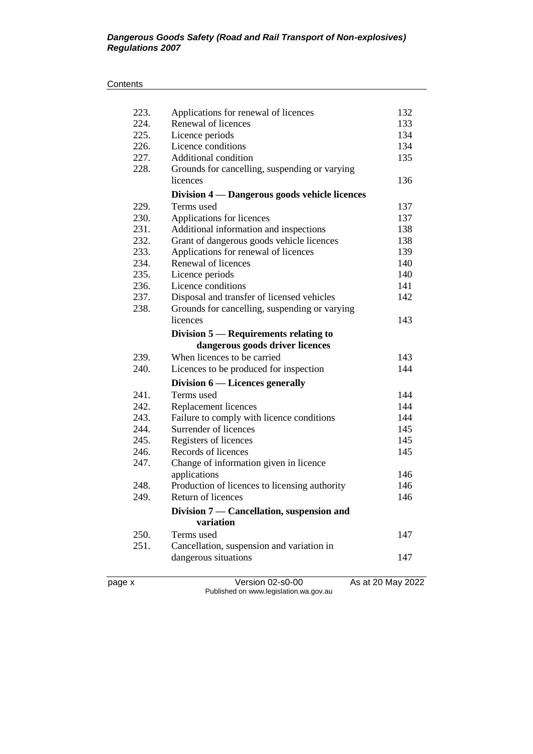#### **Contents**

| page x       | Version 02-s0-00                                                   | As at 20 May 2022 |
|--------------|--------------------------------------------------------------------|-------------------|
|              |                                                                    |                   |
|              | dangerous situations                                               | 147               |
| 251.         | Cancellation, suspension and variation in                          |                   |
| 250.         | Terms used                                                         | 147               |
|              | Division 7 — Cancellation, suspension and<br>variation             |                   |
|              |                                                                    |                   |
| 249.         | Return of licences                                                 | 146               |
| 248.         | Production of licences to licensing authority                      | 146               |
|              | applications                                                       | 146               |
| 247.         | Change of information given in licence                             |                   |
| 246.         | Registers of licences<br>Records of licences                       | 145               |
| 245.         |                                                                    | 145               |
| 244.         | Failure to comply with licence conditions<br>Surrender of licences | 145               |
| 242.<br>243. | Replacement licences                                               | 144<br>144        |
| 241.         | Terms used                                                         | 144               |
|              | Division 6 — Licences generally                                    |                   |
|              |                                                                    |                   |
| 240.         | Licences to be produced for inspection                             | 144               |
| 239.         | When licences to be carried                                        | 143               |
|              | dangerous goods driver licences                                    |                   |
|              | Division $5$ — Requirements relating to                            |                   |
|              | licences                                                           | 143               |
| 238.         | Grounds for cancelling, suspending or varying                      |                   |
| 237.         | Disposal and transfer of licensed vehicles                         | 142               |
| 236.         | Licence conditions                                                 | 141               |
| 235.         | Licence periods                                                    | 140               |
| 234.         | Renewal of licences                                                | 140               |
| 233.         | Applications for renewal of licences                               | 139               |
| 232.         | Grant of dangerous goods vehicle licences                          | 138               |
| 231.         | Additional information and inspections                             | 138               |
| 230.         | Applications for licences                                          | 137               |
| 229.         | Terms used                                                         | 137               |
|              | Division 4 - Dangerous goods vehicle licences                      |                   |
|              | licences                                                           | 136               |
| 228.         | Grounds for cancelling, suspending or varying                      |                   |
| 227.         | Additional condition                                               | 135               |
| 226.         | Licence conditions                                                 | 134               |
| 225.         | Licence periods                                                    | 134               |
| 223.<br>224. | Applications for renewal of licences<br>Renewal of licences        | 132<br>133        |
|              |                                                                    |                   |

Published on www.legislation.wa.gov.au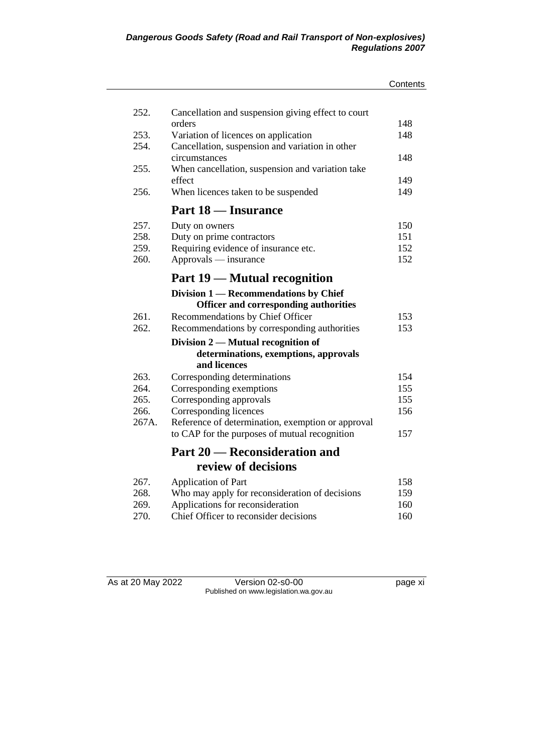|       |                                                    | Contents |
|-------|----------------------------------------------------|----------|
|       |                                                    |          |
| 252.  | Cancellation and suspension giving effect to court |          |
|       | orders                                             | 148      |
| 253.  | Variation of licences on application               | 148      |
| 254.  | Cancellation, suspension and variation in other    |          |
|       | circumstances                                      | 148      |
| 255.  | When cancellation, suspension and variation take   |          |
|       | effect                                             | 149      |
| 256.  | When licences taken to be suspended                | 149      |
|       | Part 18 — Insurance                                |          |
| 257.  | Duty on owners                                     | 150      |
| 258.  | Duty on prime contractors                          | 151      |
| 259.  | Requiring evidence of insurance etc.               | 152      |
| 260.  | Approvals — insurance                              | 152      |
|       | <b>Part 19 – Mutual recognition</b>                |          |
|       | Division 1 — Recommendations by Chief              |          |
|       | <b>Officer and corresponding authorities</b>       |          |
| 261.  | Recommendations by Chief Officer                   | 153      |
| 262.  | Recommendations by corresponding authorities       | 153      |
|       | Division $2$ — Mutual recognition of               |          |
|       | determinations, exemptions, approvals              |          |
|       | and licences                                       |          |
| 263.  | Corresponding determinations                       | 154      |
| 264.  | Corresponding exemptions                           | 155      |
| 265.  | Corresponding approvals                            | 155      |
| 266.  | Corresponding licences                             | 156      |
| 267A. | Reference of determination, exemption or approval  |          |
|       | to CAP for the purposes of mutual recognition      | 157      |
|       | <b>Part 20 — Reconsideration and</b>               |          |
|       | review of decisions                                |          |
| 267.  | Application of Part                                | 158      |
| 268.  | Who may apply for reconsideration of decisions     | 159      |
| 269.  | Applications for reconsideration                   | 160      |
| 270.  | Chief Officer to reconsider decisions              | 160      |

As at 20 May 2022 Version 02-s0-00 page xi Published on www.legislation.wa.gov.au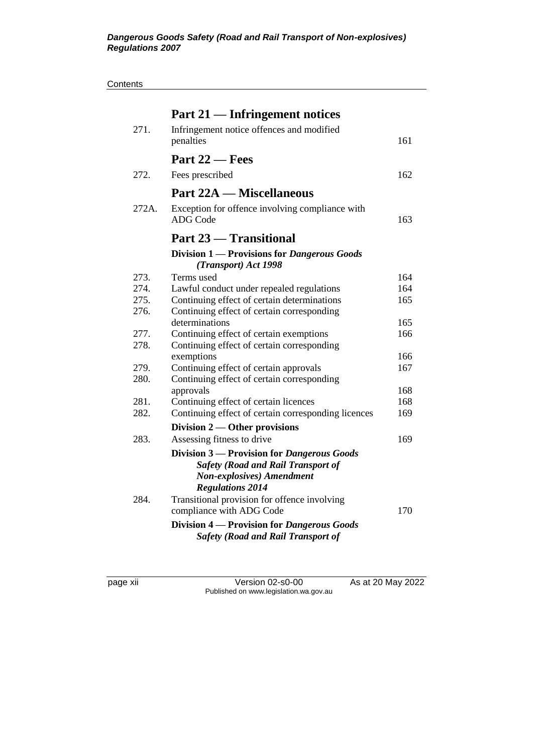| Contents |
|----------|
|----------|

|       | Part 21 — Infringement notices                                                          |     |
|-------|-----------------------------------------------------------------------------------------|-----|
| 271.  | Infringement notice offences and modified                                               |     |
|       | penalties                                                                               | 161 |
|       | Part 22 – Fees                                                                          |     |
| 272.  | Fees prescribed                                                                         | 162 |
|       | <b>Part 22A — Miscellaneous</b>                                                         |     |
| 272A. | Exception for offence involving compliance with                                         |     |
|       | <b>ADG</b> Code                                                                         | 163 |
|       | Part 23 - Transitional                                                                  |     |
|       | Division 1 — Provisions for Dangerous Goods<br>(Transport) Act 1998                     |     |
| 273.  | Terms used                                                                              | 164 |
| 274.  | Lawful conduct under repealed regulations                                               | 164 |
| 275.  | Continuing effect of certain determinations                                             | 165 |
| 276.  | Continuing effect of certain corresponding                                              |     |
|       | determinations                                                                          | 165 |
| 277.  | Continuing effect of certain exemptions                                                 | 166 |
| 278.  | Continuing effect of certain corresponding                                              |     |
|       | exemptions                                                                              | 166 |
| 279.  | Continuing effect of certain approvals                                                  | 167 |
| 280.  | Continuing effect of certain corresponding                                              |     |
|       | approvals                                                                               | 168 |
| 281.  | Continuing effect of certain licences                                                   | 168 |
| 282.  | Continuing effect of certain corresponding licences                                     | 169 |
|       | Division $2$ — Other provisions                                                         |     |
| 283.  | Assessing fitness to drive                                                              | 169 |
|       | Division 3 — Provision for Dangerous Goods                                              |     |
|       | <b>Safety (Road and Rail Transport of</b>                                               |     |
|       | <b>Non-explosives</b> ) Amendment                                                       |     |
|       | <b>Regulations 2014</b>                                                                 |     |
| 284.  | Transitional provision for offence involving                                            |     |
|       | compliance with ADG Code                                                                | 170 |
|       | Division 4 — Provision for Dangerous Goods<br><b>Safety (Road and Rail Transport of</b> |     |

page xii Version 02-s0-00 As at 20 May 2022 Published on www.legislation.wa.gov.au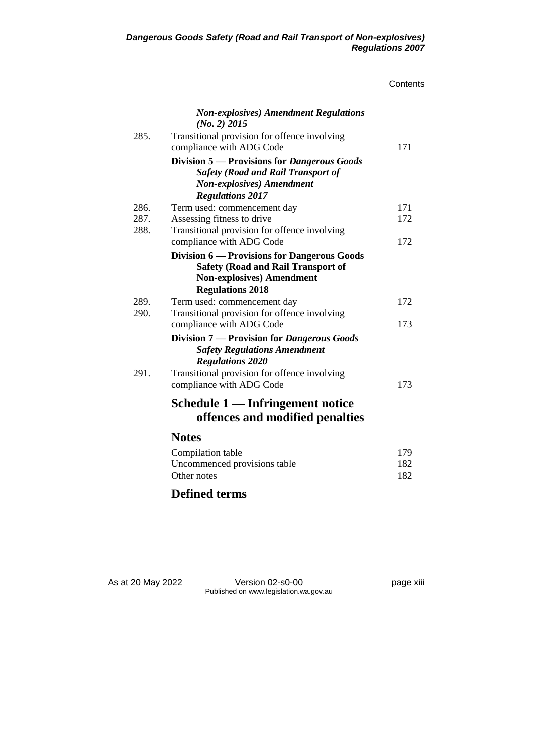|      |                                                                                                                                                          | Contents |
|------|----------------------------------------------------------------------------------------------------------------------------------------------------------|----------|
|      | <b>Non-explosives</b> ) Amendment Regulations<br>$(No. 2)$ 2015                                                                                          |          |
| 285. | Transitional provision for offence involving<br>compliance with ADG Code                                                                                 | 171      |
|      | Division 5 - Provisions for Dangerous Goods<br><b>Safety (Road and Rail Transport of</b><br><b>Non-explosives</b> ) Amendment<br><b>Regulations 2017</b> |          |
| 286. | Term used: commencement day                                                                                                                              | 171      |
| 287. | Assessing fitness to drive                                                                                                                               | 172      |
| 288. | Transitional provision for offence involving<br>compliance with ADG Code                                                                                 | 172      |
|      | Division 6 — Provisions for Dangerous Goods                                                                                                              |          |
|      | <b>Safety (Road and Rail Transport of</b><br><b>Non-explosives)</b> Amendment<br><b>Regulations 2018</b>                                                 |          |
| 289. | Term used: commencement day                                                                                                                              | 172      |
| 290. | Transitional provision for offence involving                                                                                                             |          |
|      | compliance with ADG Code                                                                                                                                 | 173      |
|      | Division 7 - Provision for Dangerous Goods<br><b>Safety Regulations Amendment</b><br><b>Regulations 2020</b>                                             |          |
| 291. | Transitional provision for offence involving<br>compliance with ADG Code                                                                                 | 173      |
|      | Schedule 1 — Infringement notice<br>offences and modified penalties                                                                                      |          |
|      | <b>Notes</b>                                                                                                                                             |          |
|      | Compilation table                                                                                                                                        | 179      |
|      | Uncommenced provisions table                                                                                                                             | 182      |
|      | Other notes                                                                                                                                              | 182      |
|      | <b>Defined terms</b>                                                                                                                                     |          |

As at 20 May 2022 Version 02-s0-00 Page xiii Published on www.legislation.wa.gov.au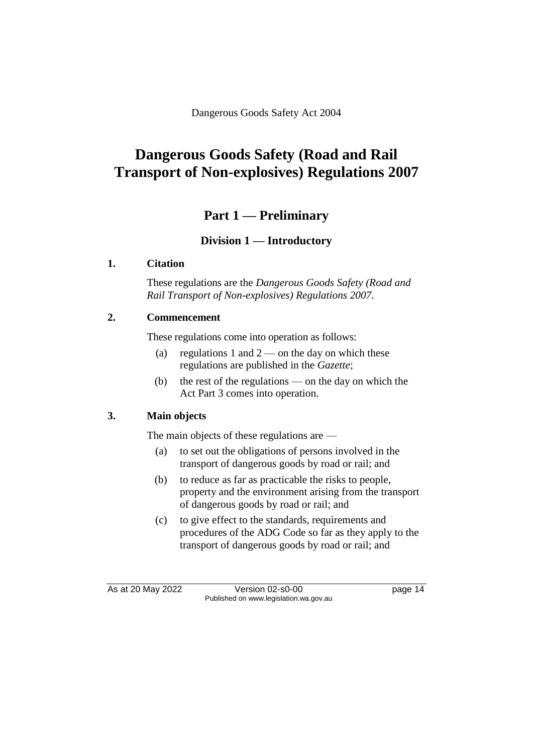Dangerous Goods Safety Act 2004

# **Dangerous Goods Safety (Road and Rail Transport of Non-explosives) Regulations 2007**

# **Part 1 — Preliminary**

# **Division 1 — Introductory**

#### **1. Citation**

These regulations are the *Dangerous Goods Safety (Road and Rail Transport of Non-explosives) Regulations 2007*.

## **2. Commencement**

These regulations come into operation as follows:

- (a) regulations 1 and  $2$  on the day on which these regulations are published in the *Gazette*;
- (b) the rest of the regulations on the day on which the Act Part 3 comes into operation.

#### **3. Main objects**

The main objects of these regulations are —

- (a) to set out the obligations of persons involved in the transport of dangerous goods by road or rail; and
- (b) to reduce as far as practicable the risks to people, property and the environment arising from the transport of dangerous goods by road or rail; and
- (c) to give effect to the standards, requirements and procedures of the ADG Code so far as they apply to the transport of dangerous goods by road or rail; and

As at 20 May 2022 Version 02-s0-00 page 14 Published on www.legislation.wa.gov.au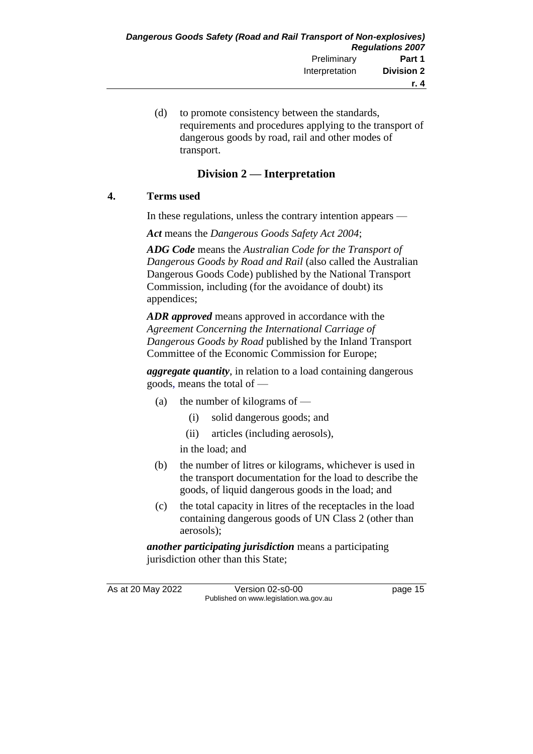(d) to promote consistency between the standards, requirements and procedures applying to the transport of dangerous goods by road, rail and other modes of transport.

# **Division 2 — Interpretation**

## **4. Terms used**

In these regulations, unless the contrary intention appears —

*Act* means the *Dangerous Goods Safety Act 2004*;

*ADG Code* means the *Australian Code for the Transport of Dangerous Goods by Road and Rail* (also called the Australian Dangerous Goods Code) published by the National Transport Commission, including (for the avoidance of doubt) its appendices;

*ADR approved* means approved in accordance with the *Agreement Concerning the International Carriage of Dangerous Goods by Road* published by the Inland Transport Committee of the Economic Commission for Europe;

*aggregate quantity*, in relation to a load containing dangerous goods, means the total of —

- (a) the number of kilograms of
	- (i) solid dangerous goods; and
	- (ii) articles (including aerosols),

in the load; and

- (b) the number of litres or kilograms, whichever is used in the transport documentation for the load to describe the goods, of liquid dangerous goods in the load; and
- (c) the total capacity in litres of the receptacles in the load containing dangerous goods of UN Class 2 (other than aerosols);

*another participating jurisdiction* means a participating jurisdiction other than this State;

As at 20 May 2022 Version 02-s0-00 Page 15 Published on www.legislation.wa.gov.au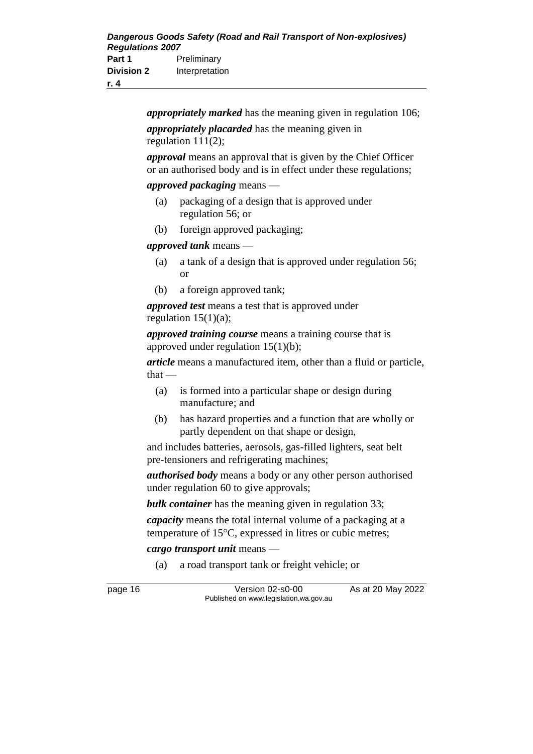*appropriately marked* has the meaning given in regulation 106; *appropriately placarded* has the meaning given in

regulation 111(2);

*approval* means an approval that is given by the Chief Officer or an authorised body and is in effect under these regulations;

#### *approved packaging* means —

- (a) packaging of a design that is approved under regulation 56; or
- (b) foreign approved packaging;

#### *approved tank* means —

- (a) a tank of a design that is approved under regulation 56; or
- (b) a foreign approved tank;

*approved test* means a test that is approved under regulation  $15(1)(a)$ ;

*approved training course* means a training course that is approved under regulation 15(1)(b);

*article* means a manufactured item, other than a fluid or particle,  $that -$ 

- (a) is formed into a particular shape or design during manufacture; and
- (b) has hazard properties and a function that are wholly or partly dependent on that shape or design,

and includes batteries, aerosols, gas-filled lighters, seat belt pre-tensioners and refrigerating machines;

*authorised body* means a body or any other person authorised under regulation 60 to give approvals;

*bulk container* has the meaning given in regulation 33;

*capacity* means the total internal volume of a packaging at a temperature of  $15^{\circ}$ C, expressed in litres or cubic metres;

### *cargo transport unit* means —

(a) a road transport tank or freight vehicle; or

page 16 Version 02-s0-00 As at 20 May 2022 Published on www.legislation.wa.gov.au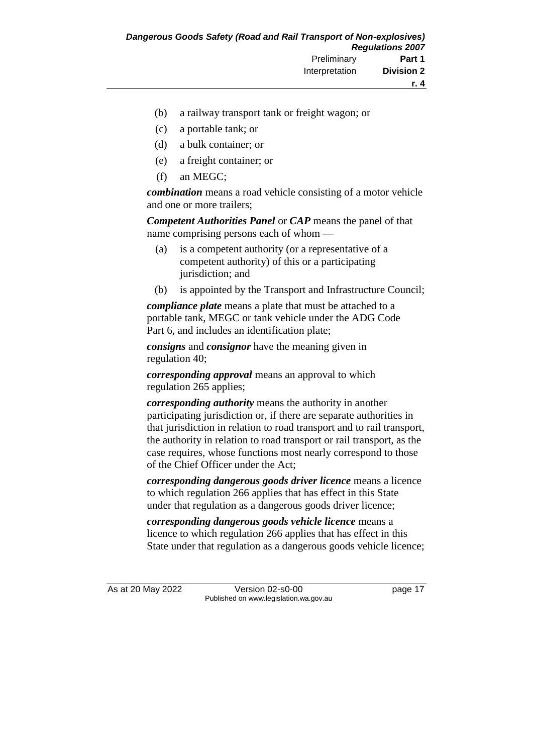- (b) a railway transport tank or freight wagon; or
- (c) a portable tank; or
- (d) a bulk container; or
- (e) a freight container; or
- (f) an MEGC;

*combination* means a road vehicle consisting of a motor vehicle and one or more trailers;

*Competent Authorities Panel* or *CAP* means the panel of that name comprising persons each of whom —

- (a) is a competent authority (or a representative of a competent authority) of this or a participating jurisdiction; and
- (b) is appointed by the Transport and Infrastructure Council;

*compliance plate* means a plate that must be attached to a portable tank, MEGC or tank vehicle under the ADG Code Part 6, and includes an identification plate;

*consigns* and *consignor* have the meaning given in regulation 40;

*corresponding approval* means an approval to which regulation 265 applies;

*corresponding authority* means the authority in another participating jurisdiction or, if there are separate authorities in that jurisdiction in relation to road transport and to rail transport, the authority in relation to road transport or rail transport, as the case requires, whose functions most nearly correspond to those of the Chief Officer under the Act;

*corresponding dangerous goods driver licence* means a licence to which regulation 266 applies that has effect in this State under that regulation as a dangerous goods driver licence;

*corresponding dangerous goods vehicle licence* means a licence to which regulation 266 applies that has effect in this State under that regulation as a dangerous goods vehicle licence;

As at 20 May 2022 Version 02-s0-00 page 17 Published on www.legislation.wa.gov.au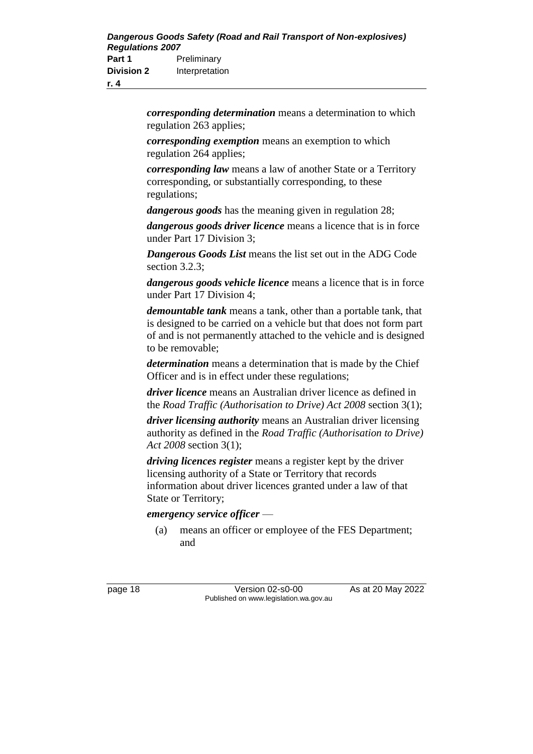*corresponding determination* means a determination to which regulation 263 applies;

*corresponding exemption* means an exemption to which regulation 264 applies;

*corresponding law* means a law of another State or a Territory corresponding, or substantially corresponding, to these regulations;

*dangerous goods* has the meaning given in regulation 28;

*dangerous goods driver licence* means a licence that is in force under Part 17 Division 3;

*Dangerous Goods List* means the list set out in the ADG Code section 3.2.3;

*dangerous goods vehicle licence* means a licence that is in force under Part 17 Division 4;

*demountable tank* means a tank, other than a portable tank, that is designed to be carried on a vehicle but that does not form part of and is not permanently attached to the vehicle and is designed to be removable;

*determination* means a determination that is made by the Chief Officer and is in effect under these regulations;

*driver licence* means an Australian driver licence as defined in the *Road Traffic (Authorisation to Drive) Act 2008* section 3(1);

*driver licensing authority* means an Australian driver licensing authority as defined in the *Road Traffic (Authorisation to Drive) Act 2008* section 3(1);

*driving licences register* means a register kept by the driver licensing authority of a State or Territory that records information about driver licences granted under a law of that State or Territory;

*emergency service officer* —

(a) means an officer or employee of the FES Department; and

page 18 Version 02-s0-00 As at 20 May 2022 Published on www.legislation.wa.gov.au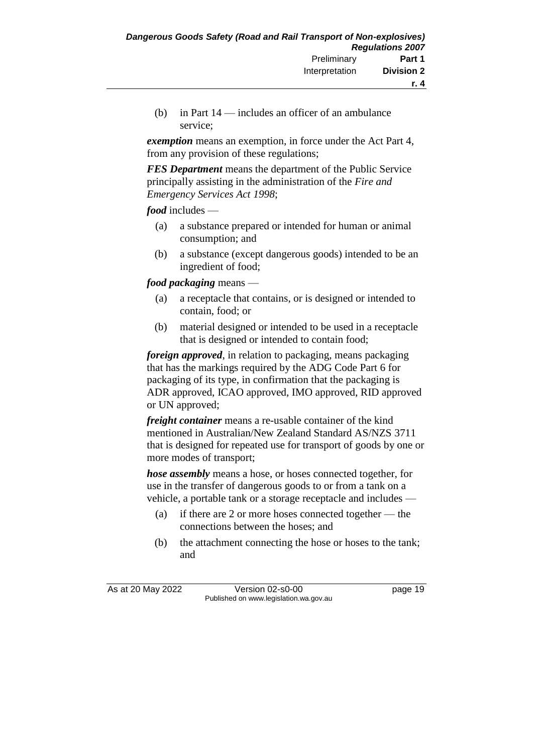(b) in Part 14 — includes an officer of an ambulance service;

*exemption* means an exemption, in force under the Act Part 4, from any provision of these regulations;

*FES Department* means the department of the Public Service principally assisting in the administration of the *Fire and Emergency Services Act 1998*;

*food* includes —

- (a) a substance prepared or intended for human or animal consumption; and
- (b) a substance (except dangerous goods) intended to be an ingredient of food;

*food packaging* means —

- (a) a receptacle that contains, or is designed or intended to contain, food; or
- (b) material designed or intended to be used in a receptacle that is designed or intended to contain food;

*foreign approved*, in relation to packaging, means packaging that has the markings required by the ADG Code Part 6 for packaging of its type, in confirmation that the packaging is ADR approved, ICAO approved, IMO approved, RID approved or UN approved;

*freight container* means a re-usable container of the kind mentioned in Australian/New Zealand Standard AS/NZS 3711 that is designed for repeated use for transport of goods by one or more modes of transport;

*hose assembly* means a hose, or hoses connected together, for use in the transfer of dangerous goods to or from a tank on a vehicle, a portable tank or a storage receptacle and includes —

- (a) if there are 2 or more hoses connected together the connections between the hoses; and
- (b) the attachment connecting the hose or hoses to the tank; and

As at 20 May 2022 Version 02-s0-00 Page 19 Published on www.legislation.wa.gov.au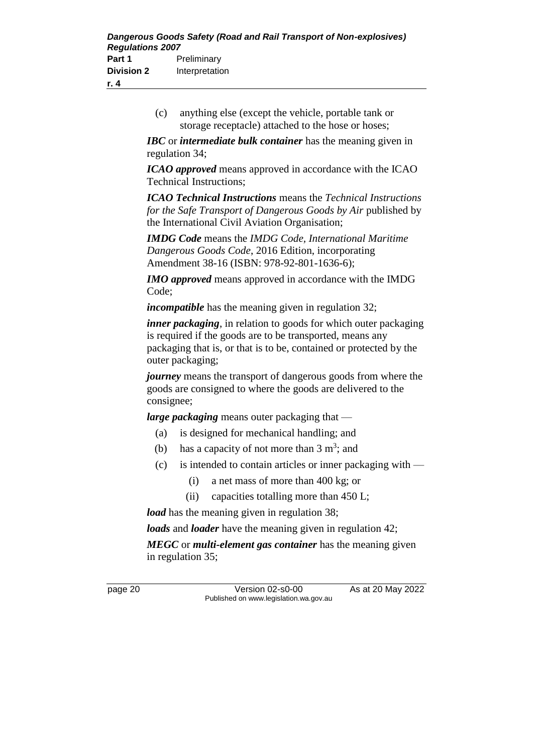(c) anything else (except the vehicle, portable tank or storage receptacle) attached to the hose or hoses;

*IBC* or *intermediate bulk container* has the meaning given in regulation 34;

*ICAO approved* means approved in accordance with the ICAO Technical Instructions;

*ICAO Technical Instructions* means the *Technical Instructions for the Safe Transport of Dangerous Goods by Air* published by the International Civil Aviation Organisation;

*IMDG Code* means the *IMDG Code, International Maritime Dangerous Goods Code*, 2016 Edition, incorporating Amendment 38-16 (ISBN: 978-92-801-1636-6);

*IMO approved* means approved in accordance with the IMDG Code;

*incompatible* has the meaning given in regulation 32;

*inner packaging*, in relation to goods for which outer packaging is required if the goods are to be transported, means any packaging that is, or that is to be, contained or protected by the outer packaging;

*journey* means the transport of dangerous goods from where the goods are consigned to where the goods are delivered to the consignee;

*large packaging* means outer packaging that —

- (a) is designed for mechanical handling; and
- (b) has a capacity of not more than  $3 \text{ m}^3$ ; and
- (c) is intended to contain articles or inner packaging with
	- (i) a net mass of more than 400 kg; or
	- (ii) capacities totalling more than 450 L;

*load* has the meaning given in regulation 38;

*loads* and *loader* have the meaning given in regulation 42;

*MEGC* or *multi-element gas container* has the meaning given in regulation 35;

page 20 Version 02-s0-00 As at 20 May 2022 Published on www.legislation.wa.gov.au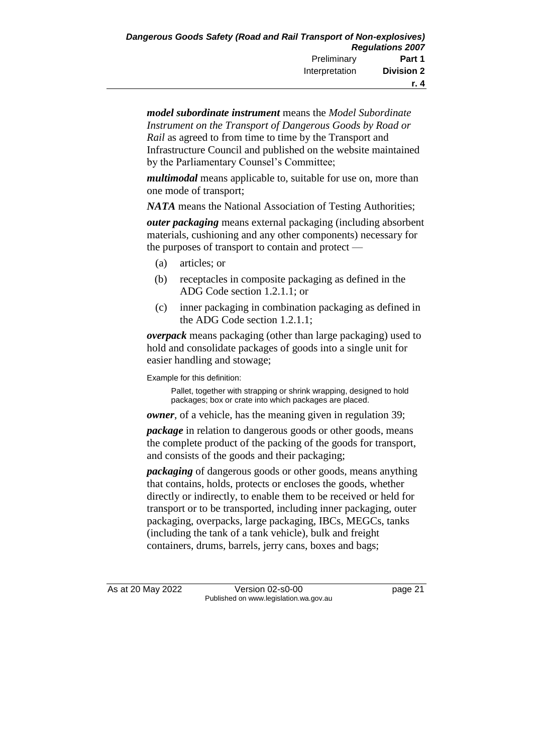*model subordinate instrument* means the *Model Subordinate Instrument on the Transport of Dangerous Goods by Road or Rail* as agreed to from time to time by the Transport and Infrastructure Council and published on the website maintained by the Parliamentary Counsel's Committee;

*multimodal* means applicable to, suitable for use on, more than one mode of transport;

*NATA* means the National Association of Testing Authorities;

*outer packaging* means external packaging (including absorbent materials, cushioning and any other components) necessary for the purposes of transport to contain and protect —

- (a) articles; or
- (b) receptacles in composite packaging as defined in the ADG Code section 1.2.1.1; or
- (c) inner packaging in combination packaging as defined in the ADG Code section 1.2.1.1;

*overpack* means packaging (other than large packaging) used to hold and consolidate packages of goods into a single unit for easier handling and stowage;

Example for this definition:

Pallet, together with strapping or shrink wrapping, designed to hold packages; box or crate into which packages are placed.

*owner*, of a vehicle, has the meaning given in regulation 39;

*package* in relation to dangerous goods or other goods, means the complete product of the packing of the goods for transport, and consists of the goods and their packaging;

*packaging* of dangerous goods or other goods, means anything that contains, holds, protects or encloses the goods, whether directly or indirectly, to enable them to be received or held for transport or to be transported, including inner packaging, outer packaging, overpacks, large packaging, IBCs, MEGCs, tanks (including the tank of a tank vehicle), bulk and freight containers, drums, barrels, jerry cans, boxes and bags;

As at 20 May 2022 Version 02-s0-00 page 21 Published on www.legislation.wa.gov.au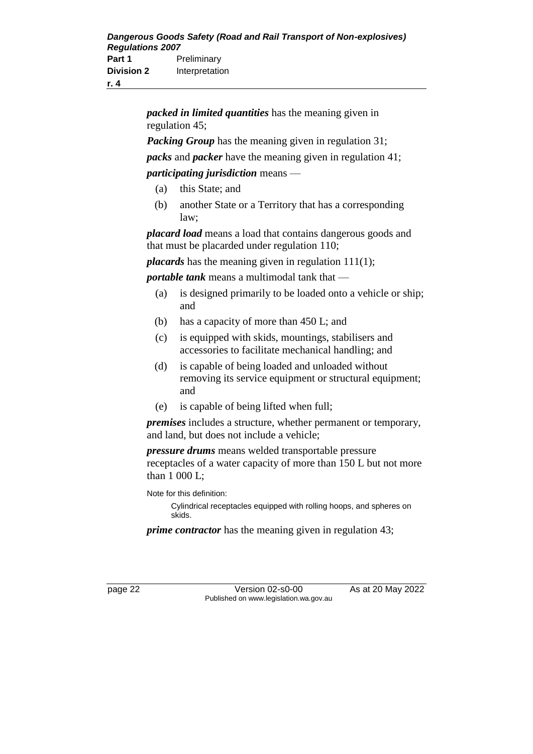**r. 4**

*packed in limited quantities* has the meaning given in regulation 45;

*Packing Group* has the meaning given in regulation 31;

*packs* and *packer* have the meaning given in regulation 41;

#### *participating jurisdiction* means —

- (a) this State; and
- (b) another State or a Territory that has a corresponding law;

*placard load* means a load that contains dangerous goods and that must be placarded under regulation 110;

*placards* has the meaning given in regulation 111(1);

*portable tank* means a multimodal tank that —

- (a) is designed primarily to be loaded onto a vehicle or ship; and
- (b) has a capacity of more than 450 L; and
- (c) is equipped with skids, mountings, stabilisers and accessories to facilitate mechanical handling; and
- (d) is capable of being loaded and unloaded without removing its service equipment or structural equipment; and
- (e) is capable of being lifted when full;

*premises* includes a structure, whether permanent or temporary, and land, but does not include a vehicle;

*pressure drums* means welded transportable pressure receptacles of a water capacity of more than 150 L but not more than 1 000 L;

Note for this definition:

Cylindrical receptacles equipped with rolling hoops, and spheres on skids.

*prime contractor* has the meaning given in regulation 43;

page 22 Version 02-s0-00 As at 20 May 2022 Published on www.legislation.wa.gov.au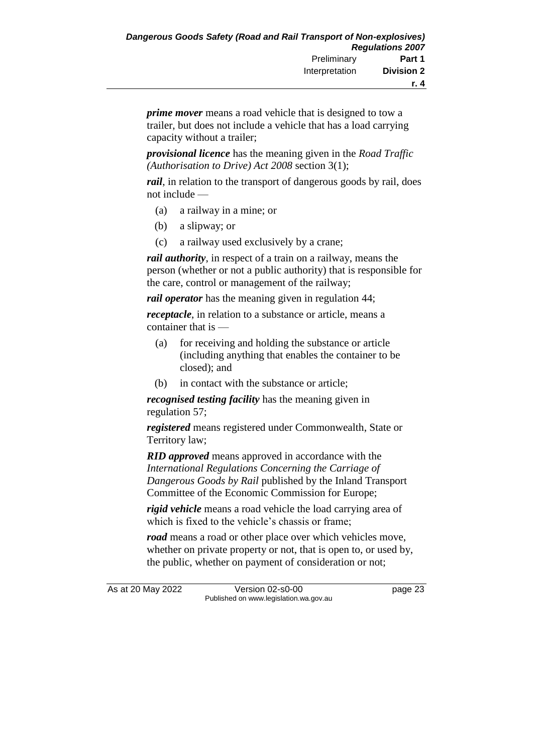*prime mover* means a road vehicle that is designed to tow a trailer, but does not include a vehicle that has a load carrying capacity without a trailer;

*provisional licence* has the meaning given in the *Road Traffic (Authorisation to Drive) Act 2008* section 3(1);

*rail*, in relation to the transport of dangerous goods by rail, does not include —

- (a) a railway in a mine; or
- (b) a slipway; or
- (c) a railway used exclusively by a crane;

*rail authority*, in respect of a train on a railway, means the person (whether or not a public authority) that is responsible for the care, control or management of the railway;

*rail operator* has the meaning given in regulation 44;

*receptacle*, in relation to a substance or article, means a container that is —

- (a) for receiving and holding the substance or article (including anything that enables the container to be closed); and
- (b) in contact with the substance or article;

*recognised testing facility* has the meaning given in regulation 57;

*registered* means registered under Commonwealth, State or Territory law;

*RID approved* means approved in accordance with the *International Regulations Concerning the Carriage of Dangerous Goods by Rail* published by the Inland Transport Committee of the Economic Commission for Europe;

*rigid vehicle* means a road vehicle the load carrying area of which is fixed to the vehicle's chassis or frame;

*road* means a road or other place over which vehicles move, whether on private property or not, that is open to, or used by, the public, whether on payment of consideration or not;

As at 20 May 2022 Version 02-s0-00 page 23 Published on www.legislation.wa.gov.au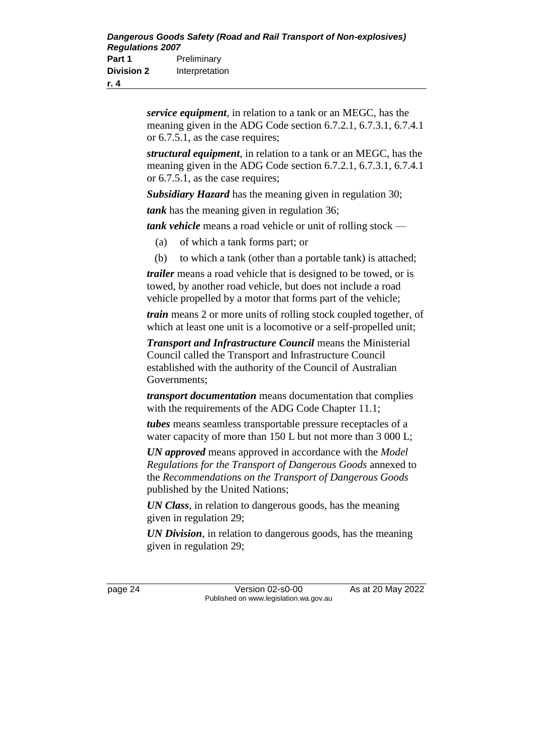*service equipment*, in relation to a tank or an MEGC, has the meaning given in the ADG Code section 6.7.2.1, 6.7.3.1, 6.7.4.1 or 6.7.5.1, as the case requires;

*structural equipment*, in relation to a tank or an MEGC, has the meaning given in the ADG Code section 6.7.2.1, 6.7.3.1, 6.7.4.1 or 6.7.5.1, as the case requires;

*Subsidiary Hazard* has the meaning given in regulation 30;

*tank* has the meaning given in regulation 36;

*tank vehicle* means a road vehicle or unit of rolling stock —

- (a) of which a tank forms part; or
- (b) to which a tank (other than a portable tank) is attached;

*trailer* means a road vehicle that is designed to be towed, or is towed, by another road vehicle, but does not include a road vehicle propelled by a motor that forms part of the vehicle;

*train* means 2 or more units of rolling stock coupled together, of which at least one unit is a locomotive or a self-propelled unit;

*Transport and Infrastructure Council* means the Ministerial Council called the Transport and Infrastructure Council established with the authority of the Council of Australian Governments;

*transport documentation* means documentation that complies with the requirements of the ADG Code Chapter 11.1;

*tubes* means seamless transportable pressure receptacles of a water capacity of more than 150 L but not more than 3 000 L;

*UN approved* means approved in accordance with the *Model Regulations for the Transport of Dangerous Goods* annexed to the *Recommendations on the Transport of Dangerous Goods* published by the United Nations;

*UN Class*, in relation to dangerous goods, has the meaning given in regulation 29;

*UN Division*, in relation to dangerous goods, has the meaning given in regulation 29;

page 24 Version 02-s0-00 As at 20 May 2022 Published on www.legislation.wa.gov.au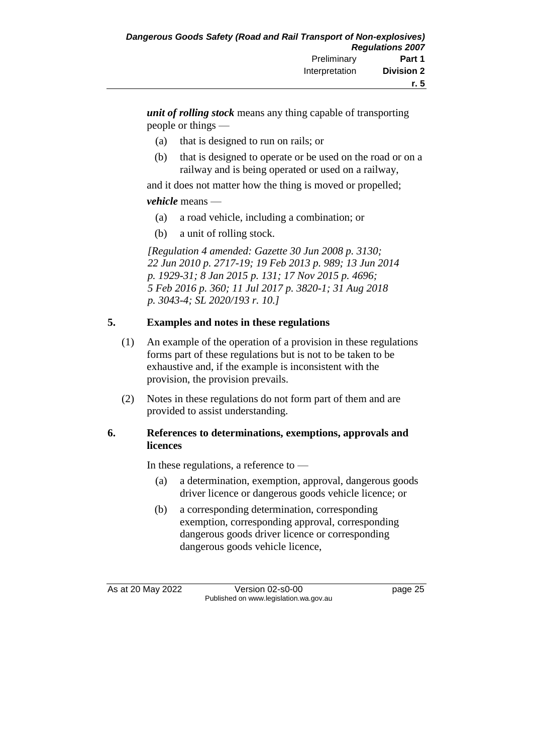*unit of rolling stock* means any thing capable of transporting people or things —

- (a) that is designed to run on rails; or
- (b) that is designed to operate or be used on the road or on a railway and is being operated or used on a railway,

and it does not matter how the thing is moved or propelled;

#### *vehicle* means —

- (a) a road vehicle, including a combination; or
- (b) a unit of rolling stock.

*[Regulation 4 amended: Gazette 30 Jun 2008 p. 3130; 22 Jun 2010 p. 2717-19; 19 Feb 2013 p. 989; 13 Jun 2014 p. 1929-31; 8 Jan 2015 p. 131; 17 Nov 2015 p. 4696; 5 Feb 2016 p. 360; 11 Jul 2017 p. 3820-1; 31 Aug 2018 p. 3043-4; SL 2020/193 r. 10.]*

## **5. Examples and notes in these regulations**

- (1) An example of the operation of a provision in these regulations forms part of these regulations but is not to be taken to be exhaustive and, if the example is inconsistent with the provision, the provision prevails.
- (2) Notes in these regulations do not form part of them and are provided to assist understanding.

#### **6. References to determinations, exemptions, approvals and licences**

In these regulations, a reference to —

- (a) a determination, exemption, approval, dangerous goods driver licence or dangerous goods vehicle licence; or
- (b) a corresponding determination, corresponding exemption, corresponding approval, corresponding dangerous goods driver licence or corresponding dangerous goods vehicle licence,

As at 20 May 2022 Version 02-s0-00 page 25 Published on www.legislation.wa.gov.au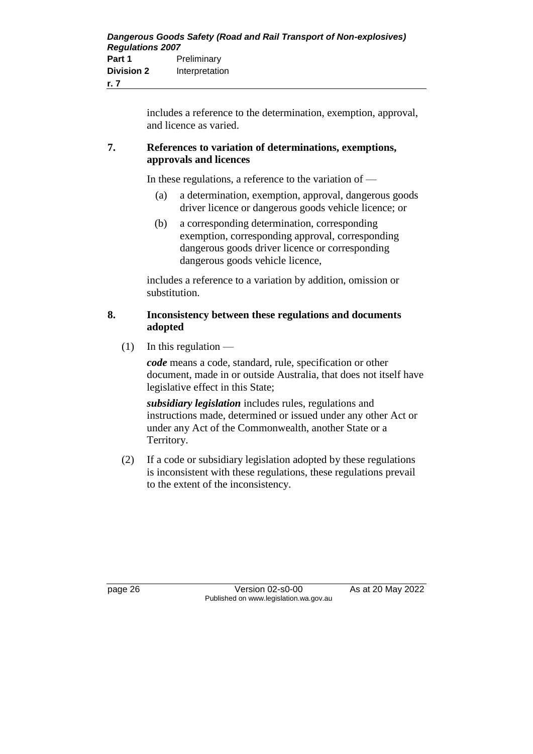includes a reference to the determination, exemption, approval, and licence as varied.

#### **7. References to variation of determinations, exemptions, approvals and licences**

In these regulations, a reference to the variation of —

- (a) a determination, exemption, approval, dangerous goods driver licence or dangerous goods vehicle licence; or
- (b) a corresponding determination, corresponding exemption, corresponding approval, corresponding dangerous goods driver licence or corresponding dangerous goods vehicle licence,

includes a reference to a variation by addition, omission or substitution.

#### **8. Inconsistency between these regulations and documents adopted**

 $(1)$  In this regulation —

*code* means a code, standard, rule, specification or other document, made in or outside Australia, that does not itself have legislative effect in this State;

*subsidiary legislation* includes rules, regulations and instructions made, determined or issued under any other Act or under any Act of the Commonwealth, another State or a Territory.

(2) If a code or subsidiary legislation adopted by these regulations is inconsistent with these regulations, these regulations prevail to the extent of the inconsistency.

page 26 Version 02-s0-00 As at 20 May 2022 Published on www.legislation.wa.gov.au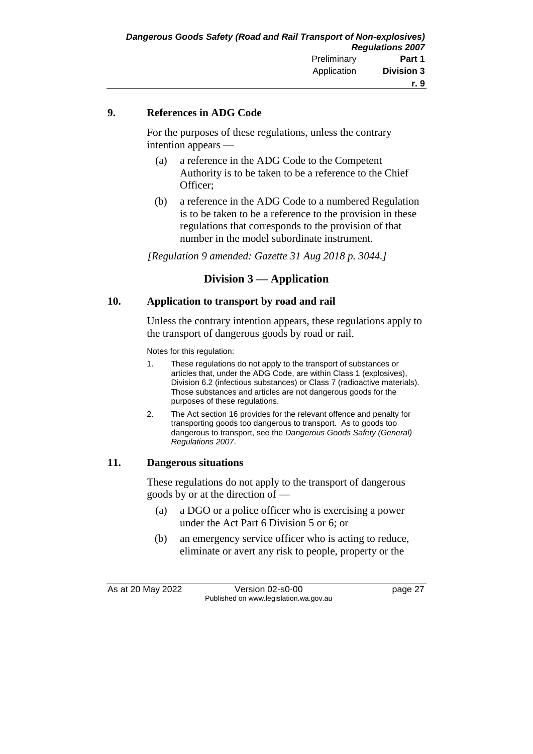#### **9. References in ADG Code**

For the purposes of these regulations, unless the contrary intention appears —

- (a) a reference in the ADG Code to the Competent Authority is to be taken to be a reference to the Chief Officer;
- (b) a reference in the ADG Code to a numbered Regulation is to be taken to be a reference to the provision in these regulations that corresponds to the provision of that number in the model subordinate instrument.

*[Regulation 9 amended: Gazette 31 Aug 2018 p. 3044.]*

## **Division 3 — Application**

#### **10. Application to transport by road and rail**

Unless the contrary intention appears, these regulations apply to the transport of dangerous goods by road or rail.

Notes for this regulation:

- 1. These regulations do not apply to the transport of substances or articles that, under the ADG Code, are within Class 1 (explosives), Division 6.2 (infectious substances) or Class 7 (radioactive materials). Those substances and articles are not dangerous goods for the purposes of these regulations.
- 2. The Act section 16 provides for the relevant offence and penalty for transporting goods too dangerous to transport. As to goods too dangerous to transport, see the *Dangerous Goods Safety (General) Regulations 2007*.

#### **11. Dangerous situations**

These regulations do not apply to the transport of dangerous goods by or at the direction of —

- (a) a DGO or a police officer who is exercising a power under the Act Part 6 Division 5 or 6; or
- (b) an emergency service officer who is acting to reduce, eliminate or avert any risk to people, property or the

As at 20 May 2022 Version 02-s0-00 page 27 Published on www.legislation.wa.gov.au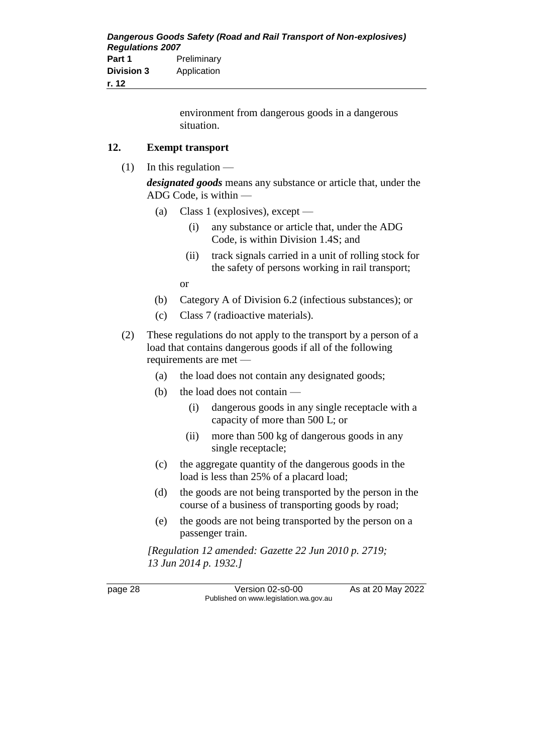| <b>Regulations 2007</b> | Dangerous Goods Safety (Road and Rail Transport of Non-explosives) |
|-------------------------|--------------------------------------------------------------------|
| Part 1                  | Preliminary                                                        |
| <b>Division 3</b>       | Application                                                        |
| r. 12                   |                                                                    |

environment from dangerous goods in a dangerous situation.

#### **12. Exempt transport**

 $(1)$  In this regulation —

*designated goods* means any substance or article that, under the ADG Code, is within —

- (a) Class 1 (explosives), except
	- (i) any substance or article that, under the ADG Code, is within Division 1.4S; and
	- (ii) track signals carried in a unit of rolling stock for the safety of persons working in rail transport;

or

- (b) Category A of Division 6.2 (infectious substances); or
- (c) Class 7 (radioactive materials).
- (2) These regulations do not apply to the transport by a person of a load that contains dangerous goods if all of the following requirements are met —
	- (a) the load does not contain any designated goods;
	- (b) the load does not contain
		- (i) dangerous goods in any single receptacle with a capacity of more than 500 L; or
		- (ii) more than 500 kg of dangerous goods in any single receptacle;
	- (c) the aggregate quantity of the dangerous goods in the load is less than 25% of a placard load;
	- (d) the goods are not being transported by the person in the course of a business of transporting goods by road;
	- (e) the goods are not being transported by the person on a passenger train.

*[Regulation 12 amended: Gazette 22 Jun 2010 p. 2719; 13 Jun 2014 p. 1932.]*

page 28 Version 02-s0-00 As at 20 May 2022 Published on www.legislation.wa.gov.au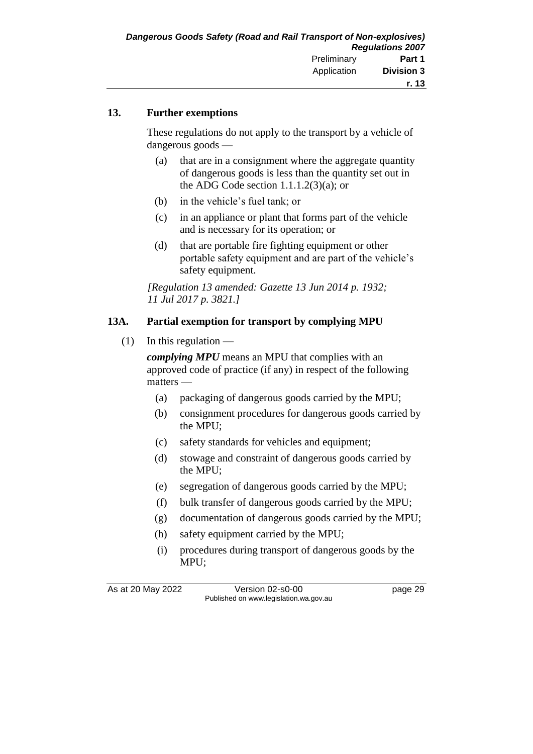#### **13. Further exemptions**

These regulations do not apply to the transport by a vehicle of dangerous goods —

- (a) that are in a consignment where the aggregate quantity of dangerous goods is less than the quantity set out in the ADG Code section  $1.1.1.2(3)(a)$ ; or
- (b) in the vehicle's fuel tank; or
- (c) in an appliance or plant that forms part of the vehicle and is necessary for its operation; or
- (d) that are portable fire fighting equipment or other portable safety equipment and are part of the vehicle's safety equipment.

*[Regulation 13 amended: Gazette 13 Jun 2014 p. 1932; 11 Jul 2017 p. 3821.]*

#### **13A. Partial exemption for transport by complying MPU**

 $(1)$  In this regulation —

*complying MPU* means an MPU that complies with an approved code of practice (if any) in respect of the following matters —

- (a) packaging of dangerous goods carried by the MPU;
- (b) consignment procedures for dangerous goods carried by the MPU;
- (c) safety standards for vehicles and equipment;
- (d) stowage and constraint of dangerous goods carried by the MPU;
- (e) segregation of dangerous goods carried by the MPU;
- (f) bulk transfer of dangerous goods carried by the MPU;
- (g) documentation of dangerous goods carried by the MPU;
- (h) safety equipment carried by the MPU;
- (i) procedures during transport of dangerous goods by the MPU;

As at 20 May 2022 Version 02-s0-00 page 29 Published on www.legislation.wa.gov.au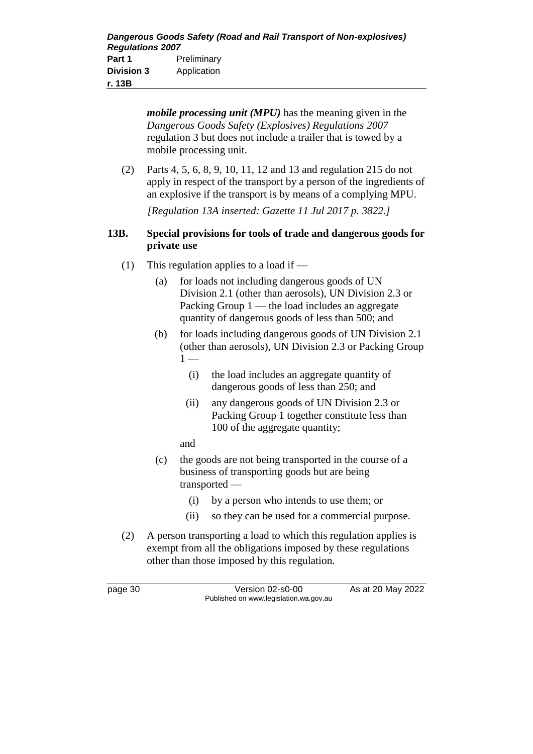*mobile processing unit (MPU)* has the meaning given in the *Dangerous Goods Safety (Explosives) Regulations 2007* regulation 3 but does not include a trailer that is towed by a mobile processing unit. (2) Parts 4, 5, 6, 8, 9, 10, 11, 12 and 13 and regulation 215 do not apply in respect of the transport by a person of the ingredients of an explosive if the transport is by means of a complying MPU. *[Regulation 13A inserted: Gazette 11 Jul 2017 p. 3822.]* **13B. Special provisions for tools of trade and dangerous goods for private use** (1) This regulation applies to a load if — (a) for loads not including dangerous goods of UN Division 2.1 (other than aerosols), UN Division 2.3 or Packing Group  $1$  — the load includes an aggregate quantity of dangerous goods of less than 500; and (b) for loads including dangerous goods of UN Division 2.1 (other than aerosols), UN Division 2.3 or Packing Group  $1 -$ 

- (i) the load includes an aggregate quantity of dangerous goods of less than 250; and
- (ii) any dangerous goods of UN Division 2.3 or Packing Group 1 together constitute less than 100 of the aggregate quantity;

and

- (c) the goods are not being transported in the course of a business of transporting goods but are being transported —
	- (i) by a person who intends to use them; or
	- (ii) so they can be used for a commercial purpose.
- (2) A person transporting a load to which this regulation applies is exempt from all the obligations imposed by these regulations other than those imposed by this regulation.

page 30 Version 02-s0-00 As at 20 May 2022 Published on www.legislation.wa.gov.au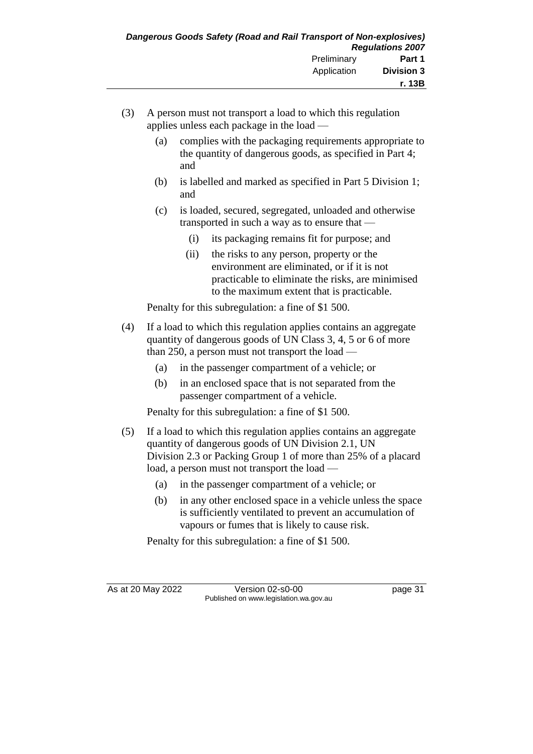- (3) A person must not transport a load to which this regulation applies unless each package in the load —
	- (a) complies with the packaging requirements appropriate to the quantity of dangerous goods, as specified in Part 4; and
	- (b) is labelled and marked as specified in Part 5 Division 1; and
	- (c) is loaded, secured, segregated, unloaded and otherwise transported in such a way as to ensure that —
		- (i) its packaging remains fit for purpose; and
		- (ii) the risks to any person, property or the environment are eliminated, or if it is not practicable to eliminate the risks, are minimised to the maximum extent that is practicable.

Penalty for this subregulation: a fine of \$1 500.

- (4) If a load to which this regulation applies contains an aggregate quantity of dangerous goods of UN Class 3, 4, 5 or 6 of more than 250, a person must not transport the load —
	- (a) in the passenger compartment of a vehicle; or
	- (b) in an enclosed space that is not separated from the passenger compartment of a vehicle.

Penalty for this subregulation: a fine of \$1 500.

- (5) If a load to which this regulation applies contains an aggregate quantity of dangerous goods of UN Division 2.1, UN Division 2.3 or Packing Group 1 of more than 25% of a placard load, a person must not transport the load —
	- (a) in the passenger compartment of a vehicle; or
	- (b) in any other enclosed space in a vehicle unless the space is sufficiently ventilated to prevent an accumulation of vapours or fumes that is likely to cause risk.

Penalty for this subregulation: a fine of \$1 500.

As at 20 May 2022 Version 02-s0-00 page 31 Published on www.legislation.wa.gov.au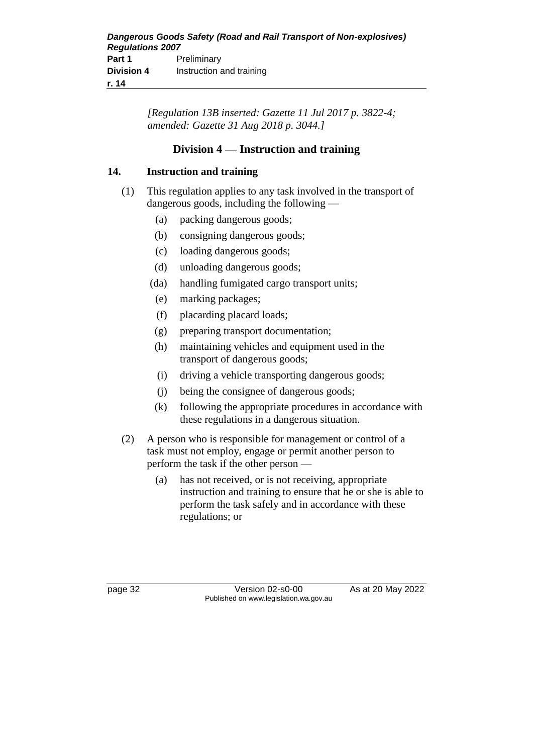*[Regulation 13B inserted: Gazette 11 Jul 2017 p. 3822-4; amended: Gazette 31 Aug 2018 p. 3044.]*

## **Division 4 — Instruction and training**

## **14. Instruction and training**

- (1) This regulation applies to any task involved in the transport of dangerous goods, including the following —
	- (a) packing dangerous goods;
	- (b) consigning dangerous goods;
	- (c) loading dangerous goods;
	- (d) unloading dangerous goods;
	- (da) handling fumigated cargo transport units;
	- (e) marking packages;
	- (f) placarding placard loads;
	- (g) preparing transport documentation;
	- (h) maintaining vehicles and equipment used in the transport of dangerous goods;
	- (i) driving a vehicle transporting dangerous goods;
	- (j) being the consignee of dangerous goods;
	- (k) following the appropriate procedures in accordance with these regulations in a dangerous situation.
- (2) A person who is responsible for management or control of a task must not employ, engage or permit another person to perform the task if the other person —
	- (a) has not received, or is not receiving, appropriate instruction and training to ensure that he or she is able to perform the task safely and in accordance with these regulations; or

page 32 Version 02-s0-00 As at 20 May 2022 Published on www.legislation.wa.gov.au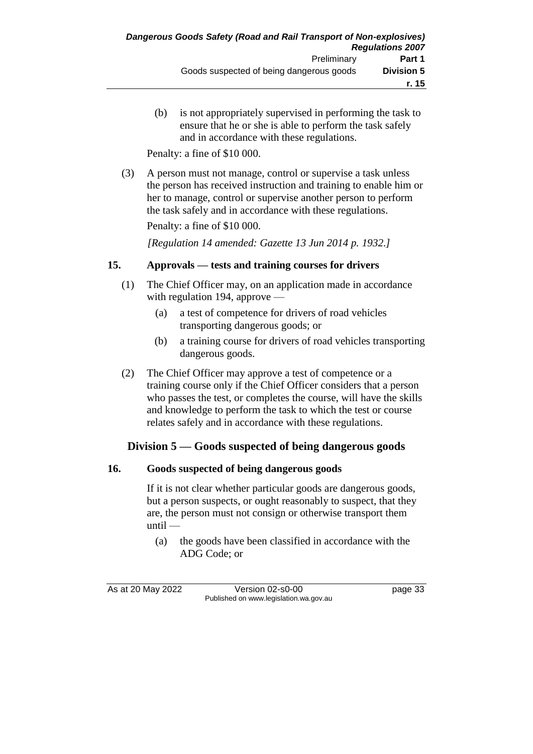(b) is not appropriately supervised in performing the task to ensure that he or she is able to perform the task safely and in accordance with these regulations.

Penalty: a fine of \$10 000.

(3) A person must not manage, control or supervise a task unless the person has received instruction and training to enable him or her to manage, control or supervise another person to perform the task safely and in accordance with these regulations.

Penalty: a fine of \$10 000.

*[Regulation 14 amended: Gazette 13 Jun 2014 p. 1932.]*

#### **15. Approvals — tests and training courses for drivers**

- (1) The Chief Officer may, on an application made in accordance with regulation 194, approve —
	- (a) a test of competence for drivers of road vehicles transporting dangerous goods; or
	- (b) a training course for drivers of road vehicles transporting dangerous goods.
- (2) The Chief Officer may approve a test of competence or a training course only if the Chief Officer considers that a person who passes the test, or completes the course, will have the skills and knowledge to perform the task to which the test or course relates safely and in accordance with these regulations.

#### **Division 5 — Goods suspected of being dangerous goods**

#### **16. Goods suspected of being dangerous goods**

If it is not clear whether particular goods are dangerous goods, but a person suspects, or ought reasonably to suspect, that they are, the person must not consign or otherwise transport them until —

(a) the goods have been classified in accordance with the ADG Code; or

As at 20 May 2022 Version 02-s0-00 page 33 Published on www.legislation.wa.gov.au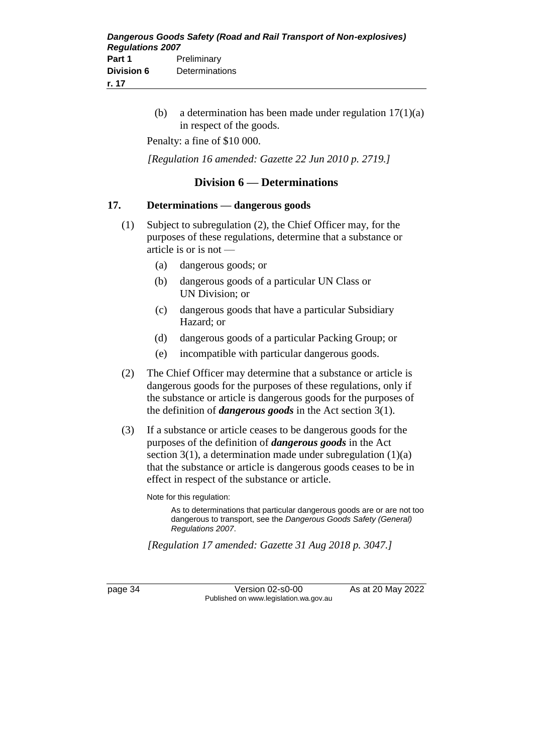(b) a determination has been made under regulation  $17(1)(a)$ in respect of the goods.

Penalty: a fine of \$10 000.

*[Regulation 16 amended: Gazette 22 Jun 2010 p. 2719.]*

#### **Division 6 — Determinations**

#### **17. Determinations — dangerous goods**

- (1) Subject to subregulation (2), the Chief Officer may, for the purposes of these regulations, determine that a substance or article is or is not —
	- (a) dangerous goods; or
	- (b) dangerous goods of a particular UN Class or UN Division; or
	- (c) dangerous goods that have a particular Subsidiary Hazard; or
	- (d) dangerous goods of a particular Packing Group; or
	- (e) incompatible with particular dangerous goods.
- (2) The Chief Officer may determine that a substance or article is dangerous goods for the purposes of these regulations, only if the substance or article is dangerous goods for the purposes of the definition of *dangerous goods* in the Act section 3(1).
- (3) If a substance or article ceases to be dangerous goods for the purposes of the definition of *dangerous goods* in the Act section  $3(1)$ , a determination made under subregulation  $(1)(a)$ that the substance or article is dangerous goods ceases to be in effect in respect of the substance or article.

Note for this regulation:

As to determinations that particular dangerous goods are or are not too dangerous to transport, see the *Dangerous Goods Safety (General) Regulations 2007*.

*[Regulation 17 amended: Gazette 31 Aug 2018 p. 3047.]*

page 34 Version 02-s0-00 As at 20 May 2022 Published on www.legislation.wa.gov.au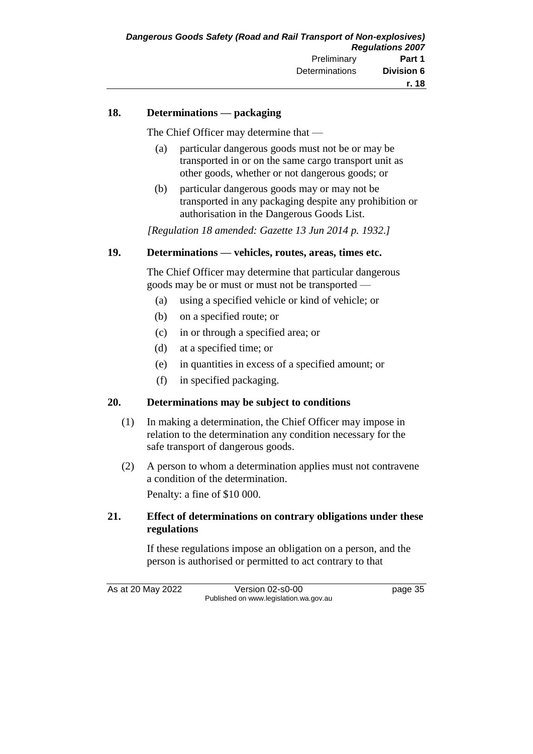#### **18. Determinations — packaging**

The Chief Officer may determine that —

- (a) particular dangerous goods must not be or may be transported in or on the same cargo transport unit as other goods, whether or not dangerous goods; or
- (b) particular dangerous goods may or may not be transported in any packaging despite any prohibition or authorisation in the Dangerous Goods List.

*[Regulation 18 amended: Gazette 13 Jun 2014 p. 1932.]*

#### **19. Determinations — vehicles, routes, areas, times etc.**

The Chief Officer may determine that particular dangerous goods may be or must or must not be transported —

- (a) using a specified vehicle or kind of vehicle; or
- (b) on a specified route; or
- (c) in or through a specified area; or
- (d) at a specified time; or
- (e) in quantities in excess of a specified amount; or
- (f) in specified packaging.

#### **20. Determinations may be subject to conditions**

- (1) In making a determination, the Chief Officer may impose in relation to the determination any condition necessary for the safe transport of dangerous goods.
- (2) A person to whom a determination applies must not contravene a condition of the determination.

Penalty: a fine of \$10 000.

#### **21. Effect of determinations on contrary obligations under these regulations**

If these regulations impose an obligation on a person, and the person is authorised or permitted to act contrary to that

As at 20 May 2022 Version 02-s0-00 Page 35 Published on www.legislation.wa.gov.au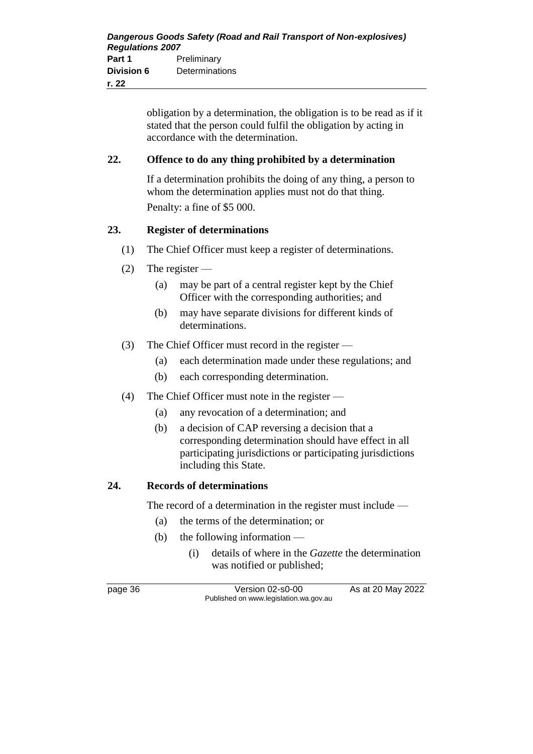obligation by a determination, the obligation is to be read as if it stated that the person could fulfil the obligation by acting in accordance with the determination.

### **22. Offence to do any thing prohibited by a determination**

If a determination prohibits the doing of any thing, a person to whom the determination applies must not do that thing. Penalty: a fine of \$5 000.

### **23. Register of determinations**

- (1) The Chief Officer must keep a register of determinations.
- (2) The register
	- (a) may be part of a central register kept by the Chief Officer with the corresponding authorities; and
	- (b) may have separate divisions for different kinds of determinations.
- (3) The Chief Officer must record in the register
	- (a) each determination made under these regulations; and
	- (b) each corresponding determination.
- (4) The Chief Officer must note in the register
	- (a) any revocation of a determination; and
	- (b) a decision of CAP reversing a decision that a corresponding determination should have effect in all participating jurisdictions or participating jurisdictions including this State.

#### **24. Records of determinations**

The record of a determination in the register must include —

- (a) the terms of the determination; or
- (b) the following information
	- (i) details of where in the *Gazette* the determination was notified or published;

page 36 Version 02-s0-00 As at 20 May 2022 Published on www.legislation.wa.gov.au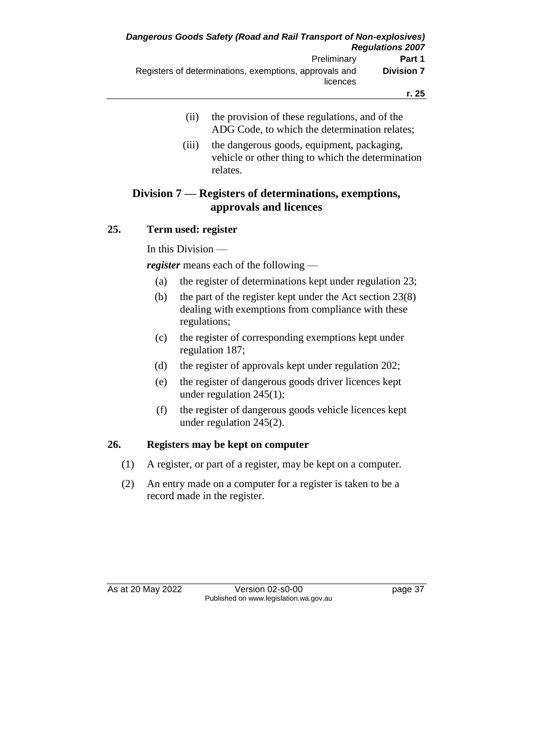- (ii) the provision of these regulations, and of the ADG Code, to which the determination relates;
- (iii) the dangerous goods, equipment, packaging, vehicle or other thing to which the determination relates.

## **Division 7 — Registers of determinations, exemptions, approvals and licences**

### **25. Term used: register**

In this Division —

*register* means each of the following —

- (a) the register of determinations kept under regulation 23;
- (b) the part of the register kept under the Act section 23(8) dealing with exemptions from compliance with these regulations;
- (c) the register of corresponding exemptions kept under regulation 187;
- (d) the register of approvals kept under regulation 202;
- (e) the register of dangerous goods driver licences kept under regulation 245(1);
- (f) the register of dangerous goods vehicle licences kept under regulation 245(2).

## **26. Registers may be kept on computer**

- (1) A register, or part of a register, may be kept on a computer.
- (2) An entry made on a computer for a register is taken to be a record made in the register.

As at 20 May 2022 Version 02-s0-00 Published on www.legislation.wa.gov.au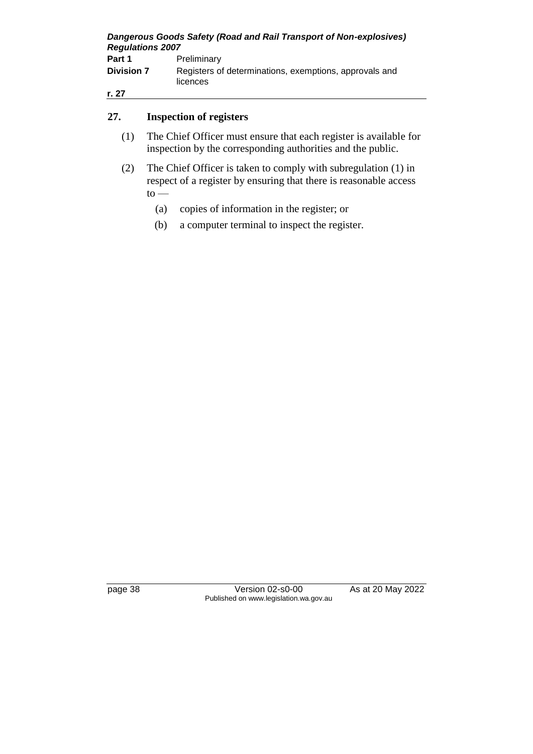| Dangerous Goods Safety (Road and Rail Transport of Non-explosives)<br><b>Regulations 2007</b> |                                                                    |
|-----------------------------------------------------------------------------------------------|--------------------------------------------------------------------|
| Part 1                                                                                        | Preliminary                                                        |
| <b>Division 7</b>                                                                             | Registers of determinations, exemptions, approvals and<br>licences |
| r. 27                                                                                         |                                                                    |

## **27. Inspection of registers**

- (1) The Chief Officer must ensure that each register is available for inspection by the corresponding authorities and the public.
- (2) The Chief Officer is taken to comply with subregulation (1) in respect of a register by ensuring that there is reasonable access  $to$ 
	- (a) copies of information in the register; or
	- (b) a computer terminal to inspect the register.

page 38 Version 02-s0-00 As at 20 May 2022 Published on www.legislation.wa.gov.au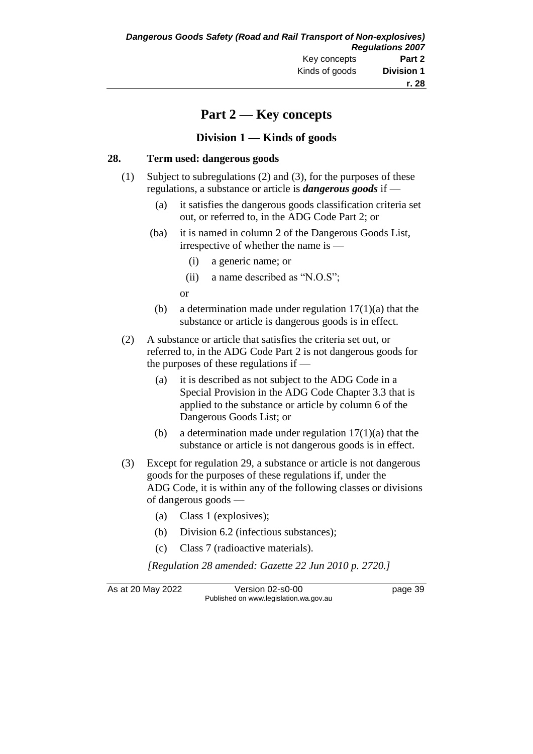# **Part 2 — Key concepts**

### **Division 1 — Kinds of goods**

#### **28. Term used: dangerous goods**

- (1) Subject to subregulations (2) and (3), for the purposes of these regulations, a substance or article is *dangerous goods* if —
	- (a) it satisfies the dangerous goods classification criteria set out, or referred to, in the ADG Code Part 2; or
	- (ba) it is named in column 2 of the Dangerous Goods List, irrespective of whether the name is —
		- (i) a generic name; or
		- (ii) a name described as "N.O.S";

or

- (b) a determination made under regulation  $17(1)(a)$  that the substance or article is dangerous goods is in effect.
- (2) A substance or article that satisfies the criteria set out, or referred to, in the ADG Code Part 2 is not dangerous goods for the purposes of these regulations if —
	- (a) it is described as not subject to the ADG Code in a Special Provision in the ADG Code Chapter 3.3 that is applied to the substance or article by column 6 of the Dangerous Goods List; or
	- (b) a determination made under regulation  $17(1)(a)$  that the substance or article is not dangerous goods is in effect.
- (3) Except for regulation 29, a substance or article is not dangerous goods for the purposes of these regulations if, under the ADG Code, it is within any of the following classes or divisions of dangerous goods —
	- (a) Class 1 (explosives);
	- (b) Division 6.2 (infectious substances);
	- (c) Class 7 (radioactive materials).

*[Regulation 28 amended: Gazette 22 Jun 2010 p. 2720.]*

As at 20 May 2022 Version 02-s0-00 page 39 Published on www.legislation.wa.gov.au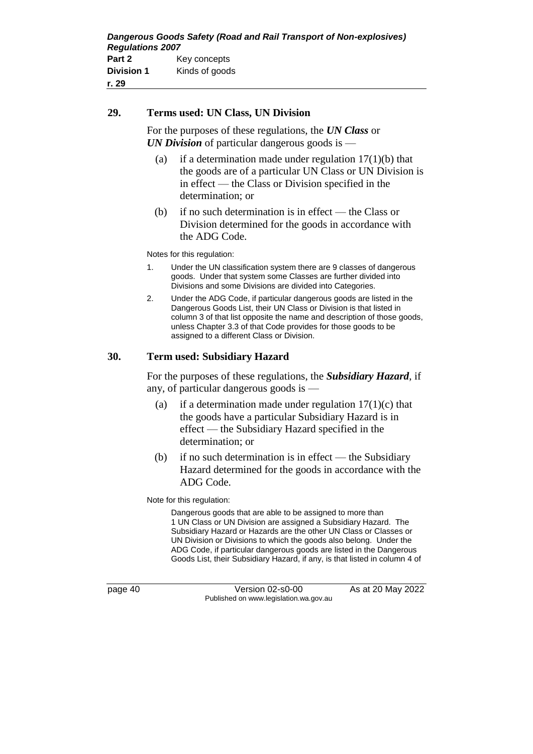#### **29. Terms used: UN Class, UN Division**

For the purposes of these regulations, the *UN Class* or *UN Division* of particular dangerous goods is —

- (a) if a determination made under regulation  $17(1)(b)$  that the goods are of a particular UN Class or UN Division is in effect — the Class or Division specified in the determination; or
- (b) if no such determination is in effect the Class or Division determined for the goods in accordance with the ADG Code.

Notes for this regulation:

- 1. Under the UN classification system there are 9 classes of dangerous goods. Under that system some Classes are further divided into Divisions and some Divisions are divided into Categories.
- 2. Under the ADG Code, if particular dangerous goods are listed in the Dangerous Goods List, their UN Class or Division is that listed in column 3 of that list opposite the name and description of those goods, unless Chapter 3.3 of that Code provides for those goods to be assigned to a different Class or Division.

#### **30. Term used: Subsidiary Hazard**

For the purposes of these regulations, the *Subsidiary Hazard*, if any, of particular dangerous goods is —

- (a) if a determination made under regulation  $17(1)(c)$  that the goods have a particular Subsidiary Hazard is in effect — the Subsidiary Hazard specified in the determination; or
- (b) if no such determination is in effect the Subsidiary Hazard determined for the goods in accordance with the ADG Code.

Note for this regulation:

Dangerous goods that are able to be assigned to more than 1 UN Class or UN Division are assigned a Subsidiary Hazard. The Subsidiary Hazard or Hazards are the other UN Class or Classes or UN Division or Divisions to which the goods also belong. Under the ADG Code, if particular dangerous goods are listed in the Dangerous Goods List, their Subsidiary Hazard, if any, is that listed in column 4 of

page 40 Version 02-s0-00 As at 20 May 2022 Published on www.legislation.wa.gov.au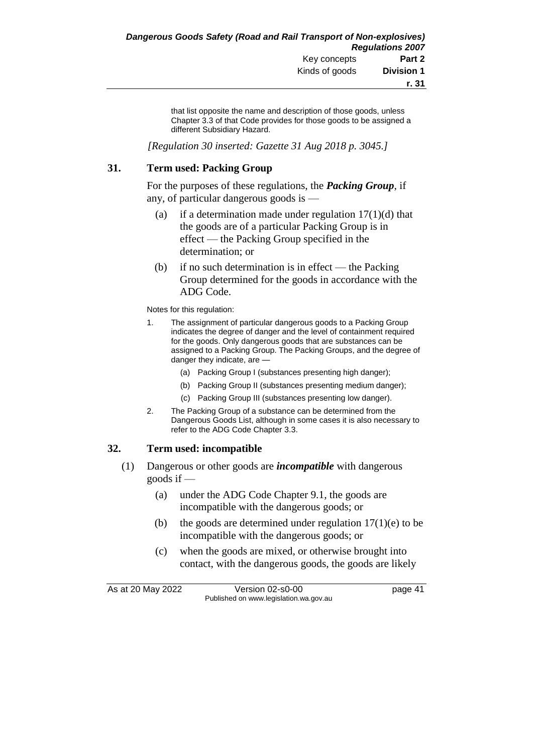that list opposite the name and description of those goods, unless Chapter 3.3 of that Code provides for those goods to be assigned a different Subsidiary Hazard.

*[Regulation 30 inserted: Gazette 31 Aug 2018 p. 3045.]*

#### **31. Term used: Packing Group**

For the purposes of these regulations, the *Packing Group*, if any, of particular dangerous goods is —

- (a) if a determination made under regulation  $17(1)(d)$  that the goods are of a particular Packing Group is in effect — the Packing Group specified in the determination; or
- (b) if no such determination is in effect the Packing Group determined for the goods in accordance with the ADG Code.

Notes for this regulation:

- 1. The assignment of particular dangerous goods to a Packing Group indicates the degree of danger and the level of containment required for the goods. Only dangerous goods that are substances can be assigned to a Packing Group. The Packing Groups, and the degree of danger they indicate, are —
	- (a) Packing Group I (substances presenting high danger);
	- (b) Packing Group II (substances presenting medium danger);
	- (c) Packing Group III (substances presenting low danger).
- 2. The Packing Group of a substance can be determined from the Dangerous Goods List, although in some cases it is also necessary to refer to the ADG Code Chapter 3.3.

#### **32. Term used: incompatible**

- (1) Dangerous or other goods are *incompatible* with dangerous goods if —
	- (a) under the ADG Code Chapter 9.1, the goods are incompatible with the dangerous goods; or
	- (b) the goods are determined under regulation  $17(1)(e)$  to be incompatible with the dangerous goods; or
	- (c) when the goods are mixed, or otherwise brought into contact, with the dangerous goods, the goods are likely

As at 20 May 2022 <br>Version 02-s0-00 <br>page 41 Published on www.legislation.wa.gov.au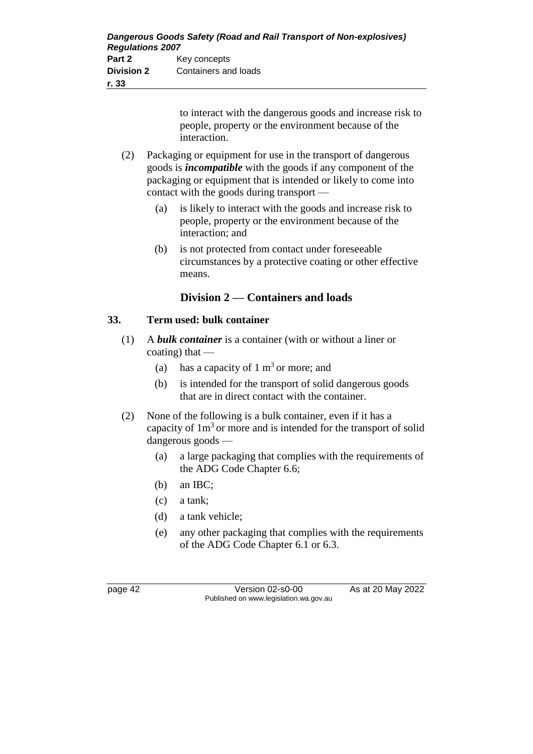| Dangerous Goods Safety (Road and Rail Transport of Non-explosives)<br><b>Regulations 2007</b> |                      |
|-----------------------------------------------------------------------------------------------|----------------------|
| Part 2                                                                                        | Key concepts         |
| <b>Division 2</b>                                                                             | Containers and loads |
| r. 33                                                                                         |                      |

to interact with the dangerous goods and increase risk to people, property or the environment because of the interaction.

- (2) Packaging or equipment for use in the transport of dangerous goods is *incompatible* with the goods if any component of the packaging or equipment that is intended or likely to come into contact with the goods during transport —
	- (a) is likely to interact with the goods and increase risk to people, property or the environment because of the interaction; and
	- (b) is not protected from contact under foreseeable circumstances by a protective coating or other effective means.

## **Division 2 — Containers and loads**

### **33. Term used: bulk container**

- (1) A *bulk container* is a container (with or without a liner or coating) that  $-$ 
	- (a) has a capacity of  $1 \text{ m}^3$  or more; and
	- (b) is intended for the transport of solid dangerous goods that are in direct contact with the container.
- (2) None of the following is a bulk container, even if it has a capacity of  $1m<sup>3</sup>$  or more and is intended for the transport of solid dangerous goods —
	- (a) a large packaging that complies with the requirements of the ADG Code Chapter 6.6;
	- (b) an IBC;
	- (c) a tank;
	- (d) a tank vehicle;
	- (e) any other packaging that complies with the requirements of the ADG Code Chapter 6.1 or 6.3.

page 42 Version 02-s0-00 As at 20 May 2022 Published on www.legislation.wa.gov.au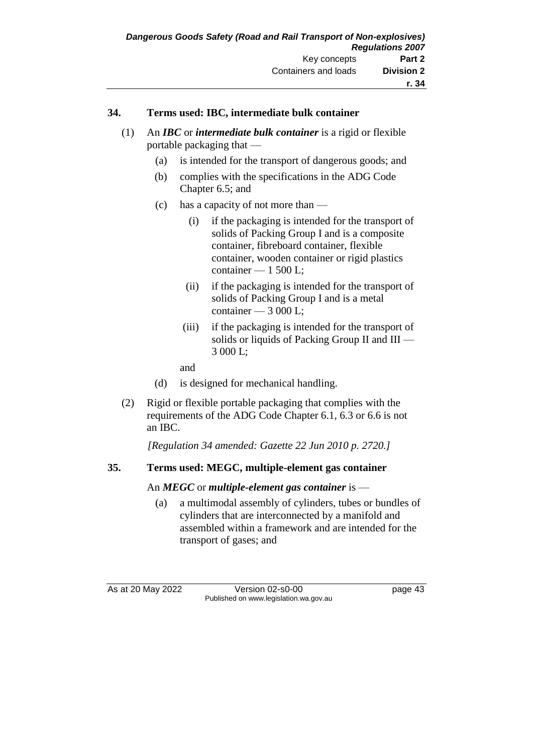### **34. Terms used: IBC, intermediate bulk container**

- (1) An *IBC* or *intermediate bulk container* is a rigid or flexible portable packaging that —
	- (a) is intended for the transport of dangerous goods; and
	- (b) complies with the specifications in the ADG Code Chapter 6.5; and
	- (c) has a capacity of not more than
		- (i) if the packaging is intended for the transport of solids of Packing Group I and is a composite container, fibreboard container, flexible container, wooden container or rigid plastics container  $-1500$  L:
		- (ii) if the packaging is intended for the transport of solids of Packing Group I and is a metal container — 3 000 L;
		- (iii) if the packaging is intended for the transport of solids or liquids of Packing Group II and III — 3 000 L;
		- and
	- (d) is designed for mechanical handling.
- (2) Rigid or flexible portable packaging that complies with the requirements of the ADG Code Chapter 6.1, 6.3 or 6.6 is not an IBC.

*[Regulation 34 amended: Gazette 22 Jun 2010 p. 2720.]*

### **35. Terms used: MEGC, multiple-element gas container**

### An *MEGC* or *multiple-element gas container* is —

(a) a multimodal assembly of cylinders, tubes or bundles of cylinders that are interconnected by a manifold and assembled within a framework and are intended for the transport of gases; and

As at 20 May 2022 Version 02-s0-00 Published on www.legislation.wa.gov.au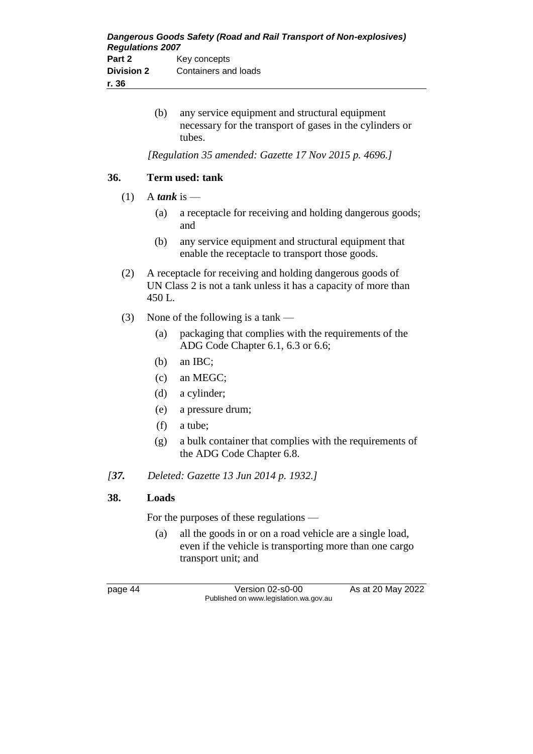| Dangerous Goods Safety (Road and Rail Transport of Non-explosives)<br><b>Regulations 2007</b> |                      |
|-----------------------------------------------------------------------------------------------|----------------------|
| Part 2                                                                                        | Key concepts         |
| <b>Division 2</b>                                                                             | Containers and loads |
| r. 36                                                                                         |                      |

(b) any service equipment and structural equipment necessary for the transport of gases in the cylinders or tubes.

*[Regulation 35 amended: Gazette 17 Nov 2015 p. 4696.]*

### **36. Term used: tank**

- (1) A *tank* is
	- (a) a receptacle for receiving and holding dangerous goods; and
	- (b) any service equipment and structural equipment that enable the receptacle to transport those goods.
- (2) A receptacle for receiving and holding dangerous goods of UN Class 2 is not a tank unless it has a capacity of more than 450 L.
- (3) None of the following is a tank
	- (a) packaging that complies with the requirements of the ADG Code Chapter 6.1, 6.3 or 6.6;
	- (b) an IBC;
	- (c) an MEGC;
	- (d) a cylinder;
	- (e) a pressure drum;
	- (f) a tube;
	- (g) a bulk container that complies with the requirements of the ADG Code Chapter 6.8.
- *[37. Deleted: Gazette 13 Jun 2014 p. 1932.]*

### **38. Loads**

For the purposes of these regulations —

(a) all the goods in or on a road vehicle are a single load, even if the vehicle is transporting more than one cargo transport unit; and

page 44 Version 02-s0-00 As at 20 May 2022 Published on www.legislation.wa.gov.au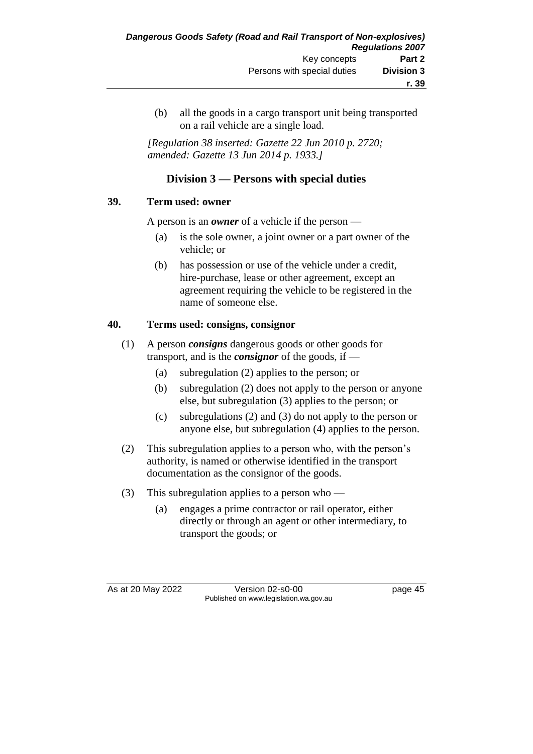(b) all the goods in a cargo transport unit being transported on a rail vehicle are a single load.

*[Regulation 38 inserted: Gazette 22 Jun 2010 p. 2720; amended: Gazette 13 Jun 2014 p. 1933.]*

## **Division 3 — Persons with special duties**

### **39. Term used: owner**

A person is an *owner* of a vehicle if the person —

- (a) is the sole owner, a joint owner or a part owner of the vehicle; or
- (b) has possession or use of the vehicle under a credit, hire-purchase, lease or other agreement, except an agreement requiring the vehicle to be registered in the name of someone else.

### **40. Terms used: consigns, consignor**

- (1) A person *consigns* dangerous goods or other goods for transport, and is the *consignor* of the goods, if —
	- (a) subregulation (2) applies to the person; or
	- (b) subregulation (2) does not apply to the person or anyone else, but subregulation (3) applies to the person; or
	- (c) subregulations (2) and (3) do not apply to the person or anyone else, but subregulation (4) applies to the person.
- (2) This subregulation applies to a person who, with the person's authority, is named or otherwise identified in the transport documentation as the consignor of the goods.
- (3) This subregulation applies to a person who
	- (a) engages a prime contractor or rail operator, either directly or through an agent or other intermediary, to transport the goods; or

As at 20 May 2022 Version 02-s0-00 page 45 Published on www.legislation.wa.gov.au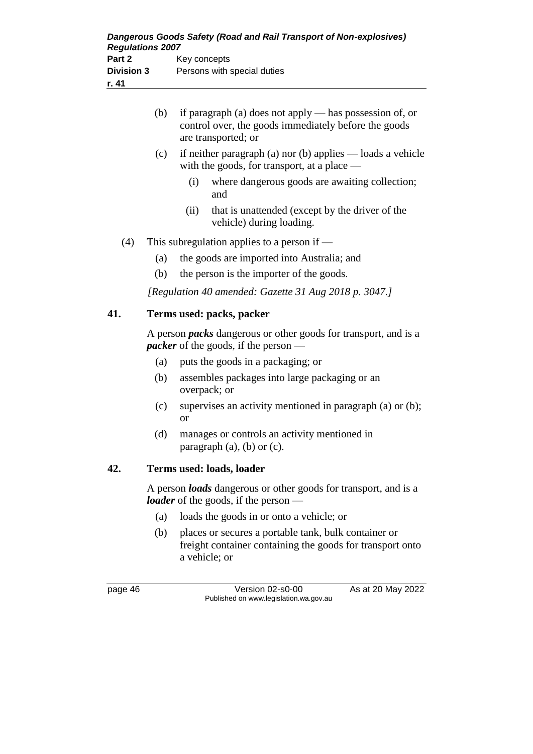|     | (b) | if paragraph (a) does not apply - has possession of, or<br>control over, the goods immediately before the goods<br>are transported; or |
|-----|-----|----------------------------------------------------------------------------------------------------------------------------------------|
|     | (c) | if neither paragraph (a) nor (b) applies $-$ loads a vehicle<br>with the goods, for transport, at a place -                            |
|     |     | (i)<br>where dangerous goods are awaiting collection;<br>and                                                                           |
|     |     | that is unattended (except by the driver of the<br>(ii)<br>vehicle) during loading.                                                    |
| (4) |     | This subregulation applies to a person if $-$                                                                                          |
|     | (a) | the goods are imported into Australia; and                                                                                             |
|     | (b) | the person is the importer of the goods.                                                                                               |
|     |     | [Regulation 40 amended: Gazette 31 Aug 2018 p. 3047.]                                                                                  |
| 41. |     | Terms used: packs, packer                                                                                                              |
|     |     | A person <i>packs</i> dangerous or other goods for transport, and is a<br><i>packer</i> of the goods, if the person                    |
|     | (a) | puts the goods in a packaging; or                                                                                                      |
|     | (b) | assembles packages into large packaging or an<br>overpack; or                                                                          |
|     | (c) | supervises an activity mentioned in paragraph (a) or (b);<br><b>or</b>                                                                 |
|     | (d) | manages or controls an activity mentioned in<br>paragraph (a), (b) or (c).                                                             |
| 42. |     | Terms used: loads, loader                                                                                                              |

A person *loads* dangerous or other goods for transport, and is a *loader* of the goods, if the person —

- (a) loads the goods in or onto a vehicle; or
- (b) places or secures a portable tank, bulk container or freight container containing the goods for transport onto a vehicle; or

| 46<br>page |  |
|------------|--|
|------------|--|

Version 02-s0-00 As at 20 May 2022 Published on www.legislation.wa.gov.au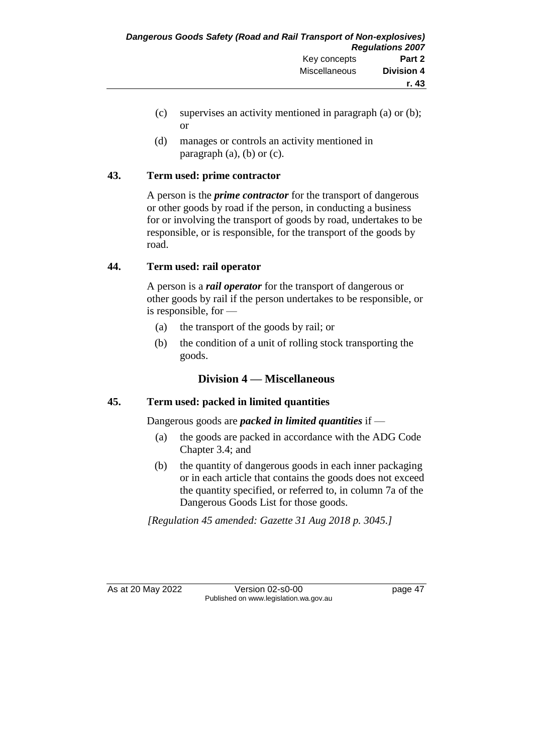- (c) supervises an activity mentioned in paragraph (a) or (b); or
- (d) manages or controls an activity mentioned in paragraph  $(a)$ ,  $(b)$  or  $(c)$ .

### **43. Term used: prime contractor**

A person is the *prime contractor* for the transport of dangerous or other goods by road if the person, in conducting a business for or involving the transport of goods by road, undertakes to be responsible, or is responsible, for the transport of the goods by road.

### **44. Term used: rail operator**

A person is a *rail operator* for the transport of dangerous or other goods by rail if the person undertakes to be responsible, or is responsible, for —

- (a) the transport of the goods by rail; or
- (b) the condition of a unit of rolling stock transporting the goods.

## **Division 4 — Miscellaneous**

## **45. Term used: packed in limited quantities**

Dangerous goods are *packed in limited quantities* if —

- (a) the goods are packed in accordance with the ADG Code Chapter 3.4; and
- (b) the quantity of dangerous goods in each inner packaging or in each article that contains the goods does not exceed the quantity specified, or referred to, in column 7a of the Dangerous Goods List for those goods.

*[Regulation 45 amended: Gazette 31 Aug 2018 p. 3045.]*

As at 20 May 2022 Version 02-s0-00 page 47 Published on www.legislation.wa.gov.au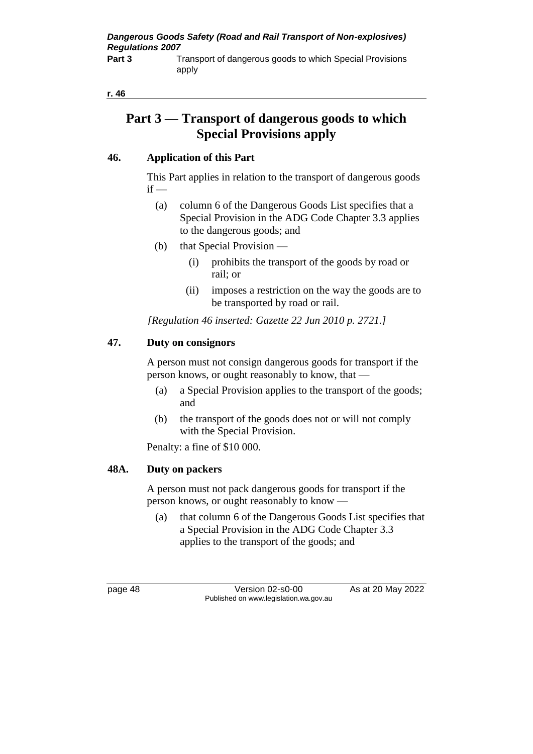*Dangerous Goods Safety (Road and Rail Transport of Non-explosives) Regulations 2007*

**Part 3** Transport of dangerous goods to which Special Provisions apply

#### **r. 46**

# **Part 3 — Transport of dangerous goods to which Special Provisions apply**

#### **46. Application of this Part**

This Part applies in relation to the transport of dangerous goods  $if -$ 

- (a) column 6 of the Dangerous Goods List specifies that a Special Provision in the ADG Code Chapter 3.3 applies to the dangerous goods; and
- (b) that Special Provision
	- (i) prohibits the transport of the goods by road or rail; or
	- (ii) imposes a restriction on the way the goods are to be transported by road or rail.

*[Regulation 46 inserted: Gazette 22 Jun 2010 p. 2721.]*

#### **47. Duty on consignors**

A person must not consign dangerous goods for transport if the person knows, or ought reasonably to know, that —

- (a) a Special Provision applies to the transport of the goods; and
- (b) the transport of the goods does not or will not comply with the Special Provision.

Penalty: a fine of \$10 000.

#### **48A. Duty on packers**

A person must not pack dangerous goods for transport if the person knows, or ought reasonably to know —

(a) that column 6 of the Dangerous Goods List specifies that a Special Provision in the ADG Code Chapter 3.3 applies to the transport of the goods; and

page 48 Version 02-s0-00 As at 20 May 2022 Published on www.legislation.wa.gov.au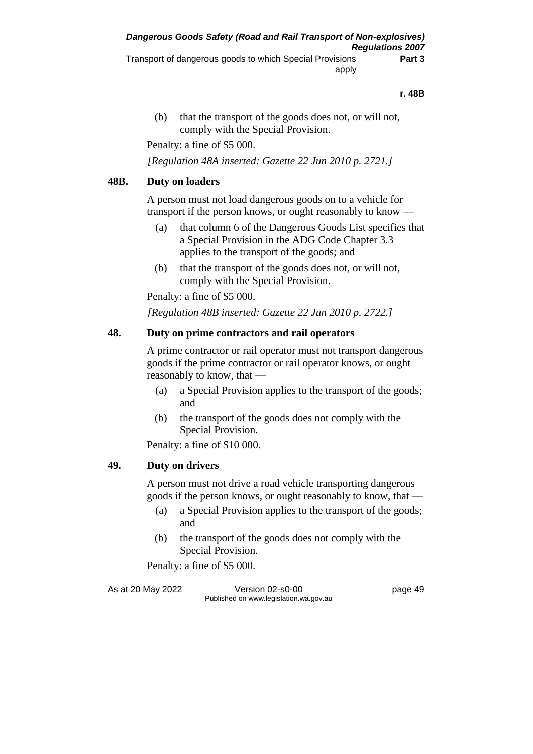#### **r. 48B**

(b) that the transport of the goods does not, or will not, comply with the Special Provision.

Penalty: a fine of \$5 000.

*[Regulation 48A inserted: Gazette 22 Jun 2010 p. 2721.]*

#### **48B. Duty on loaders**

A person must not load dangerous goods on to a vehicle for transport if the person knows, or ought reasonably to know —

- (a) that column 6 of the Dangerous Goods List specifies that a Special Provision in the ADG Code Chapter 3.3 applies to the transport of the goods; and
- (b) that the transport of the goods does not, or will not, comply with the Special Provision.

Penalty: a fine of \$5 000.

*[Regulation 48B inserted: Gazette 22 Jun 2010 p. 2722.]*

#### **48. Duty on prime contractors and rail operators**

A prime contractor or rail operator must not transport dangerous goods if the prime contractor or rail operator knows, or ought reasonably to know, that —

- (a) a Special Provision applies to the transport of the goods; and
- (b) the transport of the goods does not comply with the Special Provision.

Penalty: a fine of \$10 000.

#### **49. Duty on drivers**

A person must not drive a road vehicle transporting dangerous goods if the person knows, or ought reasonably to know, that —

- (a) a Special Provision applies to the transport of the goods; and
- (b) the transport of the goods does not comply with the Special Provision.

Penalty: a fine of \$5 000.

As at 20 May 2022 Version 02-s0-00 page 49 Published on www.legislation.wa.gov.au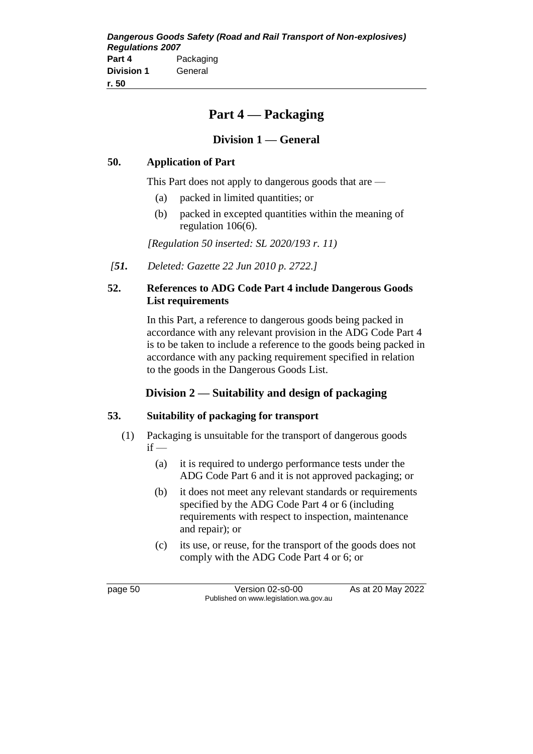# **Part 4 — Packaging**

## **Division 1 — General**

### **50. Application of Part**

This Part does not apply to dangerous goods that are —

- (a) packed in limited quantities; or
- (b) packed in excepted quantities within the meaning of regulation 106(6).

*[Regulation 50 inserted: SL 2020/193 r. 11)*

*[51. Deleted: Gazette 22 Jun 2010 p. 2722.]*

### **52. References to ADG Code Part 4 include Dangerous Goods List requirements**

In this Part, a reference to dangerous goods being packed in accordance with any relevant provision in the ADG Code Part 4 is to be taken to include a reference to the goods being packed in accordance with any packing requirement specified in relation to the goods in the Dangerous Goods List.

## **Division 2 — Suitability and design of packaging**

### **53. Suitability of packaging for transport**

- (1) Packaging is unsuitable for the transport of dangerous goods  $if -$ 
	- (a) it is required to undergo performance tests under the ADG Code Part 6 and it is not approved packaging; or
	- (b) it does not meet any relevant standards or requirements specified by the ADG Code Part 4 or 6 (including requirements with respect to inspection, maintenance and repair); or
	- (c) its use, or reuse, for the transport of the goods does not comply with the ADG Code Part 4 or 6; or

page 50 Version 02-s0-00 As at 20 May 2022 Published on www.legislation.wa.gov.au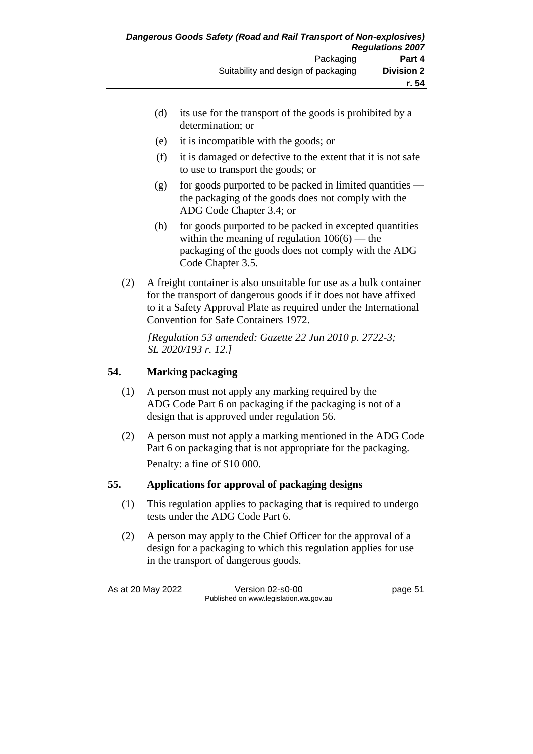- (d) its use for the transport of the goods is prohibited by a determination; or
- (e) it is incompatible with the goods; or
- (f) it is damaged or defective to the extent that it is not safe to use to transport the goods; or
- (g) for goods purported to be packed in limited quantities the packaging of the goods does not comply with the ADG Code Chapter 3.4; or
- (h) for goods purported to be packed in excepted quantities within the meaning of regulation  $106(6)$  — the packaging of the goods does not comply with the ADG Code Chapter 3.5.
- (2) A freight container is also unsuitable for use as a bulk container for the transport of dangerous goods if it does not have affixed to it a Safety Approval Plate as required under the International Convention for Safe Containers 1972.

*[Regulation 53 amended: Gazette 22 Jun 2010 p. 2722-3; SL 2020/193 r. 12.]*

## **54. Marking packaging**

- (1) A person must not apply any marking required by the ADG Code Part 6 on packaging if the packaging is not of a design that is approved under regulation 56.
- (2) A person must not apply a marking mentioned in the ADG Code Part 6 on packaging that is not appropriate for the packaging. Penalty: a fine of \$10 000.

## **55. Applications for approval of packaging designs**

- (1) This regulation applies to packaging that is required to undergo tests under the ADG Code Part 6.
- (2) A person may apply to the Chief Officer for the approval of a design for a packaging to which this regulation applies for use in the transport of dangerous goods.

As at 20 May 2022 Version 02-s0-00 page 51 Published on www.legislation.wa.gov.au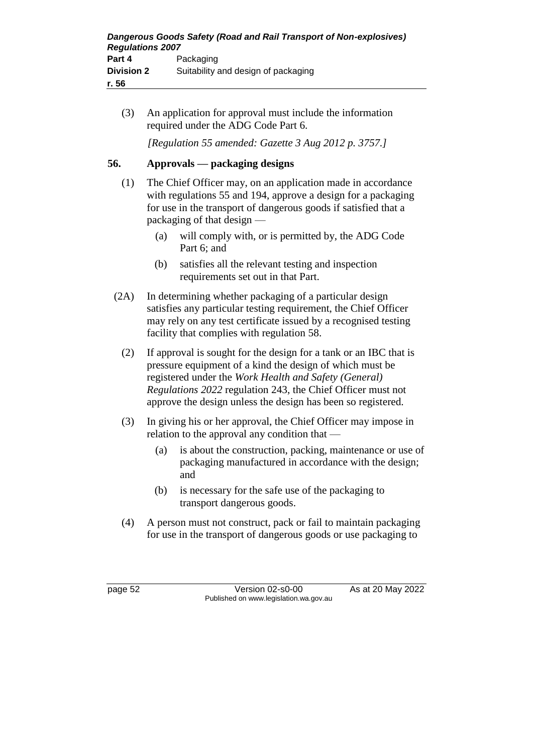(3) An application for approval must include the information required under the ADG Code Part 6.

*[Regulation 55 amended: Gazette 3 Aug 2012 p. 3757.]*

### **56. Approvals — packaging designs**

- (1) The Chief Officer may, on an application made in accordance with regulations 55 and 194, approve a design for a packaging for use in the transport of dangerous goods if satisfied that a packaging of that design —
	- (a) will comply with, or is permitted by, the ADG Code Part 6; and
	- (b) satisfies all the relevant testing and inspection requirements set out in that Part.
- (2A) In determining whether packaging of a particular design satisfies any particular testing requirement, the Chief Officer may rely on any test certificate issued by a recognised testing facility that complies with regulation 58.
	- (2) If approval is sought for the design for a tank or an IBC that is pressure equipment of a kind the design of which must be registered under the *Work Health and Safety (General) Regulations 2022* regulation 243, the Chief Officer must not approve the design unless the design has been so registered.
	- (3) In giving his or her approval, the Chief Officer may impose in relation to the approval any condition that —
		- (a) is about the construction, packing, maintenance or use of packaging manufactured in accordance with the design; and
		- (b) is necessary for the safe use of the packaging to transport dangerous goods.
	- (4) A person must not construct, pack or fail to maintain packaging for use in the transport of dangerous goods or use packaging to

page 52 Version 02-s0-00 As at 20 May 2022 Published on www.legislation.wa.gov.au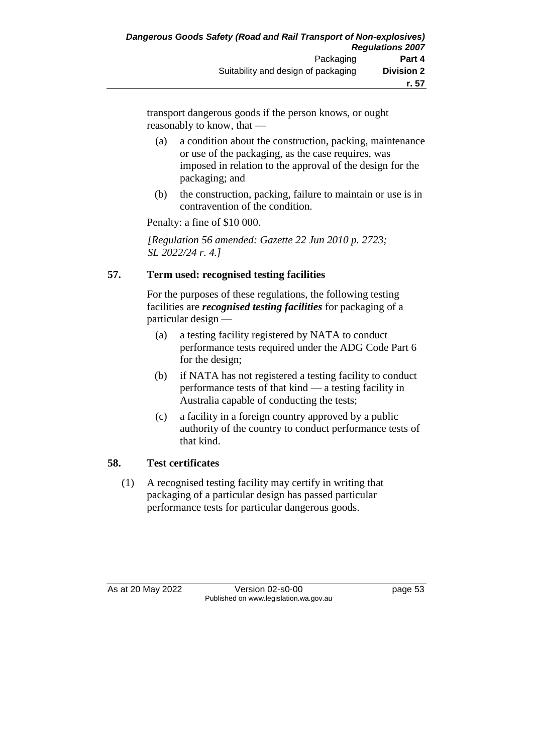transport dangerous goods if the person knows, or ought reasonably to know, that —

- (a) a condition about the construction, packing, maintenance or use of the packaging, as the case requires, was imposed in relation to the approval of the design for the packaging; and
- (b) the construction, packing, failure to maintain or use is in contravention of the condition.

Penalty: a fine of \$10 000.

*[Regulation 56 amended: Gazette 22 Jun 2010 p. 2723; SL 2022/24 r. 4.]*

### **57. Term used: recognised testing facilities**

For the purposes of these regulations, the following testing facilities are *recognised testing facilities* for packaging of a particular design —

- (a) a testing facility registered by NATA to conduct performance tests required under the ADG Code Part 6 for the design;
- (b) if NATA has not registered a testing facility to conduct performance tests of that kind — a testing facility in Australia capable of conducting the tests;
- (c) a facility in a foreign country approved by a public authority of the country to conduct performance tests of that kind.

### **58. Test certificates**

(1) A recognised testing facility may certify in writing that packaging of a particular design has passed particular performance tests for particular dangerous goods.

As at 20 May 2022 Version 02-s0-00 Published on www.legislation.wa.gov.au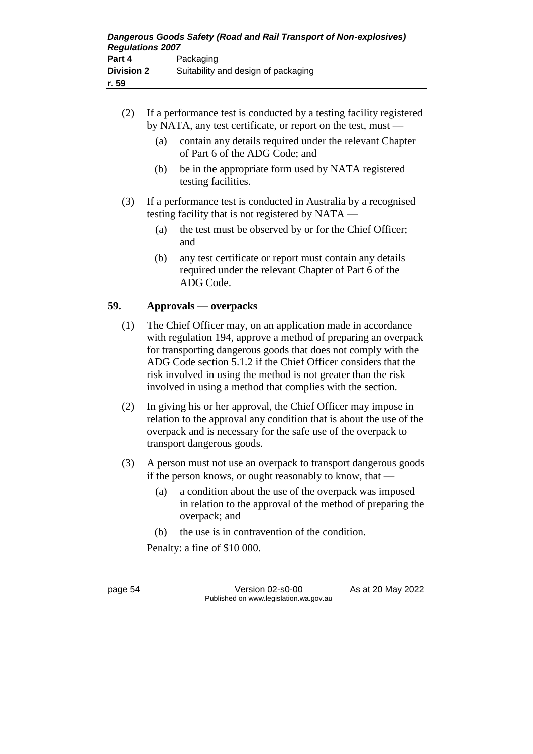- (2) If a performance test is conducted by a testing facility registered by NATA, any test certificate, or report on the test, must —
	- (a) contain any details required under the relevant Chapter of Part 6 of the ADG Code; and
	- (b) be in the appropriate form used by NATA registered testing facilities.
- (3) If a performance test is conducted in Australia by a recognised testing facility that is not registered by NATA —
	- (a) the test must be observed by or for the Chief Officer; and
	- (b) any test certificate or report must contain any details required under the relevant Chapter of Part 6 of the ADG Code.

### **59. Approvals — overpacks**

- (1) The Chief Officer may, on an application made in accordance with regulation 194, approve a method of preparing an overpack for transporting dangerous goods that does not comply with the ADG Code section 5.1.2 if the Chief Officer considers that the risk involved in using the method is not greater than the risk involved in using a method that complies with the section.
- (2) In giving his or her approval, the Chief Officer may impose in relation to the approval any condition that is about the use of the overpack and is necessary for the safe use of the overpack to transport dangerous goods.
- (3) A person must not use an overpack to transport dangerous goods if the person knows, or ought reasonably to know, that —
	- (a) a condition about the use of the overpack was imposed in relation to the approval of the method of preparing the overpack; and
	- (b) the use is in contravention of the condition.

Penalty: a fine of \$10 000.

page 54 Version 02-s0-00 As at 20 May 2022 Published on www.legislation.wa.gov.au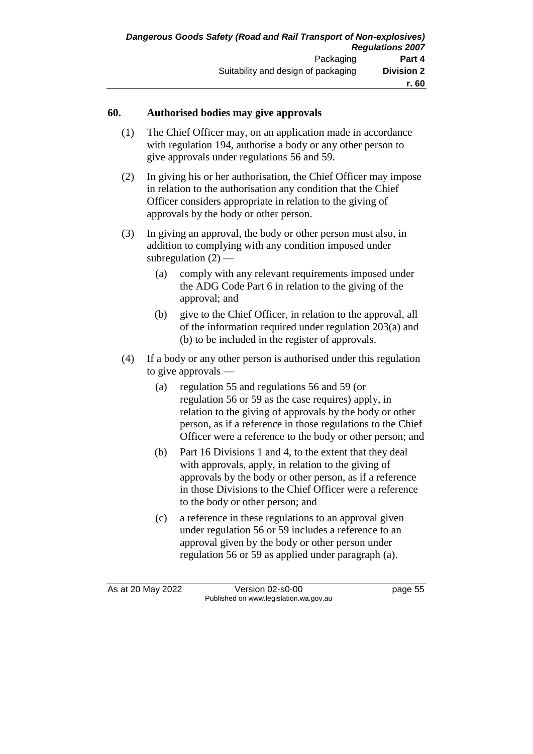#### **60. Authorised bodies may give approvals**

- (1) The Chief Officer may, on an application made in accordance with regulation 194, authorise a body or any other person to give approvals under regulations 56 and 59.
- (2) In giving his or her authorisation, the Chief Officer may impose in relation to the authorisation any condition that the Chief Officer considers appropriate in relation to the giving of approvals by the body or other person.
- (3) In giving an approval, the body or other person must also, in addition to complying with any condition imposed under subregulation  $(2)$  —
	- (a) comply with any relevant requirements imposed under the ADG Code Part 6 in relation to the giving of the approval; and
	- (b) give to the Chief Officer, in relation to the approval, all of the information required under regulation 203(a) and (b) to be included in the register of approvals.
- (4) If a body or any other person is authorised under this regulation to give approvals —
	- (a) regulation 55 and regulations 56 and 59 (or regulation 56 or 59 as the case requires) apply, in relation to the giving of approvals by the body or other person, as if a reference in those regulations to the Chief Officer were a reference to the body or other person; and
	- (b) Part 16 Divisions 1 and 4, to the extent that they deal with approvals, apply, in relation to the giving of approvals by the body or other person, as if a reference in those Divisions to the Chief Officer were a reference to the body or other person; and
	- (c) a reference in these regulations to an approval given under regulation 56 or 59 includes a reference to an approval given by the body or other person under regulation 56 or 59 as applied under paragraph (a).

As at 20 May 2022 Version 02-s0-00 page 55 Published on www.legislation.wa.gov.au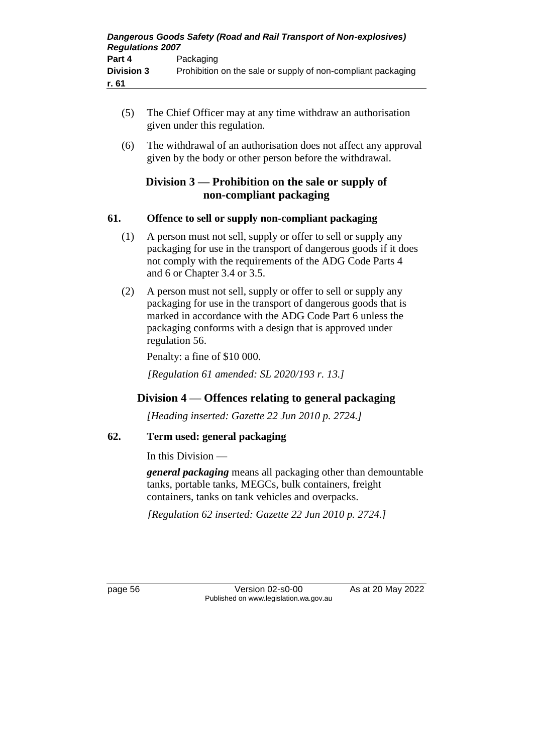- (5) The Chief Officer may at any time withdraw an authorisation given under this regulation.
- (6) The withdrawal of an authorisation does not affect any approval given by the body or other person before the withdrawal.

## **Division 3 — Prohibition on the sale or supply of non-compliant packaging**

### **61. Offence to sell or supply non-compliant packaging**

- (1) A person must not sell, supply or offer to sell or supply any packaging for use in the transport of dangerous goods if it does not comply with the requirements of the ADG Code Parts 4 and 6 or Chapter 3.4 or 3.5.
- (2) A person must not sell, supply or offer to sell or supply any packaging for use in the transport of dangerous goods that is marked in accordance with the ADG Code Part 6 unless the packaging conforms with a design that is approved under regulation 56.

Penalty: a fine of \$10 000.

*[Regulation 61 amended: SL 2020/193 r. 13.]*

## **Division 4 — Offences relating to general packaging**

*[Heading inserted: Gazette 22 Jun 2010 p. 2724.]*

## **62. Term used: general packaging**

In this Division —

*general packaging* means all packaging other than demountable tanks, portable tanks, MEGCs, bulk containers, freight containers, tanks on tank vehicles and overpacks.

*[Regulation 62 inserted: Gazette 22 Jun 2010 p. 2724.]*

page 56 Version 02-s0-00 As at 20 May 2022 Published on www.legislation.wa.gov.au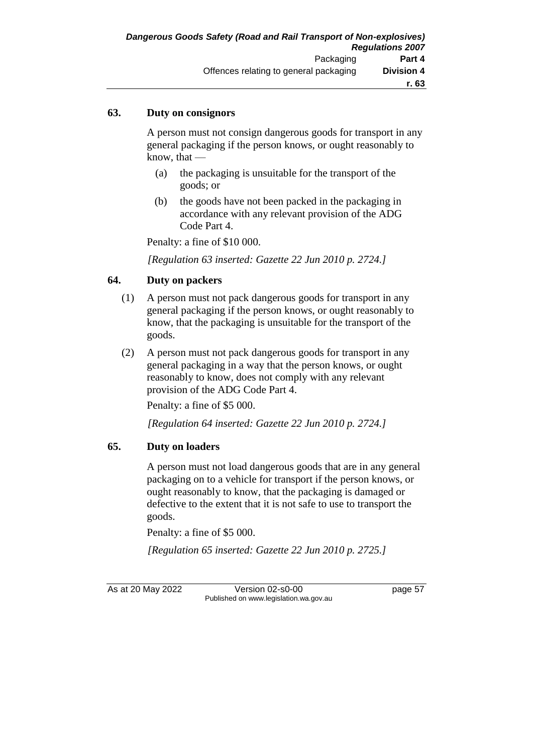### **63. Duty on consignors**

A person must not consign dangerous goods for transport in any general packaging if the person knows, or ought reasonably to know, that —

- (a) the packaging is unsuitable for the transport of the goods; or
- (b) the goods have not been packed in the packaging in accordance with any relevant provision of the ADG Code Part 4.

Penalty: a fine of \$10 000.

*[Regulation 63 inserted: Gazette 22 Jun 2010 p. 2724.]*

### **64. Duty on packers**

- (1) A person must not pack dangerous goods for transport in any general packaging if the person knows, or ought reasonably to know, that the packaging is unsuitable for the transport of the goods.
- (2) A person must not pack dangerous goods for transport in any general packaging in a way that the person knows, or ought reasonably to know, does not comply with any relevant provision of the ADG Code Part 4.

Penalty: a fine of \$5 000.

*[Regulation 64 inserted: Gazette 22 Jun 2010 p. 2724.]*

### **65. Duty on loaders**

A person must not load dangerous goods that are in any general packaging on to a vehicle for transport if the person knows, or ought reasonably to know, that the packaging is damaged or defective to the extent that it is not safe to use to transport the goods.

Penalty: a fine of \$5 000.

*[Regulation 65 inserted: Gazette 22 Jun 2010 p. 2725.]*

As at 20 May 2022 Version 02-s0-00 page 57 Published on www.legislation.wa.gov.au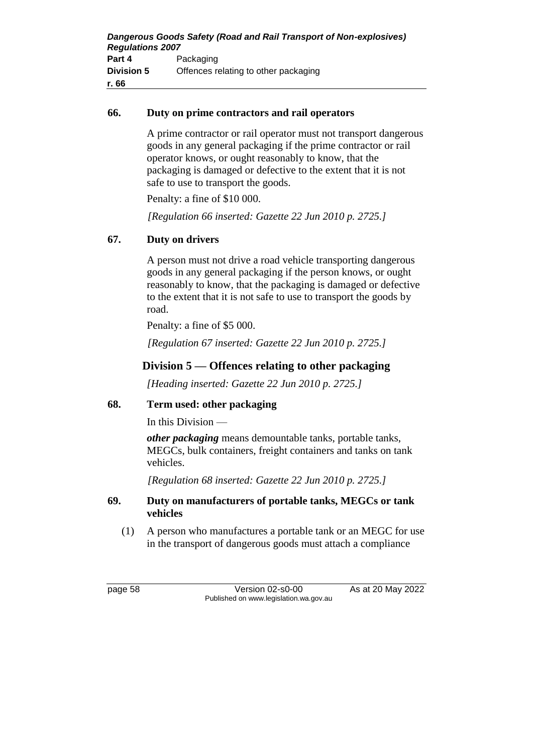#### **66. Duty on prime contractors and rail operators**

A prime contractor or rail operator must not transport dangerous goods in any general packaging if the prime contractor or rail operator knows, or ought reasonably to know, that the packaging is damaged or defective to the extent that it is not safe to use to transport the goods.

Penalty: a fine of \$10 000.

*[Regulation 66 inserted: Gazette 22 Jun 2010 p. 2725.]*

## **67. Duty on drivers**

A person must not drive a road vehicle transporting dangerous goods in any general packaging if the person knows, or ought reasonably to know, that the packaging is damaged or defective to the extent that it is not safe to use to transport the goods by road.

Penalty: a fine of \$5 000.

*[Regulation 67 inserted: Gazette 22 Jun 2010 p. 2725.]*

## **Division 5 — Offences relating to other packaging**

*[Heading inserted: Gazette 22 Jun 2010 p. 2725.]*

## **68. Term used: other packaging**

In this Division —

*other packaging* means demountable tanks, portable tanks, MEGCs, bulk containers, freight containers and tanks on tank vehicles.

*[Regulation 68 inserted: Gazette 22 Jun 2010 p. 2725.]*

### **69. Duty on manufacturers of portable tanks, MEGCs or tank vehicles**

(1) A person who manufactures a portable tank or an MEGC for use in the transport of dangerous goods must attach a compliance

page 58 Version 02-s0-00 As at 20 May 2022 Published on www.legislation.wa.gov.au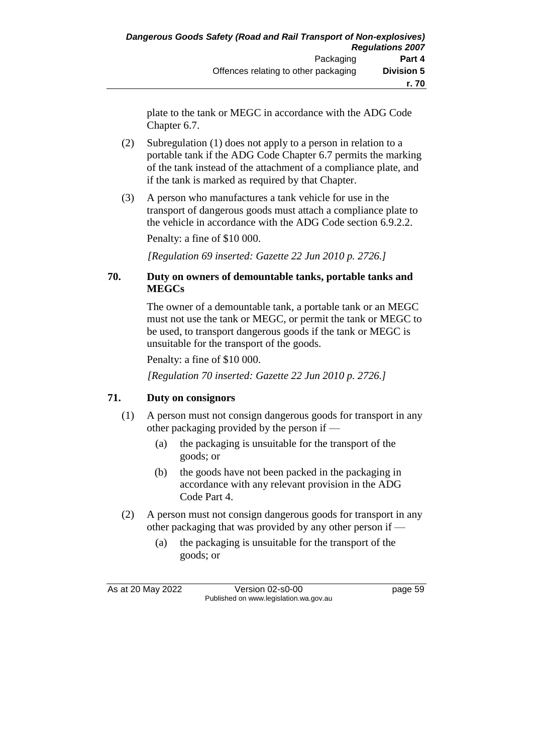plate to the tank or MEGC in accordance with the ADG Code Chapter 6.7.

- (2) Subregulation (1) does not apply to a person in relation to a portable tank if the ADG Code Chapter 6.7 permits the marking of the tank instead of the attachment of a compliance plate, and if the tank is marked as required by that Chapter.
- (3) A person who manufactures a tank vehicle for use in the transport of dangerous goods must attach a compliance plate to the vehicle in accordance with the ADG Code section 6.9.2.2. Penalty: a fine of \$10 000.

*[Regulation 69 inserted: Gazette 22 Jun 2010 p. 2726.]*

### **70. Duty on owners of demountable tanks, portable tanks and MEGCs**

The owner of a demountable tank, a portable tank or an MEGC must not use the tank or MEGC, or permit the tank or MEGC to be used, to transport dangerous goods if the tank or MEGC is unsuitable for the transport of the goods.

Penalty: a fine of \$10 000.

*[Regulation 70 inserted: Gazette 22 Jun 2010 p. 2726.]*

### **71. Duty on consignors**

- (1) A person must not consign dangerous goods for transport in any other packaging provided by the person if —
	- (a) the packaging is unsuitable for the transport of the goods; or
	- (b) the goods have not been packed in the packaging in accordance with any relevant provision in the ADG Code Part 4.
- (2) A person must not consign dangerous goods for transport in any other packaging that was provided by any other person if —
	- (a) the packaging is unsuitable for the transport of the goods; or

As at 20 May 2022 Version 02-s0-00 page 59 Published on www.legislation.wa.gov.au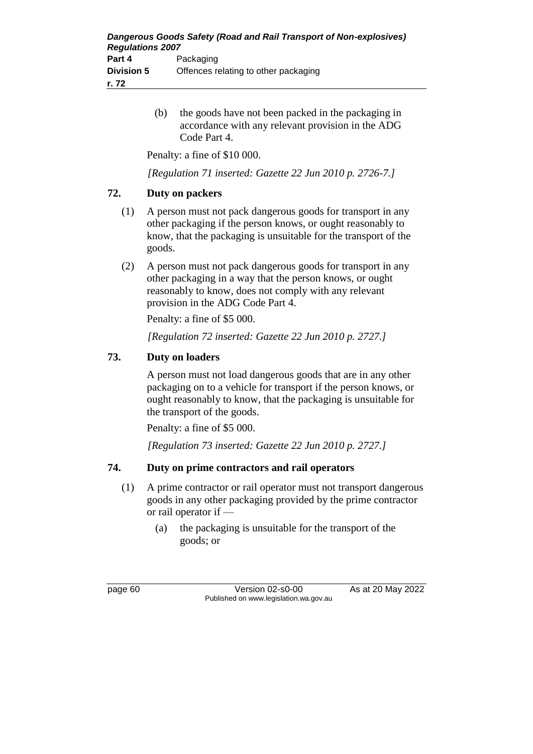(b) the goods have not been packed in the packaging in accordance with any relevant provision in the ADG Code Part 4.

Penalty: a fine of \$10 000.

*[Regulation 71 inserted: Gazette 22 Jun 2010 p. 2726-7.]*

### **72. Duty on packers**

- (1) A person must not pack dangerous goods for transport in any other packaging if the person knows, or ought reasonably to know, that the packaging is unsuitable for the transport of the goods.
- (2) A person must not pack dangerous goods for transport in any other packaging in a way that the person knows, or ought reasonably to know, does not comply with any relevant provision in the ADG Code Part 4.

Penalty: a fine of \$5 000.

*[Regulation 72 inserted: Gazette 22 Jun 2010 p. 2727.]*

### **73. Duty on loaders**

A person must not load dangerous goods that are in any other packaging on to a vehicle for transport if the person knows, or ought reasonably to know, that the packaging is unsuitable for the transport of the goods.

Penalty: a fine of \$5 000.

*[Regulation 73 inserted: Gazette 22 Jun 2010 p. 2727.]*

## **74. Duty on prime contractors and rail operators**

- (1) A prime contractor or rail operator must not transport dangerous goods in any other packaging provided by the prime contractor or rail operator if —
	- (a) the packaging is unsuitable for the transport of the goods; or

page 60 Version 02-s0-00 As at 20 May 2022 Published on www.legislation.wa.gov.au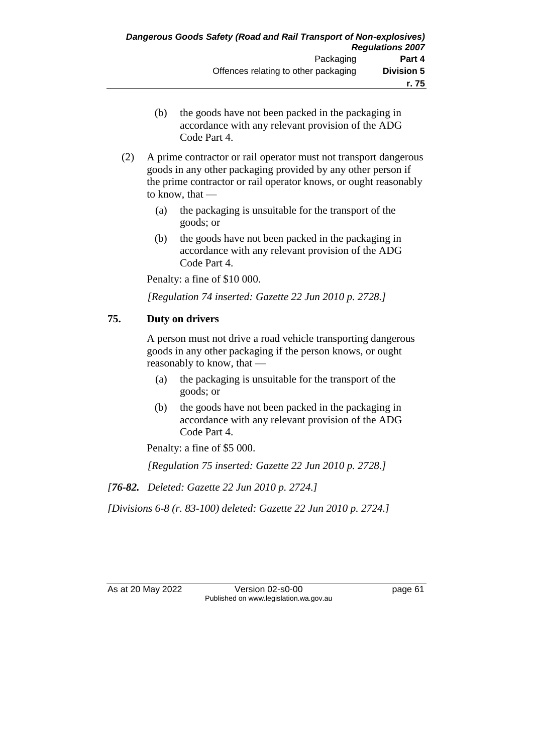- (b) the goods have not been packed in the packaging in accordance with any relevant provision of the ADG Code Part 4.
- (2) A prime contractor or rail operator must not transport dangerous goods in any other packaging provided by any other person if the prime contractor or rail operator knows, or ought reasonably to know, that —
	- (a) the packaging is unsuitable for the transport of the goods; or
	- (b) the goods have not been packed in the packaging in accordance with any relevant provision of the ADG Code Part 4.

Penalty: a fine of \$10 000.

*[Regulation 74 inserted: Gazette 22 Jun 2010 p. 2728.]*

### **75. Duty on drivers**

A person must not drive a road vehicle transporting dangerous goods in any other packaging if the person knows, or ought reasonably to know, that —

- (a) the packaging is unsuitable for the transport of the goods; or
- (b) the goods have not been packed in the packaging in accordance with any relevant provision of the ADG Code Part 4.

Penalty: a fine of \$5 000.

*[Regulation 75 inserted: Gazette 22 Jun 2010 p. 2728.]*

*[76-82. Deleted: Gazette 22 Jun 2010 p. 2724.]*

*[Divisions 6-8 (r. 83-100) deleted: Gazette 22 Jun 2010 p. 2724.]*

As at 20 May 2022 Version 02-s0-00 page 61 Published on www.legislation.wa.gov.au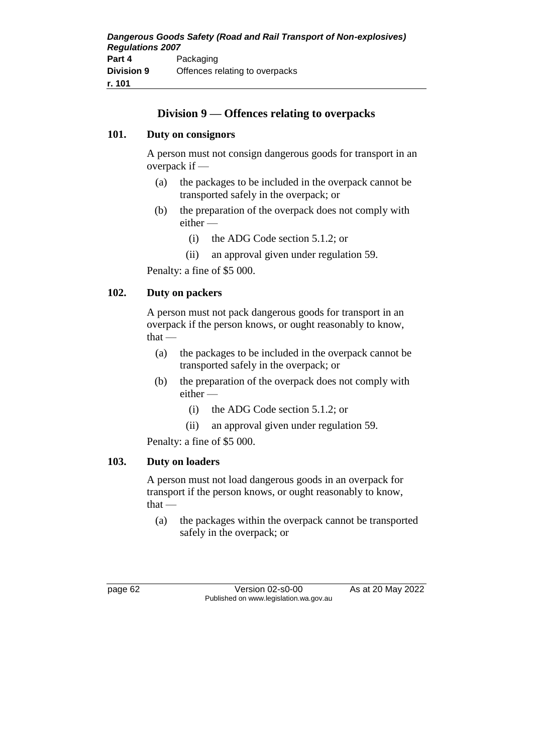## **Division 9 — Offences relating to overpacks**

#### **101. Duty on consignors**

A person must not consign dangerous goods for transport in an overpack if —

- (a) the packages to be included in the overpack cannot be transported safely in the overpack; or
- (b) the preparation of the overpack does not comply with either —
	- (i) the ADG Code section 5.1.2; or
	- (ii) an approval given under regulation 59.

Penalty: a fine of \$5 000.

### **102. Duty on packers**

A person must not pack dangerous goods for transport in an overpack if the person knows, or ought reasonably to know, that —

- (a) the packages to be included in the overpack cannot be transported safely in the overpack; or
- (b) the preparation of the overpack does not comply with either —
	- (i) the ADG Code section 5.1.2; or
	- (ii) an approval given under regulation 59.

Penalty: a fine of \$5 000.

#### **103. Duty on loaders**

A person must not load dangerous goods in an overpack for transport if the person knows, or ought reasonably to know,  $that -$ 

(a) the packages within the overpack cannot be transported safely in the overpack; or

page 62 Version 02-s0-00 As at 20 May 2022 Published on www.legislation.wa.gov.au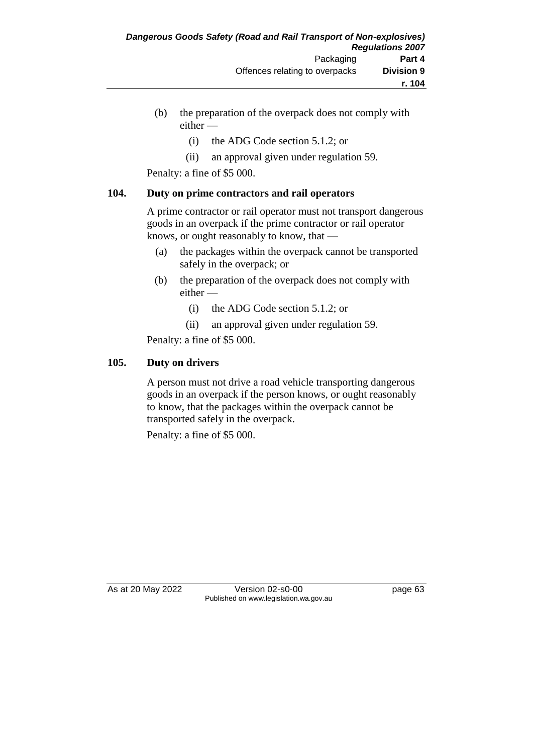- (b) the preparation of the overpack does not comply with either —
	- (i) the ADG Code section 5.1.2; or
	- (ii) an approval given under regulation 59.

Penalty: a fine of \$5 000.

### **104. Duty on prime contractors and rail operators**

A prime contractor or rail operator must not transport dangerous goods in an overpack if the prime contractor or rail operator knows, or ought reasonably to know, that —

- (a) the packages within the overpack cannot be transported safely in the overpack; or
- (b) the preparation of the overpack does not comply with either —
	- (i) the ADG Code section 5.1.2; or
	- (ii) an approval given under regulation 59.

Penalty: a fine of \$5 000.

### **105. Duty on drivers**

A person must not drive a road vehicle transporting dangerous goods in an overpack if the person knows, or ought reasonably to know, that the packages within the overpack cannot be transported safely in the overpack.

Penalty: a fine of \$5 000.

As at 20 May 2022 Version 02-s0-00 Published on www.legislation.wa.gov.au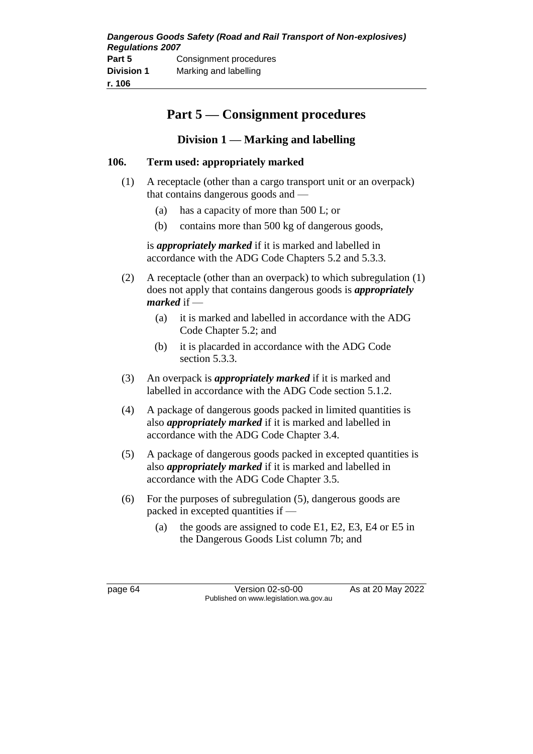| Dangerous Goods Safety (Road and Rail Transport of Non-explosives) |                        |  |
|--------------------------------------------------------------------|------------------------|--|
| <b>Regulations 2007</b>                                            |                        |  |
| Part 5                                                             | Consignment procedures |  |
| <b>Division 1</b>                                                  | Marking and labelling  |  |
| r. 106                                                             |                        |  |

# **Part 5 — Consignment procedures**

## **Division 1 — Marking and labelling**

### **106. Term used: appropriately marked**

- (1) A receptacle (other than a cargo transport unit or an overpack) that contains dangerous goods and —
	- (a) has a capacity of more than 500 L; or
	- (b) contains more than 500 kg of dangerous goods,

is *appropriately marked* if it is marked and labelled in accordance with the ADG Code Chapters 5.2 and 5.3.3.

- (2) A receptacle (other than an overpack) to which subregulation (1) does not apply that contains dangerous goods is *appropriately marked* if —
	- (a) it is marked and labelled in accordance with the ADG Code Chapter 5.2; and
	- (b) it is placarded in accordance with the ADG Code section 5.3.3.
- (3) An overpack is *appropriately marked* if it is marked and labelled in accordance with the ADG Code section 5.1.2.
- (4) A package of dangerous goods packed in limited quantities is also *appropriately marked* if it is marked and labelled in accordance with the ADG Code Chapter 3.4.
- (5) A package of dangerous goods packed in excepted quantities is also *appropriately marked* if it is marked and labelled in accordance with the ADG Code Chapter 3.5.
- (6) For the purposes of subregulation (5), dangerous goods are packed in excepted quantities if —
	- (a) the goods are assigned to code E1, E2, E3, E4 or E5 in the Dangerous Goods List column 7b; and

page 64 Version 02-s0-00 As at 20 May 2022 Published on www.legislation.wa.gov.au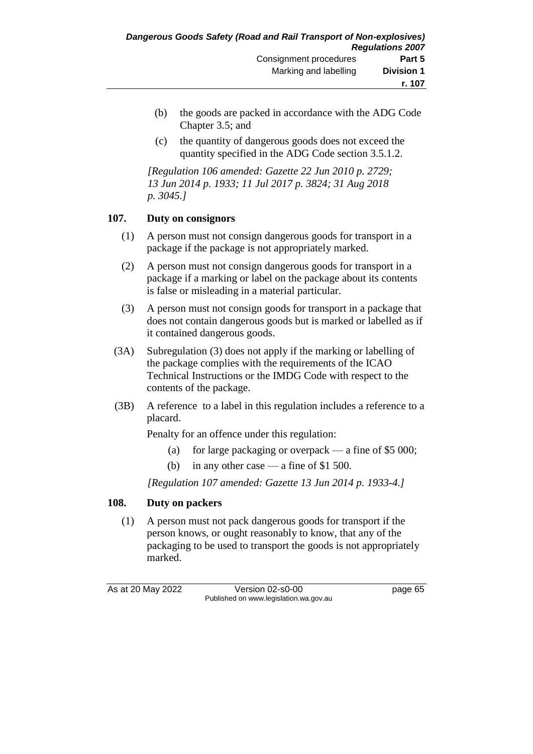- (b) the goods are packed in accordance with the ADG Code Chapter 3.5; and
- (c) the quantity of dangerous goods does not exceed the quantity specified in the ADG Code section 3.5.1.2.

*[Regulation 106 amended: Gazette 22 Jun 2010 p. 2729; 13 Jun 2014 p. 1933; 11 Jul 2017 p. 3824; 31 Aug 2018 p. 3045.]*

### **107. Duty on consignors**

- (1) A person must not consign dangerous goods for transport in a package if the package is not appropriately marked.
- (2) A person must not consign dangerous goods for transport in a package if a marking or label on the package about its contents is false or misleading in a material particular.
- (3) A person must not consign goods for transport in a package that does not contain dangerous goods but is marked or labelled as if it contained dangerous goods.
- (3A) Subregulation (3) does not apply if the marking or labelling of the package complies with the requirements of the ICAO Technical Instructions or the IMDG Code with respect to the contents of the package.
- (3B) A reference to a label in this regulation includes a reference to a placard.

Penalty for an offence under this regulation:

- (a) for large packaging or overpack a fine of  $$5\,000$ ;
- (b) in any other case a fine of \$1 500.

*[Regulation 107 amended: Gazette 13 Jun 2014 p. 1933-4.]*

### **108. Duty on packers**

(1) A person must not pack dangerous goods for transport if the person knows, or ought reasonably to know, that any of the packaging to be used to transport the goods is not appropriately marked.

As at 20 May 2022 Version 02-s0-00 page 65 Published on www.legislation.wa.gov.au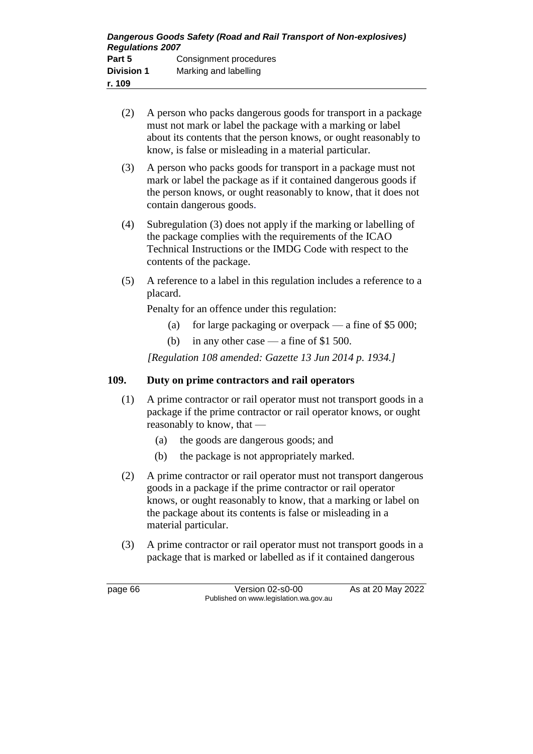- (2) A person who packs dangerous goods for transport in a package must not mark or label the package with a marking or label about its contents that the person knows, or ought reasonably to know, is false or misleading in a material particular.
- (3) A person who packs goods for transport in a package must not mark or label the package as if it contained dangerous goods if the person knows, or ought reasonably to know, that it does not contain dangerous goods.
- (4) Subregulation (3) does not apply if the marking or labelling of the package complies with the requirements of the ICAO Technical Instructions or the IMDG Code with respect to the contents of the package.
- (5) A reference to a label in this regulation includes a reference to a placard.

Penalty for an offence under this regulation:

- (a) for large packaging or overpack a fine of  $$5\,000$ ;
- (b) in any other case a fine of \$1 500.

*[Regulation 108 amended: Gazette 13 Jun 2014 p. 1934.]*

#### **109. Duty on prime contractors and rail operators**

- (1) A prime contractor or rail operator must not transport goods in a package if the prime contractor or rail operator knows, or ought reasonably to know, that —
	- (a) the goods are dangerous goods; and
	- (b) the package is not appropriately marked.
- (2) A prime contractor or rail operator must not transport dangerous goods in a package if the prime contractor or rail operator knows, or ought reasonably to know, that a marking or label on the package about its contents is false or misleading in a material particular.
- (3) A prime contractor or rail operator must not transport goods in a package that is marked or labelled as if it contained dangerous

page 66 Version 02-s0-00 As at 20 May 2022 Published on www.legislation.wa.gov.au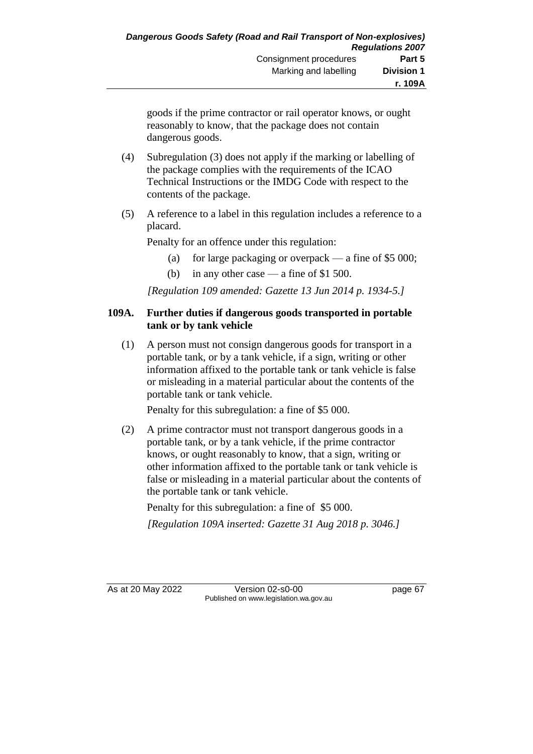goods if the prime contractor or rail operator knows, or ought reasonably to know, that the package does not contain dangerous goods.

- (4) Subregulation (3) does not apply if the marking or labelling of the package complies with the requirements of the ICAO Technical Instructions or the IMDG Code with respect to the contents of the package.
- (5) A reference to a label in this regulation includes a reference to a placard.

Penalty for an offence under this regulation:

- (a) for large packaging or overpack a fine of  $$5\,000$ ;
- (b) in any other case a fine of \$1 500.

*[Regulation 109 amended: Gazette 13 Jun 2014 p. 1934-5.]*

#### **109A. Further duties if dangerous goods transported in portable tank or by tank vehicle**

(1) A person must not consign dangerous goods for transport in a portable tank, or by a tank vehicle, if a sign, writing or other information affixed to the portable tank or tank vehicle is false or misleading in a material particular about the contents of the portable tank or tank vehicle.

Penalty for this subregulation: a fine of \$5 000.

(2) A prime contractor must not transport dangerous goods in a portable tank, or by a tank vehicle, if the prime contractor knows, or ought reasonably to know, that a sign, writing or other information affixed to the portable tank or tank vehicle is false or misleading in a material particular about the contents of the portable tank or tank vehicle.

Penalty for this subregulation: a fine of \$5 000.

*[Regulation 109A inserted: Gazette 31 Aug 2018 p. 3046.]*

As at 20 May 2022 Version 02-s0-00 page 67 Published on www.legislation.wa.gov.au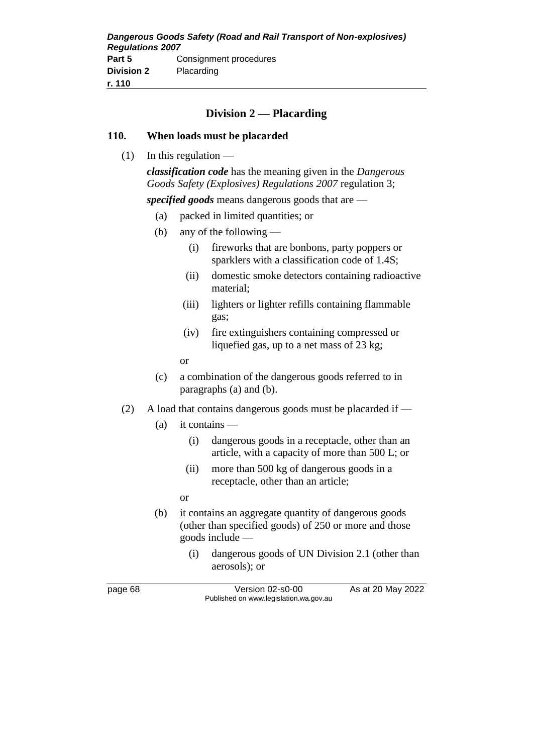| Dangerous Goods Safety (Road and Rail Transport of Non-explosives)<br><b>Regulations 2007</b> |                        |
|-----------------------------------------------------------------------------------------------|------------------------|
| Part 5                                                                                        | Consignment procedures |
| <b>Division 2</b>                                                                             | Placarding             |
| r. 110                                                                                        |                        |

### **Division 2 — Placarding**

#### **110. When loads must be placarded**

(1) In this regulation —

*classification code* has the meaning given in the *Dangerous Goods Safety (Explosives) Regulations 2007* regulation 3;

*specified goods* means dangerous goods that are —

- (a) packed in limited quantities; or
- (b) any of the following
	- (i) fireworks that are bonbons, party poppers or sparklers with a classification code of 1.4S;
	- (ii) domestic smoke detectors containing radioactive material;
	- (iii) lighters or lighter refills containing flammable gas;
	- (iv) fire extinguishers containing compressed or liquefied gas, up to a net mass of 23 kg;
	- or
- (c) a combination of the dangerous goods referred to in paragraphs (a) and (b).
- (2) A load that contains dangerous goods must be placarded if
	- $(a)$  it contains
		- (i) dangerous goods in a receptacle, other than an article, with a capacity of more than 500 L; or
		- (ii) more than 500 kg of dangerous goods in a receptacle, other than an article;
		- or
	- (b) it contains an aggregate quantity of dangerous goods (other than specified goods) of 250 or more and those goods include —
		- (i) dangerous goods of UN Division 2.1 (other than aerosols); or

page 68 Version 02-s0-00 As at 20 May 2022 Published on www.legislation.wa.gov.au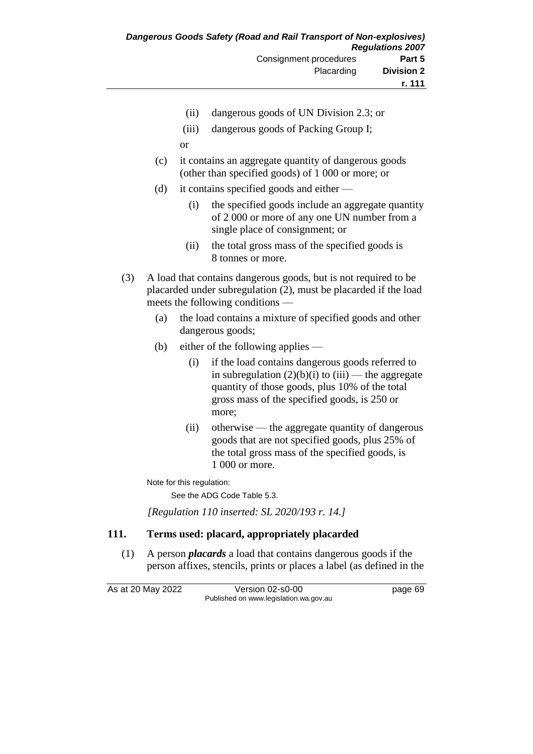- (ii) dangerous goods of UN Division 2.3; or
- (iii) dangerous goods of Packing Group I;
- or
- (c) it contains an aggregate quantity of dangerous goods (other than specified goods) of 1 000 or more; or
- (d) it contains specified goods and either
	- (i) the specified goods include an aggregate quantity of 2 000 or more of any one UN number from a single place of consignment; or
	- (ii) the total gross mass of the specified goods is 8 tonnes or more.
- (3) A load that contains dangerous goods, but is not required to be placarded under subregulation (2), must be placarded if the load meets the following conditions —
	- (a) the load contains a mixture of specified goods and other dangerous goods;
	- (b) either of the following applies
		- (i) if the load contains dangerous goods referred to in subregulation  $(2)(b)(i)$  to  $(iii)$  — the aggregate quantity of those goods, plus 10% of the total gross mass of the specified goods, is 250 or more;
		- (ii) otherwise the aggregate quantity of dangerous goods that are not specified goods, plus 25% of the total gross mass of the specified goods, is 1 000 or more.

Note for this regulation:

See the ADG Code Table 5.3.

*[Regulation 110 inserted: SL 2020/193 r. 14.]*

### **111. Terms used: placard, appropriately placarded**

(1) A person *placards* a load that contains dangerous goods if the person affixes, stencils, prints or places a label (as defined in the

As at 20 May 2022 Version 02-s0-00 page 69

Published on www.legislation.wa.gov.au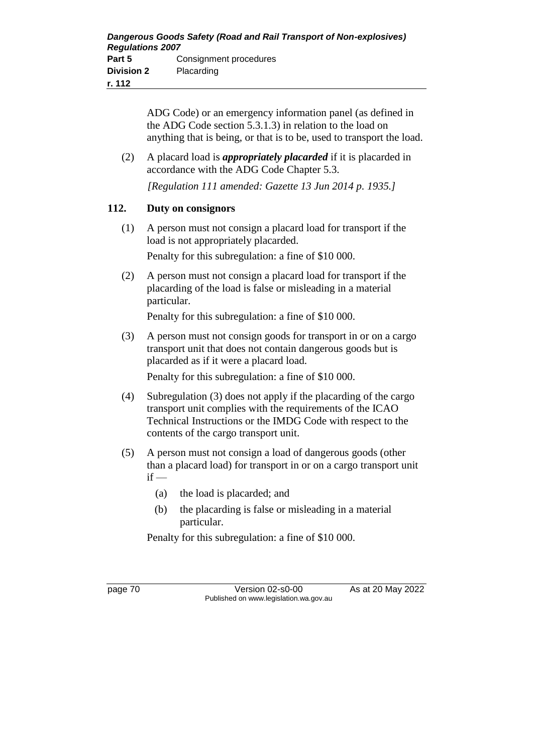ADG Code) or an emergency information panel (as defined in the ADG Code section 5.3.1.3) in relation to the load on anything that is being, or that is to be, used to transport the load.

(2) A placard load is *appropriately placarded* if it is placarded in accordance with the ADG Code Chapter 5.3.

*[Regulation 111 amended: Gazette 13 Jun 2014 p. 1935.]*

### **112. Duty on consignors**

(1) A person must not consign a placard load for transport if the load is not appropriately placarded.

Penalty for this subregulation: a fine of \$10 000.

(2) A person must not consign a placard load for transport if the placarding of the load is false or misleading in a material particular.

Penalty for this subregulation: a fine of \$10 000.

(3) A person must not consign goods for transport in or on a cargo transport unit that does not contain dangerous goods but is placarded as if it were a placard load.

Penalty for this subregulation: a fine of \$10 000.

- (4) Subregulation (3) does not apply if the placarding of the cargo transport unit complies with the requirements of the ICAO Technical Instructions or the IMDG Code with respect to the contents of the cargo transport unit.
- (5) A person must not consign a load of dangerous goods (other than a placard load) for transport in or on a cargo transport unit  $if -$ 
	- (a) the load is placarded; and
	- (b) the placarding is false or misleading in a material particular.

Penalty for this subregulation: a fine of \$10 000.

page 70 Version 02-s0-00 As at 20 May 2022 Published on www.legislation.wa.gov.au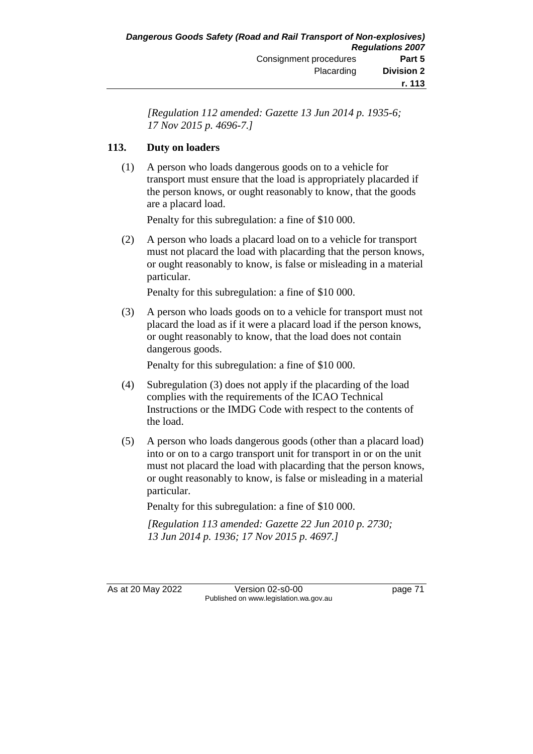*[Regulation 112 amended: Gazette 13 Jun 2014 p. 1935-6; 17 Nov 2015 p. 4696-7.]*

### **113. Duty on loaders**

(1) A person who loads dangerous goods on to a vehicle for transport must ensure that the load is appropriately placarded if the person knows, or ought reasonably to know, that the goods are a placard load.

Penalty for this subregulation: a fine of \$10 000.

(2) A person who loads a placard load on to a vehicle for transport must not placard the load with placarding that the person knows, or ought reasonably to know, is false or misleading in a material particular.

Penalty for this subregulation: a fine of \$10 000.

(3) A person who loads goods on to a vehicle for transport must not placard the load as if it were a placard load if the person knows, or ought reasonably to know, that the load does not contain dangerous goods.

Penalty for this subregulation: a fine of \$10 000.

- (4) Subregulation (3) does not apply if the placarding of the load complies with the requirements of the ICAO Technical Instructions or the IMDG Code with respect to the contents of the load.
- (5) A person who loads dangerous goods (other than a placard load) into or on to a cargo transport unit for transport in or on the unit must not placard the load with placarding that the person knows, or ought reasonably to know, is false or misleading in a material particular.

Penalty for this subregulation: a fine of \$10 000.

*[Regulation 113 amended: Gazette 22 Jun 2010 p. 2730; 13 Jun 2014 p. 1936; 17 Nov 2015 p. 4697.]*

As at 20 May 2022 Version 02-s0-00 page 71 Published on www.legislation.wa.gov.au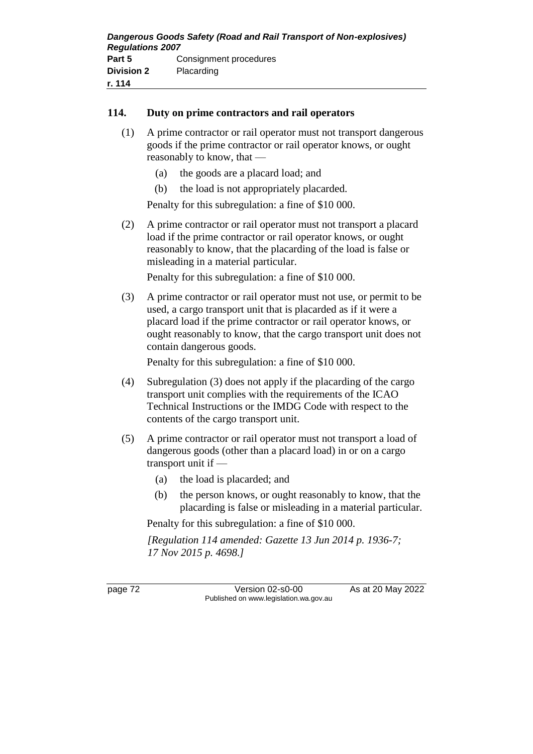### **114. Duty on prime contractors and rail operators**

- (1) A prime contractor or rail operator must not transport dangerous goods if the prime contractor or rail operator knows, or ought reasonably to know, that —
	- (a) the goods are a placard load; and
	- (b) the load is not appropriately placarded.

Penalty for this subregulation: a fine of \$10 000.

(2) A prime contractor or rail operator must not transport a placard load if the prime contractor or rail operator knows, or ought reasonably to know, that the placarding of the load is false or misleading in a material particular.

Penalty for this subregulation: a fine of \$10 000.

(3) A prime contractor or rail operator must not use, or permit to be used, a cargo transport unit that is placarded as if it were a placard load if the prime contractor or rail operator knows, or ought reasonably to know, that the cargo transport unit does not contain dangerous goods.

Penalty for this subregulation: a fine of \$10 000.

- (4) Subregulation (3) does not apply if the placarding of the cargo transport unit complies with the requirements of the ICAO Technical Instructions or the IMDG Code with respect to the contents of the cargo transport unit.
- (5) A prime contractor or rail operator must not transport a load of dangerous goods (other than a placard load) in or on a cargo transport unit if —
	- (a) the load is placarded; and
	- (b) the person knows, or ought reasonably to know, that the placarding is false or misleading in a material particular.

Penalty for this subregulation: a fine of \$10 000.

*[Regulation 114 amended: Gazette 13 Jun 2014 p. 1936-7; 17 Nov 2015 p. 4698.]*

page 72 Version 02-s0-00 As at 20 May 2022 Published on www.legislation.wa.gov.au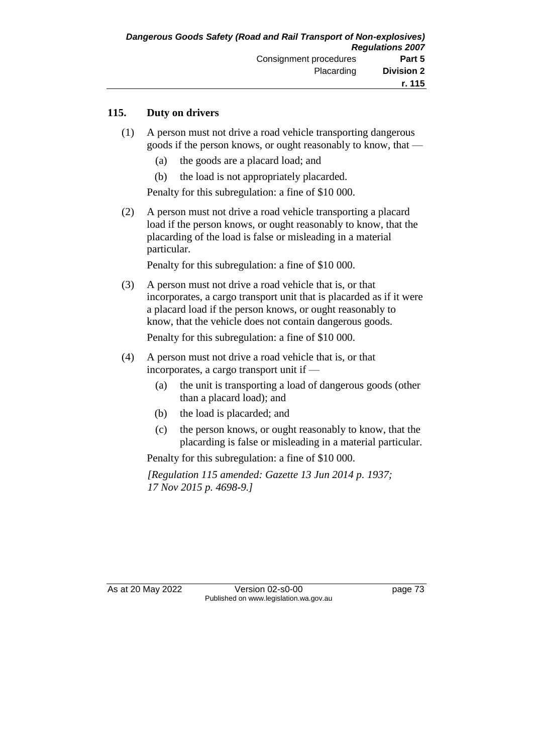### **115. Duty on drivers**

- (1) A person must not drive a road vehicle transporting dangerous goods if the person knows, or ought reasonably to know, that —
	- (a) the goods are a placard load; and
	- (b) the load is not appropriately placarded.

Penalty for this subregulation: a fine of \$10 000.

(2) A person must not drive a road vehicle transporting a placard load if the person knows, or ought reasonably to know, that the placarding of the load is false or misleading in a material particular.

Penalty for this subregulation: a fine of \$10 000.

(3) A person must not drive a road vehicle that is, or that incorporates, a cargo transport unit that is placarded as if it were a placard load if the person knows, or ought reasonably to know, that the vehicle does not contain dangerous goods.

Penalty for this subregulation: a fine of \$10 000.

- (4) A person must not drive a road vehicle that is, or that incorporates, a cargo transport unit if —
	- (a) the unit is transporting a load of dangerous goods (other than a placard load); and
	- (b) the load is placarded; and
	- (c) the person knows, or ought reasonably to know, that the placarding is false or misleading in a material particular.

Penalty for this subregulation: a fine of \$10 000.

*[Regulation 115 amended: Gazette 13 Jun 2014 p. 1937; 17 Nov 2015 p. 4698-9.]*

As at 20 May 2022 Version 02-s0-00 Published on www.legislation.wa.gov.au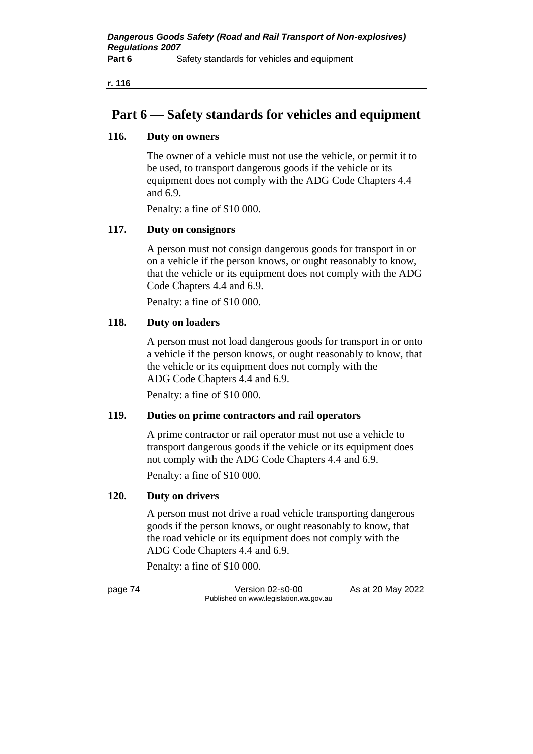**r. 116**

# **Part 6 — Safety standards for vehicles and equipment**

### **116. Duty on owners**

The owner of a vehicle must not use the vehicle, or permit it to be used, to transport dangerous goods if the vehicle or its equipment does not comply with the ADG Code Chapters 4.4 and 6.9.

Penalty: a fine of \$10 000.

### **117. Duty on consignors**

A person must not consign dangerous goods for transport in or on a vehicle if the person knows, or ought reasonably to know, that the vehicle or its equipment does not comply with the ADG Code Chapters 4.4 and 6.9.

Penalty: a fine of \$10 000.

### **118. Duty on loaders**

A person must not load dangerous goods for transport in or onto a vehicle if the person knows, or ought reasonably to know, that the vehicle or its equipment does not comply with the ADG Code Chapters 4.4 and 6.9.

Penalty: a fine of \$10 000.

### **119. Duties on prime contractors and rail operators**

A prime contractor or rail operator must not use a vehicle to transport dangerous goods if the vehicle or its equipment does not comply with the ADG Code Chapters 4.4 and 6.9. Penalty: a fine of \$10 000.

### **120. Duty on drivers**

A person must not drive a road vehicle transporting dangerous goods if the person knows, or ought reasonably to know, that the road vehicle or its equipment does not comply with the ADG Code Chapters 4.4 and 6.9.

Penalty: a fine of \$10 000.

page 74 Version 02-s0-00 As at 20 May 2022 Published on www.legislation.wa.gov.au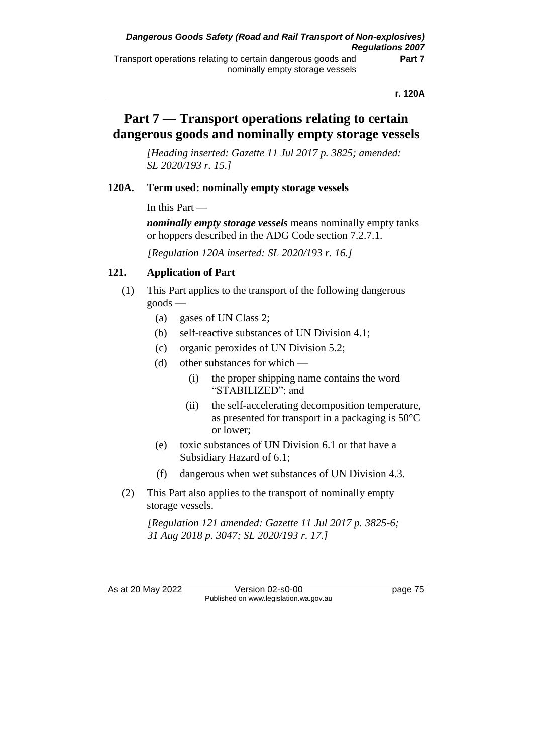## **Part 7 — Transport operations relating to certain dangerous goods and nominally empty storage vessels**

*[Heading inserted: Gazette 11 Jul 2017 p. 3825; amended: SL 2020/193 r. 15.]*

### **120A. Term used: nominally empty storage vessels**

In this Part —

*nominally empty storage vessels* means nominally empty tanks or hoppers described in the ADG Code section 7.2.7.1.

*[Regulation 120A inserted: SL 2020/193 r. 16.]*

### **121. Application of Part**

- (1) This Part applies to the transport of the following dangerous goods —
	- (a) gases of UN Class 2;
	- (b) self-reactive substances of UN Division 4.1;
	- (c) organic peroxides of UN Division 5.2;
	- (d) other substances for which
		- (i) the proper shipping name contains the word "STABILIZED"; and
		- (ii) the self-accelerating decomposition temperature, as presented for transport in a packaging is 50°C or lower;
	- (e) toxic substances of UN Division 6.1 or that have a Subsidiary Hazard of 6.1;
	- (f) dangerous when wet substances of UN Division 4.3.
- (2) This Part also applies to the transport of nominally empty storage vessels.

*[Regulation 121 amended: Gazette 11 Jul 2017 p. 3825-6; 31 Aug 2018 p. 3047; SL 2020/193 r. 17.]*

As at 20 May 2022 Version 02-s0-00 Published on www.legislation.wa.gov.au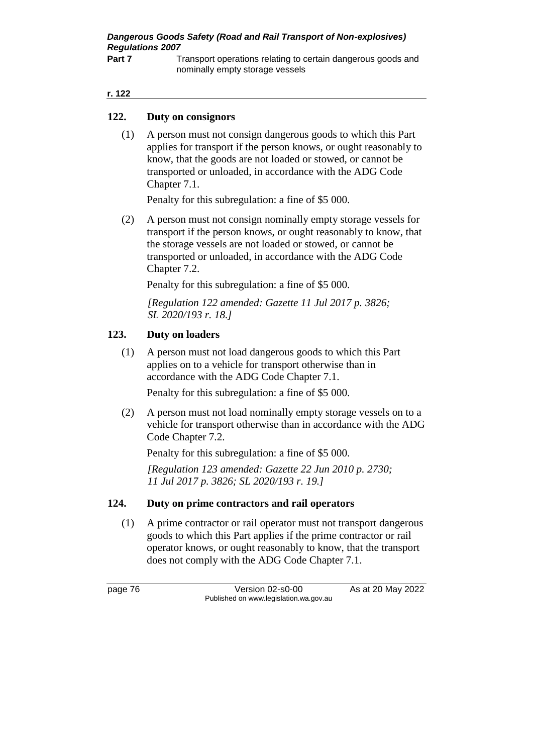*Dangerous Goods Safety (Road and Rail Transport of Non-explosives) Regulations 2007*

**Part 7** Transport operations relating to certain dangerous goods and nominally empty storage vessels

#### **r. 122**

#### **122. Duty on consignors**

(1) A person must not consign dangerous goods to which this Part applies for transport if the person knows, or ought reasonably to know, that the goods are not loaded or stowed, or cannot be transported or unloaded, in accordance with the ADG Code Chapter 7.1.

Penalty for this subregulation: a fine of \$5 000.

(2) A person must not consign nominally empty storage vessels for transport if the person knows, or ought reasonably to know, that the storage vessels are not loaded or stowed, or cannot be transported or unloaded, in accordance with the ADG Code Chapter 7.2.

Penalty for this subregulation: a fine of \$5 000.

*[Regulation 122 amended: Gazette 11 Jul 2017 p. 3826; SL 2020/193 r. 18.]*

#### **123. Duty on loaders**

(1) A person must not load dangerous goods to which this Part applies on to a vehicle for transport otherwise than in accordance with the ADG Code Chapter 7.1.

Penalty for this subregulation: a fine of \$5 000.

(2) A person must not load nominally empty storage vessels on to a vehicle for transport otherwise than in accordance with the ADG Code Chapter 7.2.

Penalty for this subregulation: a fine of \$5 000.

*[Regulation 123 amended: Gazette 22 Jun 2010 p. 2730; 11 Jul 2017 p. 3826; SL 2020/193 r. 19.]*

#### **124. Duty on prime contractors and rail operators**

(1) A prime contractor or rail operator must not transport dangerous goods to which this Part applies if the prime contractor or rail operator knows, or ought reasonably to know, that the transport does not comply with the ADG Code Chapter 7.1.

page 76 Version 02-s0-00 As at 20 May 2022 Published on www.legislation.wa.gov.au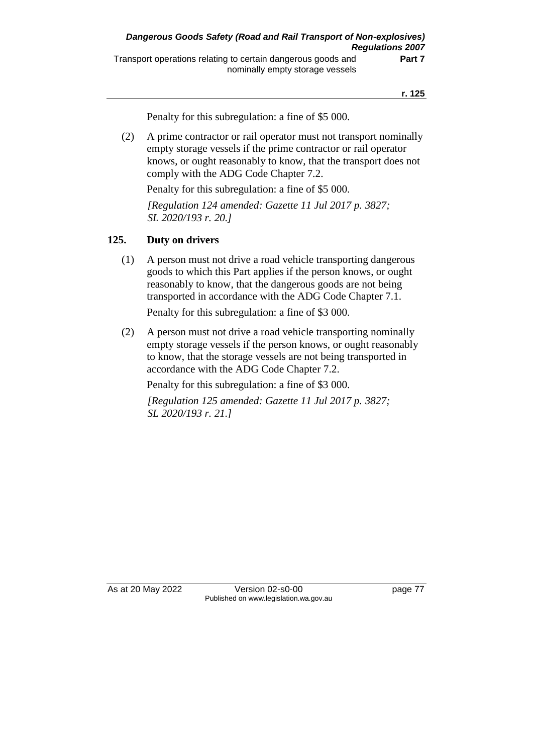Penalty for this subregulation: a fine of \$5 000.

(2) A prime contractor or rail operator must not transport nominally empty storage vessels if the prime contractor or rail operator knows, or ought reasonably to know, that the transport does not comply with the ADG Code Chapter 7.2.

Penalty for this subregulation: a fine of \$5 000.

*[Regulation 124 amended: Gazette 11 Jul 2017 p. 3827; SL 2020/193 r. 20.]*

#### **125. Duty on drivers**

(1) A person must not drive a road vehicle transporting dangerous goods to which this Part applies if the person knows, or ought reasonably to know, that the dangerous goods are not being transported in accordance with the ADG Code Chapter 7.1.

Penalty for this subregulation: a fine of \$3 000.

(2) A person must not drive a road vehicle transporting nominally empty storage vessels if the person knows, or ought reasonably to know, that the storage vessels are not being transported in accordance with the ADG Code Chapter 7.2.

Penalty for this subregulation: a fine of \$3 000.

*[Regulation 125 amended: Gazette 11 Jul 2017 p. 3827; SL 2020/193 r. 21.]*

As at 20 May 2022 Version 02-s0-00 Published on www.legislation.wa.gov.au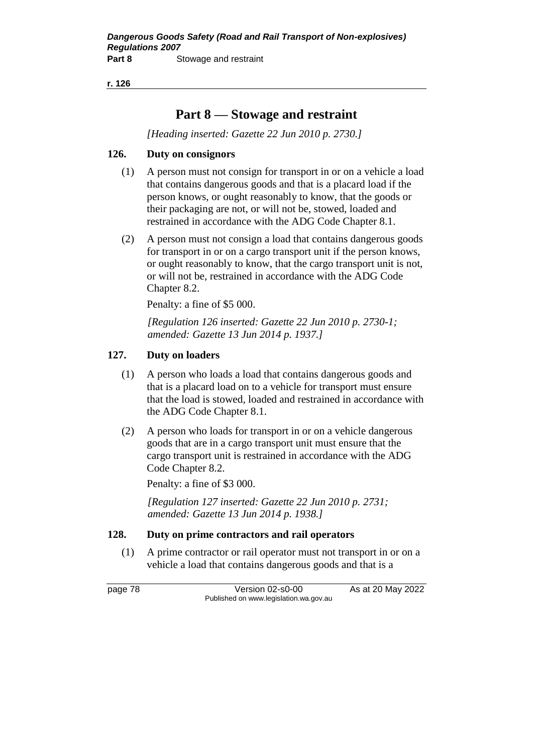**r. 126**

# **Part 8 — Stowage and restraint**

*[Heading inserted: Gazette 22 Jun 2010 p. 2730.]*

### **126. Duty on consignors**

- (1) A person must not consign for transport in or on a vehicle a load that contains dangerous goods and that is a placard load if the person knows, or ought reasonably to know, that the goods or their packaging are not, or will not be, stowed, loaded and restrained in accordance with the ADG Code Chapter 8.1.
- (2) A person must not consign a load that contains dangerous goods for transport in or on a cargo transport unit if the person knows, or ought reasonably to know, that the cargo transport unit is not, or will not be, restrained in accordance with the ADG Code Chapter 8.2.

Penalty: a fine of \$5 000.

*[Regulation 126 inserted: Gazette 22 Jun 2010 p. 2730-1; amended: Gazette 13 Jun 2014 p. 1937.]*

### **127. Duty on loaders**

- (1) A person who loads a load that contains dangerous goods and that is a placard load on to a vehicle for transport must ensure that the load is stowed, loaded and restrained in accordance with the ADG Code Chapter 8.1.
- (2) A person who loads for transport in or on a vehicle dangerous goods that are in a cargo transport unit must ensure that the cargo transport unit is restrained in accordance with the ADG Code Chapter 8.2.

Penalty: a fine of \$3 000.

*[Regulation 127 inserted: Gazette 22 Jun 2010 p. 2731; amended: Gazette 13 Jun 2014 p. 1938.]*

### **128. Duty on prime contractors and rail operators**

(1) A prime contractor or rail operator must not transport in or on a vehicle a load that contains dangerous goods and that is a

page 78 Version 02-s0-00 As at 20 May 2022 Published on www.legislation.wa.gov.au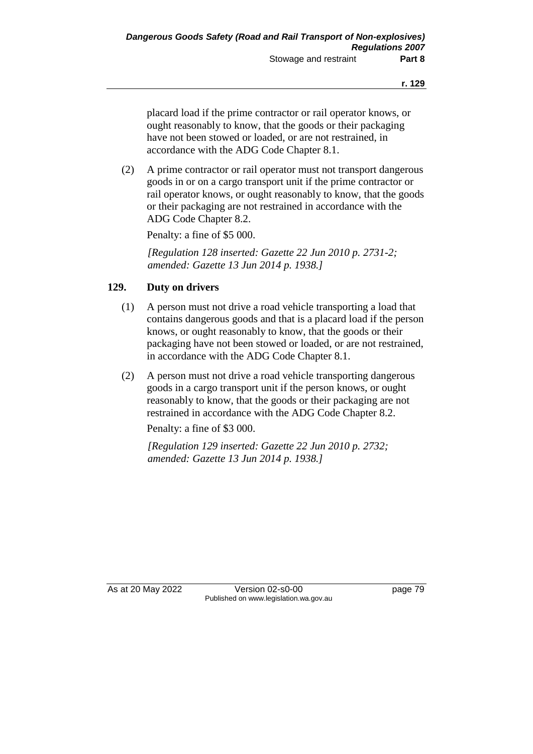placard load if the prime contractor or rail operator knows, or ought reasonably to know, that the goods or their packaging have not been stowed or loaded, or are not restrained, in accordance with the ADG Code Chapter 8.1.

(2) A prime contractor or rail operator must not transport dangerous goods in or on a cargo transport unit if the prime contractor or rail operator knows, or ought reasonably to know, that the goods or their packaging are not restrained in accordance with the ADG Code Chapter 8.2.

Penalty: a fine of \$5 000.

*[Regulation 128 inserted: Gazette 22 Jun 2010 p. 2731-2; amended: Gazette 13 Jun 2014 p. 1938.]*

### **129. Duty on drivers**

- (1) A person must not drive a road vehicle transporting a load that contains dangerous goods and that is a placard load if the person knows, or ought reasonably to know, that the goods or their packaging have not been stowed or loaded, or are not restrained, in accordance with the ADG Code Chapter 8.1.
- (2) A person must not drive a road vehicle transporting dangerous goods in a cargo transport unit if the person knows, or ought reasonably to know, that the goods or their packaging are not restrained in accordance with the ADG Code Chapter 8.2.

Penalty: a fine of \$3 000.

*[Regulation 129 inserted: Gazette 22 Jun 2010 p. 2732; amended: Gazette 13 Jun 2014 p. 1938.]*

As at 20 May 2022 Version 02-s0-00 Published on www.legislation.wa.gov.au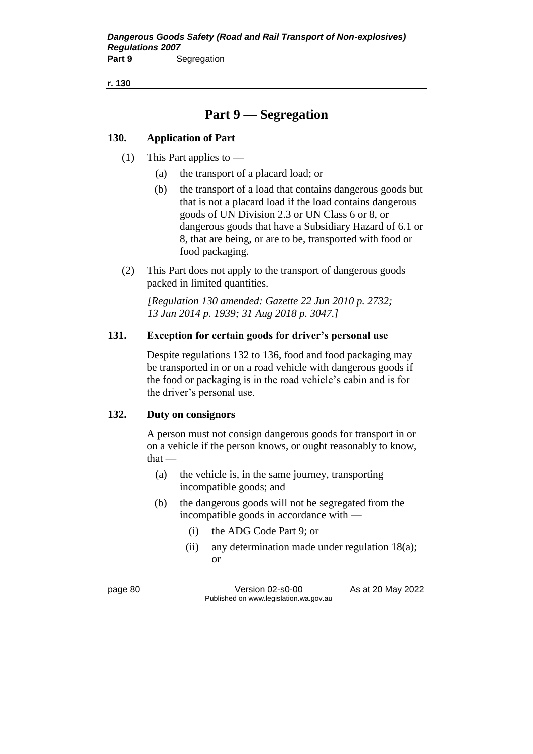**r. 130**

# **Part 9 — Segregation**

### **130. Application of Part**

- (1) This Part applies to  $-$ 
	- (a) the transport of a placard load; or
	- (b) the transport of a load that contains dangerous goods but that is not a placard load if the load contains dangerous goods of UN Division 2.3 or UN Class 6 or 8, or dangerous goods that have a Subsidiary Hazard of 6.1 or 8, that are being, or are to be, transported with food or food packaging.
- (2) This Part does not apply to the transport of dangerous goods packed in limited quantities.

*[Regulation 130 amended: Gazette 22 Jun 2010 p. 2732; 13 Jun 2014 p. 1939; 31 Aug 2018 p. 3047.]*

### **131. Exception for certain goods for driver's personal use**

Despite regulations 132 to 136, food and food packaging may be transported in or on a road vehicle with dangerous goods if the food or packaging is in the road vehicle's cabin and is for the driver's personal use.

#### **132. Duty on consignors**

A person must not consign dangerous goods for transport in or on a vehicle if the person knows, or ought reasonably to know,  $that -$ 

- (a) the vehicle is, in the same journey, transporting incompatible goods; and
- (b) the dangerous goods will not be segregated from the incompatible goods in accordance with —
	- (i) the ADG Code Part 9; or
	- (ii) any determination made under regulation 18(a); or

page 80 Version 02-s0-00 As at 20 May 2022 Published on www.legislation.wa.gov.au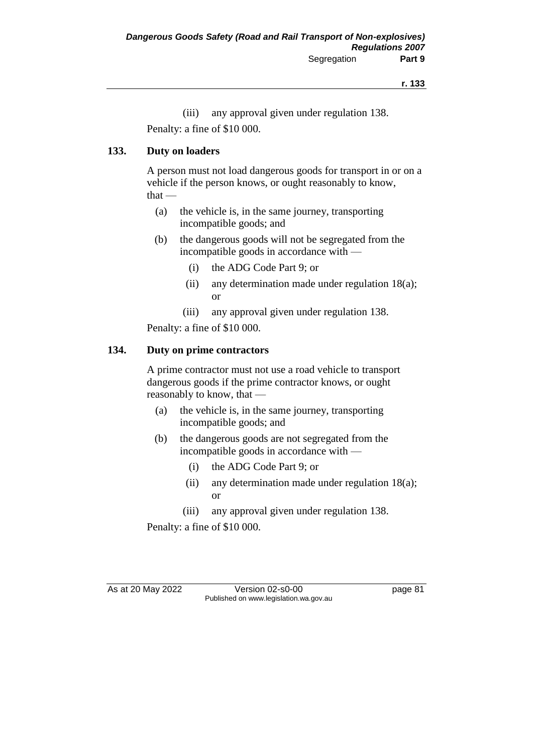(iii) any approval given under regulation 138. Penalty: a fine of \$10 000.

### **133. Duty on loaders**

A person must not load dangerous goods for transport in or on a vehicle if the person knows, or ought reasonably to know, that —

- (a) the vehicle is, in the same journey, transporting incompatible goods; and
- (b) the dangerous goods will not be segregated from the incompatible goods in accordance with —
	- (i) the ADG Code Part 9; or
	- (ii) any determination made under regulation 18(a); or
	- (iii) any approval given under regulation 138.

Penalty: a fine of \$10 000.

### **134. Duty on prime contractors**

A prime contractor must not use a road vehicle to transport dangerous goods if the prime contractor knows, or ought reasonably to know, that —

- (a) the vehicle is, in the same journey, transporting incompatible goods; and
- (b) the dangerous goods are not segregated from the incompatible goods in accordance with —
	- (i) the ADG Code Part 9; or
	- (ii) any determination made under regulation 18(a); or
	- (iii) any approval given under regulation 138.

Penalty: a fine of \$10 000.

As at 20 May 2022 Version 02-s0-00 Page 81 Published on www.legislation.wa.gov.au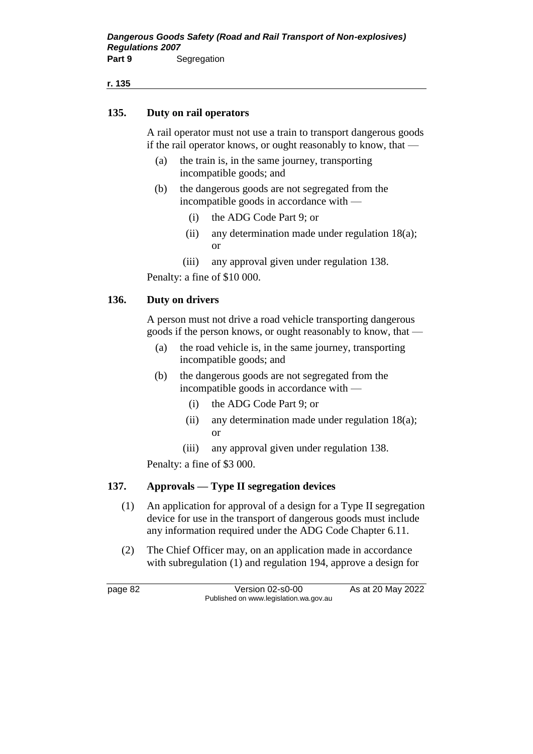**r. 135**

#### **135. Duty on rail operators**

A rail operator must not use a train to transport dangerous goods if the rail operator knows, or ought reasonably to know, that —

- (a) the train is, in the same journey, transporting incompatible goods; and
- (b) the dangerous goods are not segregated from the incompatible goods in accordance with —
	- (i) the ADG Code Part 9; or
	- (ii) any determination made under regulation 18(a); or
	- (iii) any approval given under regulation 138.

Penalty: a fine of \$10 000.

#### **136. Duty on drivers**

A person must not drive a road vehicle transporting dangerous goods if the person knows, or ought reasonably to know, that —

- (a) the road vehicle is, in the same journey, transporting incompatible goods; and
- (b) the dangerous goods are not segregated from the incompatible goods in accordance with —
	- (i) the ADG Code Part 9; or
	- (ii) any determination made under regulation 18(a); or
	- (iii) any approval given under regulation 138.

Penalty: a fine of \$3 000.

#### **137. Approvals — Type II segregation devices**

- (1) An application for approval of a design for a Type II segregation device for use in the transport of dangerous goods must include any information required under the ADG Code Chapter 6.11.
- (2) The Chief Officer may, on an application made in accordance with subregulation (1) and regulation 194, approve a design for

page 82 Version 02-s0-00 As at 20 May 2022 Published on www.legislation.wa.gov.au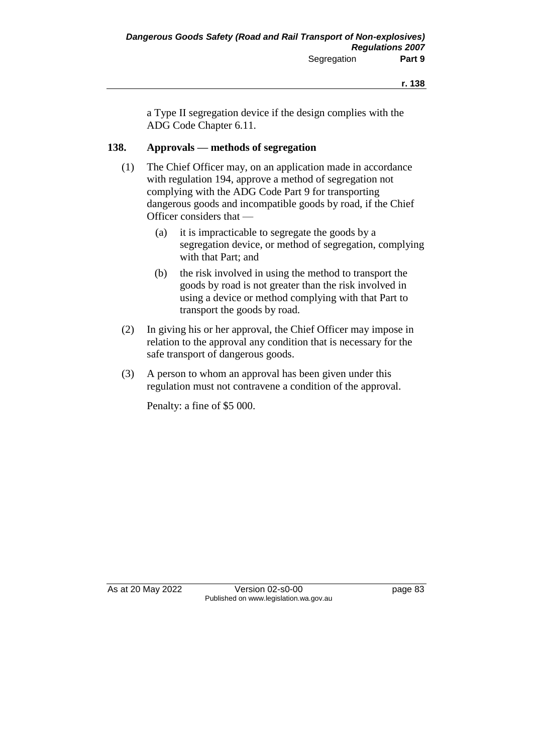a Type II segregation device if the design complies with the ADG Code Chapter 6.11.

### **138. Approvals — methods of segregation**

- (1) The Chief Officer may, on an application made in accordance with regulation 194, approve a method of segregation not complying with the ADG Code Part 9 for transporting dangerous goods and incompatible goods by road, if the Chief Officer considers that —
	- (a) it is impracticable to segregate the goods by a segregation device, or method of segregation, complying with that Part; and
	- (b) the risk involved in using the method to transport the goods by road is not greater than the risk involved in using a device or method complying with that Part to transport the goods by road.
- (2) In giving his or her approval, the Chief Officer may impose in relation to the approval any condition that is necessary for the safe transport of dangerous goods.
- (3) A person to whom an approval has been given under this regulation must not contravene a condition of the approval.

Penalty: a fine of \$5 000.

As at 20 May 2022 Version 02-s0-00 page 83 Published on www.legislation.wa.gov.au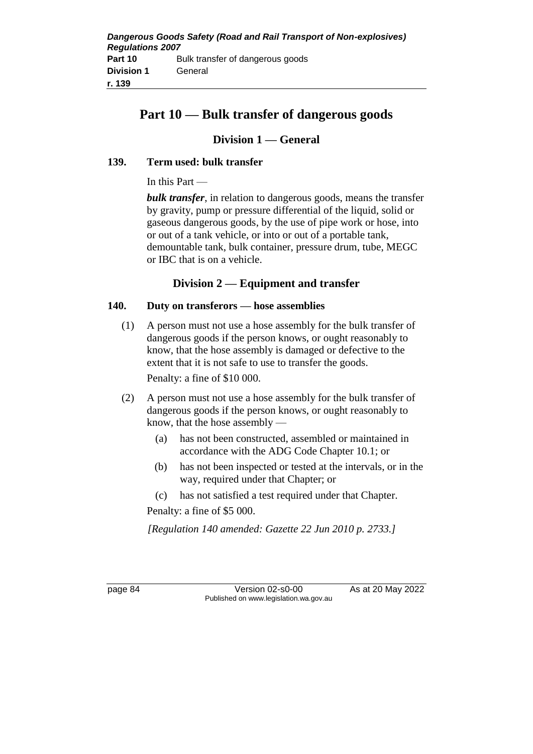# **Part 10 — Bulk transfer of dangerous goods**

### **Division 1 — General**

### **139. Term used: bulk transfer**

In this Part —

*bulk transfer*, in relation to dangerous goods, means the transfer by gravity, pump or pressure differential of the liquid, solid or gaseous dangerous goods, by the use of pipe work or hose, into or out of a tank vehicle, or into or out of a portable tank, demountable tank, bulk container, pressure drum, tube, MEGC or IBC that is on a vehicle.

### **Division 2 — Equipment and transfer**

### **140. Duty on transferors — hose assemblies**

(1) A person must not use a hose assembly for the bulk transfer of dangerous goods if the person knows, or ought reasonably to know, that the hose assembly is damaged or defective to the extent that it is not safe to use to transfer the goods.

Penalty: a fine of \$10 000.

- (2) A person must not use a hose assembly for the bulk transfer of dangerous goods if the person knows, or ought reasonably to know, that the hose assembly —
	- (a) has not been constructed, assembled or maintained in accordance with the ADG Code Chapter 10.1; or
	- (b) has not been inspected or tested at the intervals, or in the way, required under that Chapter; or
	- (c) has not satisfied a test required under that Chapter.

Penalty: a fine of \$5 000.

*[Regulation 140 amended: Gazette 22 Jun 2010 p. 2733.]*

page 84 Version 02-s0-00 As at 20 May 2022 Published on www.legislation.wa.gov.au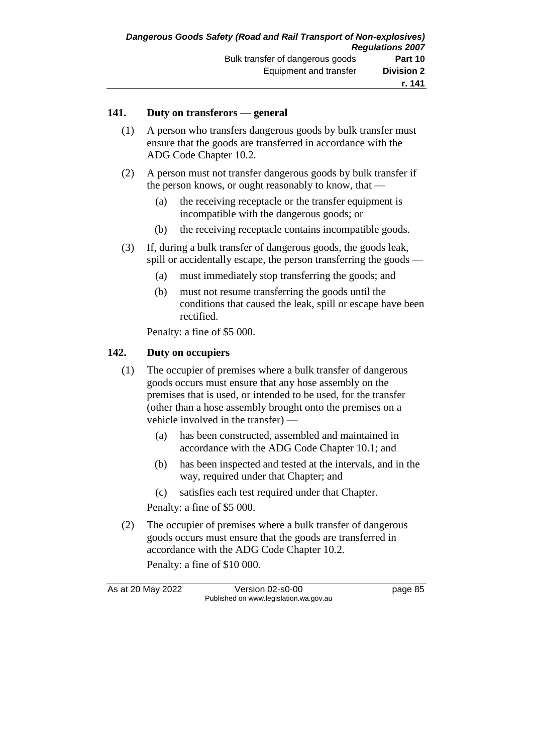#### **141. Duty on transferors — general**

- (1) A person who transfers dangerous goods by bulk transfer must ensure that the goods are transferred in accordance with the ADG Code Chapter 10.2.
- (2) A person must not transfer dangerous goods by bulk transfer if the person knows, or ought reasonably to know, that —
	- (a) the receiving receptacle or the transfer equipment is incompatible with the dangerous goods; or
	- (b) the receiving receptacle contains incompatible goods.
- (3) If, during a bulk transfer of dangerous goods, the goods leak, spill or accidentally escape, the person transferring the goods —
	- (a) must immediately stop transferring the goods; and
	- (b) must not resume transferring the goods until the conditions that caused the leak, spill or escape have been rectified.

Penalty: a fine of \$5 000.

### **142. Duty on occupiers**

- (1) The occupier of premises where a bulk transfer of dangerous goods occurs must ensure that any hose assembly on the premises that is used, or intended to be used, for the transfer (other than a hose assembly brought onto the premises on a vehicle involved in the transfer) —
	- (a) has been constructed, assembled and maintained in accordance with the ADG Code Chapter 10.1; and
	- (b) has been inspected and tested at the intervals, and in the way, required under that Chapter; and
	- (c) satisfies each test required under that Chapter.

Penalty: a fine of \$5 000.

(2) The occupier of premises where a bulk transfer of dangerous goods occurs must ensure that the goods are transferred in accordance with the ADG Code Chapter 10.2.

Penalty: a fine of \$10 000.

As at 20 May 2022 Version 02-s0-00 page 85 Published on www.legislation.wa.gov.au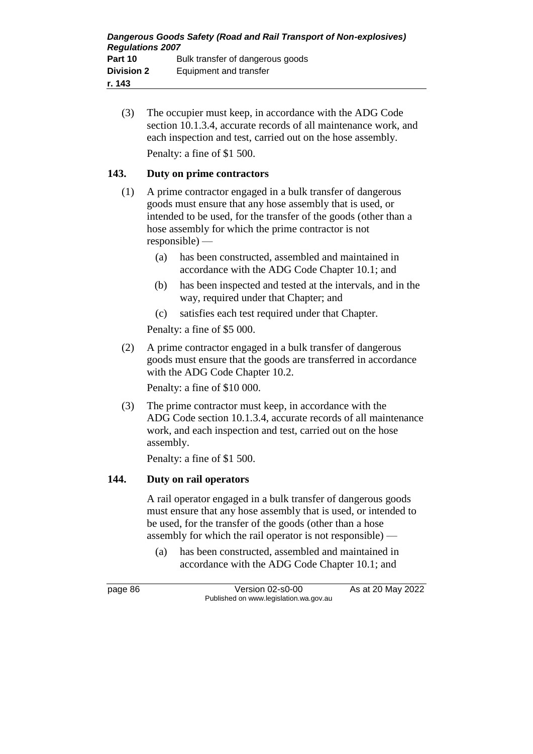(3) The occupier must keep, in accordance with the ADG Code section 10.1.3.4, accurate records of all maintenance work, and each inspection and test, carried out on the hose assembly. Penalty: a fine of \$1 500.

### **143. Duty on prime contractors**

- (1) A prime contractor engaged in a bulk transfer of dangerous goods must ensure that any hose assembly that is used, or intended to be used, for the transfer of the goods (other than a hose assembly for which the prime contractor is not responsible) —
	- (a) has been constructed, assembled and maintained in accordance with the ADG Code Chapter 10.1; and
	- (b) has been inspected and tested at the intervals, and in the way, required under that Chapter; and
	- (c) satisfies each test required under that Chapter.

Penalty: a fine of \$5 000.

(2) A prime contractor engaged in a bulk transfer of dangerous goods must ensure that the goods are transferred in accordance with the ADG Code Chapter 10.2.

Penalty: a fine of \$10 000.

(3) The prime contractor must keep, in accordance with the ADG Code section 10.1.3.4, accurate records of all maintenance work, and each inspection and test, carried out on the hose assembly.

Penalty: a fine of \$1 500.

### **144. Duty on rail operators**

A rail operator engaged in a bulk transfer of dangerous goods must ensure that any hose assembly that is used, or intended to be used, for the transfer of the goods (other than a hose assembly for which the rail operator is not responsible) —

(a) has been constructed, assembled and maintained in accordance with the ADG Code Chapter 10.1; and

page 86 Version 02-s0-00 As at 20 May 2022 Published on www.legislation.wa.gov.au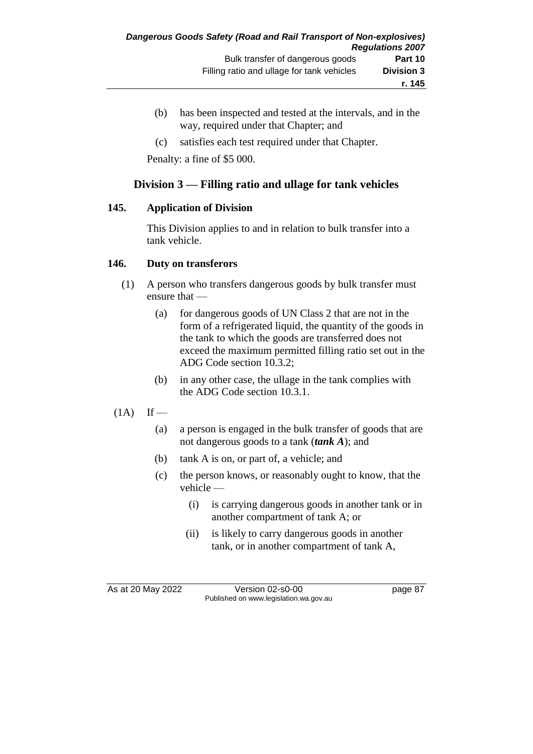- (b) has been inspected and tested at the intervals, and in the way, required under that Chapter; and
- (c) satisfies each test required under that Chapter.

Penalty: a fine of \$5 000.

### **Division 3 — Filling ratio and ullage for tank vehicles**

### **145. Application of Division**

This Division applies to and in relation to bulk transfer into a tank vehicle.

### **146. Duty on transferors**

- (1) A person who transfers dangerous goods by bulk transfer must ensure that —
	- (a) for dangerous goods of UN Class 2 that are not in the form of a refrigerated liquid, the quantity of the goods in the tank to which the goods are transferred does not exceed the maximum permitted filling ratio set out in the ADG Code section 10.3.2;
	- (b) in any other case, the ullage in the tank complies with the ADG Code section 10.3.1.

### $(1A)$  If —

- (a) a person is engaged in the bulk transfer of goods that are not dangerous goods to a tank (*tank A*); and
- (b) tank A is on, or part of, a vehicle; and
- (c) the person knows, or reasonably ought to know, that the vehicle —
	- (i) is carrying dangerous goods in another tank or in another compartment of tank A; or
	- (ii) is likely to carry dangerous goods in another tank, or in another compartment of tank A,

As at 20 May 2022 Version 02-s0-00 Published on www.legislation.wa.gov.au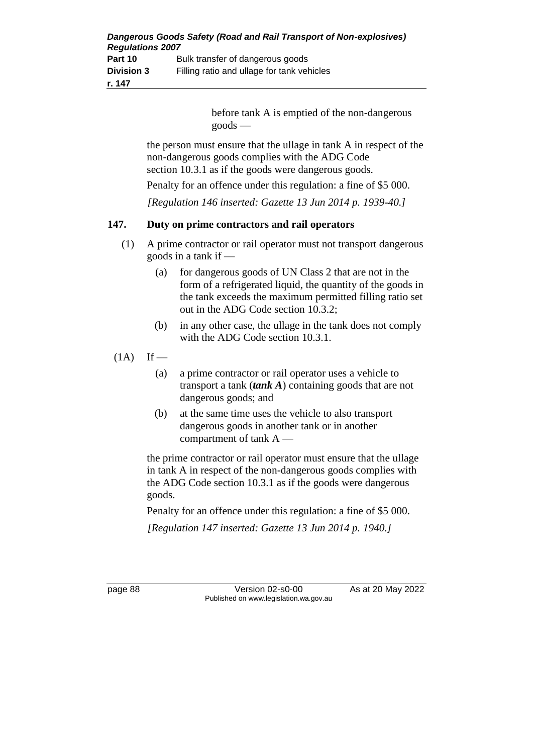| Dangerous Goods Safety (Road and Rail Transport of Non-explosives)<br><b>Regulations 2007</b> |                                            |
|-----------------------------------------------------------------------------------------------|--------------------------------------------|
| Part 10                                                                                       | Bulk transfer of dangerous goods           |
| <b>Division 3</b>                                                                             | Filling ratio and ullage for tank vehicles |
| r. 147                                                                                        |                                            |

before tank A is emptied of the non-dangerous goods —

the person must ensure that the ullage in tank A in respect of the non-dangerous goods complies with the ADG Code section 10.3.1 as if the goods were dangerous goods.

Penalty for an offence under this regulation: a fine of \$5 000.

*[Regulation 146 inserted: Gazette 13 Jun 2014 p. 1939-40.]*

### **147. Duty on prime contractors and rail operators**

- (1) A prime contractor or rail operator must not transport dangerous goods in a tank if —
	- (a) for dangerous goods of UN Class 2 that are not in the form of a refrigerated liquid, the quantity of the goods in the tank exceeds the maximum permitted filling ratio set out in the ADG Code section 10.3.2;
	- (b) in any other case, the ullage in the tank does not comply with the ADG Code section 10.3.1.
- $(1A)$  If
	- (a) a prime contractor or rail operator uses a vehicle to transport a tank (*tank A*) containing goods that are not dangerous goods; and
	- (b) at the same time uses the vehicle to also transport dangerous goods in another tank or in another compartment of tank A —

the prime contractor or rail operator must ensure that the ullage in tank A in respect of the non-dangerous goods complies with the ADG Code section 10.3.1 as if the goods were dangerous goods.

Penalty for an offence under this regulation: a fine of \$5 000.

*[Regulation 147 inserted: Gazette 13 Jun 2014 p. 1940.]*

page 88 Version 02-s0-00 As at 20 May 2022 Published on www.legislation.wa.gov.au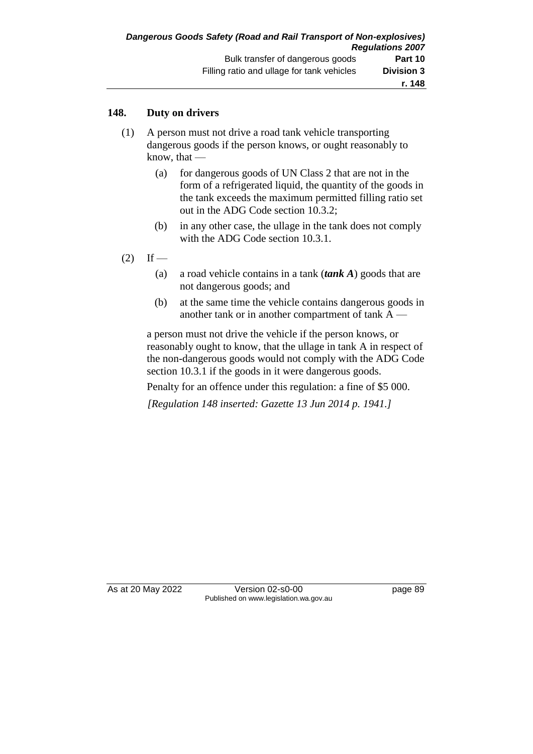### **148. Duty on drivers**

- (1) A person must not drive a road tank vehicle transporting dangerous goods if the person knows, or ought reasonably to know, that —
	- (a) for dangerous goods of UN Class 2 that are not in the form of a refrigerated liquid, the quantity of the goods in the tank exceeds the maximum permitted filling ratio set out in the ADG Code section 10.3.2;
	- (b) in any other case, the ullage in the tank does not comply with the ADG Code section 10.3.1.
- $(2)$  If
	- (a) a road vehicle contains in a tank (*tank A*) goods that are not dangerous goods; and
	- (b) at the same time the vehicle contains dangerous goods in another tank or in another compartment of tank A —

a person must not drive the vehicle if the person knows, or reasonably ought to know, that the ullage in tank A in respect of the non-dangerous goods would not comply with the ADG Code section 10.3.1 if the goods in it were dangerous goods.

Penalty for an offence under this regulation: a fine of \$5 000.

*[Regulation 148 inserted: Gazette 13 Jun 2014 p. 1941.]*

As at 20 May 2022 Version 02-s0-00 Published on www.legislation.wa.gov.au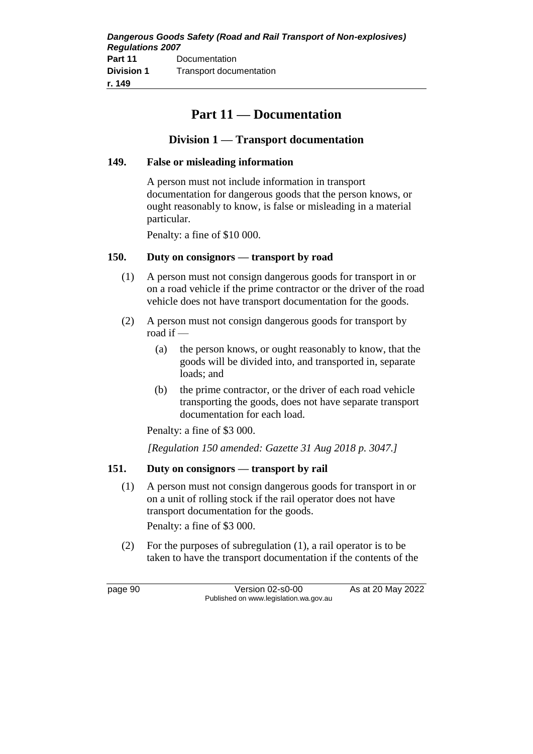| Dangerous Goods Safety (Road and Rail Transport of Non-explosives)<br><b>Regulations 2007</b> |                         |  |
|-----------------------------------------------------------------------------------------------|-------------------------|--|
| Part 11                                                                                       | Documentation           |  |
| <b>Division 1</b>                                                                             | Transport documentation |  |
| r. 149                                                                                        |                         |  |

## **Part 11 — Documentation**

### **Division 1 — Transport documentation**

### **149. False or misleading information**

A person must not include information in transport documentation for dangerous goods that the person knows, or ought reasonably to know, is false or misleading in a material particular.

Penalty: a fine of \$10 000.

### **150. Duty on consignors — transport by road**

- (1) A person must not consign dangerous goods for transport in or on a road vehicle if the prime contractor or the driver of the road vehicle does not have transport documentation for the goods.
- (2) A person must not consign dangerous goods for transport by road if —
	- (a) the person knows, or ought reasonably to know, that the goods will be divided into, and transported in, separate loads; and
	- (b) the prime contractor, or the driver of each road vehicle transporting the goods, does not have separate transport documentation for each load.

Penalty: a fine of \$3 000.

*[Regulation 150 amended: Gazette 31 Aug 2018 p. 3047.]*

### **151. Duty on consignors — transport by rail**

(1) A person must not consign dangerous goods for transport in or on a unit of rolling stock if the rail operator does not have transport documentation for the goods.

Penalty: a fine of \$3 000.

(2) For the purposes of subregulation (1), a rail operator is to be taken to have the transport documentation if the contents of the

page 90 Version 02-s0-00 As at 20 May 2022 Published on www.legislation.wa.gov.au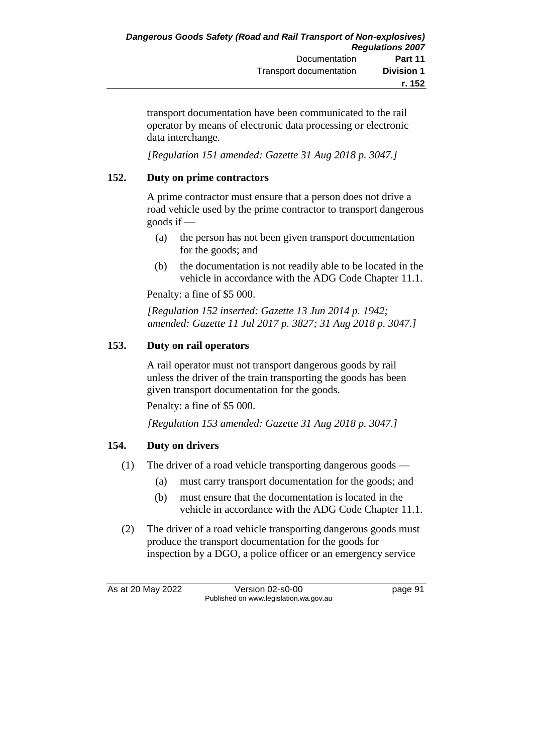transport documentation have been communicated to the rail operator by means of electronic data processing or electronic data interchange.

*[Regulation 151 amended: Gazette 31 Aug 2018 p. 3047.]*

### **152. Duty on prime contractors**

A prime contractor must ensure that a person does not drive a road vehicle used by the prime contractor to transport dangerous goods if  $-$ 

- (a) the person has not been given transport documentation for the goods; and
- (b) the documentation is not readily able to be located in the vehicle in accordance with the ADG Code Chapter 11.1.

Penalty: a fine of \$5 000.

*[Regulation 152 inserted: Gazette 13 Jun 2014 p. 1942; amended: Gazette 11 Jul 2017 p. 3827; 31 Aug 2018 p. 3047.]*

### **153. Duty on rail operators**

A rail operator must not transport dangerous goods by rail unless the driver of the train transporting the goods has been given transport documentation for the goods.

Penalty: a fine of \$5 000.

*[Regulation 153 amended: Gazette 31 Aug 2018 p. 3047.]*

### **154. Duty on drivers**

- (1) The driver of a road vehicle transporting dangerous goods
	- (a) must carry transport documentation for the goods; and
	- (b) must ensure that the documentation is located in the vehicle in accordance with the ADG Code Chapter 11.1.
- (2) The driver of a road vehicle transporting dangerous goods must produce the transport documentation for the goods for inspection by a DGO, a police officer or an emergency service

As at 20 May 2022 Version 02-s0-00 page 91 Published on www.legislation.wa.gov.au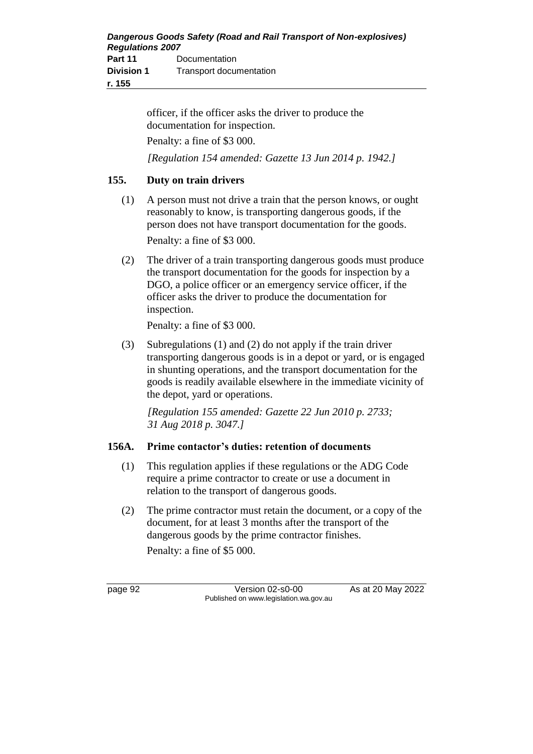officer, if the officer asks the driver to produce the documentation for inspection.

Penalty: a fine of \$3 000.

*[Regulation 154 amended: Gazette 13 Jun 2014 p. 1942.]*

### **155. Duty on train drivers**

- (1) A person must not drive a train that the person knows, or ought reasonably to know, is transporting dangerous goods, if the person does not have transport documentation for the goods. Penalty: a fine of \$3 000.
- (2) The driver of a train transporting dangerous goods must produce the transport documentation for the goods for inspection by a DGO, a police officer or an emergency service officer, if the officer asks the driver to produce the documentation for inspection.

Penalty: a fine of \$3 000.

(3) Subregulations (1) and (2) do not apply if the train driver transporting dangerous goods is in a depot or yard, or is engaged in shunting operations, and the transport documentation for the goods is readily available elsewhere in the immediate vicinity of the depot, yard or operations.

*[Regulation 155 amended: Gazette 22 Jun 2010 p. 2733; 31 Aug 2018 p. 3047.]*

### **156A. Prime contactor's duties: retention of documents**

- (1) This regulation applies if these regulations or the ADG Code require a prime contractor to create or use a document in relation to the transport of dangerous goods.
- (2) The prime contractor must retain the document, or a copy of the document, for at least 3 months after the transport of the dangerous goods by the prime contractor finishes. Penalty: a fine of \$5 000.

page 92 Version 02-s0-00 As at 20 May 2022 Published on www.legislation.wa.gov.au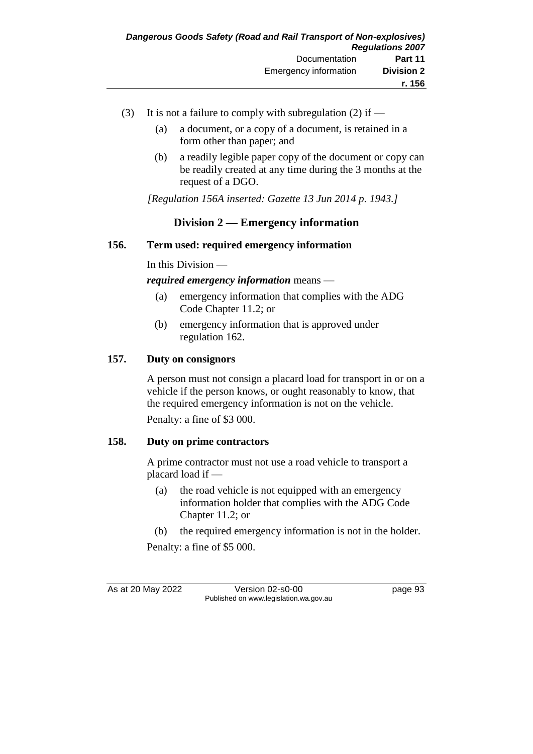- (3) It is not a failure to comply with subregulation (2) if
	- (a) a document, or a copy of a document, is retained in a form other than paper; and
	- (b) a readily legible paper copy of the document or copy can be readily created at any time during the 3 months at the request of a DGO.

*[Regulation 156A inserted: Gazette 13 Jun 2014 p. 1943.]*

### **Division 2 — Emergency information**

### **156. Term used: required emergency information**

In this Division —

*required emergency information* means —

- (a) emergency information that complies with the ADG Code Chapter 11.2; or
- (b) emergency information that is approved under regulation 162.

### **157. Duty on consignors**

A person must not consign a placard load for transport in or on a vehicle if the person knows, or ought reasonably to know, that the required emergency information is not on the vehicle. Penalty: a fine of \$3 000.

### **158. Duty on prime contractors**

A prime contractor must not use a road vehicle to transport a placard load if —

(a) the road vehicle is not equipped with an emergency information holder that complies with the ADG Code Chapter 11.2; or

(b) the required emergency information is not in the holder.

Penalty: a fine of \$5 000.

As at 20 May 2022 Version 02-s0-00 Published on www.legislation.wa.gov.au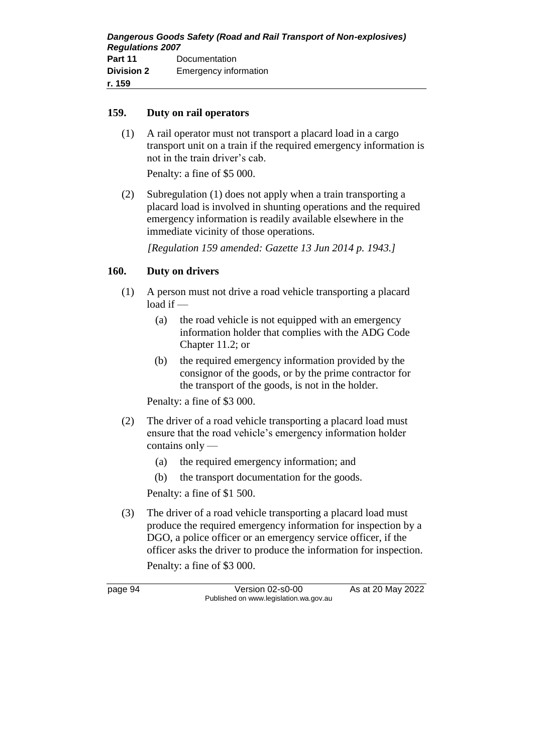### **159. Duty on rail operators**

(1) A rail operator must not transport a placard load in a cargo transport unit on a train if the required emergency information is not in the train driver's cab.

Penalty: a fine of \$5 000.

(2) Subregulation (1) does not apply when a train transporting a placard load is involved in shunting operations and the required emergency information is readily available elsewhere in the immediate vicinity of those operations.

*[Regulation 159 amended: Gazette 13 Jun 2014 p. 1943.]*

### **160. Duty on drivers**

- (1) A person must not drive a road vehicle transporting a placard load if —
	- (a) the road vehicle is not equipped with an emergency information holder that complies with the ADG Code Chapter 11.2; or
	- (b) the required emergency information provided by the consignor of the goods, or by the prime contractor for the transport of the goods, is not in the holder.

Penalty: a fine of \$3 000.

- (2) The driver of a road vehicle transporting a placard load must ensure that the road vehicle's emergency information holder contains only —
	- (a) the required emergency information; and
	- (b) the transport documentation for the goods.

Penalty: a fine of \$1 500.

(3) The driver of a road vehicle transporting a placard load must produce the required emergency information for inspection by a DGO, a police officer or an emergency service officer, if the officer asks the driver to produce the information for inspection.

Penalty: a fine of \$3 000.

page 94 Version 02-s0-00 As at 20 May 2022 Published on www.legislation.wa.gov.au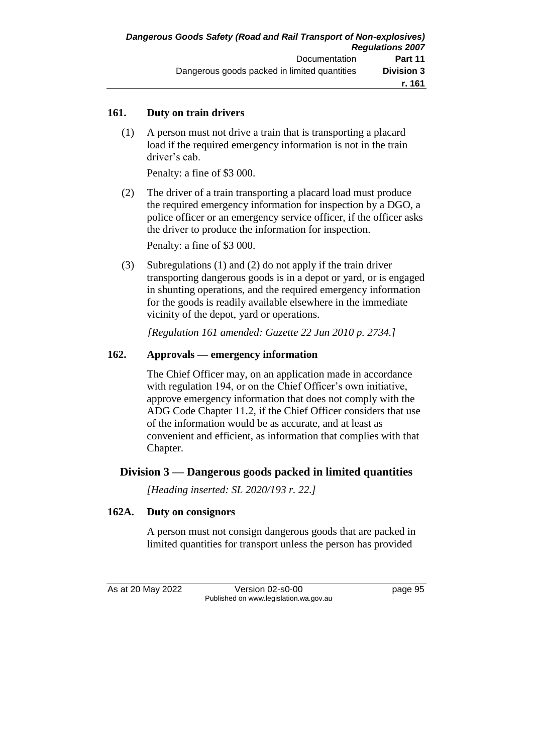### **161. Duty on train drivers**

(1) A person must not drive a train that is transporting a placard load if the required emergency information is not in the train driver's cab.

Penalty: a fine of \$3 000.

(2) The driver of a train transporting a placard load must produce the required emergency information for inspection by a DGO, a police officer or an emergency service officer, if the officer asks the driver to produce the information for inspection.

Penalty: a fine of \$3 000.

(3) Subregulations (1) and (2) do not apply if the train driver transporting dangerous goods is in a depot or yard, or is engaged in shunting operations, and the required emergency information for the goods is readily available elsewhere in the immediate vicinity of the depot, yard or operations.

*[Regulation 161 amended: Gazette 22 Jun 2010 p. 2734.]*

### **162. Approvals — emergency information**

The Chief Officer may, on an application made in accordance with regulation 194, or on the Chief Officer's own initiative, approve emergency information that does not comply with the ADG Code Chapter 11.2, if the Chief Officer considers that use of the information would be as accurate, and at least as convenient and efficient, as information that complies with that Chapter.

### **Division 3 — Dangerous goods packed in limited quantities**

*[Heading inserted: SL 2020/193 r. 22.]*

### **162A. Duty on consignors**

A person must not consign dangerous goods that are packed in limited quantities for transport unless the person has provided

As at 20 May 2022 Version 02-s0-00 page 95 Published on www.legislation.wa.gov.au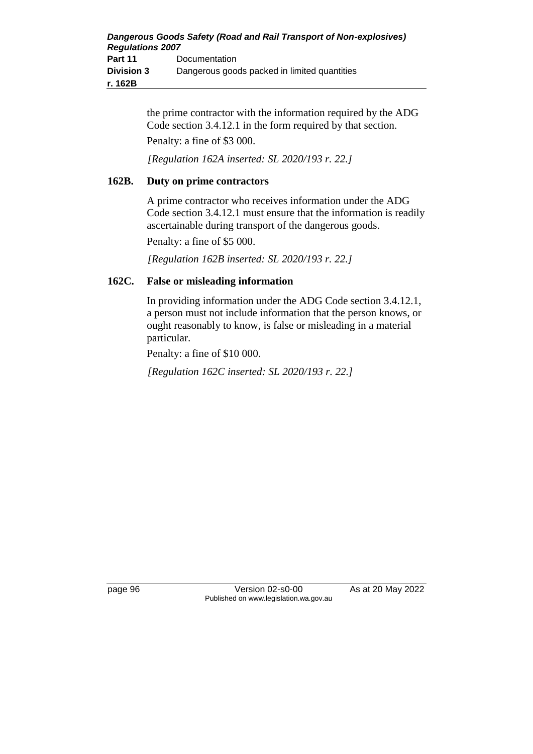| Dangerous Goods Safety (Road and Rail Transport of Non-explosives) |                                              |  |
|--------------------------------------------------------------------|----------------------------------------------|--|
| <b>Regulations 2007</b>                                            |                                              |  |
| Part 11                                                            | Documentation                                |  |
| <b>Division 3</b>                                                  | Dangerous goods packed in limited quantities |  |
| r. 162B                                                            |                                              |  |

the prime contractor with the information required by the ADG Code section 3.4.12.1 in the form required by that section. Penalty: a fine of \$3 000.

*[Regulation 162A inserted: SL 2020/193 r. 22.]*

### **162B. Duty on prime contractors**

A prime contractor who receives information under the ADG Code section 3.4.12.1 must ensure that the information is readily ascertainable during transport of the dangerous goods.

Penalty: a fine of \$5 000.

*[Regulation 162B inserted: SL 2020/193 r. 22.]*

### **162C. False or misleading information**

In providing information under the ADG Code section 3.4.12.1, a person must not include information that the person knows, or ought reasonably to know, is false or misleading in a material particular.

Penalty: a fine of \$10 000.

*[Regulation 162C inserted: SL 2020/193 r. 22.]*

page 96 Version 02-s0-00 As at 20 May 2022 Published on www.legislation.wa.gov.au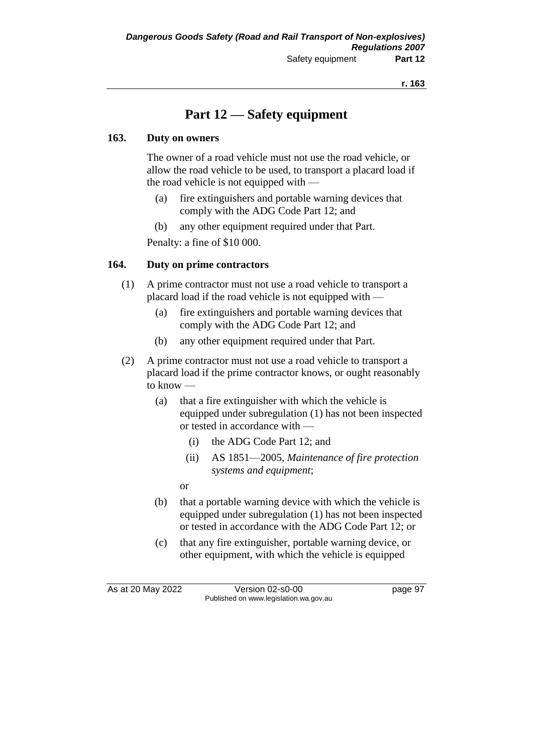# **Part 12 — Safety equipment**

### **163. Duty on owners**

The owner of a road vehicle must not use the road vehicle, or allow the road vehicle to be used, to transport a placard load if the road vehicle is not equipped with —

- (a) fire extinguishers and portable warning devices that comply with the ADG Code Part 12; and
- (b) any other equipment required under that Part.

Penalty: a fine of \$10 000.

### **164. Duty on prime contractors**

- (1) A prime contractor must not use a road vehicle to transport a placard load if the road vehicle is not equipped with —
	- (a) fire extinguishers and portable warning devices that comply with the ADG Code Part 12; and
	- (b) any other equipment required under that Part.
- (2) A prime contractor must not use a road vehicle to transport a placard load if the prime contractor knows, or ought reasonably to know —
	- (a) that a fire extinguisher with which the vehicle is equipped under subregulation (1) has not been inspected or tested in accordance with —
		- (i) the ADG Code Part 12; and
		- (ii) AS 1851—2005, *Maintenance of fire protection systems and equipment*;
		- or
	- (b) that a portable warning device with which the vehicle is equipped under subregulation (1) has not been inspected or tested in accordance with the ADG Code Part 12; or
	- (c) that any fire extinguisher, portable warning device, or other equipment, with which the vehicle is equipped

As at 20 May 2022 Version 02-s0-00 page 97 Published on www.legislation.wa.gov.au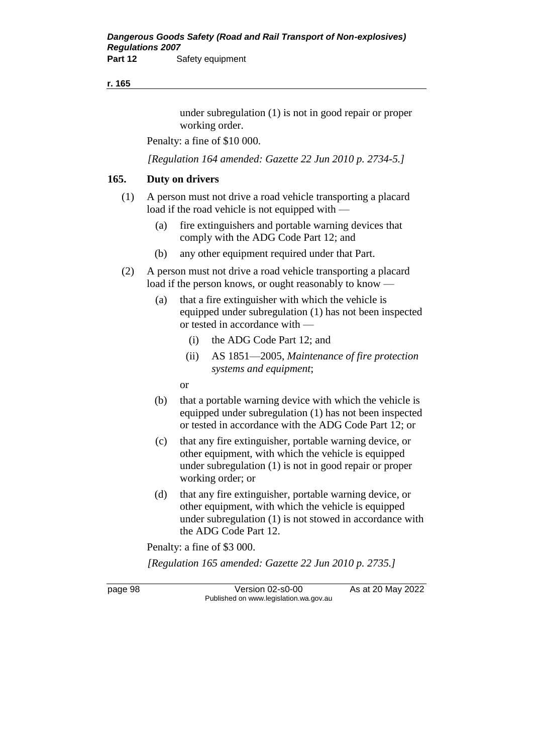#### **r. 165**

under subregulation (1) is not in good repair or proper working order.

Penalty: a fine of \$10 000.

*[Regulation 164 amended: Gazette 22 Jun 2010 p. 2734-5.]*

#### **165. Duty on drivers**

- (1) A person must not drive a road vehicle transporting a placard load if the road vehicle is not equipped with —
	- (a) fire extinguishers and portable warning devices that comply with the ADG Code Part 12; and
	- (b) any other equipment required under that Part.
- (2) A person must not drive a road vehicle transporting a placard load if the person knows, or ought reasonably to know —
	- (a) that a fire extinguisher with which the vehicle is equipped under subregulation (1) has not been inspected or tested in accordance with —
		- (i) the ADG Code Part 12; and
		- (ii) AS 1851—2005, *Maintenance of fire protection systems and equipment*;

or

- (b) that a portable warning device with which the vehicle is equipped under subregulation (1) has not been inspected or tested in accordance with the ADG Code Part 12; or
- (c) that any fire extinguisher, portable warning device, or other equipment, with which the vehicle is equipped under subregulation (1) is not in good repair or proper working order; or
- (d) that any fire extinguisher, portable warning device, or other equipment, with which the vehicle is equipped under subregulation (1) is not stowed in accordance with the ADG Code Part 12.

Penalty: a fine of \$3 000.

*[Regulation 165 amended: Gazette 22 Jun 2010 p. 2735.]*

page 98 Version 02-s0-00 As at 20 May 2022 Published on www.legislation.wa.gov.au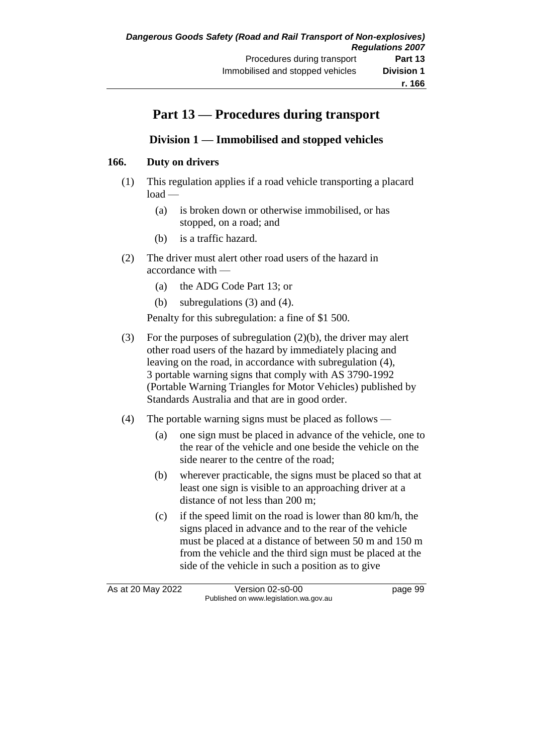# **Part 13 — Procedures during transport**

### **Division 1 — Immobilised and stopped vehicles**

### **166. Duty on drivers**

- (1) This regulation applies if a road vehicle transporting a placard load —
	- (a) is broken down or otherwise immobilised, or has stopped, on a road; and
	- (b) is a traffic hazard.
- (2) The driver must alert other road users of the hazard in accordance with —
	- (a) the ADG Code Part 13; or
	- (b) subregulations (3) and (4).

Penalty for this subregulation: a fine of \$1 500.

- (3) For the purposes of subregulation (2)(b), the driver may alert other road users of the hazard by immediately placing and leaving on the road, in accordance with subregulation (4), 3 portable warning signs that comply with AS 3790-1992 (Portable Warning Triangles for Motor Vehicles) published by Standards Australia and that are in good order.
- (4) The portable warning signs must be placed as follows
	- (a) one sign must be placed in advance of the vehicle, one to the rear of the vehicle and one beside the vehicle on the side nearer to the centre of the road;
	- (b) wherever practicable, the signs must be placed so that at least one sign is visible to an approaching driver at a distance of not less than 200 m;
	- (c) if the speed limit on the road is lower than 80 km/h, the signs placed in advance and to the rear of the vehicle must be placed at a distance of between 50 m and 150 m from the vehicle and the third sign must be placed at the side of the vehicle in such a position as to give

As at 20 May 2022 Version 02-s0-00 page 99 Published on www.legislation.wa.gov.au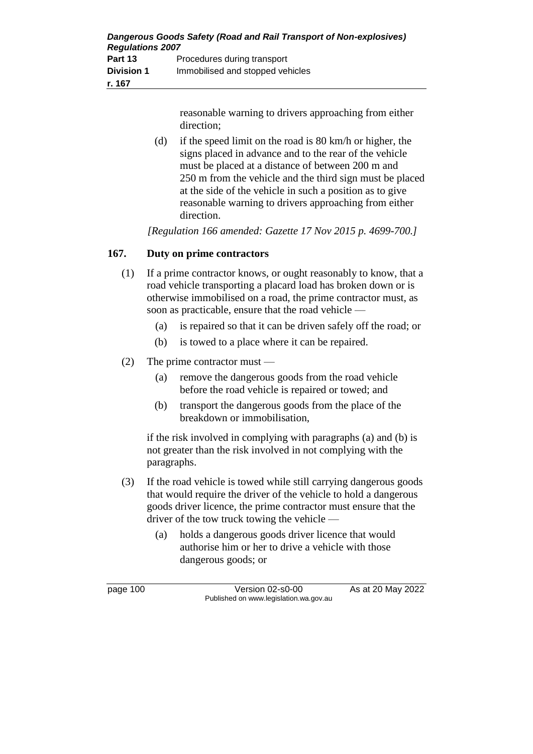| Dangerous Goods Safety (Road and Rail Transport of Non-explosives)<br><b>Regulations 2007</b> |                                  |  |
|-----------------------------------------------------------------------------------------------|----------------------------------|--|
| Part 13                                                                                       | Procedures during transport      |  |
| <b>Division 1</b>                                                                             | Immobilised and stopped vehicles |  |
| r. 167                                                                                        |                                  |  |

reasonable warning to drivers approaching from either direction;

(d) if the speed limit on the road is 80 km/h or higher, the signs placed in advance and to the rear of the vehicle must be placed at a distance of between 200 m and 250 m from the vehicle and the third sign must be placed at the side of the vehicle in such a position as to give reasonable warning to drivers approaching from either direction.

*[Regulation 166 amended: Gazette 17 Nov 2015 p. 4699-700.]*

### **167. Duty on prime contractors**

- (1) If a prime contractor knows, or ought reasonably to know, that a road vehicle transporting a placard load has broken down or is otherwise immobilised on a road, the prime contractor must, as soon as practicable, ensure that the road vehicle —
	- (a) is repaired so that it can be driven safely off the road; or
	- (b) is towed to a place where it can be repaired.
- (2) The prime contractor must
	- (a) remove the dangerous goods from the road vehicle before the road vehicle is repaired or towed; and
	- (b) transport the dangerous goods from the place of the breakdown or immobilisation,

if the risk involved in complying with paragraphs (a) and (b) is not greater than the risk involved in not complying with the paragraphs.

- (3) If the road vehicle is towed while still carrying dangerous goods that would require the driver of the vehicle to hold a dangerous goods driver licence, the prime contractor must ensure that the driver of the tow truck towing the vehicle —
	- (a) holds a dangerous goods driver licence that would authorise him or her to drive a vehicle with those dangerous goods; or

page 100 Version 02-s0-00 As at 20 May 2022 Published on www.legislation.wa.gov.au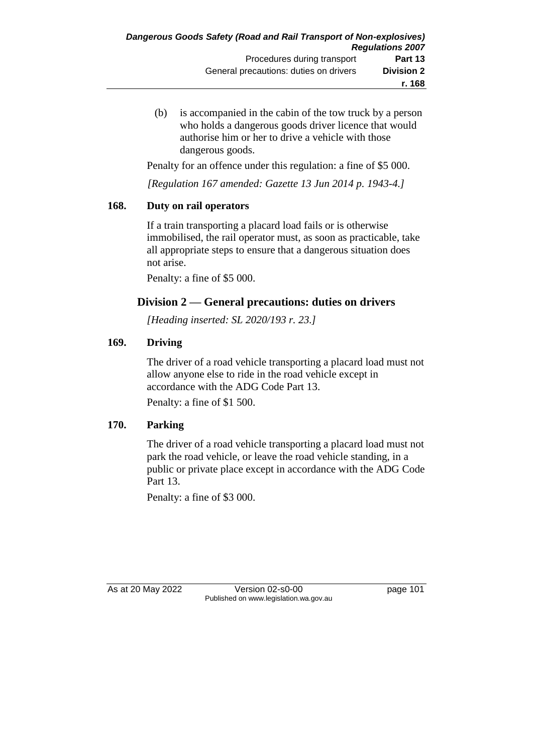(b) is accompanied in the cabin of the tow truck by a person who holds a dangerous goods driver licence that would authorise him or her to drive a vehicle with those dangerous goods.

Penalty for an offence under this regulation: a fine of \$5 000.

*[Regulation 167 amended: Gazette 13 Jun 2014 p. 1943-4.]*

### **168. Duty on rail operators**

If a train transporting a placard load fails or is otherwise immobilised, the rail operator must, as soon as practicable, take all appropriate steps to ensure that a dangerous situation does not arise.

Penalty: a fine of \$5 000.

## **Division 2 — General precautions: duties on drivers**

*[Heading inserted: SL 2020/193 r. 23.]*

### **169. Driving**

The driver of a road vehicle transporting a placard load must not allow anyone else to ride in the road vehicle except in accordance with the ADG Code Part 13.

Penalty: a fine of \$1 500.

### **170. Parking**

The driver of a road vehicle transporting a placard load must not park the road vehicle, or leave the road vehicle standing, in a public or private place except in accordance with the ADG Code Part 13.

Penalty: a fine of \$3 000.

As at 20 May 2022 Version 02-s0-00 Page 101 Published on www.legislation.wa.gov.au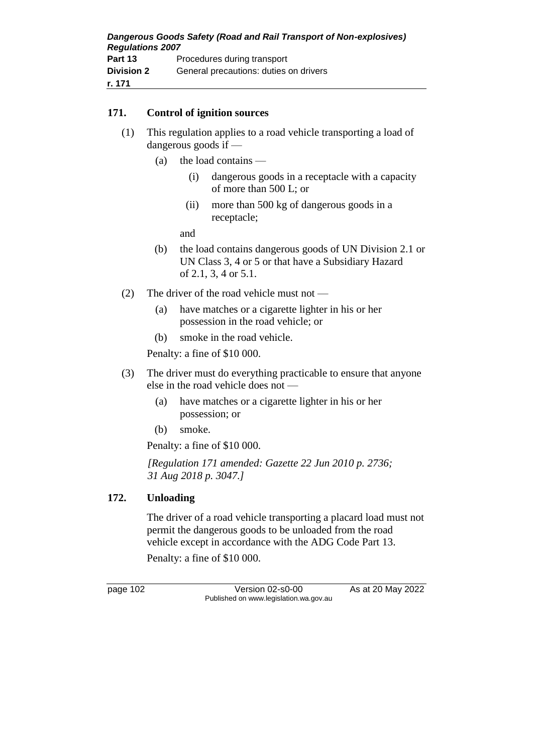### **171. Control of ignition sources**

- (1) This regulation applies to a road vehicle transporting a load of dangerous goods if —
	- (a) the load contains
		- (i) dangerous goods in a receptacle with a capacity of more than 500 L; or
		- (ii) more than 500 kg of dangerous goods in a receptacle;

and

- (b) the load contains dangerous goods of UN Division 2.1 or UN Class 3, 4 or 5 or that have a Subsidiary Hazard of 2.1, 3, 4 or 5.1.
- (2) The driver of the road vehicle must not
	- (a) have matches or a cigarette lighter in his or her possession in the road vehicle; or
	- (b) smoke in the road vehicle.

Penalty: a fine of \$10 000.

- (3) The driver must do everything practicable to ensure that anyone else in the road vehicle does not —
	- (a) have matches or a cigarette lighter in his or her possession; or
	- (b) smoke.

Penalty: a fine of \$10 000.

*[Regulation 171 amended: Gazette 22 Jun 2010 p. 2736; 31 Aug 2018 p. 3047.]*

### **172. Unloading**

The driver of a road vehicle transporting a placard load must not permit the dangerous goods to be unloaded from the road vehicle except in accordance with the ADG Code Part 13.

Penalty: a fine of \$10 000.

page 102 Version 02-s0-00 As at 20 May 2022 Published on www.legislation.wa.gov.au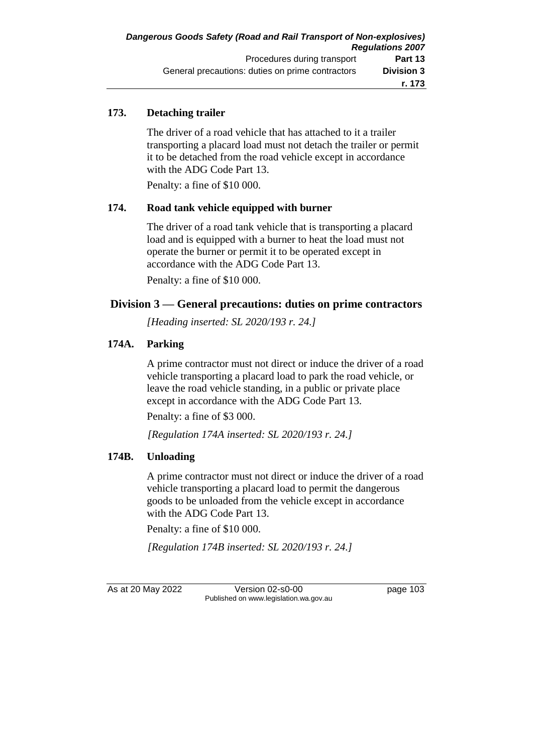### **173. Detaching trailer**

The driver of a road vehicle that has attached to it a trailer transporting a placard load must not detach the trailer or permit it to be detached from the road vehicle except in accordance with the ADG Code Part 13.

Penalty: a fine of \$10 000.

### **174. Road tank vehicle equipped with burner**

The driver of a road tank vehicle that is transporting a placard load and is equipped with a burner to heat the load must not operate the burner or permit it to be operated except in accordance with the ADG Code Part 13. Penalty: a fine of \$10 000.

### **Division 3 — General precautions: duties on prime contractors**

*[Heading inserted: SL 2020/193 r. 24.]*

### **174A. Parking**

A prime contractor must not direct or induce the driver of a road vehicle transporting a placard load to park the road vehicle, or leave the road vehicle standing, in a public or private place except in accordance with the ADG Code Part 13.

Penalty: a fine of \$3 000.

*[Regulation 174A inserted: SL 2020/193 r. 24.]*

### **174B. Unloading**

A prime contractor must not direct or induce the driver of a road vehicle transporting a placard load to permit the dangerous goods to be unloaded from the vehicle except in accordance with the ADG Code Part 13.

Penalty: a fine of \$10 000.

*[Regulation 174B inserted: SL 2020/193 r. 24.]*

As at 20 May 2022 Version 02-s0-00 Page 103 Published on www.legislation.wa.gov.au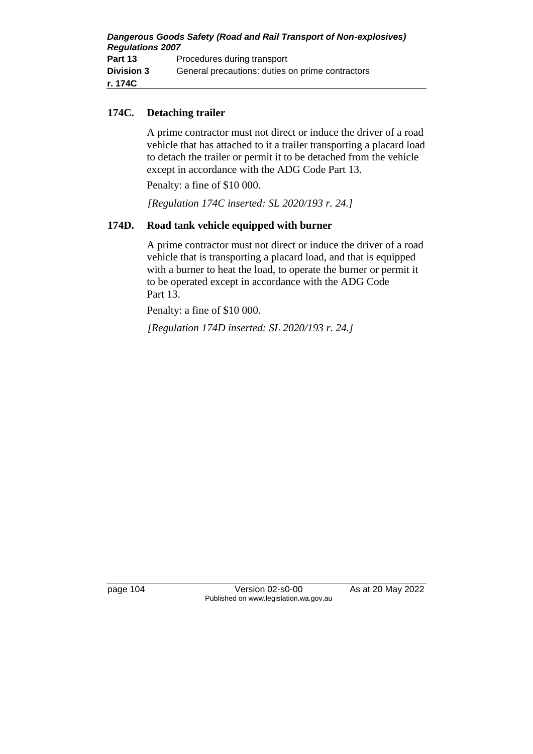| Dangerous Goods Safety (Road and Rail Transport of Non-explosives)<br><b>Regulations 2007</b> |                                                  |  |
|-----------------------------------------------------------------------------------------------|--------------------------------------------------|--|
|                                                                                               |                                                  |  |
| Part 13                                                                                       | Procedures during transport                      |  |
| <b>Division 3</b>                                                                             | General precautions: duties on prime contractors |  |
| r. 174C                                                                                       |                                                  |  |

### **174C. Detaching trailer**

A prime contractor must not direct or induce the driver of a road vehicle that has attached to it a trailer transporting a placard load to detach the trailer or permit it to be detached from the vehicle except in accordance with the ADG Code Part 13.

Penalty: a fine of \$10 000.

*[Regulation 174C inserted: SL 2020/193 r. 24.]*

### **174D. Road tank vehicle equipped with burner**

A prime contractor must not direct or induce the driver of a road vehicle that is transporting a placard load, and that is equipped with a burner to heat the load, to operate the burner or permit it to be operated except in accordance with the ADG Code Part 13.

Penalty: a fine of \$10 000.

*[Regulation 174D inserted: SL 2020/193 r. 24.]*

page 104 Version 02-s0-00 As at 20 May 2022 Published on www.legislation.wa.gov.au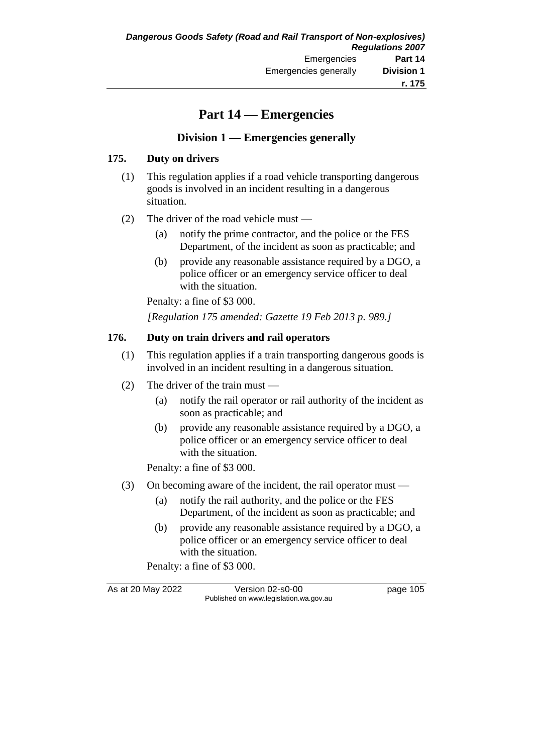# **Part 14 — Emergencies**

### **Division 1 — Emergencies generally**

### **175. Duty on drivers**

- (1) This regulation applies if a road vehicle transporting dangerous goods is involved in an incident resulting in a dangerous situation.
- (2) The driver of the road vehicle must
	- (a) notify the prime contractor, and the police or the FES Department, of the incident as soon as practicable; and
	- (b) provide any reasonable assistance required by a DGO, a police officer or an emergency service officer to deal with the situation.

Penalty: a fine of \$3 000.

*[Regulation 175 amended: Gazette 19 Feb 2013 p. 989.]*

### **176. Duty on train drivers and rail operators**

- (1) This regulation applies if a train transporting dangerous goods is involved in an incident resulting in a dangerous situation.
- (2) The driver of the train must
	- (a) notify the rail operator or rail authority of the incident as soon as practicable; and
	- (b) provide any reasonable assistance required by a DGO, a police officer or an emergency service officer to deal with the situation.

Penalty: a fine of \$3 000.

- (3) On becoming aware of the incident, the rail operator must
	- (a) notify the rail authority, and the police or the FES Department, of the incident as soon as practicable; and
	- (b) provide any reasonable assistance required by a DGO, a police officer or an emergency service officer to deal with the situation.

Penalty: a fine of \$3 000.

As at 20 May 2022 Version 02-s0-00 page 105 Published on www.legislation.wa.gov.au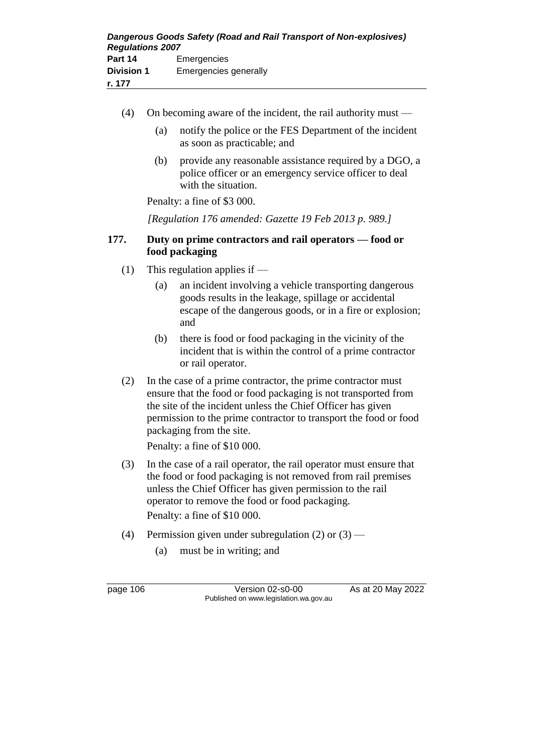- (4) On becoming aware of the incident, the rail authority must
	- (a) notify the police or the FES Department of the incident as soon as practicable; and
	- (b) provide any reasonable assistance required by a DGO, a police officer or an emergency service officer to deal with the situation.

Penalty: a fine of \$3 000.

*[Regulation 176 amended: Gazette 19 Feb 2013 p. 989.]*

### **177. Duty on prime contractors and rail operators — food or food packaging**

- (1) This regulation applies if
	- (a) an incident involving a vehicle transporting dangerous goods results in the leakage, spillage or accidental escape of the dangerous goods, or in a fire or explosion; and
	- (b) there is food or food packaging in the vicinity of the incident that is within the control of a prime contractor or rail operator.
- (2) In the case of a prime contractor, the prime contractor must ensure that the food or food packaging is not transported from the site of the incident unless the Chief Officer has given permission to the prime contractor to transport the food or food packaging from the site.

Penalty: a fine of \$10 000.

- (3) In the case of a rail operator, the rail operator must ensure that the food or food packaging is not removed from rail premises unless the Chief Officer has given permission to the rail operator to remove the food or food packaging. Penalty: a fine of \$10 000.
- (4) Permission given under subregulation  $(2)$  or  $(3)$ 
	- (a) must be in writing; and

page 106 Version 02-s0-00 As at 20 May 2022 Published on www.legislation.wa.gov.au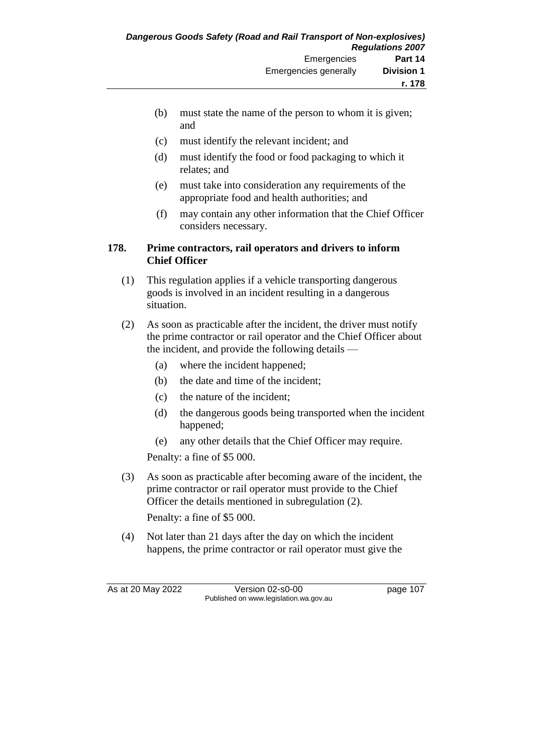- (b) must state the name of the person to whom it is given; and
- (c) must identify the relevant incident; and
- (d) must identify the food or food packaging to which it relates; and
- (e) must take into consideration any requirements of the appropriate food and health authorities; and
- (f) may contain any other information that the Chief Officer considers necessary.

#### **178. Prime contractors, rail operators and drivers to inform Chief Officer**

- (1) This regulation applies if a vehicle transporting dangerous goods is involved in an incident resulting in a dangerous situation.
- (2) As soon as practicable after the incident, the driver must notify the prime contractor or rail operator and the Chief Officer about the incident, and provide the following details —
	- (a) where the incident happened;
	- (b) the date and time of the incident;
	- (c) the nature of the incident;
	- (d) the dangerous goods being transported when the incident happened;
	- (e) any other details that the Chief Officer may require.

Penalty: a fine of \$5 000.

(3) As soon as practicable after becoming aware of the incident, the prime contractor or rail operator must provide to the Chief Officer the details mentioned in subregulation (2).

Penalty: a fine of \$5 000.

(4) Not later than 21 days after the day on which the incident happens, the prime contractor or rail operator must give the

As at 20 May 2022 Version 02-s0-00 page 107 Published on www.legislation.wa.gov.au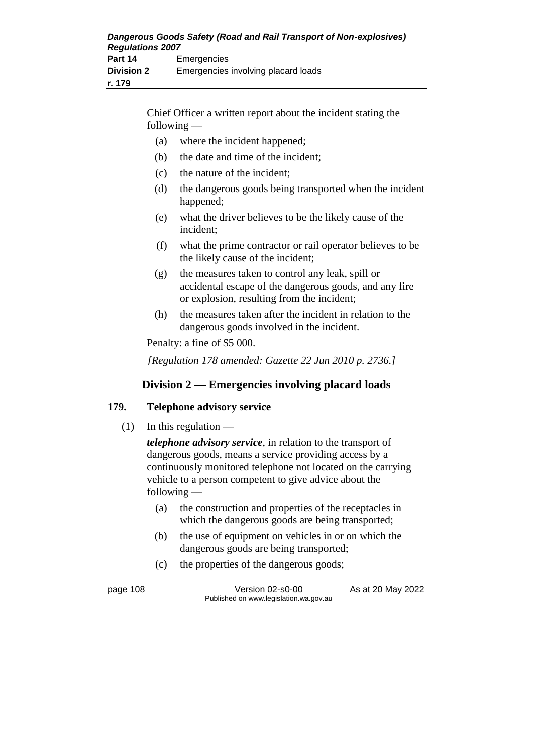| Dangerous Goods Safety (Road and Rail Transport of Non-explosives)<br><b>Regulations 2007</b> |                                     |
|-----------------------------------------------------------------------------------------------|-------------------------------------|
| Part 14                                                                                       | Emergencies                         |
| <b>Division 2</b>                                                                             | Emergencies involving placard loads |
| r. 179                                                                                        |                                     |

Chief Officer a written report about the incident stating the following —

- (a) where the incident happened;
- (b) the date and time of the incident;
- (c) the nature of the incident;
- (d) the dangerous goods being transported when the incident happened;
- (e) what the driver believes to be the likely cause of the incident;
- (f) what the prime contractor or rail operator believes to be the likely cause of the incident;
- (g) the measures taken to control any leak, spill or accidental escape of the dangerous goods, and any fire or explosion, resulting from the incident;
- (h) the measures taken after the incident in relation to the dangerous goods involved in the incident.

Penalty: a fine of \$5 000.

*[Regulation 178 amended: Gazette 22 Jun 2010 p. 2736.]*

## **Division 2 — Emergencies involving placard loads**

#### **179. Telephone advisory service**

 $(1)$  In this regulation —

*telephone advisory service*, in relation to the transport of dangerous goods, means a service providing access by a continuously monitored telephone not located on the carrying vehicle to a person competent to give advice about the following —

- (a) the construction and properties of the receptacles in which the dangerous goods are being transported;
- (b) the use of equipment on vehicles in or on which the dangerous goods are being transported;
- (c) the properties of the dangerous goods;

page 108 Version 02-s0-00 As at 20 May 2022 Published on www.legislation.wa.gov.au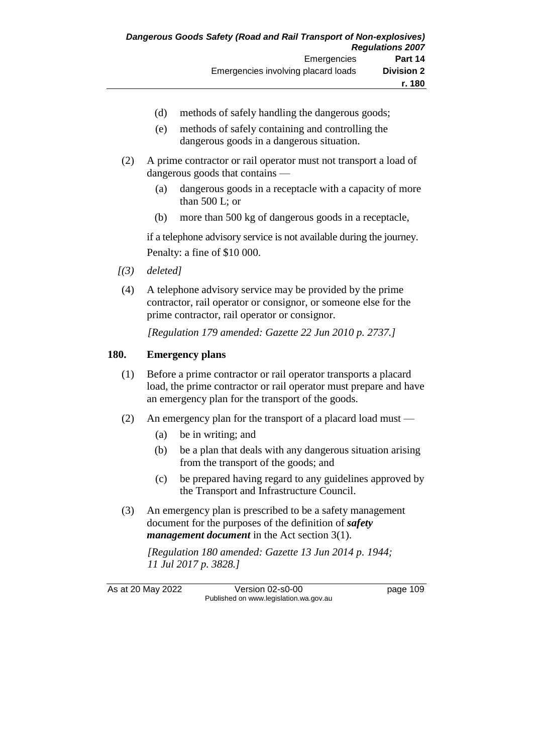- (d) methods of safely handling the dangerous goods;
- (e) methods of safely containing and controlling the dangerous goods in a dangerous situation.
- (2) A prime contractor or rail operator must not transport a load of dangerous goods that contains —
	- (a) dangerous goods in a receptacle with a capacity of more than 500 L; or
	- (b) more than 500 kg of dangerous goods in a receptacle,

if a telephone advisory service is not available during the journey. Penalty: a fine of \$10 000.

- *[(3) deleted]*
- (4) A telephone advisory service may be provided by the prime contractor, rail operator or consignor, or someone else for the prime contractor, rail operator or consignor.

*[Regulation 179 amended: Gazette 22 Jun 2010 p. 2737.]*

#### **180. Emergency plans**

- (1) Before a prime contractor or rail operator transports a placard load, the prime contractor or rail operator must prepare and have an emergency plan for the transport of the goods.
- (2) An emergency plan for the transport of a placard load must
	- (a) be in writing; and
	- (b) be a plan that deals with any dangerous situation arising from the transport of the goods; and
	- (c) be prepared having regard to any guidelines approved by the Transport and Infrastructure Council.
- (3) An emergency plan is prescribed to be a safety management document for the purposes of the definition of *safety management document* in the Act section 3(1).

*[Regulation 180 amended: Gazette 13 Jun 2014 p. 1944; 11 Jul 2017 p. 3828.]*

As at 20 May 2022 Version 02-s0-00 page 109 Published on www.legislation.wa.gov.au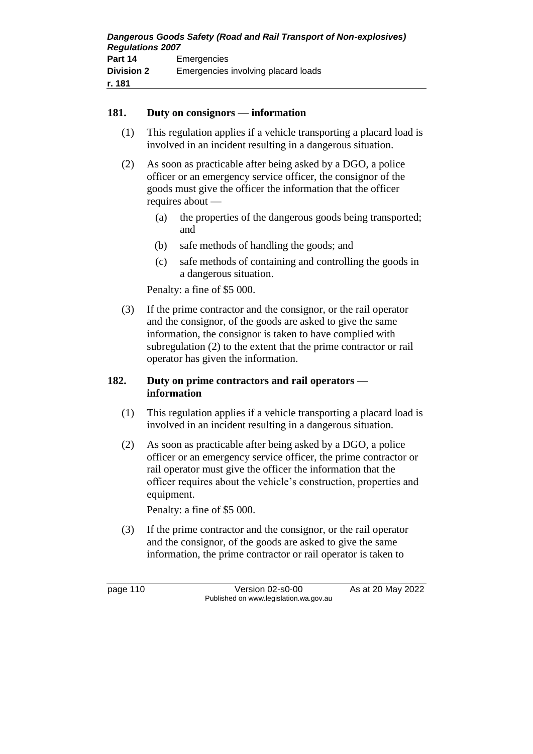#### **181. Duty on consignors — information**

- (1) This regulation applies if a vehicle transporting a placard load is involved in an incident resulting in a dangerous situation.
- (2) As soon as practicable after being asked by a DGO, a police officer or an emergency service officer, the consignor of the goods must give the officer the information that the officer requires about —
	- (a) the properties of the dangerous goods being transported; and
	- (b) safe methods of handling the goods; and
	- (c) safe methods of containing and controlling the goods in a dangerous situation.

Penalty: a fine of \$5 000.

(3) If the prime contractor and the consignor, or the rail operator and the consignor, of the goods are asked to give the same information, the consignor is taken to have complied with subregulation (2) to the extent that the prime contractor or rail operator has given the information.

#### **182. Duty on prime contractors and rail operators information**

- (1) This regulation applies if a vehicle transporting a placard load is involved in an incident resulting in a dangerous situation.
- (2) As soon as practicable after being asked by a DGO, a police officer or an emergency service officer, the prime contractor or rail operator must give the officer the information that the officer requires about the vehicle's construction, properties and equipment.

Penalty: a fine of \$5 000.

(3) If the prime contractor and the consignor, or the rail operator and the consignor, of the goods are asked to give the same information, the prime contractor or rail operator is taken to

page 110 Version 02-s0-00 As at 20 May 2022 Published on www.legislation.wa.gov.au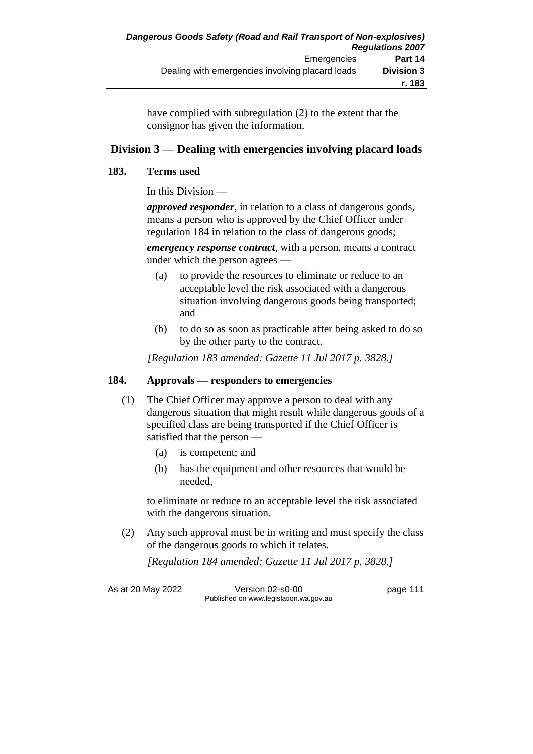have complied with subregulation (2) to the extent that the consignor has given the information.

## **Division 3 — Dealing with emergencies involving placard loads**

#### **183. Terms used**

In this Division —

*approved responder*, in relation to a class of dangerous goods, means a person who is approved by the Chief Officer under regulation 184 in relation to the class of dangerous goods;

*emergency response contract*, with a person, means a contract under which the person agrees —

- (a) to provide the resources to eliminate or reduce to an acceptable level the risk associated with a dangerous situation involving dangerous goods being transported; and
- (b) to do so as soon as practicable after being asked to do so by the other party to the contract.

*[Regulation 183 amended: Gazette 11 Jul 2017 p. 3828.]*

#### **184. Approvals — responders to emergencies**

- (1) The Chief Officer may approve a person to deal with any dangerous situation that might result while dangerous goods of a specified class are being transported if the Chief Officer is satisfied that the person —
	- (a) is competent; and
	- (b) has the equipment and other resources that would be needed,

to eliminate or reduce to an acceptable level the risk associated with the dangerous situation.

(2) Any such approval must be in writing and must specify the class of the dangerous goods to which it relates.

*[Regulation 184 amended: Gazette 11 Jul 2017 p. 3828.]*

As at 20 May 2022 Version 02-s0-00 page 111 Published on www.legislation.wa.gov.au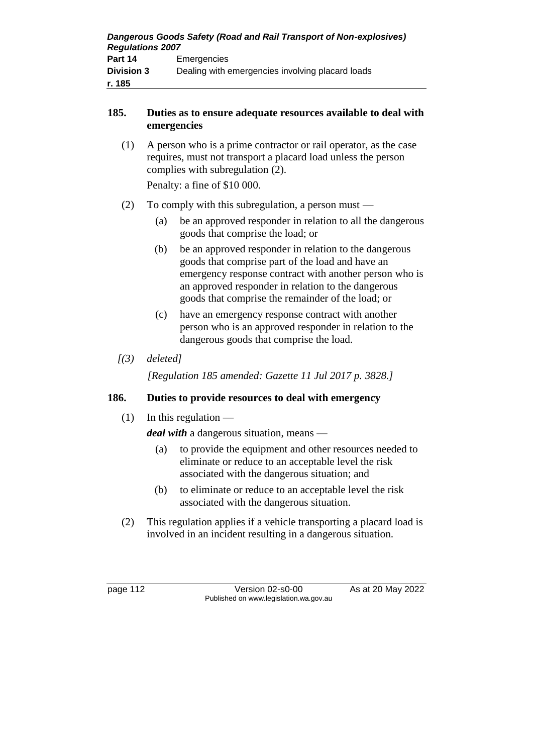| Dangerous Goods Safety (Road and Rail Transport of Non-explosives)<br><b>Regulations 2007</b> |                                                  |
|-----------------------------------------------------------------------------------------------|--------------------------------------------------|
| Part 14                                                                                       | Emergencies                                      |
| <b>Division 3</b>                                                                             | Dealing with emergencies involving placard loads |
| r. 185                                                                                        |                                                  |

## **185. Duties as to ensure adequate resources available to deal with emergencies**

(1) A person who is a prime contractor or rail operator, as the case requires, must not transport a placard load unless the person complies with subregulation (2). Penalty: a fine of \$10 000.

(2) To comply with this subregulation, a person must —

- (a) be an approved responder in relation to all the dangerous goods that comprise the load; or
- (b) be an approved responder in relation to the dangerous goods that comprise part of the load and have an emergency response contract with another person who is an approved responder in relation to the dangerous goods that comprise the remainder of the load; or
- (c) have an emergency response contract with another person who is an approved responder in relation to the dangerous goods that comprise the load.
- *[(3) deleted]*

*[Regulation 185 amended: Gazette 11 Jul 2017 p. 3828.]*

# **186. Duties to provide resources to deal with emergency**

 $(1)$  In this regulation —

*deal with* a dangerous situation, means —

- (a) to provide the equipment and other resources needed to eliminate or reduce to an acceptable level the risk associated with the dangerous situation; and
- (b) to eliminate or reduce to an acceptable level the risk associated with the dangerous situation.
- (2) This regulation applies if a vehicle transporting a placard load is involved in an incident resulting in a dangerous situation.

page 112 Version 02-s0-00 As at 20 May 2022 Published on www.legislation.wa.gov.au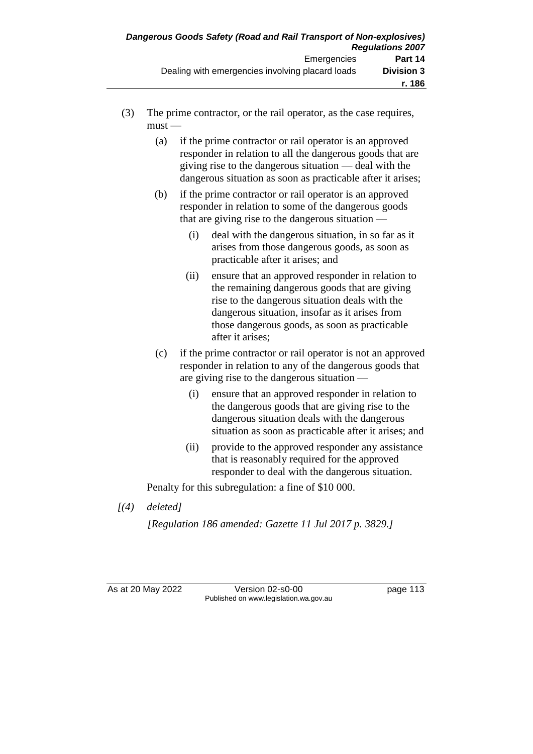- (3) The prime contractor, or the rail operator, as the case requires,  $must -$ 
	- (a) if the prime contractor or rail operator is an approved responder in relation to all the dangerous goods that are giving rise to the dangerous situation — deal with the dangerous situation as soon as practicable after it arises;
	- (b) if the prime contractor or rail operator is an approved responder in relation to some of the dangerous goods that are giving rise to the dangerous situation —
		- (i) deal with the dangerous situation, in so far as it arises from those dangerous goods, as soon as practicable after it arises; and
		- (ii) ensure that an approved responder in relation to the remaining dangerous goods that are giving rise to the dangerous situation deals with the dangerous situation, insofar as it arises from those dangerous goods, as soon as practicable after it arises;
	- (c) if the prime contractor or rail operator is not an approved responder in relation to any of the dangerous goods that are giving rise to the dangerous situation —
		- (i) ensure that an approved responder in relation to the dangerous goods that are giving rise to the dangerous situation deals with the dangerous situation as soon as practicable after it arises; and
		- (ii) provide to the approved responder any assistance that is reasonably required for the approved responder to deal with the dangerous situation.

Penalty for this subregulation: a fine of \$10 000.

*[(4) deleted]*

*[Regulation 186 amended: Gazette 11 Jul 2017 p. 3829.]*

As at 20 May 2022 Version 02-s0-00 Page 113 Published on www.legislation.wa.gov.au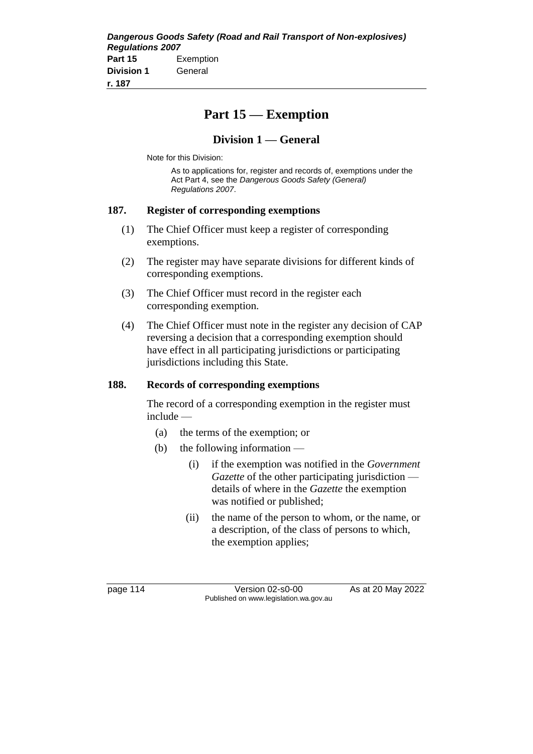# **Part 15 — Exemption**

## **Division 1 — General**

Note for this Division:

As to applications for, register and records of, exemptions under the Act Part 4, see the *Dangerous Goods Safety (General) Regulations 2007*.

#### **187. Register of corresponding exemptions**

- (1) The Chief Officer must keep a register of corresponding exemptions.
- (2) The register may have separate divisions for different kinds of corresponding exemptions.
- (3) The Chief Officer must record in the register each corresponding exemption.
- (4) The Chief Officer must note in the register any decision of CAP reversing a decision that a corresponding exemption should have effect in all participating jurisdictions or participating jurisdictions including this State.

#### **188. Records of corresponding exemptions**

The record of a corresponding exemption in the register must include —

- (a) the terms of the exemption; or
- (b) the following information
	- (i) if the exemption was notified in the *Government Gazette* of the other participating jurisdiction details of where in the *Gazette* the exemption was notified or published;
	- (ii) the name of the person to whom, or the name, or a description, of the class of persons to which, the exemption applies;

page 114 Version 02-s0-00 As at 20 May 2022 Published on www.legislation.wa.gov.au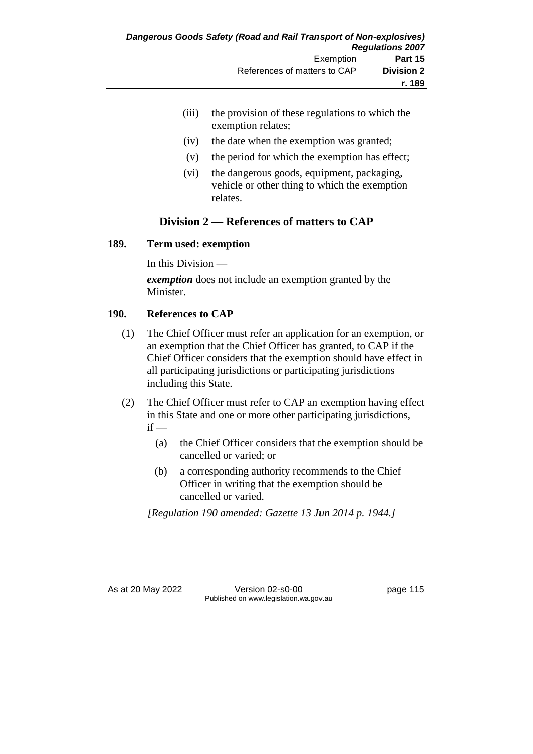- (iii) the provision of these regulations to which the exemption relates;
- (iv) the date when the exemption was granted;
- (v) the period for which the exemption has effect;
- (vi) the dangerous goods, equipment, packaging, vehicle or other thing to which the exemption relates.

# **Division 2 — References of matters to CAP**

#### **189. Term used: exemption**

In this Division —

*exemption* does not include an exemption granted by the Minister.

## **190. References to CAP**

- (1) The Chief Officer must refer an application for an exemption, or an exemption that the Chief Officer has granted, to CAP if the Chief Officer considers that the exemption should have effect in all participating jurisdictions or participating jurisdictions including this State.
- (2) The Chief Officer must refer to CAP an exemption having effect in this State and one or more other participating jurisdictions,  $if -$ 
	- (a) the Chief Officer considers that the exemption should be cancelled or varied; or
	- (b) a corresponding authority recommends to the Chief Officer in writing that the exemption should be cancelled or varied.

*[Regulation 190 amended: Gazette 13 Jun 2014 p. 1944.]*

As at 20 May 2022 Version 02-s0-00 Page 115 Published on www.legislation.wa.gov.au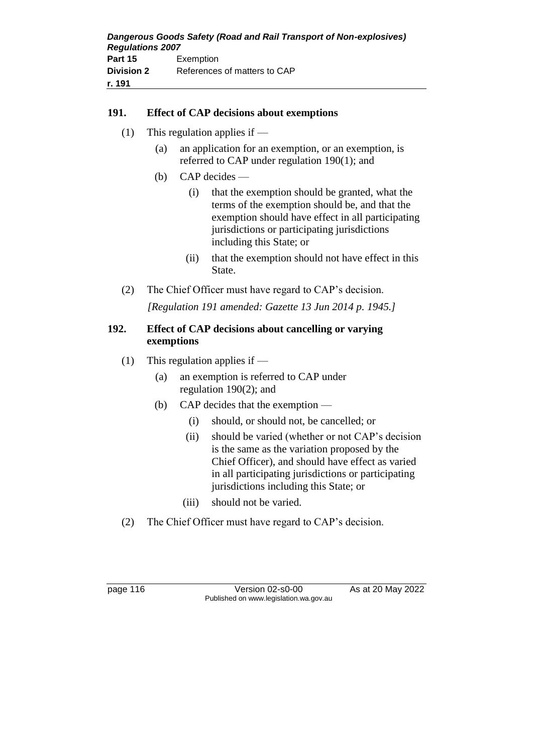#### **191. Effect of CAP decisions about exemptions**

- (1) This regulation applies if
	- (a) an application for an exemption, or an exemption, is referred to CAP under regulation 190(1); and
	- (b) CAP decides
		- (i) that the exemption should be granted, what the terms of the exemption should be, and that the exemption should have effect in all participating jurisdictions or participating jurisdictions including this State; or
		- (ii) that the exemption should not have effect in this State.
- (2) The Chief Officer must have regard to CAP's decision. *[Regulation 191 amended: Gazette 13 Jun 2014 p. 1945.]*

#### **192. Effect of CAP decisions about cancelling or varying exemptions**

- (1) This regulation applies if
	- (a) an exemption is referred to CAP under regulation 190(2); and
	- (b) CAP decides that the exemption
		- (i) should, or should not, be cancelled; or
		- (ii) should be varied (whether or not CAP's decision is the same as the variation proposed by the Chief Officer), and should have effect as varied in all participating jurisdictions or participating jurisdictions including this State; or
		- (iii) should not be varied.
- (2) The Chief Officer must have regard to CAP's decision.

page 116 Version 02-s0-00 As at 20 May 2022 Published on www.legislation.wa.gov.au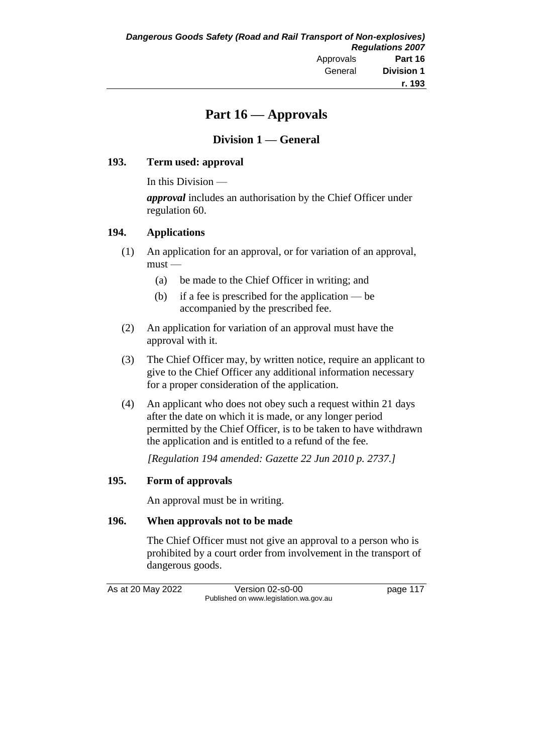# **Part 16 — Approvals**

# **Division 1 — General**

## **193. Term used: approval**

In this Division —

*approval* includes an authorisation by the Chief Officer under regulation 60.

#### **194. Applications**

- (1) An application for an approval, or for variation of an approval, must —
	- (a) be made to the Chief Officer in writing; and
	- (b) if a fee is prescribed for the application be accompanied by the prescribed fee.
- (2) An application for variation of an approval must have the approval with it.
- (3) The Chief Officer may, by written notice, require an applicant to give to the Chief Officer any additional information necessary for a proper consideration of the application.
- (4) An applicant who does not obey such a request within 21 days after the date on which it is made, or any longer period permitted by the Chief Officer, is to be taken to have withdrawn the application and is entitled to a refund of the fee.

*[Regulation 194 amended: Gazette 22 Jun 2010 p. 2737.]*

## **195. Form of approvals**

An approval must be in writing.

## **196. When approvals not to be made**

The Chief Officer must not give an approval to a person who is prohibited by a court order from involvement in the transport of dangerous goods.

As at 20 May 2022 Version 02-s0-00 page 117 Published on www.legislation.wa.gov.au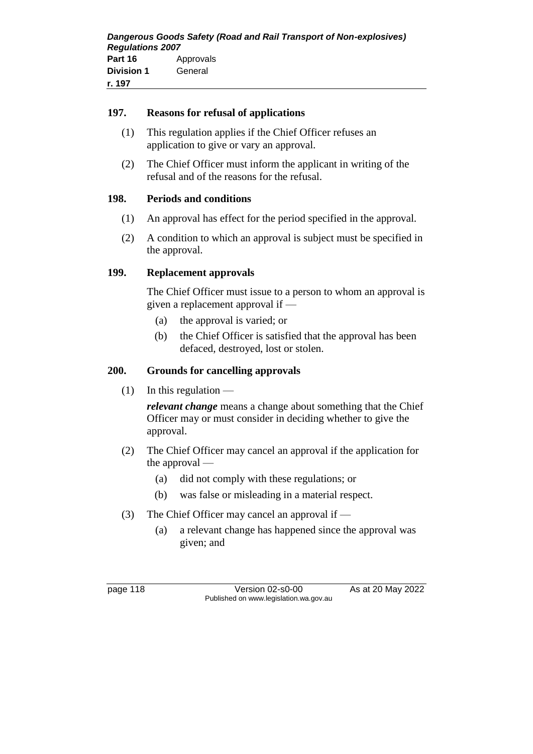#### **197. Reasons for refusal of applications**

- (1) This regulation applies if the Chief Officer refuses an application to give or vary an approval.
- (2) The Chief Officer must inform the applicant in writing of the refusal and of the reasons for the refusal.

## **198. Periods and conditions**

- (1) An approval has effect for the period specified in the approval.
- (2) A condition to which an approval is subject must be specified in the approval.

## **199. Replacement approvals**

The Chief Officer must issue to a person to whom an approval is given a replacement approval if —

- (a) the approval is varied; or
- (b) the Chief Officer is satisfied that the approval has been defaced, destroyed, lost or stolen.

#### **200. Grounds for cancelling approvals**

 $(1)$  In this regulation —

*relevant change* means a change about something that the Chief Officer may or must consider in deciding whether to give the approval.

- (2) The Chief Officer may cancel an approval if the application for the approval —
	- (a) did not comply with these regulations; or
	- (b) was false or misleading in a material respect.
- (3) The Chief Officer may cancel an approval if
	- (a) a relevant change has happened since the approval was given; and

page 118 Version 02-s0-00 As at 20 May 2022 Published on www.legislation.wa.gov.au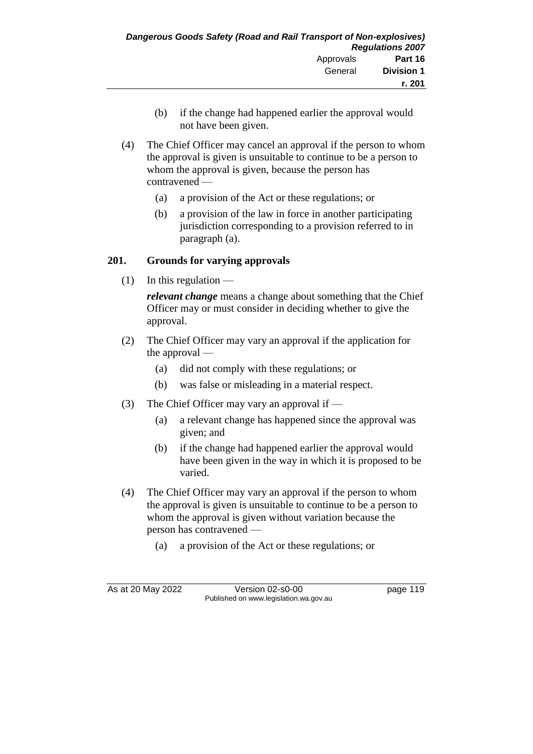- (b) if the change had happened earlier the approval would not have been given.
- (4) The Chief Officer may cancel an approval if the person to whom the approval is given is unsuitable to continue to be a person to whom the approval is given, because the person has contravened —
	- (a) a provision of the Act or these regulations; or
	- (b) a provision of the law in force in another participating jurisdiction corresponding to a provision referred to in paragraph (a).

# **201. Grounds for varying approvals**

 $(1)$  In this regulation —

*relevant change* means a change about something that the Chief Officer may or must consider in deciding whether to give the approval.

- (2) The Chief Officer may vary an approval if the application for the approval —
	- (a) did not comply with these regulations; or
	- (b) was false or misleading in a material respect.
- (3) The Chief Officer may vary an approval if
	- (a) a relevant change has happened since the approval was given; and
	- (b) if the change had happened earlier the approval would have been given in the way in which it is proposed to be varied.
- (4) The Chief Officer may vary an approval if the person to whom the approval is given is unsuitable to continue to be a person to whom the approval is given without variation because the person has contravened —
	- (a) a provision of the Act or these regulations; or

As at 20 May 2022 Version 02-s0-00 page 119 Published on www.legislation.wa.gov.au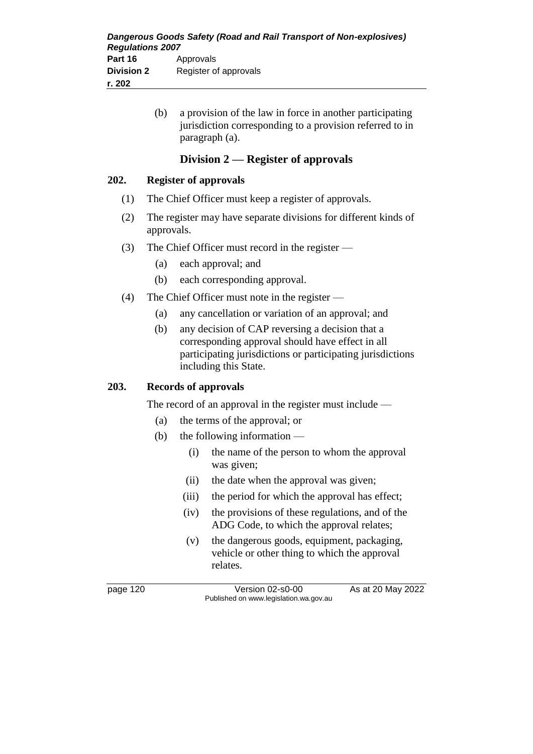(b) a provision of the law in force in another participating jurisdiction corresponding to a provision referred to in paragraph (a).

## **Division 2 — Register of approvals**

#### **202. Register of approvals**

- (1) The Chief Officer must keep a register of approvals.
- (2) The register may have separate divisions for different kinds of approvals.
- (3) The Chief Officer must record in the register
	- (a) each approval; and
	- (b) each corresponding approval.
- (4) The Chief Officer must note in the register
	- (a) any cancellation or variation of an approval; and
	- (b) any decision of CAP reversing a decision that a corresponding approval should have effect in all participating jurisdictions or participating jurisdictions including this State.

#### **203. Records of approvals**

The record of an approval in the register must include —

- (a) the terms of the approval; or
- (b) the following information
	- (i) the name of the person to whom the approval was given;
	- (ii) the date when the approval was given;
	- (iii) the period for which the approval has effect;
	- (iv) the provisions of these regulations, and of the ADG Code, to which the approval relates;
	- (v) the dangerous goods, equipment, packaging, vehicle or other thing to which the approval relates.

page 120 Version 02-s0-00 As at 20 May 2022 Published on www.legislation.wa.gov.au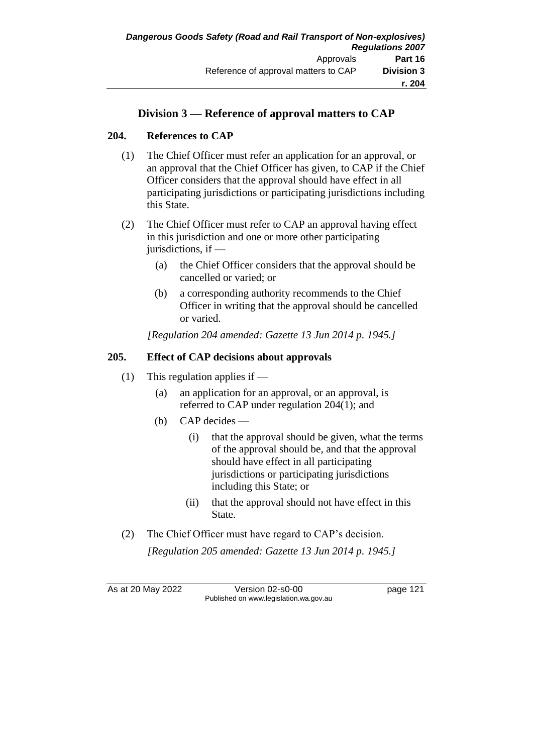# **Division 3 — Reference of approval matters to CAP**

## **204. References to CAP**

- (1) The Chief Officer must refer an application for an approval, or an approval that the Chief Officer has given, to CAP if the Chief Officer considers that the approval should have effect in all participating jurisdictions or participating jurisdictions including this State.
- (2) The Chief Officer must refer to CAP an approval having effect in this jurisdiction and one or more other participating jurisdictions, if —
	- (a) the Chief Officer considers that the approval should be cancelled or varied; or
	- (b) a corresponding authority recommends to the Chief Officer in writing that the approval should be cancelled or varied.

*[Regulation 204 amended: Gazette 13 Jun 2014 p. 1945.]*

## **205. Effect of CAP decisions about approvals**

- (1) This regulation applies if
	- (a) an application for an approval, or an approval, is referred to CAP under regulation 204(1); and
	- (b) CAP decides
		- (i) that the approval should be given, what the terms of the approval should be, and that the approval should have effect in all participating jurisdictions or participating jurisdictions including this State; or
		- (ii) that the approval should not have effect in this State.
- (2) The Chief Officer must have regard to CAP's decision. *[Regulation 205 amended: Gazette 13 Jun 2014 p. 1945.]*

As at 20 May 2022 Version 02-s0-00 Page 121 Published on www.legislation.wa.gov.au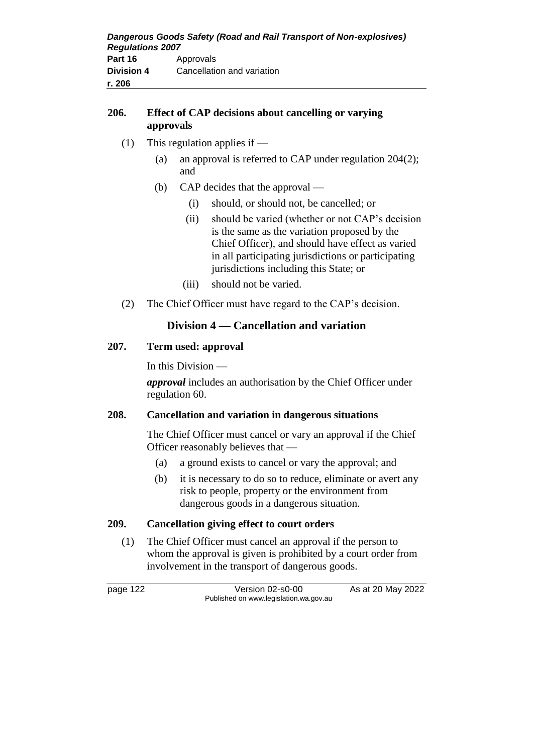## **206. Effect of CAP decisions about cancelling or varying approvals**

- (1) This regulation applies if  $-$ 
	- (a) an approval is referred to CAP under regulation 204(2); and
	- (b) CAP decides that the approval
		- (i) should, or should not, be cancelled; or
		- (ii) should be varied (whether or not CAP's decision is the same as the variation proposed by the Chief Officer), and should have effect as varied in all participating jurisdictions or participating jurisdictions including this State; or
		- (iii) should not be varied.
- (2) The Chief Officer must have regard to the CAP's decision.

# **Division 4 — Cancellation and variation**

## **207. Term used: approval**

In this Division —

*approval* includes an authorisation by the Chief Officer under regulation 60.

## **208. Cancellation and variation in dangerous situations**

The Chief Officer must cancel or vary an approval if the Chief Officer reasonably believes that —

- (a) a ground exists to cancel or vary the approval; and
- (b) it is necessary to do so to reduce, eliminate or avert any risk to people, property or the environment from dangerous goods in a dangerous situation.

# **209. Cancellation giving effect to court orders**

(1) The Chief Officer must cancel an approval if the person to whom the approval is given is prohibited by a court order from involvement in the transport of dangerous goods.

page 122 Version 02-s0-00 As at 20 May 2022 Published on www.legislation.wa.gov.au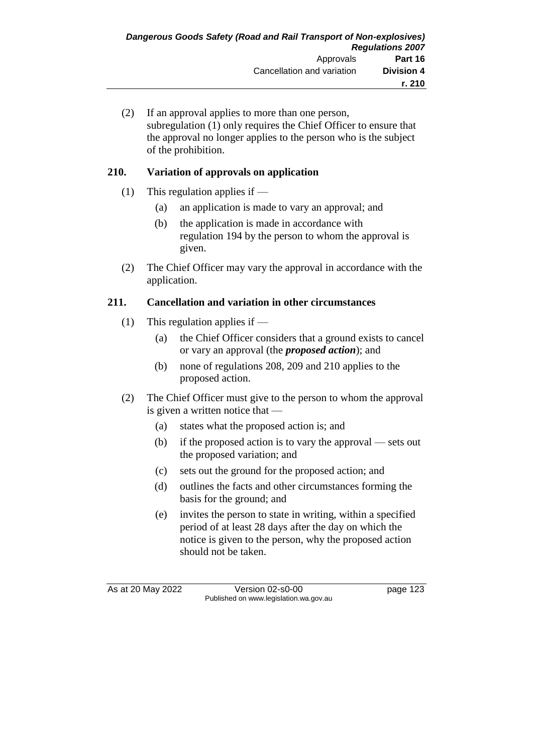(2) If an approval applies to more than one person, subregulation (1) only requires the Chief Officer to ensure that the approval no longer applies to the person who is the subject of the prohibition.

# **210. Variation of approvals on application**

- (1) This regulation applies if
	- (a) an application is made to vary an approval; and
	- (b) the application is made in accordance with regulation 194 by the person to whom the approval is given.
- (2) The Chief Officer may vary the approval in accordance with the application.

# **211. Cancellation and variation in other circumstances**

- (1) This regulation applies if  $-$ 
	- (a) the Chief Officer considers that a ground exists to cancel or vary an approval (the *proposed action*); and
	- (b) none of regulations 208, 209 and 210 applies to the proposed action.
- (2) The Chief Officer must give to the person to whom the approval is given a written notice that -
	- (a) states what the proposed action is; and
	- (b) if the proposed action is to vary the approval sets out the proposed variation; and
	- (c) sets out the ground for the proposed action; and
	- (d) outlines the facts and other circumstances forming the basis for the ground; and
	- (e) invites the person to state in writing, within a specified period of at least 28 days after the day on which the notice is given to the person, why the proposed action should not be taken.

As at 20 May 2022 Version 02-s0-00 Page 123 Published on www.legislation.wa.gov.au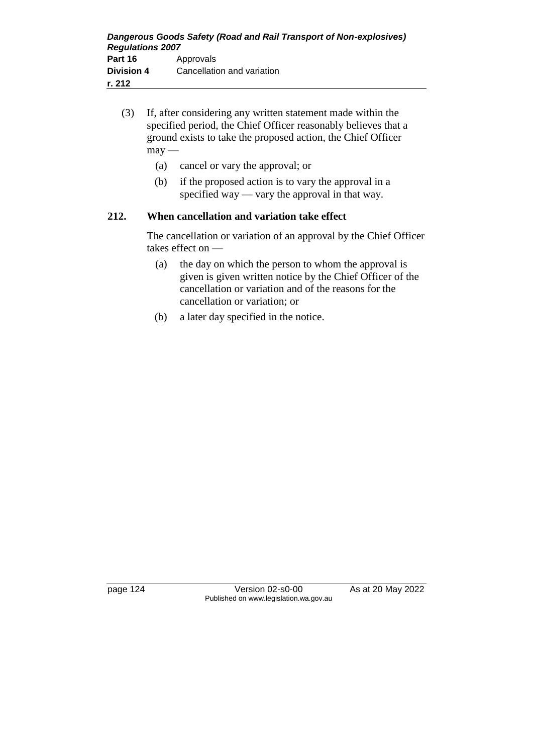- (3) If, after considering any written statement made within the specified period, the Chief Officer reasonably believes that a ground exists to take the proposed action, the Chief Officer  $may -$ 
	- (a) cancel or vary the approval; or
	- (b) if the proposed action is to vary the approval in a specified way — vary the approval in that way.

## **212. When cancellation and variation take effect**

The cancellation or variation of an approval by the Chief Officer takes effect on —

- (a) the day on which the person to whom the approval is given is given written notice by the Chief Officer of the cancellation or variation and of the reasons for the cancellation or variation; or
- (b) a later day specified in the notice.

page 124 Version 02-s0-00 As at 20 May 2022 Published on www.legislation.wa.gov.au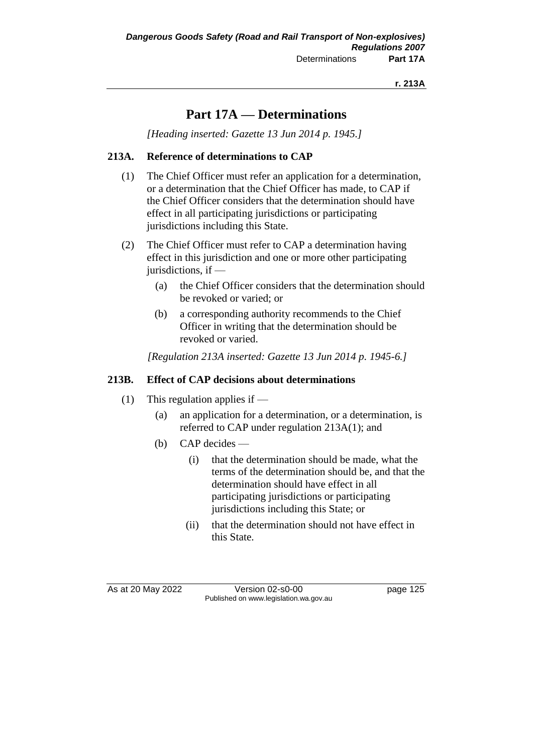# **Part 17A — Determinations**

*[Heading inserted: Gazette 13 Jun 2014 p. 1945.]*

## **213A. Reference of determinations to CAP**

- (1) The Chief Officer must refer an application for a determination, or a determination that the Chief Officer has made, to CAP if the Chief Officer considers that the determination should have effect in all participating jurisdictions or participating jurisdictions including this State.
- (2) The Chief Officer must refer to CAP a determination having effect in this jurisdiction and one or more other participating jurisdictions, if —
	- (a) the Chief Officer considers that the determination should be revoked or varied; or
	- (b) a corresponding authority recommends to the Chief Officer in writing that the determination should be revoked or varied.

*[Regulation 213A inserted: Gazette 13 Jun 2014 p. 1945-6.]*

## **213B. Effect of CAP decisions about determinations**

- (1) This regulation applies if
	- (a) an application for a determination, or a determination, is referred to CAP under regulation 213A(1); and
	- (b) CAP decides
		- (i) that the determination should be made, what the terms of the determination should be, and that the determination should have effect in all participating jurisdictions or participating jurisdictions including this State; or
		- (ii) that the determination should not have effect in this State.

As at 20 May 2022 Version 02-s0-00 Page 125 Published on www.legislation.wa.gov.au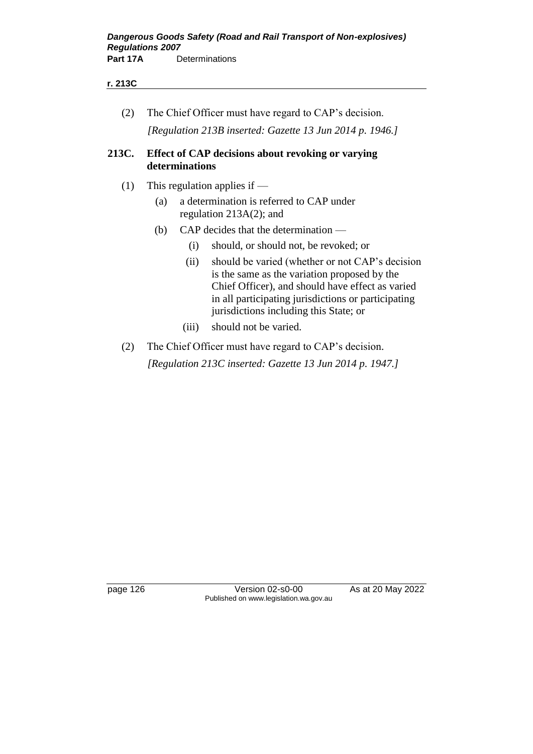#### **r. 213C**

(2) The Chief Officer must have regard to CAP's decision. *[Regulation 213B inserted: Gazette 13 Jun 2014 p. 1946.]*

#### **213C. Effect of CAP decisions about revoking or varying determinations**

- (1) This regulation applies if  $-$ 
	- (a) a determination is referred to CAP under regulation 213A(2); and
	- (b) CAP decides that the determination
		- (i) should, or should not, be revoked; or
		- (ii) should be varied (whether or not CAP's decision is the same as the variation proposed by the Chief Officer), and should have effect as varied in all participating jurisdictions or participating jurisdictions including this State; or
		- (iii) should not be varied.
- (2) The Chief Officer must have regard to CAP's decision.

*[Regulation 213C inserted: Gazette 13 Jun 2014 p. 1947.]*

page 126 Version 02-s0-00 As at 20 May 2022 Published on www.legislation.wa.gov.au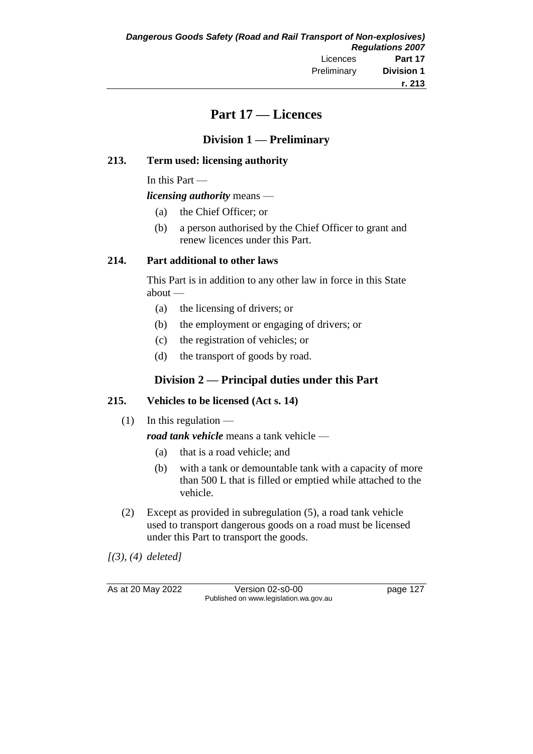# **Part 17 — Licences**

## **Division 1 — Preliminary**

#### **213. Term used: licensing authority**

In this Part —

*licensing authority* means —

- (a) the Chief Officer; or
- (b) a person authorised by the Chief Officer to grant and renew licences under this Part.

#### **214. Part additional to other laws**

This Part is in addition to any other law in force in this State about —

- (a) the licensing of drivers; or
- (b) the employment or engaging of drivers; or
- (c) the registration of vehicles; or
- (d) the transport of goods by road.

# **Division 2 — Principal duties under this Part**

## **215. Vehicles to be licensed (Act s. 14)**

 $(1)$  In this regulation —

*road tank vehicle* means a tank vehicle —

- (a) that is a road vehicle; and
- (b) with a tank or demountable tank with a capacity of more than 500 L that is filled or emptied while attached to the vehicle.
- (2) Except as provided in subregulation (5), a road tank vehicle used to transport dangerous goods on a road must be licensed under this Part to transport the goods.

*[(3), (4) deleted]*

As at 20 May 2022 Version 02-s0-00 page 127 Published on www.legislation.wa.gov.au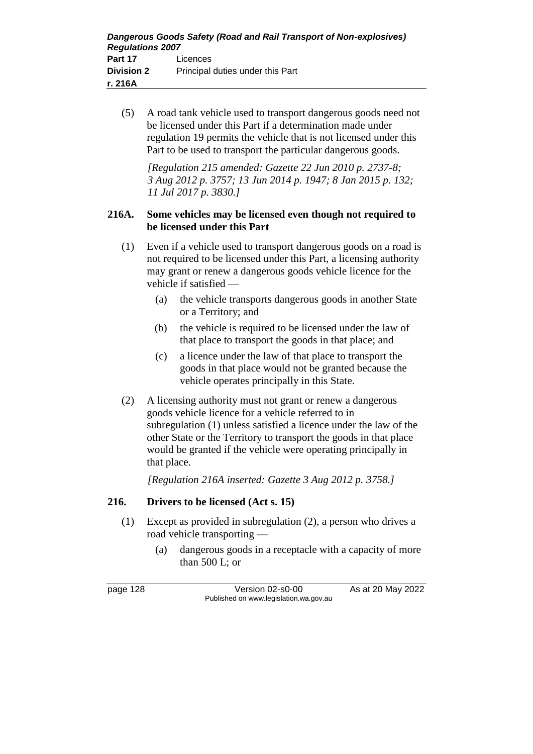(5) A road tank vehicle used to transport dangerous goods need not be licensed under this Part if a determination made under regulation 19 permits the vehicle that is not licensed under this Part to be used to transport the particular dangerous goods.

*[Regulation 215 amended: Gazette 22 Jun 2010 p. 2737-8; 3 Aug 2012 p. 3757; 13 Jun 2014 p. 1947; 8 Jan 2015 p. 132; 11 Jul 2017 p. 3830.]*

#### **216A. Some vehicles may be licensed even though not required to be licensed under this Part**

- (1) Even if a vehicle used to transport dangerous goods on a road is not required to be licensed under this Part, a licensing authority may grant or renew a dangerous goods vehicle licence for the vehicle if satisfied —
	- (a) the vehicle transports dangerous goods in another State or a Territory; and
	- (b) the vehicle is required to be licensed under the law of that place to transport the goods in that place; and
	- (c) a licence under the law of that place to transport the goods in that place would not be granted because the vehicle operates principally in this State.
- (2) A licensing authority must not grant or renew a dangerous goods vehicle licence for a vehicle referred to in subregulation (1) unless satisfied a licence under the law of the other State or the Territory to transport the goods in that place would be granted if the vehicle were operating principally in that place.

*[Regulation 216A inserted: Gazette 3 Aug 2012 p. 3758.]*

# **216. Drivers to be licensed (Act s. 15)**

- (1) Except as provided in subregulation (2), a person who drives a road vehicle transporting —
	- (a) dangerous goods in a receptacle with a capacity of more than 500 L; or

page 128 Version 02-s0-00 As at 20 May 2022 Published on www.legislation.wa.gov.au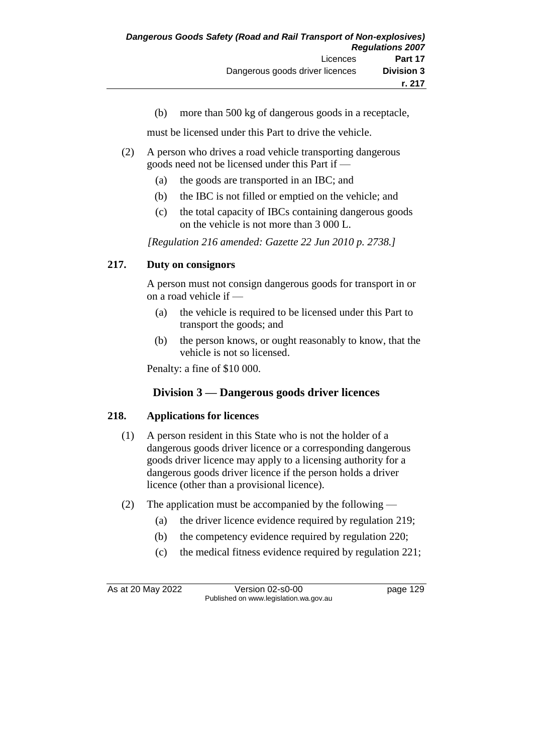(b) more than 500 kg of dangerous goods in a receptacle,

must be licensed under this Part to drive the vehicle.

- (2) A person who drives a road vehicle transporting dangerous goods need not be licensed under this Part if —
	- (a) the goods are transported in an IBC; and
	- (b) the IBC is not filled or emptied on the vehicle; and
	- (c) the total capacity of IBCs containing dangerous goods on the vehicle is not more than 3 000 L.

*[Regulation 216 amended: Gazette 22 Jun 2010 p. 2738.]*

# **217. Duty on consignors**

A person must not consign dangerous goods for transport in or on a road vehicle if —

- (a) the vehicle is required to be licensed under this Part to transport the goods; and
- (b) the person knows, or ought reasonably to know, that the vehicle is not so licensed.

Penalty: a fine of \$10 000.

# **Division 3 — Dangerous goods driver licences**

## **218. Applications for licences**

- (1) A person resident in this State who is not the holder of a dangerous goods driver licence or a corresponding dangerous goods driver licence may apply to a licensing authority for a dangerous goods driver licence if the person holds a driver licence (other than a provisional licence).
- (2) The application must be accompanied by the following
	- (a) the driver licence evidence required by regulation 219;
	- (b) the competency evidence required by regulation 220;
	- (c) the medical fitness evidence required by regulation 221;

As at 20 May 2022 Version 02-s0-00 Page 129 Published on www.legislation.wa.gov.au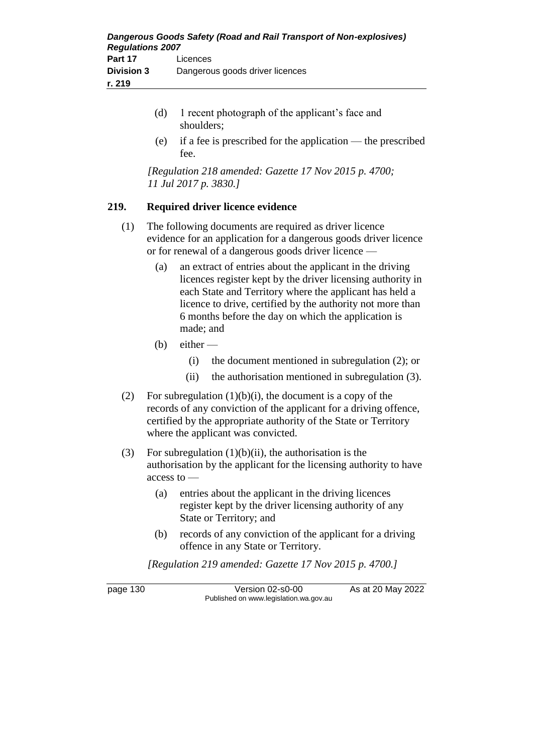- (d) 1 recent photograph of the applicant's face and shoulders;
- (e) if a fee is prescribed for the application the prescribed fee.

*[Regulation 218 amended: Gazette 17 Nov 2015 p. 4700; 11 Jul 2017 p. 3830.]*

## **219. Required driver licence evidence**

- (1) The following documents are required as driver licence evidence for an application for a dangerous goods driver licence or for renewal of a dangerous goods driver licence —
	- (a) an extract of entries about the applicant in the driving licences register kept by the driver licensing authority in each State and Territory where the applicant has held a licence to drive, certified by the authority not more than 6 months before the day on which the application is made; and
	- $(b)$  either
		- (i) the document mentioned in subregulation (2); or
		- (ii) the authorisation mentioned in subregulation (3).
- (2) For subregulation  $(1)(b)(i)$ , the document is a copy of the records of any conviction of the applicant for a driving offence, certified by the appropriate authority of the State or Territory where the applicant was convicted.
- (3) For subregulation  $(1)(b)(ii)$ , the authorisation is the authorisation by the applicant for the licensing authority to have access to —
	- (a) entries about the applicant in the driving licences register kept by the driver licensing authority of any State or Territory; and
	- (b) records of any conviction of the applicant for a driving offence in any State or Territory.

*[Regulation 219 amended: Gazette 17 Nov 2015 p. 4700.]*

page 130 Version 02-s0-00 As at 20 May 2022 Published on www.legislation.wa.gov.au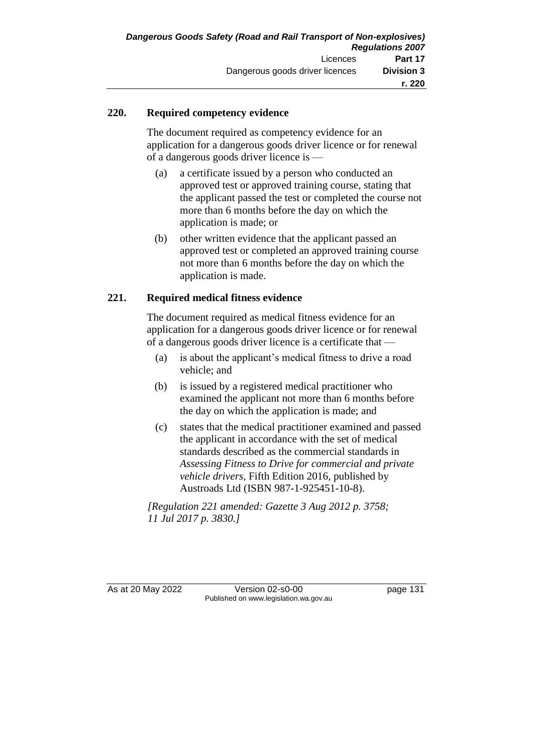## **220. Required competency evidence**

The document required as competency evidence for an application for a dangerous goods driver licence or for renewal of a dangerous goods driver licence is —

- (a) a certificate issued by a person who conducted an approved test or approved training course, stating that the applicant passed the test or completed the course not more than 6 months before the day on which the application is made; or
- (b) other written evidence that the applicant passed an approved test or completed an approved training course not more than 6 months before the day on which the application is made.

## **221. Required medical fitness evidence**

The document required as medical fitness evidence for an application for a dangerous goods driver licence or for renewal of a dangerous goods driver licence is a certificate that —

- (a) is about the applicant's medical fitness to drive a road vehicle; and
- (b) is issued by a registered medical practitioner who examined the applicant not more than 6 months before the day on which the application is made; and
- (c) states that the medical practitioner examined and passed the applicant in accordance with the set of medical standards described as the commercial standards in *Assessing Fitness to Drive for commercial and private vehicle drivers*, Fifth Edition 2016, published by Austroads Ltd (ISBN 987-1-925451-10-8).

*[Regulation 221 amended: Gazette 3 Aug 2012 p. 3758; 11 Jul 2017 p. 3830.]*

As at 20 May 2022 Version 02-s0-00 page 131 Published on www.legislation.wa.gov.au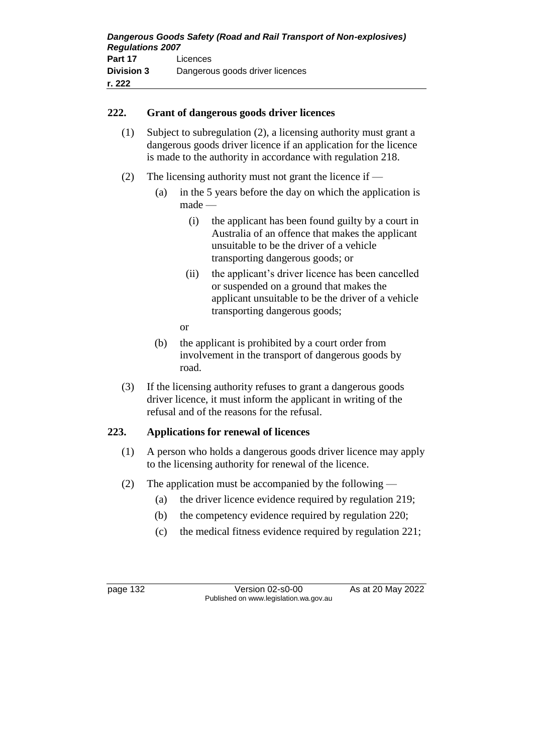#### **222. Grant of dangerous goods driver licences**

- (1) Subject to subregulation (2), a licensing authority must grant a dangerous goods driver licence if an application for the licence is made to the authority in accordance with regulation 218.
- (2) The licensing authority must not grant the licence if
	- (a) in the 5 years before the day on which the application is made —
		- (i) the applicant has been found guilty by a court in Australia of an offence that makes the applicant unsuitable to be the driver of a vehicle transporting dangerous goods; or
		- (ii) the applicant's driver licence has been cancelled or suspended on a ground that makes the applicant unsuitable to be the driver of a vehicle transporting dangerous goods;
		- or
	- (b) the applicant is prohibited by a court order from involvement in the transport of dangerous goods by road.
- (3) If the licensing authority refuses to grant a dangerous goods driver licence, it must inform the applicant in writing of the refusal and of the reasons for the refusal.

## **223. Applications for renewal of licences**

- (1) A person who holds a dangerous goods driver licence may apply to the licensing authority for renewal of the licence.
- (2) The application must be accompanied by the following
	- (a) the driver licence evidence required by regulation 219;
	- (b) the competency evidence required by regulation 220;
	- (c) the medical fitness evidence required by regulation 221;

page 132 Version 02-s0-00 As at 20 May 2022 Published on www.legislation.wa.gov.au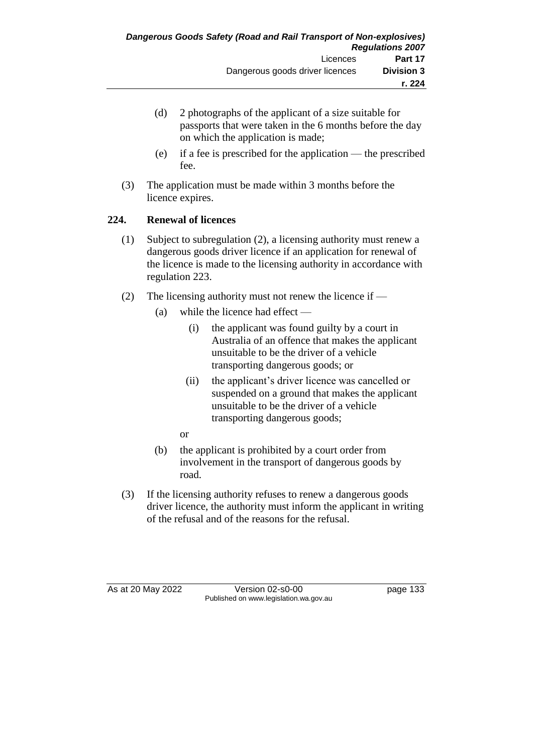- (d) 2 photographs of the applicant of a size suitable for passports that were taken in the 6 months before the day on which the application is made;
- (e) if a fee is prescribed for the application the prescribed fee.
- (3) The application must be made within 3 months before the licence expires.

# **224. Renewal of licences**

- (1) Subject to subregulation (2), a licensing authority must renew a dangerous goods driver licence if an application for renewal of the licence is made to the licensing authority in accordance with regulation 223.
- (2) The licensing authority must not renew the licence if
	- (a) while the licence had effect
		- (i) the applicant was found guilty by a court in Australia of an offence that makes the applicant unsuitable to be the driver of a vehicle transporting dangerous goods; or
		- (ii) the applicant's driver licence was cancelled or suspended on a ground that makes the applicant unsuitable to be the driver of a vehicle transporting dangerous goods;
		- or
	- (b) the applicant is prohibited by a court order from involvement in the transport of dangerous goods by road.
- (3) If the licensing authority refuses to renew a dangerous goods driver licence, the authority must inform the applicant in writing of the refusal and of the reasons for the refusal.

As at 20 May 2022 Version 02-s0-00 Page 133 Published on www.legislation.wa.gov.au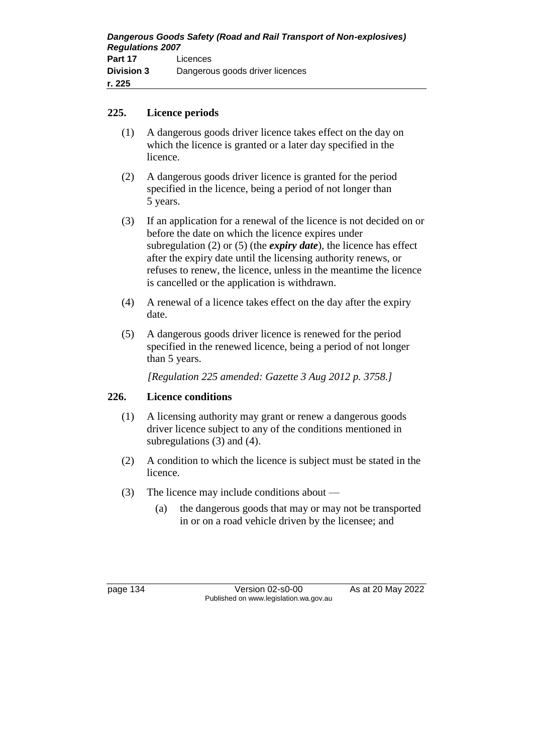#### **225. Licence periods**

- (1) A dangerous goods driver licence takes effect on the day on which the licence is granted or a later day specified in the licence.
- (2) A dangerous goods driver licence is granted for the period specified in the licence, being a period of not longer than 5 years.
- (3) If an application for a renewal of the licence is not decided on or before the date on which the licence expires under subregulation (2) or (5) (the *expiry date*), the licence has effect after the expiry date until the licensing authority renews, or refuses to renew, the licence, unless in the meantime the licence is cancelled or the application is withdrawn.
- (4) A renewal of a licence takes effect on the day after the expiry date.
- (5) A dangerous goods driver licence is renewed for the period specified in the renewed licence, being a period of not longer than 5 years.

*[Regulation 225 amended: Gazette 3 Aug 2012 p. 3758.]*

## **226. Licence conditions**

- (1) A licensing authority may grant or renew a dangerous goods driver licence subject to any of the conditions mentioned in subregulations (3) and (4).
- (2) A condition to which the licence is subject must be stated in the licence.
- (3) The licence may include conditions about
	- (a) the dangerous goods that may or may not be transported in or on a road vehicle driven by the licensee; and

page 134 Version 02-s0-00 As at 20 May 2022 Published on www.legislation.wa.gov.au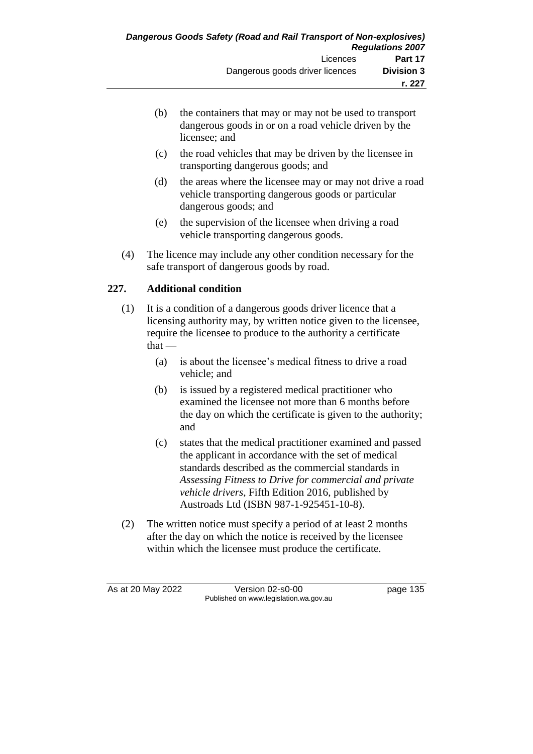- (b) the containers that may or may not be used to transport dangerous goods in or on a road vehicle driven by the licensee; and
- (c) the road vehicles that may be driven by the licensee in transporting dangerous goods; and
- (d) the areas where the licensee may or may not drive a road vehicle transporting dangerous goods or particular dangerous goods; and
- (e) the supervision of the licensee when driving a road vehicle transporting dangerous goods.
- (4) The licence may include any other condition necessary for the safe transport of dangerous goods by road.

# **227. Additional condition**

- (1) It is a condition of a dangerous goods driver licence that a licensing authority may, by written notice given to the licensee, require the licensee to produce to the authority a certificate  $that -$ 
	- (a) is about the licensee's medical fitness to drive a road vehicle; and
	- (b) is issued by a registered medical practitioner who examined the licensee not more than 6 months before the day on which the certificate is given to the authority; and
	- (c) states that the medical practitioner examined and passed the applicant in accordance with the set of medical standards described as the commercial standards in *Assessing Fitness to Drive for commercial and private vehicle drivers*, Fifth Edition 2016, published by Austroads Ltd (ISBN 987-1-925451-10-8).
- (2) The written notice must specify a period of at least 2 months after the day on which the notice is received by the licensee within which the licensee must produce the certificate.

As at 20 May 2022 Version 02-s0-00 page 135 Published on www.legislation.wa.gov.au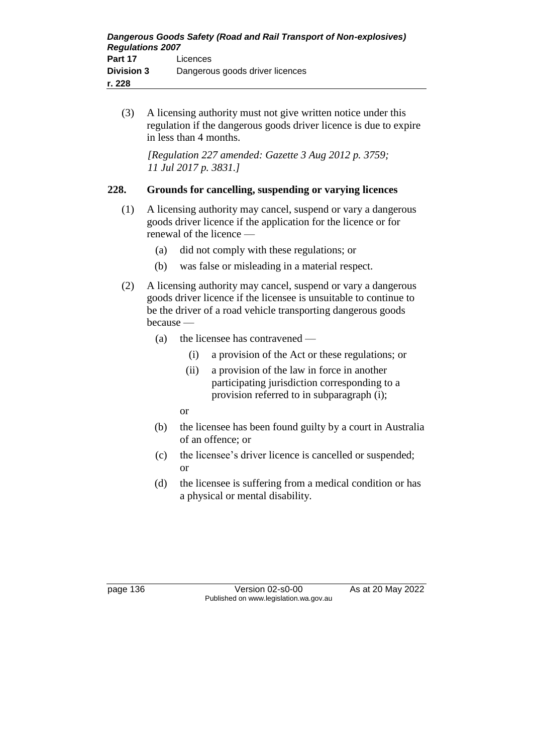(3) A licensing authority must not give written notice under this regulation if the dangerous goods driver licence is due to expire in less than 4 months.

*[Regulation 227 amended: Gazette 3 Aug 2012 p. 3759; 11 Jul 2017 p. 3831.]*

## **228. Grounds for cancelling, suspending or varying licences**

- (1) A licensing authority may cancel, suspend or vary a dangerous goods driver licence if the application for the licence or for renewal of the licence —
	- (a) did not comply with these regulations; or
	- (b) was false or misleading in a material respect.
- (2) A licensing authority may cancel, suspend or vary a dangerous goods driver licence if the licensee is unsuitable to continue to be the driver of a road vehicle transporting dangerous goods because —
	- (a) the licensee has contravened
		- (i) a provision of the Act or these regulations; or
		- (ii) a provision of the law in force in another participating jurisdiction corresponding to a provision referred to in subparagraph (i);
		- or
	- (b) the licensee has been found guilty by a court in Australia of an offence; or
	- (c) the licensee's driver licence is cancelled or suspended; or
	- (d) the licensee is suffering from a medical condition or has a physical or mental disability.

page 136 Version 02-s0-00 As at 20 May 2022 Published on www.legislation.wa.gov.au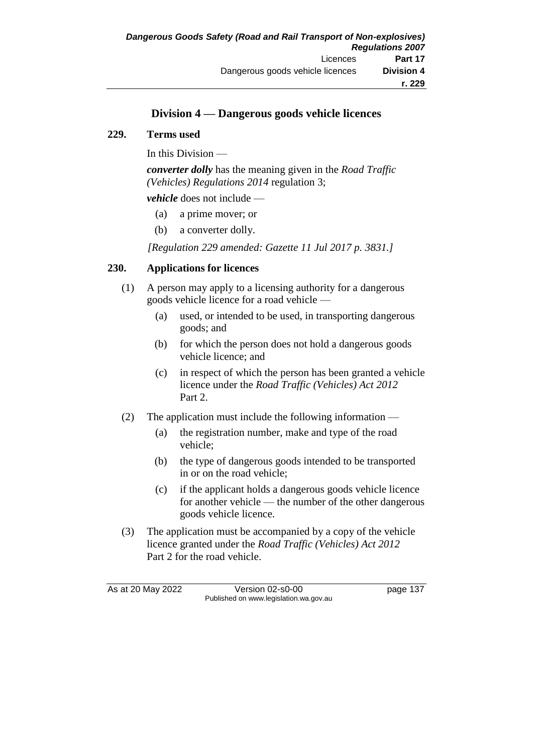# **Division 4 — Dangerous goods vehicle licences**

#### **229. Terms used**

In this Division —

*converter dolly* has the meaning given in the *Road Traffic (Vehicles) Regulations 2014* regulation 3;

*vehicle* does not include —

- (a) a prime mover; or
- (b) a converter dolly.

*[Regulation 229 amended: Gazette 11 Jul 2017 p. 3831.]*

## **230. Applications for licences**

- (1) A person may apply to a licensing authority for a dangerous goods vehicle licence for a road vehicle —
	- (a) used, or intended to be used, in transporting dangerous goods; and
	- (b) for which the person does not hold a dangerous goods vehicle licence; and
	- (c) in respect of which the person has been granted a vehicle licence under the *Road Traffic (Vehicles) Act 2012*  Part 2.
- (2) The application must include the following information
	- (a) the registration number, make and type of the road vehicle;
	- (b) the type of dangerous goods intended to be transported in or on the road vehicle;
	- (c) if the applicant holds a dangerous goods vehicle licence for another vehicle — the number of the other dangerous goods vehicle licence.
- (3) The application must be accompanied by a copy of the vehicle licence granted under the *Road Traffic (Vehicles) Act 2012*  Part 2 for the road vehicle.

As at 20 May 2022 Version 02-s0-00 Page 137 Published on www.legislation.wa.gov.au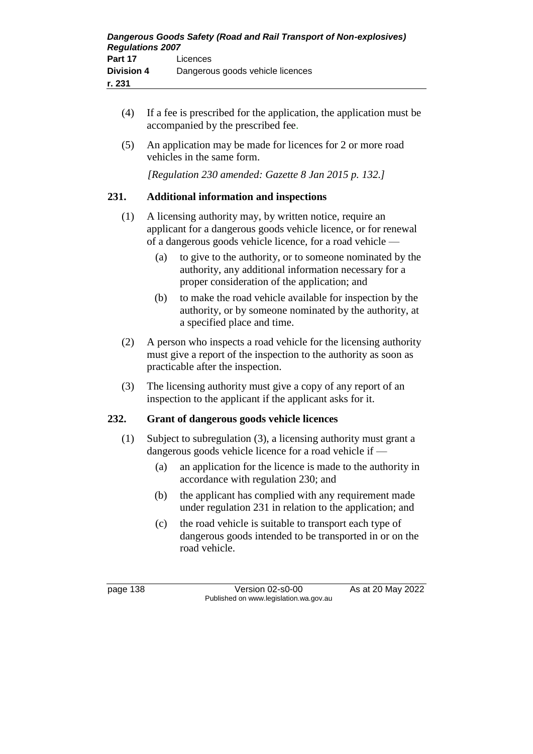- (4) If a fee is prescribed for the application, the application must be accompanied by the prescribed fee.
- (5) An application may be made for licences for 2 or more road vehicles in the same form.

*[Regulation 230 amended: Gazette 8 Jan 2015 p. 132.]*

## **231. Additional information and inspections**

- (1) A licensing authority may, by written notice, require an applicant for a dangerous goods vehicle licence, or for renewal of a dangerous goods vehicle licence, for a road vehicle —
	- (a) to give to the authority, or to someone nominated by the authority, any additional information necessary for a proper consideration of the application; and
	- (b) to make the road vehicle available for inspection by the authority, or by someone nominated by the authority, at a specified place and time.
- (2) A person who inspects a road vehicle for the licensing authority must give a report of the inspection to the authority as soon as practicable after the inspection.
- (3) The licensing authority must give a copy of any report of an inspection to the applicant if the applicant asks for it.

## **232. Grant of dangerous goods vehicle licences**

- (1) Subject to subregulation (3), a licensing authority must grant a dangerous goods vehicle licence for a road vehicle if -
	- (a) an application for the licence is made to the authority in accordance with regulation 230; and
	- (b) the applicant has complied with any requirement made under regulation 231 in relation to the application; and
	- (c) the road vehicle is suitable to transport each type of dangerous goods intended to be transported in or on the road vehicle.

page 138 Version 02-s0-00 As at 20 May 2022 Published on www.legislation.wa.gov.au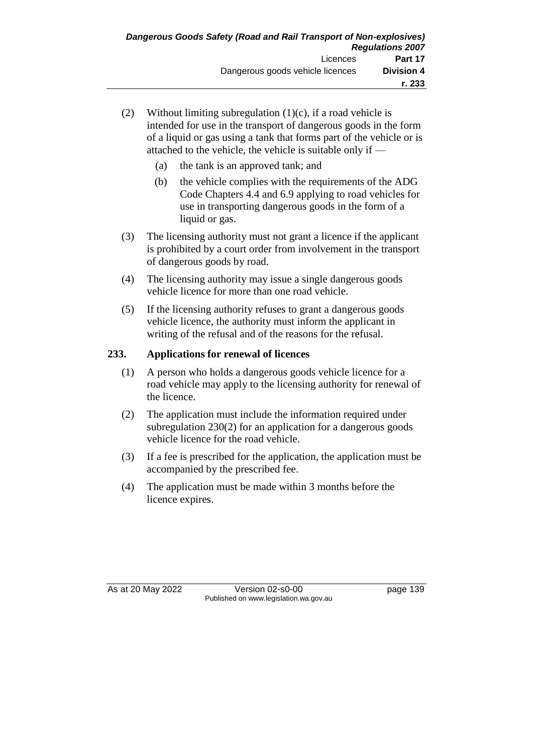- (2) Without limiting subregulation  $(1)(c)$ , if a road vehicle is intended for use in the transport of dangerous goods in the form of a liquid or gas using a tank that forms part of the vehicle or is attached to the vehicle, the vehicle is suitable only if —
	- (a) the tank is an approved tank; and
	- (b) the vehicle complies with the requirements of the ADG Code Chapters 4.4 and 6.9 applying to road vehicles for use in transporting dangerous goods in the form of a liquid or gas.
- (3) The licensing authority must not grant a licence if the applicant is prohibited by a court order from involvement in the transport of dangerous goods by road.
- (4) The licensing authority may issue a single dangerous goods vehicle licence for more than one road vehicle.
- (5) If the licensing authority refuses to grant a dangerous goods vehicle licence, the authority must inform the applicant in writing of the refusal and of the reasons for the refusal.

# **233. Applications for renewal of licences**

- (1) A person who holds a dangerous goods vehicle licence for a road vehicle may apply to the licensing authority for renewal of the licence.
- (2) The application must include the information required under subregulation 230(2) for an application for a dangerous goods vehicle licence for the road vehicle.
- (3) If a fee is prescribed for the application, the application must be accompanied by the prescribed fee.
- (4) The application must be made within 3 months before the licence expires.

As at 20 May 2022 Version 02-s0-00 page 139 Published on www.legislation.wa.gov.au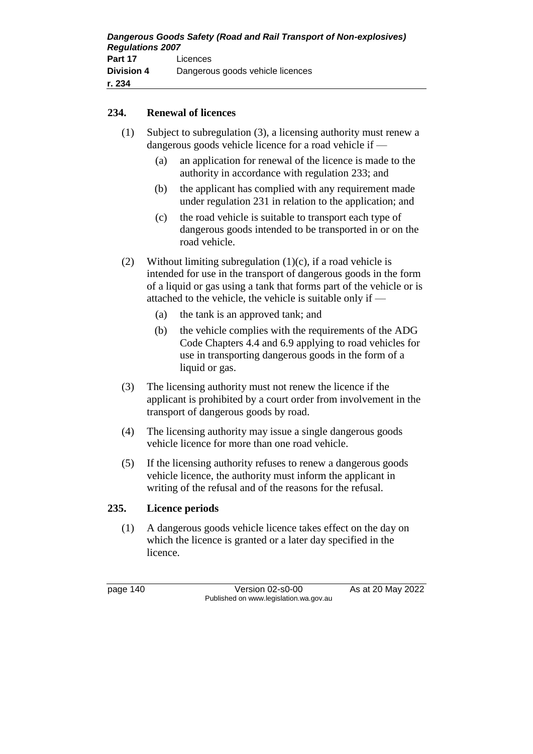#### **234. Renewal of licences**

- (1) Subject to subregulation (3), a licensing authority must renew a dangerous goods vehicle licence for a road vehicle if —
	- (a) an application for renewal of the licence is made to the authority in accordance with regulation 233; and
	- (b) the applicant has complied with any requirement made under regulation 231 in relation to the application; and
	- (c) the road vehicle is suitable to transport each type of dangerous goods intended to be transported in or on the road vehicle.
- (2) Without limiting subregulation  $(1)(c)$ , if a road vehicle is intended for use in the transport of dangerous goods in the form of a liquid or gas using a tank that forms part of the vehicle or is attached to the vehicle, the vehicle is suitable only if —
	- (a) the tank is an approved tank; and
	- (b) the vehicle complies with the requirements of the ADG Code Chapters 4.4 and 6.9 applying to road vehicles for use in transporting dangerous goods in the form of a liquid or gas.
- (3) The licensing authority must not renew the licence if the applicant is prohibited by a court order from involvement in the transport of dangerous goods by road.
- (4) The licensing authority may issue a single dangerous goods vehicle licence for more than one road vehicle.
- (5) If the licensing authority refuses to renew a dangerous goods vehicle licence, the authority must inform the applicant in writing of the refusal and of the reasons for the refusal.

## **235. Licence periods**

(1) A dangerous goods vehicle licence takes effect on the day on which the licence is granted or a later day specified in the licence.

page 140 Version 02-s0-00 As at 20 May 2022 Published on www.legislation.wa.gov.au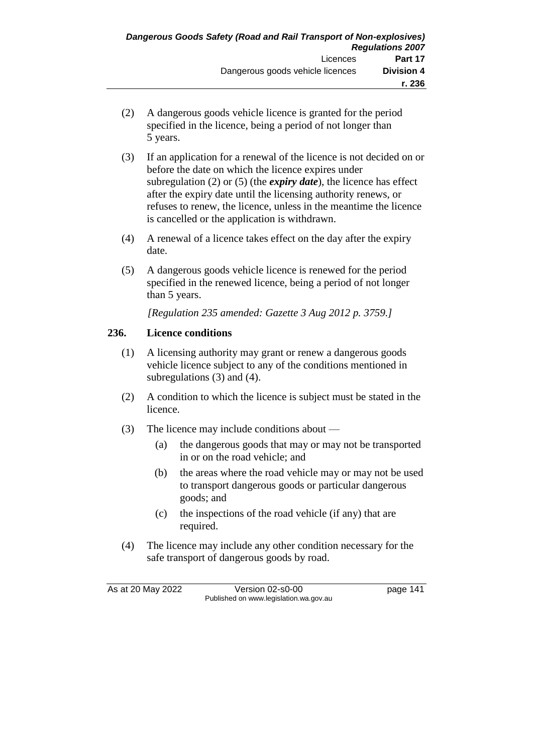- (2) A dangerous goods vehicle licence is granted for the period specified in the licence, being a period of not longer than 5 years.
- (3) If an application for a renewal of the licence is not decided on or before the date on which the licence expires under subregulation (2) or (5) (the *expiry date*), the licence has effect after the expiry date until the licensing authority renews, or refuses to renew, the licence, unless in the meantime the licence is cancelled or the application is withdrawn.
- (4) A renewal of a licence takes effect on the day after the expiry date.
- (5) A dangerous goods vehicle licence is renewed for the period specified in the renewed licence, being a period of not longer than 5 years.

*[Regulation 235 amended: Gazette 3 Aug 2012 p. 3759.]*

# **236. Licence conditions**

- (1) A licensing authority may grant or renew a dangerous goods vehicle licence subject to any of the conditions mentioned in subregulations (3) and (4).
- (2) A condition to which the licence is subject must be stated in the licence.
- (3) The licence may include conditions about
	- (a) the dangerous goods that may or may not be transported in or on the road vehicle; and
	- (b) the areas where the road vehicle may or may not be used to transport dangerous goods or particular dangerous goods; and
	- (c) the inspections of the road vehicle (if any) that are required.
- (4) The licence may include any other condition necessary for the safe transport of dangerous goods by road.

As at 20 May 2022 Version 02-s0-00 page 141 Published on www.legislation.wa.gov.au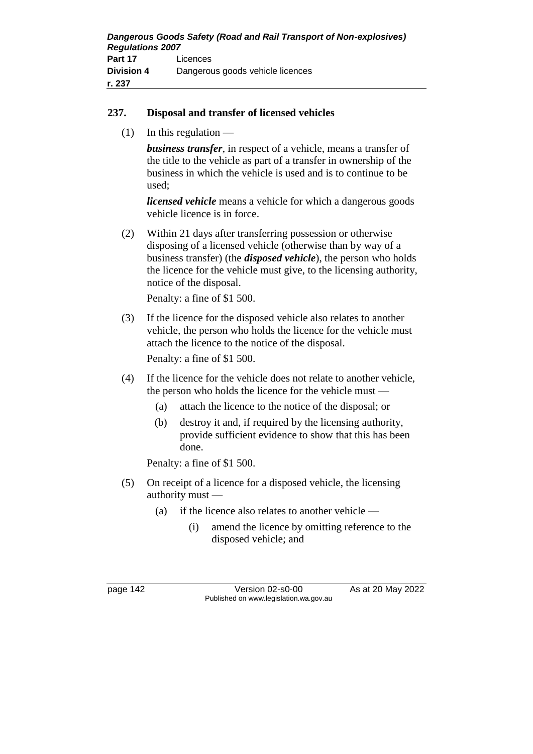#### **237. Disposal and transfer of licensed vehicles**

 $(1)$  In this regulation —

*business transfer*, in respect of a vehicle, means a transfer of the title to the vehicle as part of a transfer in ownership of the business in which the vehicle is used and is to continue to be used;

*licensed vehicle* means a vehicle for which a dangerous goods vehicle licence is in force.

(2) Within 21 days after transferring possession or otherwise disposing of a licensed vehicle (otherwise than by way of a business transfer) (the *disposed vehicle*), the person who holds the licence for the vehicle must give, to the licensing authority, notice of the disposal.

Penalty: a fine of \$1 500.

(3) If the licence for the disposed vehicle also relates to another vehicle, the person who holds the licence for the vehicle must attach the licence to the notice of the disposal.

Penalty: a fine of \$1 500.

- (4) If the licence for the vehicle does not relate to another vehicle, the person who holds the licence for the vehicle must —
	- (a) attach the licence to the notice of the disposal; or
	- (b) destroy it and, if required by the licensing authority, provide sufficient evidence to show that this has been done.

Penalty: a fine of \$1 500.

- (5) On receipt of a licence for a disposed vehicle, the licensing authority must —
	- (a) if the licence also relates to another vehicle
		- (i) amend the licence by omitting reference to the disposed vehicle; and

page 142 Version 02-s0-00 As at 20 May 2022 Published on www.legislation.wa.gov.au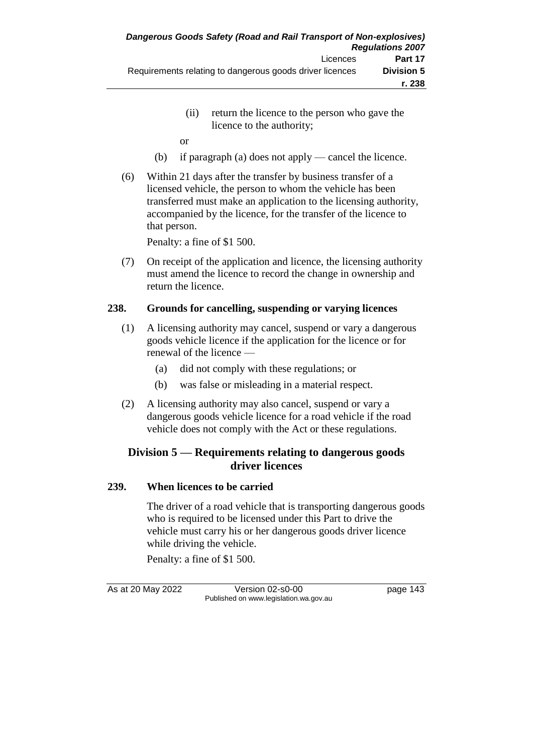- (ii) return the licence to the person who gave the licence to the authority;
- or
- (b) if paragraph (a) does not apply cancel the licence.
- (6) Within 21 days after the transfer by business transfer of a licensed vehicle, the person to whom the vehicle has been transferred must make an application to the licensing authority, accompanied by the licence, for the transfer of the licence to that person.

Penalty: a fine of \$1 500.

(7) On receipt of the application and licence, the licensing authority must amend the licence to record the change in ownership and return the licence.

### **238. Grounds for cancelling, suspending or varying licences**

- (1) A licensing authority may cancel, suspend or vary a dangerous goods vehicle licence if the application for the licence or for renewal of the licence —
	- (a) did not comply with these regulations; or
	- (b) was false or misleading in a material respect.
- (2) A licensing authority may also cancel, suspend or vary a dangerous goods vehicle licence for a road vehicle if the road vehicle does not comply with the Act or these regulations.

## **Division 5 — Requirements relating to dangerous goods driver licences**

### **239. When licences to be carried**

The driver of a road vehicle that is transporting dangerous goods who is required to be licensed under this Part to drive the vehicle must carry his or her dangerous goods driver licence while driving the vehicle.

Penalty: a fine of \$1 500.

As at 20 May 2022 Version 02-s0-00 Page 143 Published on www.legislation.wa.gov.au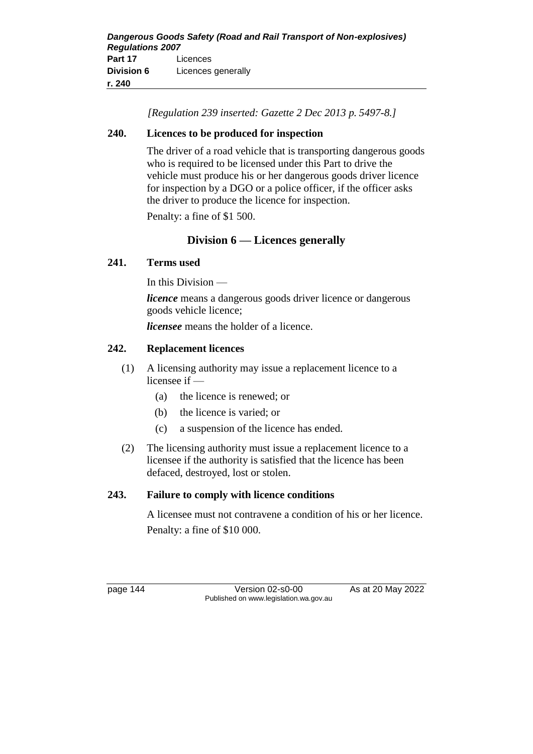*[Regulation 239 inserted: Gazette 2 Dec 2013 p. 5497-8.]*

### **240. Licences to be produced for inspection**

The driver of a road vehicle that is transporting dangerous goods who is required to be licensed under this Part to drive the vehicle must produce his or her dangerous goods driver licence for inspection by a DGO or a police officer, if the officer asks the driver to produce the licence for inspection.

Penalty: a fine of \$1 500.

## **Division 6 — Licences generally**

## **241. Terms used**

In this Division —

*licence* means a dangerous goods driver licence or dangerous goods vehicle licence;

*licensee* means the holder of a licence.

## **242. Replacement licences**

- (1) A licensing authority may issue a replacement licence to a licensee if —
	- (a) the licence is renewed; or
	- (b) the licence is varied; or
	- (c) a suspension of the licence has ended.
- (2) The licensing authority must issue a replacement licence to a licensee if the authority is satisfied that the licence has been defaced, destroyed, lost or stolen.

### **243. Failure to comply with licence conditions**

A licensee must not contravene a condition of his or her licence. Penalty: a fine of \$10 000.

page 144 Version 02-s0-00 As at 20 May 2022 Published on www.legislation.wa.gov.au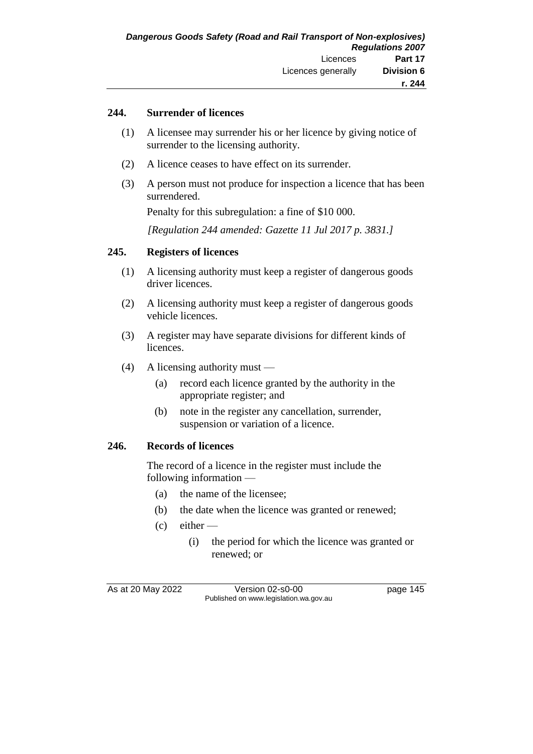### **244. Surrender of licences**

- (1) A licensee may surrender his or her licence by giving notice of surrender to the licensing authority.
- (2) A licence ceases to have effect on its surrender.
- (3) A person must not produce for inspection a licence that has been surrendered.

Penalty for this subregulation: a fine of \$10 000.

*[Regulation 244 amended: Gazette 11 Jul 2017 p. 3831.]*

### **245. Registers of licences**

- (1) A licensing authority must keep a register of dangerous goods driver licences.
- (2) A licensing authority must keep a register of dangerous goods vehicle licences.
- (3) A register may have separate divisions for different kinds of licences.
- (4) A licensing authority must
	- (a) record each licence granted by the authority in the appropriate register; and
	- (b) note in the register any cancellation, surrender, suspension or variation of a licence.

### **246. Records of licences**

The record of a licence in the register must include the following information —

- (a) the name of the licensee;
- (b) the date when the licence was granted or renewed;
- $(c)$  either
	- (i) the period for which the licence was granted or renewed; or

As at 20 May 2022 Version 02-s0-00 Page 145 Published on www.legislation.wa.gov.au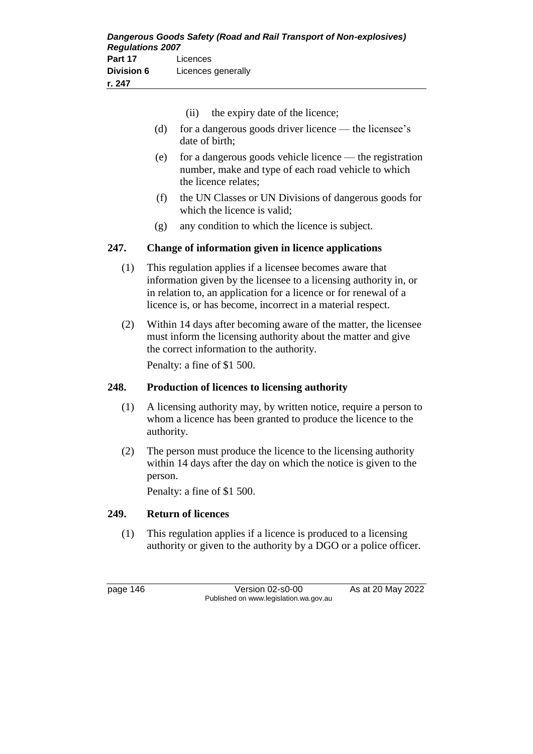| vision 6<br>247 | Licences generally |                                 |  |  |
|-----------------|--------------------|---------------------------------|--|--|
|                 | (i)                | the expiry date of the licence; |  |  |
|                 |                    |                                 |  |  |

- (d) for a dangerous goods driver licence the licensee's date of birth;
- (e) for a dangerous goods vehicle licence the registration number, make and type of each road vehicle to which the licence relates;
- (f) the UN Classes or UN Divisions of dangerous goods for which the licence is valid;
- (g) any condition to which the licence is subject.

## **247. Change of information given in licence applications**

- (1) This regulation applies if a licensee becomes aware that information given by the licensee to a licensing authority in, or in relation to, an application for a licence or for renewal of a licence is, or has become, incorrect in a material respect.
- (2) Within 14 days after becoming aware of the matter, the licensee must inform the licensing authority about the matter and give the correct information to the authority.

Penalty: a fine of \$1 500.

## **248. Production of licences to licensing authority**

- (1) A licensing authority may, by written notice, require a person to whom a licence has been granted to produce the licence to the authority.
- (2) The person must produce the licence to the licensing authority within 14 days after the day on which the notice is given to the person.

Penalty: a fine of \$1 500.

## **249. Return of licences**

(1) This regulation applies if a licence is produced to a licensing authority or given to the authority by a DGO or a police officer.

page 146 Version 02-s0-00 As at 20 May 2022 Published on www.legislation.wa.gov.au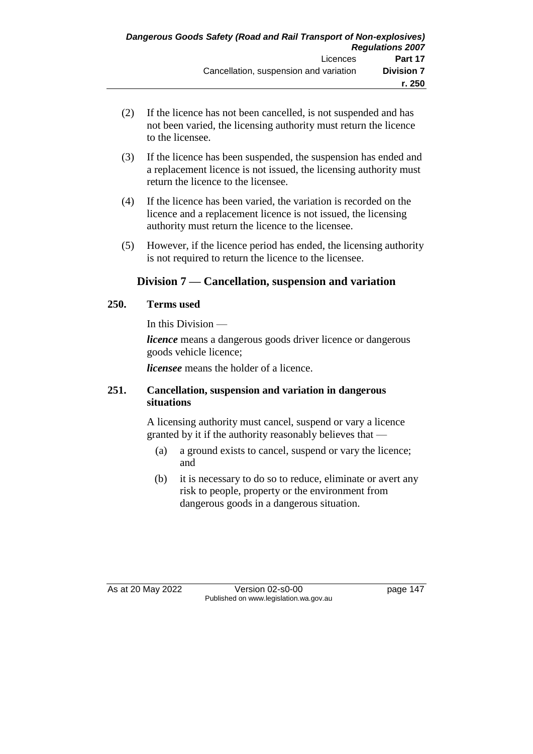- (2) If the licence has not been cancelled, is not suspended and has not been varied, the licensing authority must return the licence to the licensee.
- (3) If the licence has been suspended, the suspension has ended and a replacement licence is not issued, the licensing authority must return the licence to the licensee.
- (4) If the licence has been varied, the variation is recorded on the licence and a replacement licence is not issued, the licensing authority must return the licence to the licensee.
- (5) However, if the licence period has ended, the licensing authority is not required to return the licence to the licensee.

## **Division 7 — Cancellation, suspension and variation**

### **250. Terms used**

In this Division —

*licence* means a dangerous goods driver licence or dangerous goods vehicle licence;

*licensee* means the holder of a licence.

### **251. Cancellation, suspension and variation in dangerous situations**

A licensing authority must cancel, suspend or vary a licence granted by it if the authority reasonably believes that —

- (a) a ground exists to cancel, suspend or vary the licence; and
- (b) it is necessary to do so to reduce, eliminate or avert any risk to people, property or the environment from dangerous goods in a dangerous situation.

As at 20 May 2022 **Version 02-s0-00** Page 147 Published on www.legislation.wa.gov.au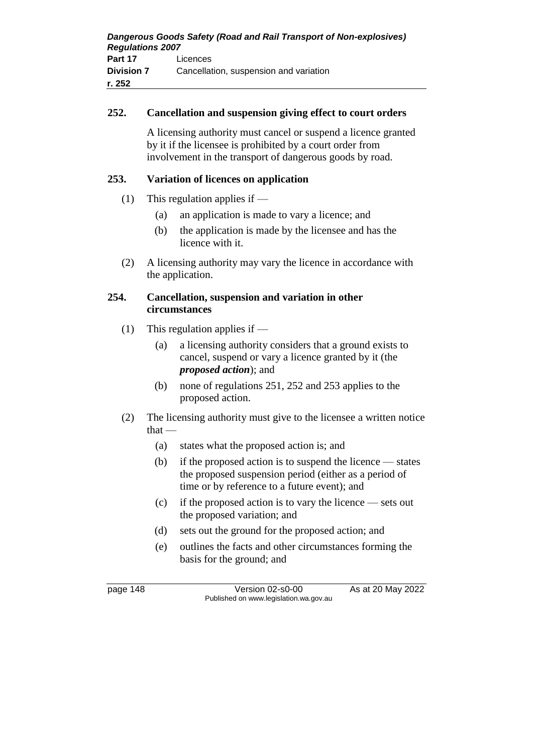| Dangerous Goods Safety (Road and Rail Transport of Non-explosives)<br><b>Regulations 2007</b> |                                        |  |
|-----------------------------------------------------------------------------------------------|----------------------------------------|--|
| Part 17                                                                                       | Licences                               |  |
| <b>Division 7</b>                                                                             | Cancellation, suspension and variation |  |
| r. 252                                                                                        |                                        |  |

### **252. Cancellation and suspension giving effect to court orders**

A licensing authority must cancel or suspend a licence granted by it if the licensee is prohibited by a court order from involvement in the transport of dangerous goods by road.

### **253. Variation of licences on application**

- (1) This regulation applies if
	- (a) an application is made to vary a licence; and
	- (b) the application is made by the licensee and has the licence with it.
- (2) A licensing authority may vary the licence in accordance with the application.

### **254. Cancellation, suspension and variation in other circumstances**

- (1) This regulation applies if
	- (a) a licensing authority considers that a ground exists to cancel, suspend or vary a licence granted by it (the *proposed action*); and
	- (b) none of regulations 251, 252 and 253 applies to the proposed action.
- (2) The licensing authority must give to the licensee a written notice that —
	- (a) states what the proposed action is; and
	- (b) if the proposed action is to suspend the licence states the proposed suspension period (either as a period of time or by reference to a future event); and
	- (c) if the proposed action is to vary the licence sets out the proposed variation; and
	- (d) sets out the ground for the proposed action; and
	- (e) outlines the facts and other circumstances forming the basis for the ground; and

page 148 Version 02-s0-00 As at 20 May 2022 Published on www.legislation.wa.gov.au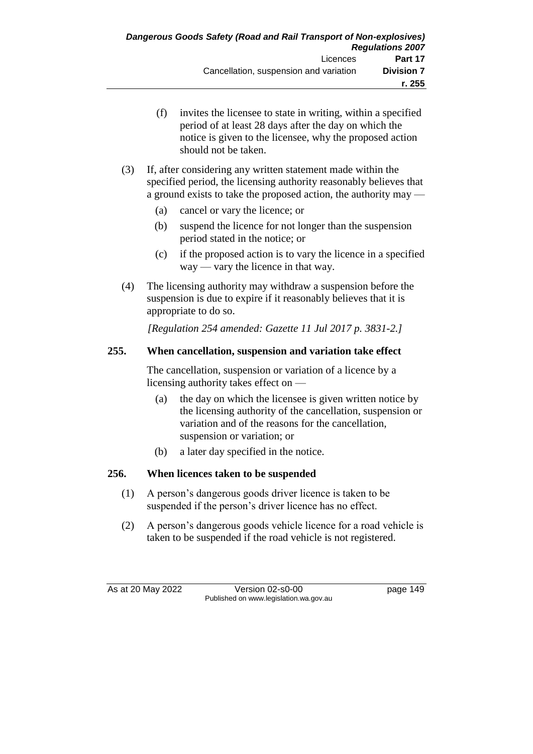- (f) invites the licensee to state in writing, within a specified period of at least 28 days after the day on which the notice is given to the licensee, why the proposed action should not be taken.
- (3) If, after considering any written statement made within the specified period, the licensing authority reasonably believes that a ground exists to take the proposed action, the authority may —
	- (a) cancel or vary the licence; or
	- (b) suspend the licence for not longer than the suspension period stated in the notice; or
	- (c) if the proposed action is to vary the licence in a specified way — vary the licence in that way.
- (4) The licensing authority may withdraw a suspension before the suspension is due to expire if it reasonably believes that it is appropriate to do so.

*[Regulation 254 amended: Gazette 11 Jul 2017 p. 3831-2.]*

## **255. When cancellation, suspension and variation take effect**

The cancellation, suspension or variation of a licence by a licensing authority takes effect on —

- (a) the day on which the licensee is given written notice by the licensing authority of the cancellation, suspension or variation and of the reasons for the cancellation, suspension or variation; or
- (b) a later day specified in the notice.

### **256. When licences taken to be suspended**

- (1) A person's dangerous goods driver licence is taken to be suspended if the person's driver licence has no effect.
- (2) A person's dangerous goods vehicle licence for a road vehicle is taken to be suspended if the road vehicle is not registered.

As at 20 May 2022 Version 02-s0-00 page 149 Published on www.legislation.wa.gov.au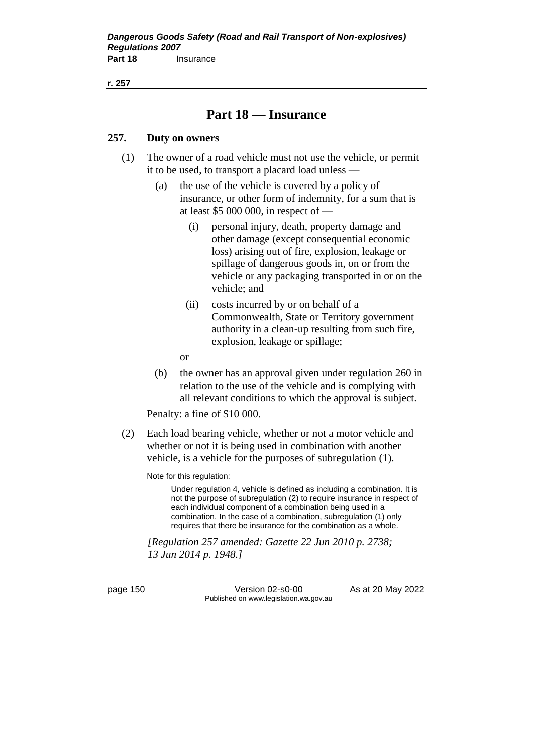**r. 257**

## **Part 18 — Insurance**

### **257. Duty on owners**

- (1) The owner of a road vehicle must not use the vehicle, or permit it to be used, to transport a placard load unless —
	- (a) the use of the vehicle is covered by a policy of insurance, or other form of indemnity, for a sum that is at least \$5 000 000, in respect of —
		- (i) personal injury, death, property damage and other damage (except consequential economic loss) arising out of fire, explosion, leakage or spillage of dangerous goods in, on or from the vehicle or any packaging transported in or on the vehicle; and
		- (ii) costs incurred by or on behalf of a Commonwealth, State or Territory government authority in a clean-up resulting from such fire, explosion, leakage or spillage;
		- or
	- (b) the owner has an approval given under regulation 260 in relation to the use of the vehicle and is complying with all relevant conditions to which the approval is subject.

Penalty: a fine of \$10 000.

(2) Each load bearing vehicle, whether or not a motor vehicle and whether or not it is being used in combination with another vehicle, is a vehicle for the purposes of subregulation (1).

Note for this regulation:

Under regulation 4, vehicle is defined as including a combination. It is not the purpose of subregulation (2) to require insurance in respect of each individual component of a combination being used in a combination. In the case of a combination, subregulation (1) only requires that there be insurance for the combination as a whole.

*[Regulation 257 amended: Gazette 22 Jun 2010 p. 2738; 13 Jun 2014 p. 1948.]*

page 150 Version 02-s0-00 As at 20 May 2022 Published on www.legislation.wa.gov.au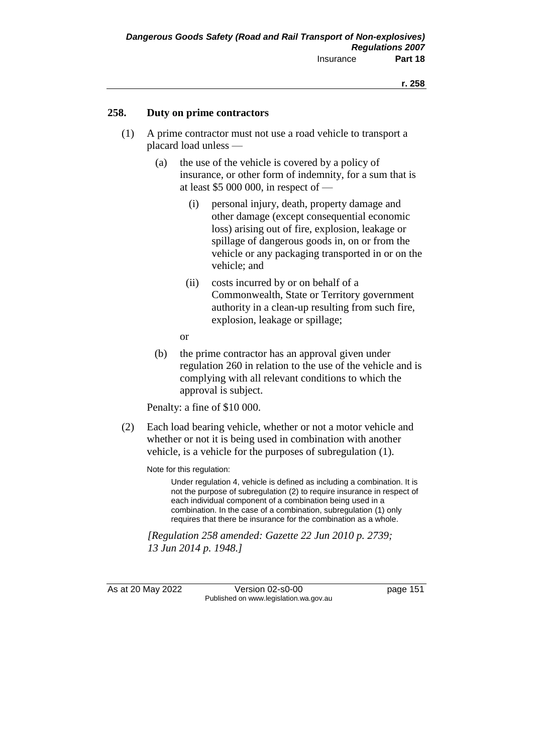#### **258. Duty on prime contractors**

- (1) A prime contractor must not use a road vehicle to transport a placard load unless —
	- (a) the use of the vehicle is covered by a policy of insurance, or other form of indemnity, for a sum that is at least \$5 000 000, in respect of —
		- (i) personal injury, death, property damage and other damage (except consequential economic loss) arising out of fire, explosion, leakage or spillage of dangerous goods in, on or from the vehicle or any packaging transported in or on the vehicle; and
		- (ii) costs incurred by or on behalf of a Commonwealth, State or Territory government authority in a clean-up resulting from such fire, explosion, leakage or spillage;
		- or
	- (b) the prime contractor has an approval given under regulation 260 in relation to the use of the vehicle and is complying with all relevant conditions to which the approval is subject.

Penalty: a fine of \$10 000.

(2) Each load bearing vehicle, whether or not a motor vehicle and whether or not it is being used in combination with another vehicle, is a vehicle for the purposes of subregulation (1).

Note for this regulation:

Under regulation 4, vehicle is defined as including a combination. It is not the purpose of subregulation (2) to require insurance in respect of each individual component of a combination being used in a combination. In the case of a combination, subregulation (1) only requires that there be insurance for the combination as a whole.

*[Regulation 258 amended: Gazette 22 Jun 2010 p. 2739; 13 Jun 2014 p. 1948.]*

As at 20 May 2022 Version 02-s0-00 Page 151 Published on www.legislation.wa.gov.au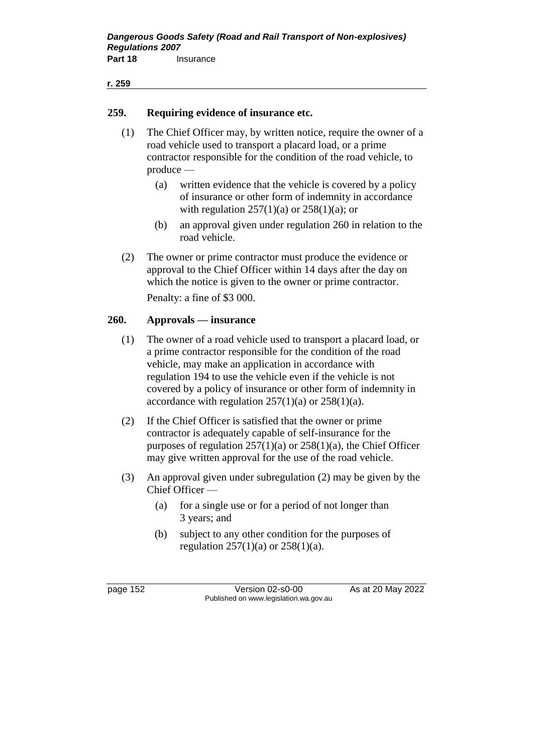#### **r. 259**

### **259. Requiring evidence of insurance etc.**

- (1) The Chief Officer may, by written notice, require the owner of a road vehicle used to transport a placard load, or a prime contractor responsible for the condition of the road vehicle, to produce —
	- (a) written evidence that the vehicle is covered by a policy of insurance or other form of indemnity in accordance with regulation  $257(1)(a)$  or  $258(1)(a)$ ; or
	- (b) an approval given under regulation 260 in relation to the road vehicle.
- (2) The owner or prime contractor must produce the evidence or approval to the Chief Officer within 14 days after the day on which the notice is given to the owner or prime contractor.

Penalty: a fine of \$3 000.

### **260. Approvals — insurance**

- (1) The owner of a road vehicle used to transport a placard load, or a prime contractor responsible for the condition of the road vehicle, may make an application in accordance with regulation 194 to use the vehicle even if the vehicle is not covered by a policy of insurance or other form of indemnity in accordance with regulation  $257(1)(a)$  or  $258(1)(a)$ .
- (2) If the Chief Officer is satisfied that the owner or prime contractor is adequately capable of self-insurance for the purposes of regulation  $257(1)(a)$  or  $258(1)(a)$ , the Chief Officer may give written approval for the use of the road vehicle.
- (3) An approval given under subregulation (2) may be given by the Chief Officer —
	- (a) for a single use or for a period of not longer than 3 years; and
	- (b) subject to any other condition for the purposes of regulation  $257(1)(a)$  or  $258(1)(a)$ .

page 152 Version 02-s0-00 As at 20 May 2022 Published on www.legislation.wa.gov.au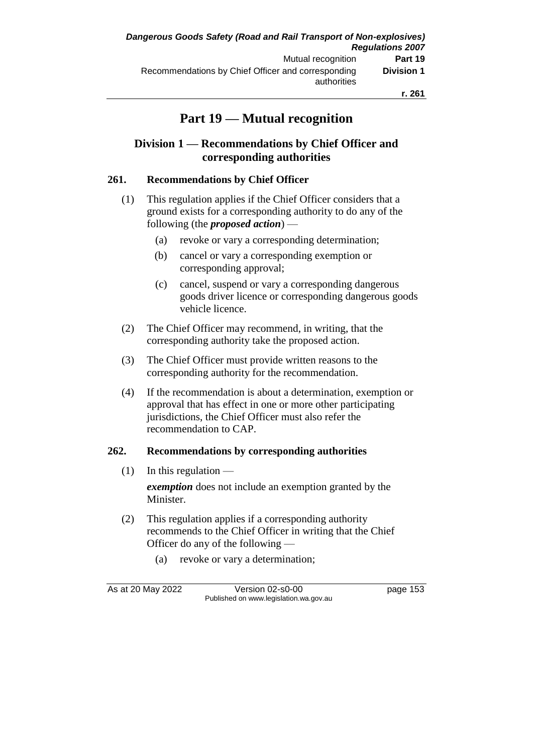## **Part 19 — Mutual recognition**

## **Division 1 — Recommendations by Chief Officer and corresponding authorities**

### **261. Recommendations by Chief Officer**

- (1) This regulation applies if the Chief Officer considers that a ground exists for a corresponding authority to do any of the following (the *proposed action*) —
	- (a) revoke or vary a corresponding determination;
	- (b) cancel or vary a corresponding exemption or corresponding approval;
	- (c) cancel, suspend or vary a corresponding dangerous goods driver licence or corresponding dangerous goods vehicle licence.
- (2) The Chief Officer may recommend, in writing, that the corresponding authority take the proposed action.
- (3) The Chief Officer must provide written reasons to the corresponding authority for the recommendation.
- (4) If the recommendation is about a determination, exemption or approval that has effect in one or more other participating jurisdictions, the Chief Officer must also refer the recommendation to CAP.

### **262. Recommendations by corresponding authorities**

 $(1)$  In this regulation —

*exemption* does not include an exemption granted by the Minister.

- (2) This regulation applies if a corresponding authority recommends to the Chief Officer in writing that the Chief Officer do any of the following —
	- (a) revoke or vary a determination;

As at 20 May 2022 Version 02-s0-00 Page 153 Published on www.legislation.wa.gov.au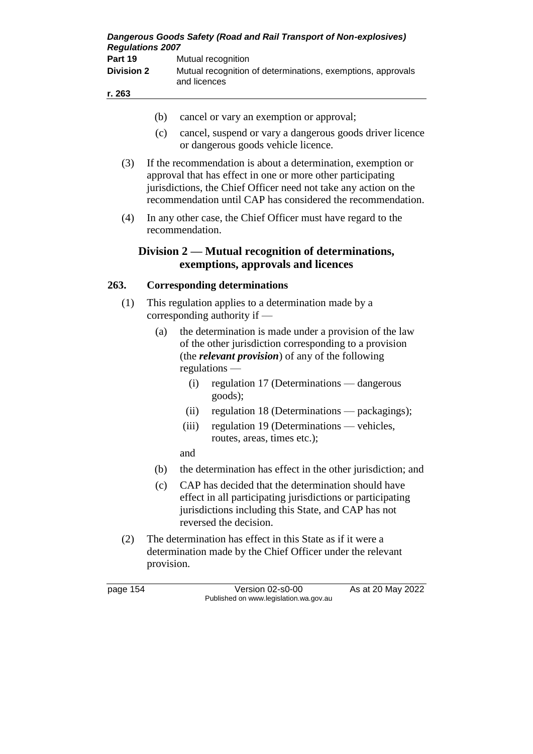| <b>Regulations 2007</b> | Dangerous Goods Safety (Road and Rail Transport of Non-explosives)          |
|-------------------------|-----------------------------------------------------------------------------|
| Part 19                 | Mutual recognition                                                          |
| <b>Division 2</b>       | Mutual recognition of determinations, exemptions, approvals<br>and licences |
| r. 263                  |                                                                             |
|                         |                                                                             |

- (b) cancel or vary an exemption or approval;
- (c) cancel, suspend or vary a dangerous goods driver licence or dangerous goods vehicle licence.
- (3) If the recommendation is about a determination, exemption or approval that has effect in one or more other participating jurisdictions, the Chief Officer need not take any action on the recommendation until CAP has considered the recommendation.
- (4) In any other case, the Chief Officer must have regard to the recommendation.

## **Division 2 — Mutual recognition of determinations, exemptions, approvals and licences**

### **263. Corresponding determinations**

- (1) This regulation applies to a determination made by a corresponding authority if —
	- (a) the determination is made under a provision of the law of the other jurisdiction corresponding to a provision (the *relevant provision*) of any of the following regulations —
		- (i) regulation 17 (Determinations dangerous goods);
		- (ii) regulation 18 (Determinations packagings);
		- (iii) regulation 19 (Determinations vehicles, routes, areas, times etc.);

and

- (b) the determination has effect in the other jurisdiction; and
- (c) CAP has decided that the determination should have effect in all participating jurisdictions or participating jurisdictions including this State, and CAP has not reversed the decision.
- (2) The determination has effect in this State as if it were a determination made by the Chief Officer under the relevant provision.

page 154 Version 02-s0-00 As at 20 May 2022 Published on www.legislation.wa.gov.au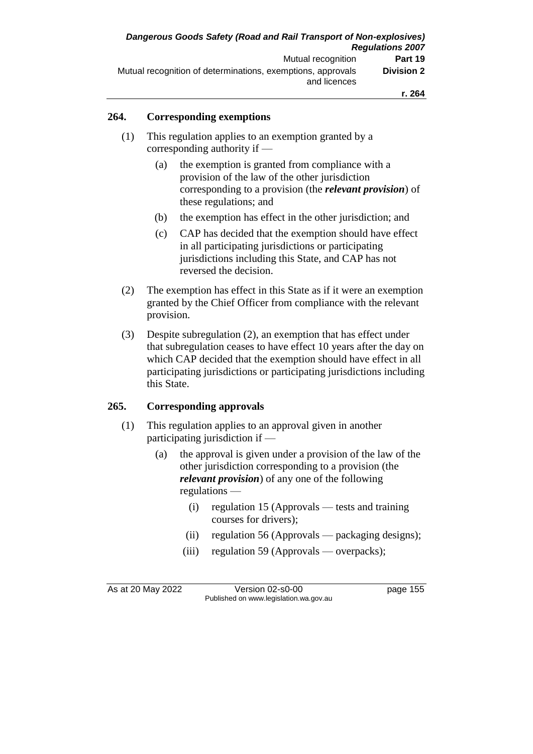### **264. Corresponding exemptions**

- (1) This regulation applies to an exemption granted by a corresponding authority if —
	- (a) the exemption is granted from compliance with a provision of the law of the other jurisdiction corresponding to a provision (the *relevant provision*) of these regulations; and
	- (b) the exemption has effect in the other jurisdiction; and
	- (c) CAP has decided that the exemption should have effect in all participating jurisdictions or participating jurisdictions including this State, and CAP has not reversed the decision.
- (2) The exemption has effect in this State as if it were an exemption granted by the Chief Officer from compliance with the relevant provision.
- (3) Despite subregulation (2), an exemption that has effect under that subregulation ceases to have effect 10 years after the day on which CAP decided that the exemption should have effect in all participating jurisdictions or participating jurisdictions including this State.

### **265. Corresponding approvals**

- (1) This regulation applies to an approval given in another participating jurisdiction if —
	- (a) the approval is given under a provision of the law of the other jurisdiction corresponding to a provision (the *relevant provision*) of any one of the following regulations —
		- (i) regulation 15 (Approvals tests and training courses for drivers);
		- (ii) regulation 56 (Approvals packaging designs);
		- (iii) regulation 59 (Approvals overpacks);

As at 20 May 2022 Version 02-s0-00 page 155 Published on www.legislation.wa.gov.au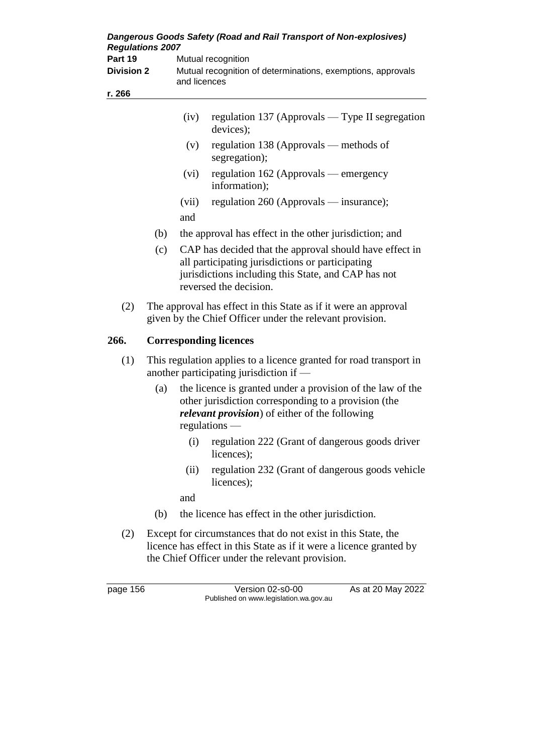| Dangerous Goods Safety (Road and Rail Transport of Non-explosives)<br><b>Regulations 2007</b> |                                                                                                   |              |                                                                                                                                                                                                 |
|-----------------------------------------------------------------------------------------------|---------------------------------------------------------------------------------------------------|--------------|-------------------------------------------------------------------------------------------------------------------------------------------------------------------------------------------------|
| Part 19<br><b>Division 2</b>                                                                  | Mutual recognition<br>Mutual recognition of determinations, exemptions, approvals<br>and licences |              |                                                                                                                                                                                                 |
| r. 266                                                                                        |                                                                                                   |              |                                                                                                                                                                                                 |
|                                                                                               |                                                                                                   | (iv)         | regulation 137 (Approvals — Type II segregation<br>devices);                                                                                                                                    |
|                                                                                               |                                                                                                   | (v)          | regulation 138 (Approvals — methods of<br>segregation);                                                                                                                                         |
|                                                                                               |                                                                                                   | (vi)         | regulation 162 (Approvals — emergency<br>information);                                                                                                                                          |
|                                                                                               |                                                                                                   | (vii)<br>and | regulation 260 (Approvals — insurance);                                                                                                                                                         |
|                                                                                               | (b)                                                                                               |              | the approval has effect in the other jurisdiction; and                                                                                                                                          |
|                                                                                               | (c)                                                                                               |              | CAP has decided that the approval should have effect in<br>all participating jurisdictions or participating<br>jurisdictions including this State, and CAP has not<br>reversed the decision.    |
| (2)                                                                                           |                                                                                                   |              | The approval has effect in this State as if it were an approval<br>given by the Chief Officer under the relevant provision.                                                                     |
| 266.                                                                                          |                                                                                                   |              | <b>Corresponding licences</b>                                                                                                                                                                   |
| (1)                                                                                           |                                                                                                   |              | This regulation applies to a licence granted for road transport in<br>another participating jurisdiction if -                                                                                   |
|                                                                                               | (a)                                                                                               |              | the licence is granted under a provision of the law of the<br>other jurisdiction corresponding to a provision (the<br><i>relevant provision</i> ) of either of the following<br>$regulations$ — |
|                                                                                               |                                                                                                   | (i)          | regulation 222 (Grant of dangerous goods driver<br>licences);                                                                                                                                   |
|                                                                                               |                                                                                                   | (ii)         | regulation 232 (Grant of dangerous goods vehicle<br>licences);                                                                                                                                  |
|                                                                                               |                                                                                                   | and          |                                                                                                                                                                                                 |
|                                                                                               | (b)                                                                                               |              | the licence has effect in the other jurisdiction.                                                                                                                                               |
| (2)                                                                                           |                                                                                                   |              | Except for circumstances that do not exist in this State, the<br>licence has effect in this State as if it were a licence granted by<br>the Chief Officer under the relevant provision.         |
| page 156                                                                                      |                                                                                                   |              | Version 02-s0-00<br>As at 20 May 2022<br>Published on www.legislation.wa.gov.au                                                                                                                 |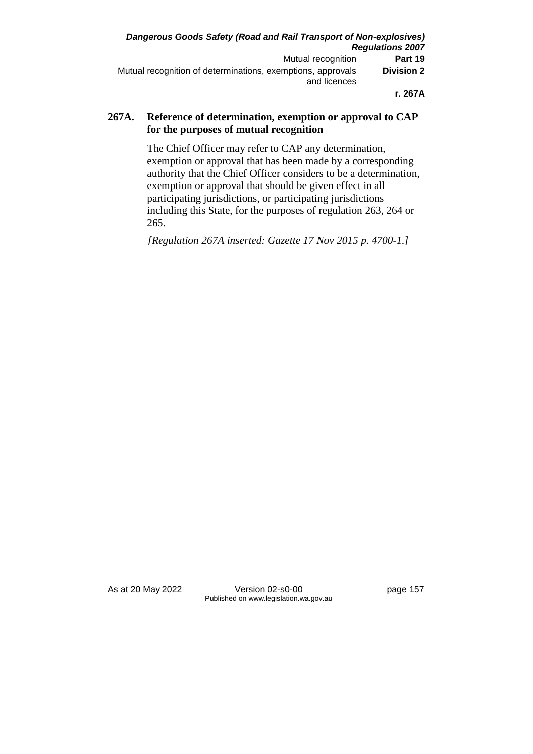### **267A. Reference of determination, exemption or approval to CAP for the purposes of mutual recognition**

The Chief Officer may refer to CAP any determination, exemption or approval that has been made by a corresponding authority that the Chief Officer considers to be a determination, exemption or approval that should be given effect in all participating jurisdictions, or participating jurisdictions including this State, for the purposes of regulation 263, 264 or 265.

*[Regulation 267A inserted: Gazette 17 Nov 2015 p. 4700-1.]*

As at 20 May 2022 Version 02-s0-00 page 157 Published on www.legislation.wa.gov.au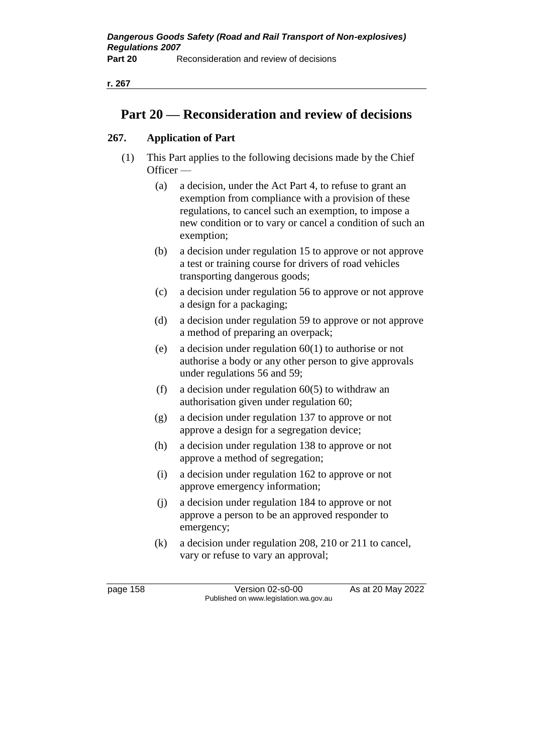## **Part 20 — Reconsideration and review of decisions**

## **267. Application of Part**

- (1) This Part applies to the following decisions made by the Chief Officer —
	- (a) a decision, under the Act Part 4, to refuse to grant an exemption from compliance with a provision of these regulations, to cancel such an exemption, to impose a new condition or to vary or cancel a condition of such an exemption;
	- (b) a decision under regulation 15 to approve or not approve a test or training course for drivers of road vehicles transporting dangerous goods;
	- (c) a decision under regulation 56 to approve or not approve a design for a packaging;
	- (d) a decision under regulation 59 to approve or not approve a method of preparing an overpack;
	- (e) a decision under regulation  $60(1)$  to authorise or not authorise a body or any other person to give approvals under regulations 56 and 59;
	- (f) a decision under regulation  $60(5)$  to withdraw an authorisation given under regulation 60;
	- (g) a decision under regulation 137 to approve or not approve a design for a segregation device;
	- (h) a decision under regulation 138 to approve or not approve a method of segregation;
	- (i) a decision under regulation 162 to approve or not approve emergency information;
	- (j) a decision under regulation 184 to approve or not approve a person to be an approved responder to emergency;
	- (k) a decision under regulation 208, 210 or 211 to cancel, vary or refuse to vary an approval;

page 158 Version 02-s0-00 As at 20 May 2022 Published on www.legislation.wa.gov.au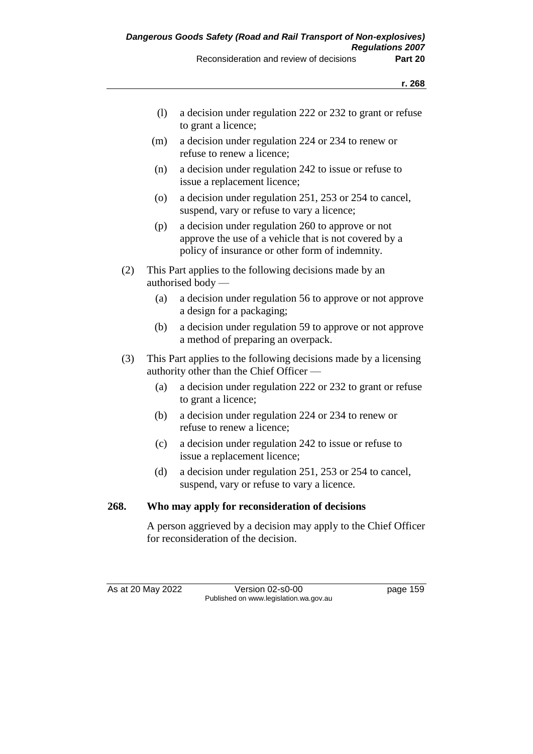| (1) | a decision under regulation 222 or 232 to grant or refuse |
|-----|-----------------------------------------------------------|
|     | to grant a licence;                                       |

- (m) a decision under regulation 224 or 234 to renew or refuse to renew a licence;
- (n) a decision under regulation 242 to issue or refuse to issue a replacement licence;
- (o) a decision under regulation 251, 253 or 254 to cancel, suspend, vary or refuse to vary a licence;
- (p) a decision under regulation 260 to approve or not approve the use of a vehicle that is not covered by a policy of insurance or other form of indemnity.
- (2) This Part applies to the following decisions made by an authorised body —
	- (a) a decision under regulation 56 to approve or not approve a design for a packaging;
	- (b) a decision under regulation 59 to approve or not approve a method of preparing an overpack.
- (3) This Part applies to the following decisions made by a licensing authority other than the Chief Officer —
	- (a) a decision under regulation 222 or 232 to grant or refuse to grant a licence;
	- (b) a decision under regulation 224 or 234 to renew or refuse to renew a licence;
	- (c) a decision under regulation 242 to issue or refuse to issue a replacement licence;
	- (d) a decision under regulation 251, 253 or 254 to cancel, suspend, vary or refuse to vary a licence.

### **268. Who may apply for reconsideration of decisions**

A person aggrieved by a decision may apply to the Chief Officer for reconsideration of the decision.

As at 20 May 2022 Version 02-s0-00 page 159 Published on www.legislation.wa.gov.au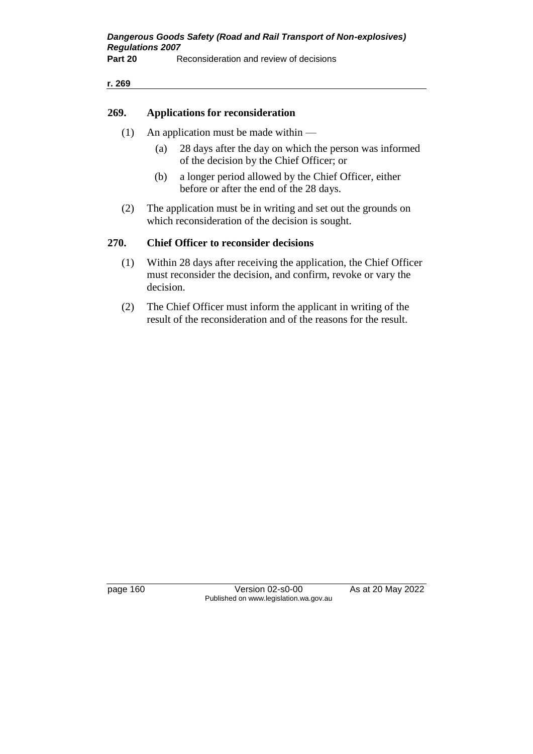#### **r. 269**

#### **269. Applications for reconsideration**

- (1) An application must be made within
	- (a) 28 days after the day on which the person was informed of the decision by the Chief Officer; or
	- (b) a longer period allowed by the Chief Officer, either before or after the end of the 28 days.
- (2) The application must be in writing and set out the grounds on which reconsideration of the decision is sought.

### **270. Chief Officer to reconsider decisions**

- (1) Within 28 days after receiving the application, the Chief Officer must reconsider the decision, and confirm, revoke or vary the decision.
- (2) The Chief Officer must inform the applicant in writing of the result of the reconsideration and of the reasons for the result.

page 160 Version 02-s0-00 As at 20 May 2022 Published on www.legislation.wa.gov.au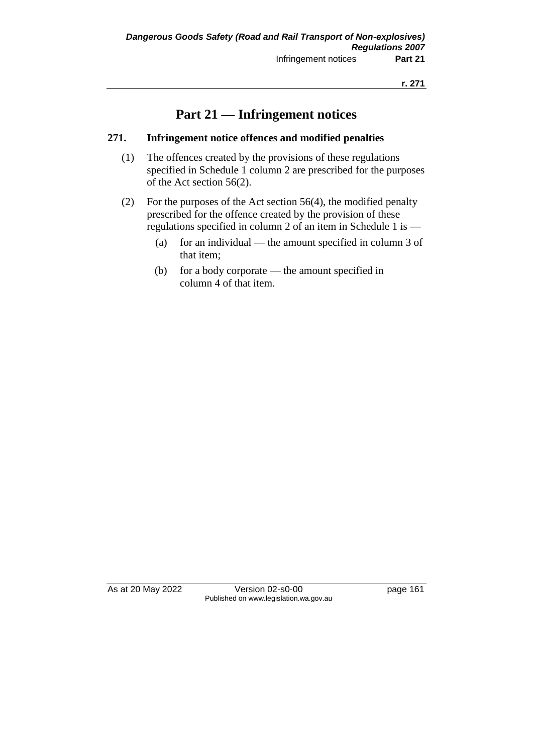# **Part 21 — Infringement notices**

### **271. Infringement notice offences and modified penalties**

- (1) The offences created by the provisions of these regulations specified in Schedule 1 column 2 are prescribed for the purposes of the Act section 56(2).
- (2) For the purposes of the Act section 56(4), the modified penalty prescribed for the offence created by the provision of these regulations specified in column 2 of an item in Schedule 1 is —
	- (a) for an individual the amount specified in column 3 of that item;
	- (b) for a body corporate the amount specified in column 4 of that item.

As at 20 May 2022 Version 02-s0-00 Page 161 Published on www.legislation.wa.gov.au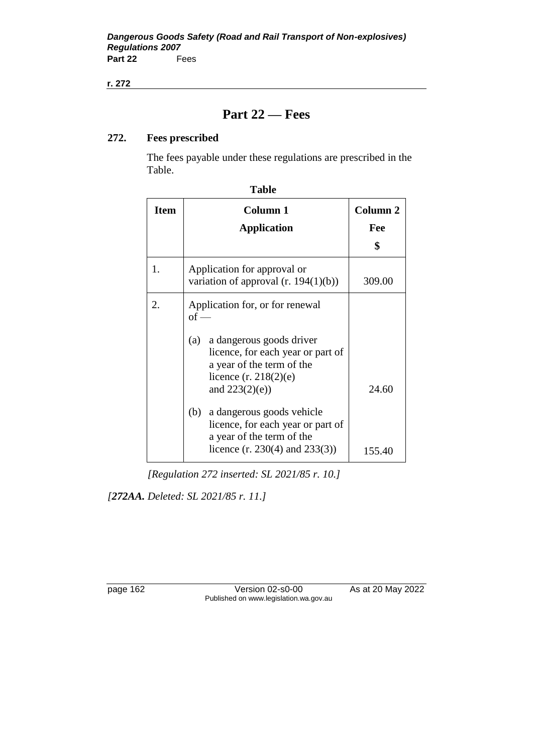#### **r. 272**

# **Part 22 — Fees**

## **272. Fees prescribed**

The fees payable under these regulations are prescribed in the Table.

| <b>Item</b> | Column 1<br><b>Application</b>                                                                                                                                                                 | Column <sub>2</sub><br>Fee<br>\$ |  |
|-------------|------------------------------------------------------------------------------------------------------------------------------------------------------------------------------------------------|----------------------------------|--|
| 1.          | Application for approval or<br>variation of approval $(r. 194(1)(b))$<br>309.00                                                                                                                |                                  |  |
| 2.          | Application for, or for renewal<br>$of -$<br>a dangerous goods driver<br>(a)<br>licence, for each year or part of<br>a year of the term of the<br>licence $(r. 218(2)(e)$<br>and $223(2)(e)$ ) | 24.60                            |  |
|             | a dangerous goods vehicle<br>(b)<br>licence, for each year or part of<br>a year of the term of the<br>licence $(r. 230(4)$ and $233(3))$                                                       | 155.40                           |  |

*[Regulation 272 inserted: SL 2021/85 r. 10.]*

*[272AA. Deleted: SL 2021/85 r. 11.]*

page 162 Version 02-s0-00 As at 20 May 2022 Published on www.legislation.wa.gov.au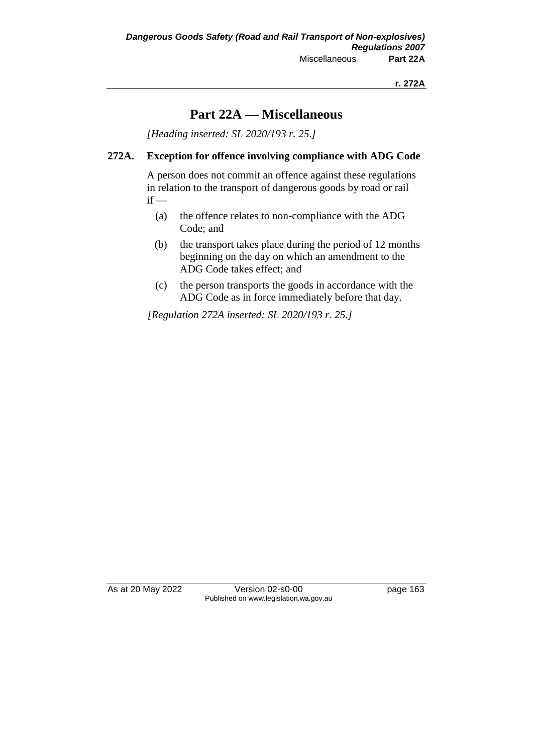## **Part 22A — Miscellaneous**

*[Heading inserted: SL 2020/193 r. 25.]*

### **272A. Exception for offence involving compliance with ADG Code**

A person does not commit an offence against these regulations in relation to the transport of dangerous goods by road or rail  $if -$ 

- (a) the offence relates to non-compliance with the ADG Code; and
- (b) the transport takes place during the period of 12 months beginning on the day on which an amendment to the ADG Code takes effect; and
- (c) the person transports the goods in accordance with the ADG Code as in force immediately before that day.

*[Regulation 272A inserted: SL 2020/193 r. 25.]*

As at 20 May 2022 Version 02-s0-00 Page 163 Published on www.legislation.wa.gov.au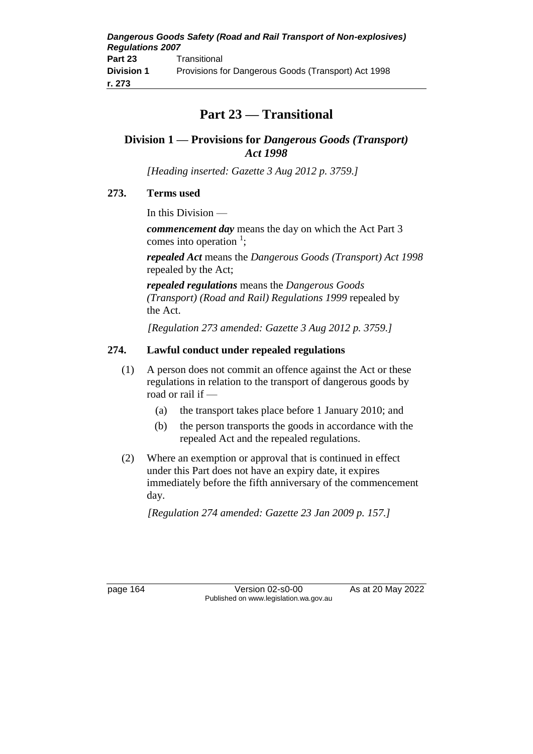# **Part 23 — Transitional**

## **Division 1 — Provisions for** *Dangerous Goods (Transport) Act 1998*

*[Heading inserted: Gazette 3 Aug 2012 p. 3759.]*

## **273. Terms used**

In this Division —

*commencement day* means the day on which the Act Part 3 comes into operation  $\frac{1}{2}$ ;

*repealed Act* means the *Dangerous Goods (Transport) Act 1998* repealed by the Act;

*repealed regulations* means the *Dangerous Goods (Transport) (Road and Rail) Regulations 1999* repealed by the Act.

*[Regulation 273 amended: Gazette 3 Aug 2012 p. 3759.]*

## **274. Lawful conduct under repealed regulations**

- (1) A person does not commit an offence against the Act or these regulations in relation to the transport of dangerous goods by road or rail if —
	- (a) the transport takes place before 1 January 2010; and
	- (b) the person transports the goods in accordance with the repealed Act and the repealed regulations.
- (2) Where an exemption or approval that is continued in effect under this Part does not have an expiry date, it expires immediately before the fifth anniversary of the commencement day.

*[Regulation 274 amended: Gazette 23 Jan 2009 p. 157.]*

page 164 Version 02-s0-00 As at 20 May 2022 Published on www.legislation.wa.gov.au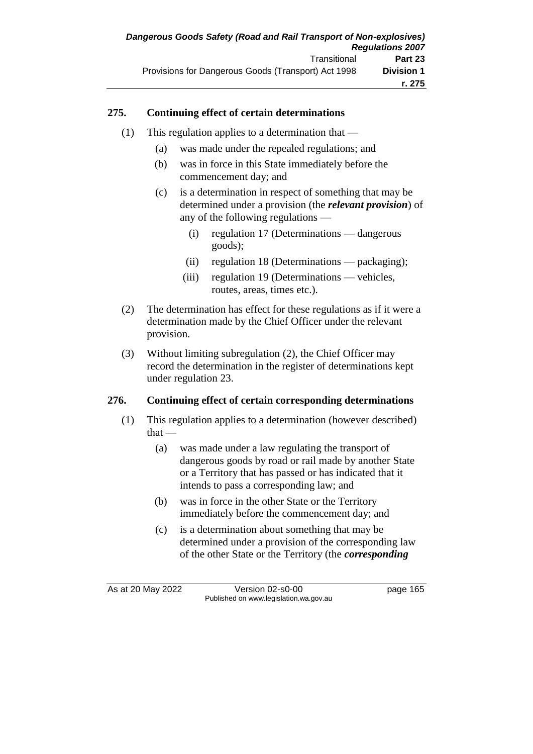### **275. Continuing effect of certain determinations**

- (1) This regulation applies to a determination that  $-$ 
	- (a) was made under the repealed regulations; and
	- (b) was in force in this State immediately before the commencement day; and
	- (c) is a determination in respect of something that may be determined under a provision (the *relevant provision*) of any of the following regulations —
		- (i) regulation 17 (Determinations dangerous goods);
		- (ii) regulation 18 (Determinations packaging);
		- (iii) regulation 19 (Determinations vehicles, routes, areas, times etc.).
- (2) The determination has effect for these regulations as if it were a determination made by the Chief Officer under the relevant provision.
- (3) Without limiting subregulation (2), the Chief Officer may record the determination in the register of determinations kept under regulation 23.

### **276. Continuing effect of certain corresponding determinations**

- (1) This regulation applies to a determination (however described) that —
	- (a) was made under a law regulating the transport of dangerous goods by road or rail made by another State or a Territory that has passed or has indicated that it intends to pass a corresponding law; and
	- (b) was in force in the other State or the Territory immediately before the commencement day; and
	- (c) is a determination about something that may be determined under a provision of the corresponding law of the other State or the Territory (the *corresponding*

As at 20 May 2022 Version 02-s0-00 page 165 Published on www.legislation.wa.gov.au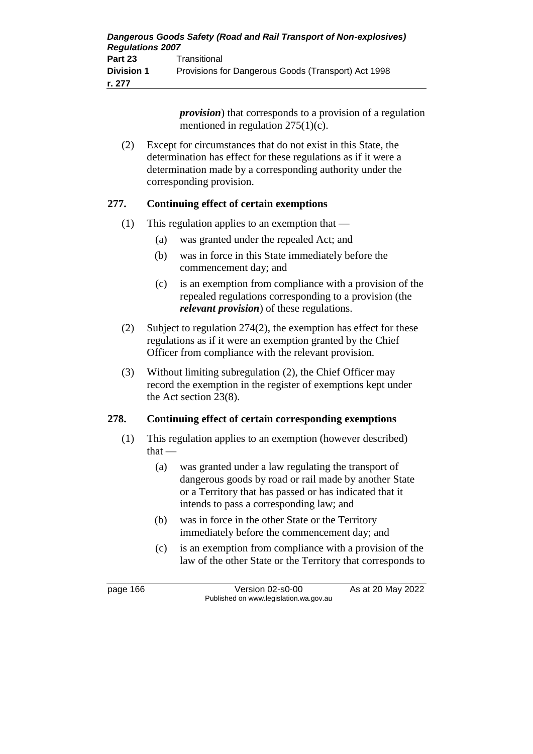| Dangerous Goods Safety (Road and Rail Transport of Non-explosives)<br><b>Regulations 2007</b> |                                                     |  |
|-----------------------------------------------------------------------------------------------|-----------------------------------------------------|--|
| Part 23                                                                                       | Transitional                                        |  |
| <b>Division 1</b>                                                                             | Provisions for Dangerous Goods (Transport) Act 1998 |  |
| r. 277                                                                                        |                                                     |  |

*provision*) that corresponds to a provision of a regulation mentioned in regulation  $275(1)(c)$ .

(2) Except for circumstances that do not exist in this State, the determination has effect for these regulations as if it were a determination made by a corresponding authority under the corresponding provision.

### **277. Continuing effect of certain exemptions**

- (1) This regulation applies to an exemption that
	- (a) was granted under the repealed Act; and
	- (b) was in force in this State immediately before the commencement day; and
	- (c) is an exemption from compliance with a provision of the repealed regulations corresponding to a provision (the *relevant provision*) of these regulations.
- (2) Subject to regulation 274(2), the exemption has effect for these regulations as if it were an exemption granted by the Chief Officer from compliance with the relevant provision.
- (3) Without limiting subregulation (2), the Chief Officer may record the exemption in the register of exemptions kept under the Act section 23(8).

### **278. Continuing effect of certain corresponding exemptions**

- (1) This regulation applies to an exemption (however described) that —
	- (a) was granted under a law regulating the transport of dangerous goods by road or rail made by another State or a Territory that has passed or has indicated that it intends to pass a corresponding law; and
	- (b) was in force in the other State or the Territory immediately before the commencement day; and
	- (c) is an exemption from compliance with a provision of the law of the other State or the Territory that corresponds to

page 166 Version 02-s0-00 As at 20 May 2022 Published on www.legislation.wa.gov.au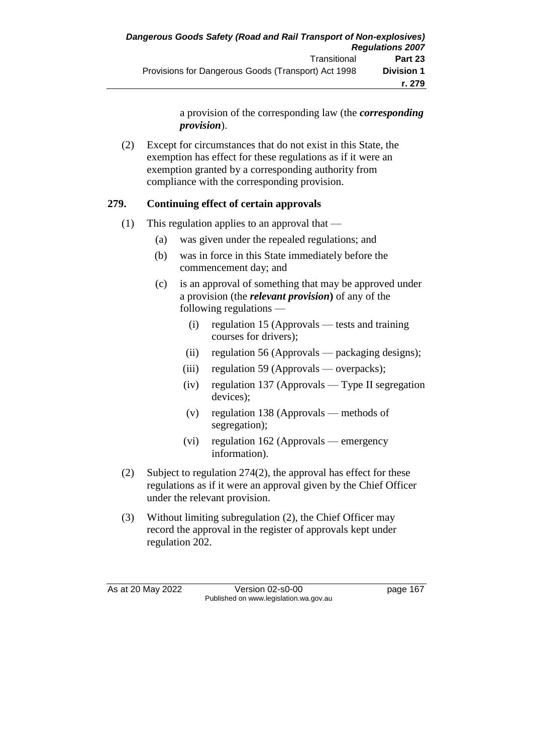a provision of the corresponding law (the *corresponding provision*).

(2) Except for circumstances that do not exist in this State, the exemption has effect for these regulations as if it were an exemption granted by a corresponding authority from compliance with the corresponding provision.

## **279. Continuing effect of certain approvals**

- (1) This regulation applies to an approval that  $-$ 
	- (a) was given under the repealed regulations; and
	- (b) was in force in this State immediately before the commencement day; and
	- (c) is an approval of something that may be approved under a provision (the *relevant provision***)** of any of the following regulations —
		- (i) regulation 15 (Approvals tests and training courses for drivers);
		- (ii) regulation 56 (Approvals packaging designs);
		- (iii) regulation 59 (Approvals overpacks);
		- (iv) regulation 137 (Approvals Type II segregation devices);
		- (v) regulation 138 (Approvals methods of segregation);
		- (vi) regulation 162 (Approvals emergency information).
- (2) Subject to regulation 274(2), the approval has effect for these regulations as if it were an approval given by the Chief Officer under the relevant provision.
- (3) Without limiting subregulation (2), the Chief Officer may record the approval in the register of approvals kept under regulation 202.

As at 20 May 2022 Version 02-s0-00 page 167 Published on www.legislation.wa.gov.au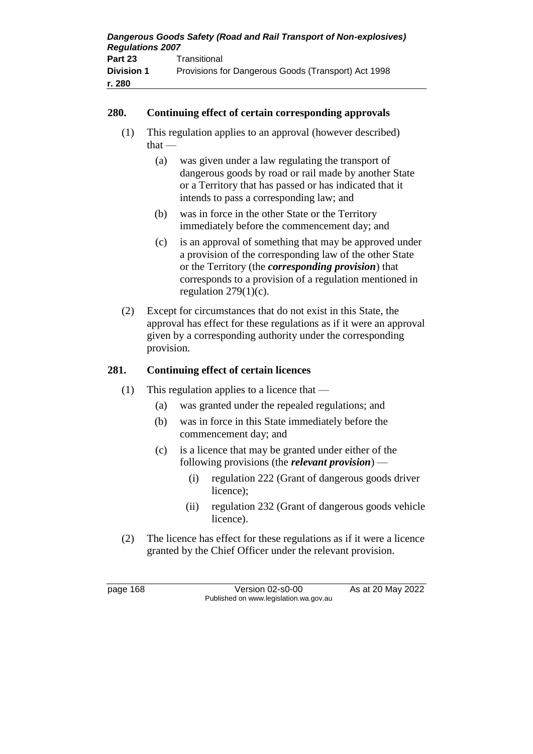| Dangerous Goods Safety (Road and Rail Transport of Non-explosives)<br><b>Regulations 2007</b> |                                                     |  |
|-----------------------------------------------------------------------------------------------|-----------------------------------------------------|--|
| Part 23                                                                                       | Transitional                                        |  |
| <b>Division 1</b>                                                                             | Provisions for Dangerous Goods (Transport) Act 1998 |  |
| r. 280                                                                                        |                                                     |  |

### **280. Continuing effect of certain corresponding approvals**

- (1) This regulation applies to an approval (however described)  $that -$ 
	- (a) was given under a law regulating the transport of dangerous goods by road or rail made by another State or a Territory that has passed or has indicated that it intends to pass a corresponding law; and
	- (b) was in force in the other State or the Territory immediately before the commencement day; and
	- (c) is an approval of something that may be approved under a provision of the corresponding law of the other State or the Territory (the *corresponding provision*) that corresponds to a provision of a regulation mentioned in regulation  $279(1)(c)$ .
- (2) Except for circumstances that do not exist in this State, the approval has effect for these regulations as if it were an approval given by a corresponding authority under the corresponding provision.

## **281. Continuing effect of certain licences**

- (1) This regulation applies to a licence that  $-$ 
	- (a) was granted under the repealed regulations; and
	- (b) was in force in this State immediately before the commencement day; and
	- (c) is a licence that may be granted under either of the following provisions (the *relevant provision*) —
		- (i) regulation 222 (Grant of dangerous goods driver licence);
		- (ii) regulation 232 (Grant of dangerous goods vehicle licence).
- (2) The licence has effect for these regulations as if it were a licence granted by the Chief Officer under the relevant provision.

page 168 Version 02-s0-00 As at 20 May 2022 Published on www.legislation.wa.gov.au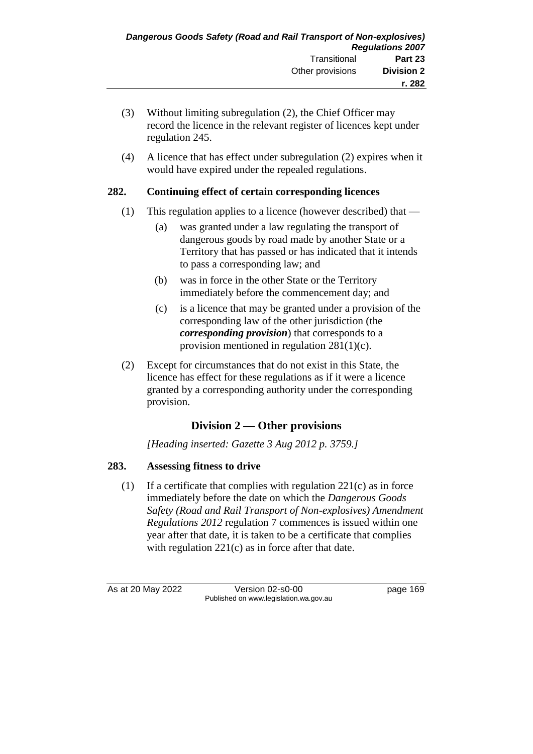- (3) Without limiting subregulation (2), the Chief Officer may record the licence in the relevant register of licences kept under regulation 245.
- (4) A licence that has effect under subregulation (2) expires when it would have expired under the repealed regulations.

## **282. Continuing effect of certain corresponding licences**

- (1) This regulation applies to a licence (however described) that
	- (a) was granted under a law regulating the transport of dangerous goods by road made by another State or a Territory that has passed or has indicated that it intends to pass a corresponding law; and
	- (b) was in force in the other State or the Territory immediately before the commencement day; and
	- (c) is a licence that may be granted under a provision of the corresponding law of the other jurisdiction (the *corresponding provision*) that corresponds to a provision mentioned in regulation 281(1)(c).
- (2) Except for circumstances that do not exist in this State, the licence has effect for these regulations as if it were a licence granted by a corresponding authority under the corresponding provision.

## **Division 2 — Other provisions**

*[Heading inserted: Gazette 3 Aug 2012 p. 3759.]*

## **283. Assessing fitness to drive**

(1) If a certificate that complies with regulation 221(c) as in force immediately before the date on which the *Dangerous Goods Safety (Road and Rail Transport of Non-explosives) Amendment Regulations 2012* regulation 7 commences is issued within one year after that date, it is taken to be a certificate that complies with regulation 221(c) as in force after that date.

As at 20 May 2022 Version 02-s0-00 page 169 Published on www.legislation.wa.gov.au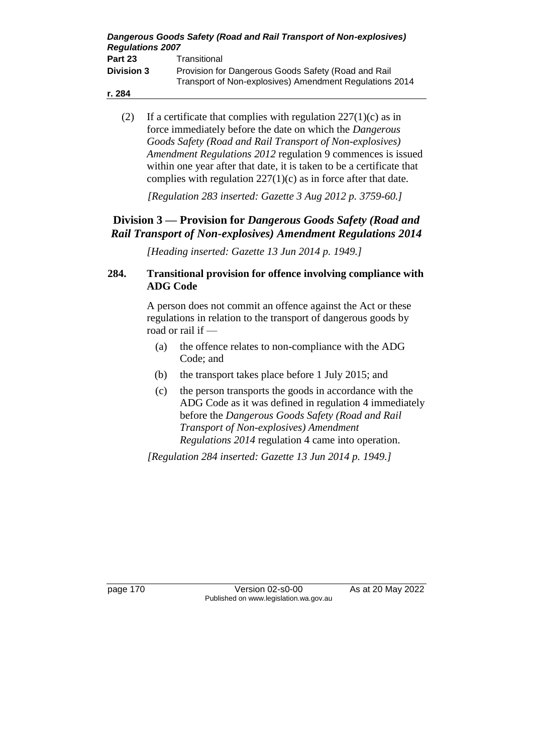| <b>Regulations 2007</b> | Dangerous Goods Safety (Road and Rail Transport of Non-explosives)                                             |
|-------------------------|----------------------------------------------------------------------------------------------------------------|
| Part 23                 | Transitional                                                                                                   |
| <b>Division 3</b>       | Provision for Dangerous Goods Safety (Road and Rail<br>Transport of Non-explosives) Amendment Regulations 2014 |
| r. 284                  |                                                                                                                |

(2) If a certificate that complies with regulation  $227(1)(c)$  as in force immediately before the date on which the *Dangerous Goods Safety (Road and Rail Transport of Non-explosives) Amendment Regulations 2012* regulation 9 commences is issued within one year after that date, it is taken to be a certificate that complies with regulation  $227(1)(c)$  as in force after that date.

*[Regulation 283 inserted: Gazette 3 Aug 2012 p. 3759-60.]*

## **Division 3 — Provision for** *Dangerous Goods Safety (Road and Rail Transport of Non-explosives) Amendment Regulations 2014*

*[Heading inserted: Gazette 13 Jun 2014 p. 1949.]*

## **284. Transitional provision for offence involving compliance with ADG Code**

A person does not commit an offence against the Act or these regulations in relation to the transport of dangerous goods by road or rail if —

- (a) the offence relates to non-compliance with the ADG Code; and
- (b) the transport takes place before 1 July 2015; and
- (c) the person transports the goods in accordance with the ADG Code as it was defined in regulation 4 immediately before the *Dangerous Goods Safety (Road and Rail Transport of Non-explosives) Amendment Regulations 2014* regulation 4 came into operation.

*[Regulation 284 inserted: Gazette 13 Jun 2014 p. 1949.]*

page 170 Version 02-s0-00 As at 20 May 2022 Published on www.legislation.wa.gov.au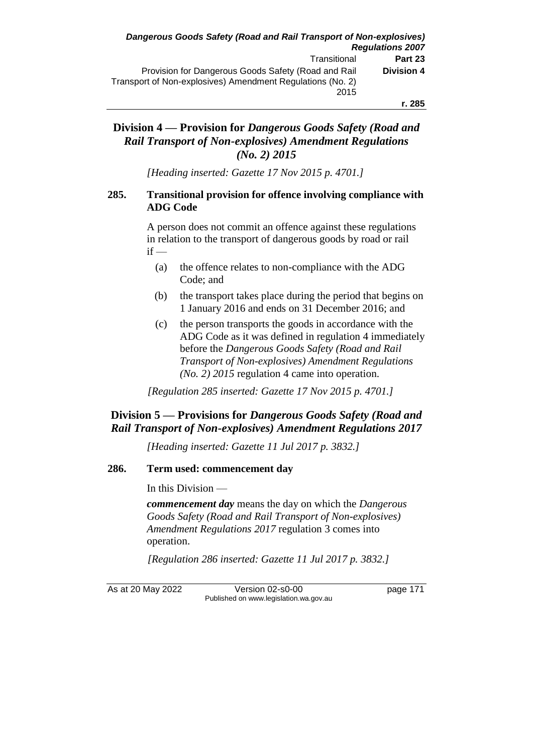### **Division 4 — Provision for** *Dangerous Goods Safety (Road and Rail Transport of Non-explosives) Amendment Regulations (No. 2) 2015*

*[Heading inserted: Gazette 17 Nov 2015 p. 4701.]*

### **285. Transitional provision for offence involving compliance with ADG Code**

A person does not commit an offence against these regulations in relation to the transport of dangerous goods by road or rail  $if -$ 

- (a) the offence relates to non-compliance with the ADG Code; and
- (b) the transport takes place during the period that begins on 1 January 2016 and ends on 31 December 2016; and
- (c) the person transports the goods in accordance with the ADG Code as it was defined in regulation 4 immediately before the *Dangerous Goods Safety (Road and Rail Transport of Non-explosives) Amendment Regulations (No. 2) 2015* regulation 4 came into operation.

*[Regulation 285 inserted: Gazette 17 Nov 2015 p. 4701.]*

## **Division 5 — Provisions for** *Dangerous Goods Safety (Road and Rail Transport of Non-explosives) Amendment Regulations 2017*

*[Heading inserted: Gazette 11 Jul 2017 p. 3832.]*

### **286. Term used: commencement day**

In this Division —

*commencement day* means the day on which the *Dangerous Goods Safety (Road and Rail Transport of Non-explosives) Amendment Regulations 2017* regulation 3 comes into operation.

*[Regulation 286 inserted: Gazette 11 Jul 2017 p. 3832.]*

As at 20 May 2022 Version 02-s0-00 page 171 Published on www.legislation.wa.gov.au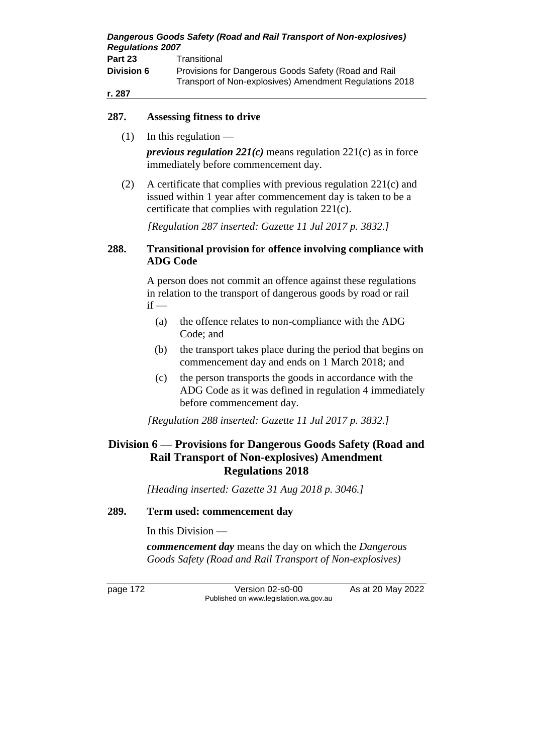| <b>Regulations 2007</b> | Dangerous Goods Safety (Road and Rail Transport of Non-explosives)                                              |
|-------------------------|-----------------------------------------------------------------------------------------------------------------|
| Part 23                 | Transitional                                                                                                    |
| <b>Division 6</b>       | Provisions for Dangerous Goods Safety (Road and Rail<br>Transport of Non-explosives) Amendment Regulations 2018 |
| r. 287                  |                                                                                                                 |

### **287. Assessing fitness to drive**

 $(1)$  In this regulation —

*previous regulation 221(c)* means regulation 221(c) as in force immediately before commencement day.

(2) A certificate that complies with previous regulation 221(c) and issued within 1 year after commencement day is taken to be a certificate that complies with regulation 221(c).

*[Regulation 287 inserted: Gazette 11 Jul 2017 p. 3832.]*

### **288. Transitional provision for offence involving compliance with ADG Code**

A person does not commit an offence against these regulations in relation to the transport of dangerous goods by road or rail  $if -$ 

- (a) the offence relates to non-compliance with the ADG Code; and
- (b) the transport takes place during the period that begins on commencement day and ends on 1 March 2018; and
- (c) the person transports the goods in accordance with the ADG Code as it was defined in regulation 4 immediately before commencement day.

*[Regulation 288 inserted: Gazette 11 Jul 2017 p. 3832.]*

## **Division 6 — Provisions for Dangerous Goods Safety (Road and Rail Transport of Non-explosives) Amendment Regulations 2018**

*[Heading inserted: Gazette 31 Aug 2018 p. 3046.]*

### **289. Term used: commencement day**

In this Division —

*commencement day* means the day on which the *Dangerous Goods Safety (Road and Rail Transport of Non-explosives)* 

page 172 Version 02-s0-00 As at 20 May 2022 Published on www.legislation.wa.gov.au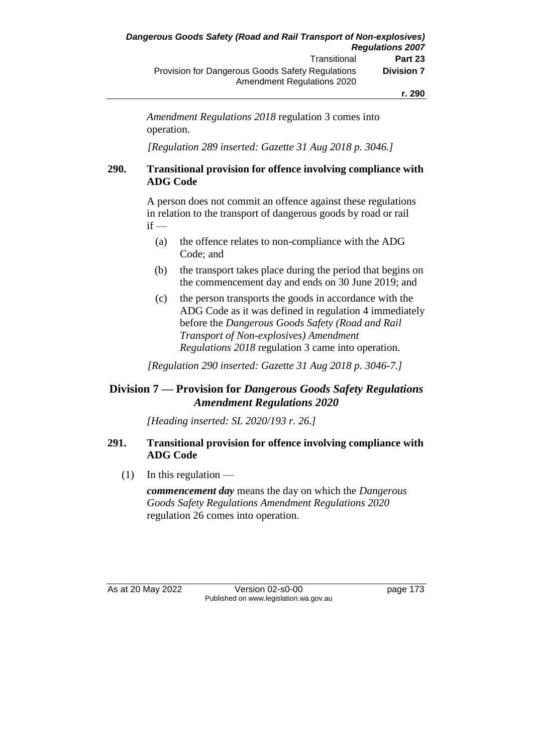*Amendment Regulations 2018* regulation 3 comes into operation.

*[Regulation 289 inserted: Gazette 31 Aug 2018 p. 3046.]*

### **290. Transitional provision for offence involving compliance with ADG Code**

A person does not commit an offence against these regulations in relation to the transport of dangerous goods by road or rail  $if -$ 

- (a) the offence relates to non-compliance with the ADG Code; and
- (b) the transport takes place during the period that begins on the commencement day and ends on 30 June 2019; and
- (c) the person transports the goods in accordance with the ADG Code as it was defined in regulation 4 immediately before the *Dangerous Goods Safety (Road and Rail Transport of Non-explosives) Amendment Regulations 2018* regulation 3 came into operation.

*[Regulation 290 inserted: Gazette 31 Aug 2018 p. 3046-7.]*

## **Division 7 — Provision for** *Dangerous Goods Safety Regulations Amendment Regulations 2020*

*[Heading inserted: SL 2020/193 r. 26.]*

### **291. Transitional provision for offence involving compliance with ADG Code**

 $(1)$  In this regulation —

*commencement day* means the day on which the *Dangerous Goods Safety Regulations Amendment Regulations 2020* regulation 26 comes into operation.

As at 20 May 2022 Version 02-s0-00 page 173 Published on www.legislation.wa.gov.au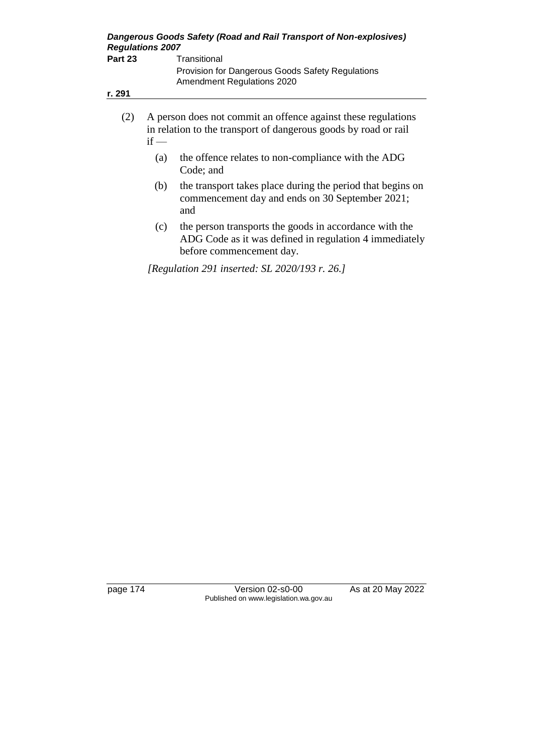| Dangerous Goods Safety (Road and Rail Transport of Non-explosives)<br><b>Regulations 2007</b> |        |                                                                                                                                  |  |
|-----------------------------------------------------------------------------------------------|--------|----------------------------------------------------------------------------------------------------------------------------------|--|
| Part 23                                                                                       |        | Transitional<br>Provision for Dangerous Goods Safety Regulations<br>Amendment Regulations 2020                                   |  |
| r. 291                                                                                        |        |                                                                                                                                  |  |
| (2)                                                                                           | $if$ — | A person does not commit an offence against these regulations<br>in relation to the transport of dangerous goods by road or rail |  |
|                                                                                               | (a)    | the offence relates to non-compliance with the ADG<br>Code; and                                                                  |  |
|                                                                                               | (b)    | the transport takes place during the period that begins on<br>commencement day and ends on 30 September 2021;<br>and             |  |

(c) the person transports the goods in accordance with the ADG Code as it was defined in regulation 4 immediately before commencement day.

*[Regulation 291 inserted: SL 2020/193 r. 26.]*

page 174 Version 02-s0-00 As at 20 May 2022 Published on www.legislation.wa.gov.au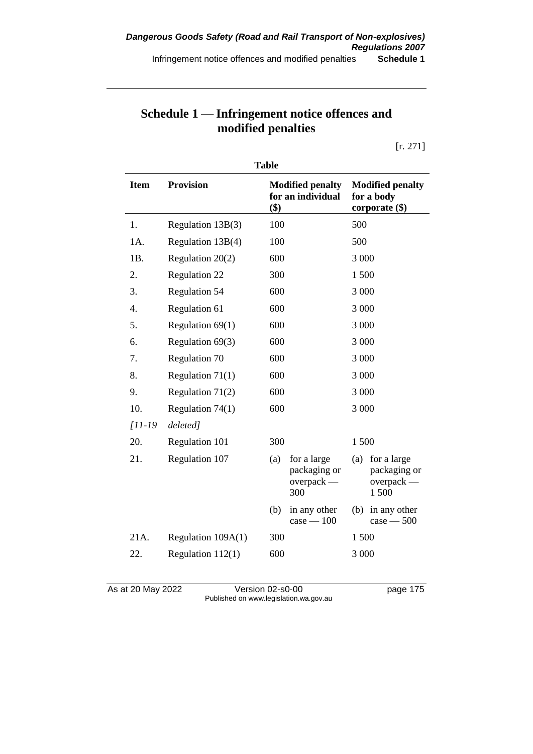# **Schedule 1 — Infringement notice offences and modified penalties**

[r. 271]

| <b>Table</b> |                      |     |                                                    |       |                                                           |
|--------------|----------------------|-----|----------------------------------------------------|-------|-----------------------------------------------------------|
| <b>Item</b>  | <b>Provision</b>     | \$) | <b>Modified penalty</b><br>for an individual       |       | <b>Modified penalty</b><br>for a body<br>corporate $(\$)$ |
| 1.           | Regulation 13B(3)    | 100 |                                                    | 500   |                                                           |
| 1A.          | Regulation 13B(4)    | 100 |                                                    | 500   |                                                           |
| 1B.          | Regulation 20(2)     | 600 |                                                    | 3 000 |                                                           |
| 2.           | Regulation 22        | 300 |                                                    | 1500  |                                                           |
| 3.           | <b>Regulation 54</b> | 600 |                                                    | 3 000 |                                                           |
| 4.           | Regulation 61        | 600 |                                                    | 3 000 |                                                           |
| 5.           | Regulation $69(1)$   | 600 |                                                    | 3 000 |                                                           |
| 6.           | Regulation 69(3)     | 600 |                                                    | 3 000 |                                                           |
| 7.           | Regulation 70        | 600 |                                                    | 3 000 |                                                           |
| 8.           | Regulation $71(1)$   | 600 |                                                    | 3 000 |                                                           |
| 9.           | Regulation $71(2)$   | 600 |                                                    | 3 000 |                                                           |
| 10.          | Regulation $74(1)$   | 600 |                                                    | 3 000 |                                                           |
| $[11-19]$    | deleted]             |     |                                                    |       |                                                           |
| 20.          | Regulation 101       | 300 |                                                    | 1500  |                                                           |
| 21.          | Regulation 107       | (a) | for a large<br>packaging or<br>$overpack$ —<br>300 | (a)   | for a large<br>packaging or<br>$overpack$ —<br>1500       |
|              |                      | (b) | in any other<br>$case - 100$                       | (b)   | in any other<br>$case - 500$                              |
| 21A.         | Regulation 109A(1)   | 300 |                                                    | 1500  |                                                           |
| 22.          | Regulation $112(1)$  | 600 |                                                    | 3 000 |                                                           |

As at 20 May 2022 Version 02-s0-00 page 175 Published on www.legislation.wa.gov.au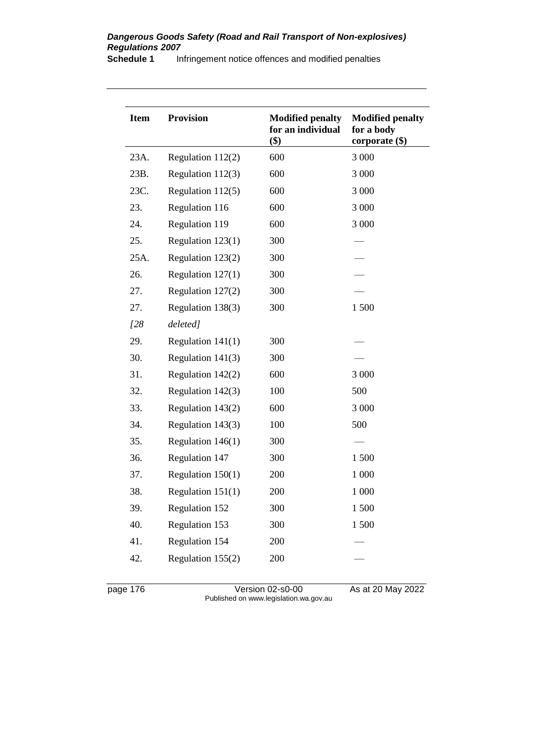#### *Dangerous Goods Safety (Road and Rail Transport of Non-explosives) Regulations 2007*

**Schedule 1** Infringement notice offences and modified penalties

| <b>Item</b> | <b>Provision</b>    | <b>Modified penalty</b><br>for an individual<br>\$) | <b>Modified penalty</b><br>for a body<br>corporate $(\$)$ |
|-------------|---------------------|-----------------------------------------------------|-----------------------------------------------------------|
| 23A.        | Regulation $112(2)$ | 600                                                 | 3 000                                                     |
| 23B.        | Regulation 112(3)   | 600                                                 | 3 000                                                     |
| 23C.        | Regulation 112(5)   | 600                                                 | 3 000                                                     |
| 23.         | Regulation 116      | 600                                                 | 3 000                                                     |
| 24.         | Regulation 119      | 600                                                 | 3 000                                                     |
| 25.         | Regulation 123(1)   | 300                                                 |                                                           |
| 25A.        | Regulation 123(2)   | 300                                                 |                                                           |
| 26.         | Regulation 127(1)   | 300                                                 |                                                           |
| 27.         | Regulation 127(2)   | 300                                                 |                                                           |
| 27.         | Regulation 138(3)   | 300                                                 | 1 500                                                     |
| 128         | deleted]            |                                                     |                                                           |
| 29.         | Regulation $141(1)$ | 300                                                 |                                                           |
| 30.         | Regulation 141(3)   | 300                                                 |                                                           |
| 31.         | Regulation $142(2)$ | 600                                                 | 3 000                                                     |
| 32.         | Regulation 142(3)   | 100                                                 | 500                                                       |
| 33.         | Regulation 143(2)   | 600                                                 | 3 000                                                     |
| 34.         | Regulation 143(3)   | 100                                                 | 500                                                       |
| 35.         | Regulation $146(1)$ | 300                                                 |                                                           |
| 36.         | Regulation 147      | 300                                                 | 1 500                                                     |
| 37.         | Regulation $150(1)$ | 200                                                 | 1 000                                                     |
| 38.         | Regulation $151(1)$ | 200                                                 | 1 000                                                     |
| 39.         | Regulation 152      | 300                                                 | 1500                                                      |
| 40.         | Regulation 153      | 300                                                 | 1500                                                      |
| 41.         | Regulation 154      | 200                                                 |                                                           |
| 42.         | Regulation 155(2)   | 200                                                 |                                                           |
|             |                     |                                                     |                                                           |

page 176 Version 02-s0-00 As at 20 May 2022 Published on www.legislation.wa.gov.au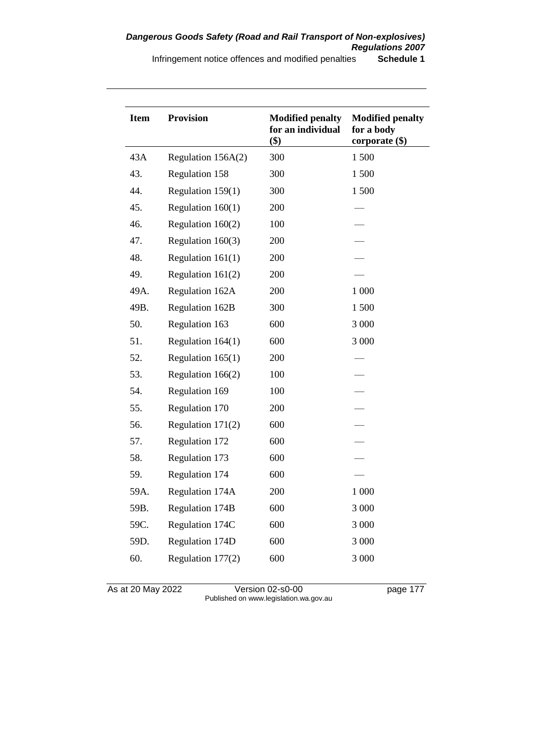| <b>Item</b> | <b>Provision</b>       | <b>Modified penalty</b><br>for an individual<br>\$) | <b>Modified penalty</b><br>for a body<br>corporate (\$) |
|-------------|------------------------|-----------------------------------------------------|---------------------------------------------------------|
| 43A         | Regulation 156A(2)     | 300                                                 | 1500                                                    |
| 43.         | Regulation 158         | 300                                                 | 1500                                                    |
| 44.         | Regulation 159(1)      | 300                                                 | 1500                                                    |
| 45.         | Regulation $160(1)$    | 200                                                 |                                                         |
| 46.         | Regulation 160(2)      | 100                                                 |                                                         |
| 47.         | Regulation 160(3)      | 200                                                 |                                                         |
| 48.         | Regulation $161(1)$    | 200                                                 |                                                         |
| 49.         | Regulation $161(2)$    | 200                                                 |                                                         |
| 49A.        | Regulation 162A        | 200                                                 | 1 0 0 0                                                 |
| 49B.        | Regulation 162B        | 300                                                 | 1500                                                    |
| 50.         | Regulation 163         | 600                                                 | 3 000                                                   |
| 51.         | Regulation $164(1)$    | 600                                                 | 3 000                                                   |
| 52.         | Regulation $165(1)$    | 200                                                 |                                                         |
| 53.         | Regulation 166(2)      | 100                                                 |                                                         |
| 54.         | Regulation 169         | 100                                                 |                                                         |
| 55.         | Regulation 170         | 200                                                 |                                                         |
| 56.         | Regulation 171(2)      | 600                                                 |                                                         |
| 57.         | Regulation 172         | 600                                                 |                                                         |
| 58.         | Regulation 173         | 600                                                 |                                                         |
| 59.         | Regulation 174         | 600                                                 |                                                         |
| 59A.        | Regulation 174A        | 200                                                 | 1 000                                                   |
| 59B.        | <b>Regulation 174B</b> | 600                                                 | 3 000                                                   |
| 59C.        | Regulation 174C        | 600                                                 | 3 000                                                   |
| 59D.        | Regulation 174D        | 600                                                 | 3 000                                                   |
| 60.         | Regulation 177(2)      | 600                                                 | 3 000                                                   |

As at 20 May 2022 Version 02-s0-00 page 177 Published on www.legislation.wa.gov.au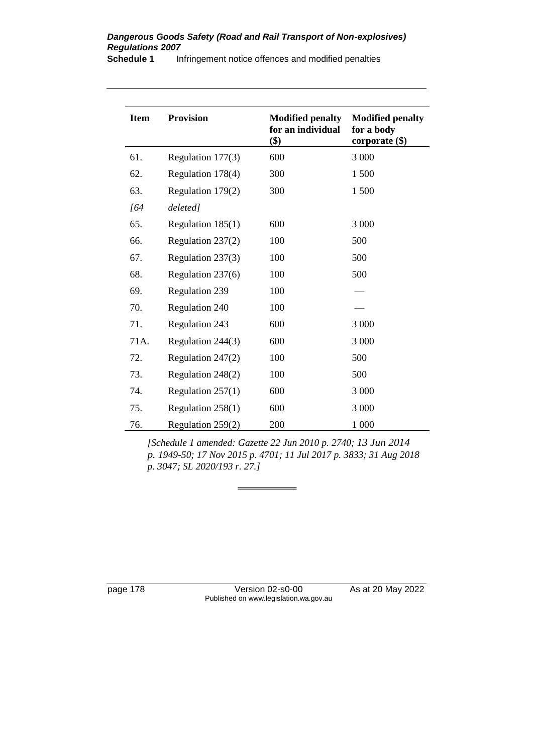### *Dangerous Goods Safety (Road and Rail Transport of Non-explosives) Regulations 2007*

**Schedule 1** Infringement notice offences and modified penalties

| <b>Item</b> | <b>Provision</b>    | <b>Modified penalty</b><br>for an individual<br>\$) | <b>Modified penalty</b><br>for a body<br>corporate $(\$)$ |
|-------------|---------------------|-----------------------------------------------------|-----------------------------------------------------------|
| 61.         | Regulation 177(3)   | 600                                                 | $3\;000$                                                  |
| 62.         | Regulation 178(4)   | 300                                                 | 1500                                                      |
| 63.         | Regulation 179(2)   | 300                                                 | 1500                                                      |
| [64         | deleted]            |                                                     |                                                           |
| 65.         | Regulation $185(1)$ | 600                                                 | 3 000                                                     |
| 66.         | Regulation 237(2)   | 100                                                 | 500                                                       |
| 67.         | Regulation 237(3)   | 100                                                 | 500                                                       |
| 68.         | Regulation 237(6)   | 100                                                 | 500                                                       |
| 69.         | Regulation 239      | 100                                                 |                                                           |
| 70.         | Regulation 240      | 100                                                 |                                                           |
| 71.         | Regulation 243      | 600                                                 | 3 0 0 0                                                   |
| 71A.        | Regulation 244(3)   | 600                                                 | 3 000                                                     |
| 72.         | Regulation 247(2)   | 100                                                 | 500                                                       |
| 73.         | Regulation 248(2)   | 100                                                 | 500                                                       |
| 74.         | Regulation $257(1)$ | 600                                                 | 3 000                                                     |
| 75.         | Regulation $258(1)$ | 600                                                 | 3 000                                                     |
| 76.         | Regulation 259(2)   | 200                                                 | 1 000                                                     |

*[Schedule 1 amended: Gazette 22 Jun 2010 p. 2740; 13 Jun 2014 p. 1949-50; 17 Nov 2015 p. 4701; 11 Jul 2017 p. 3833; 31 Aug 2018 p. 3047; SL 2020/193 r. 27.]*

page 178 Version 02-s0-00 As at 20 May 2022 Published on www.legislation.wa.gov.au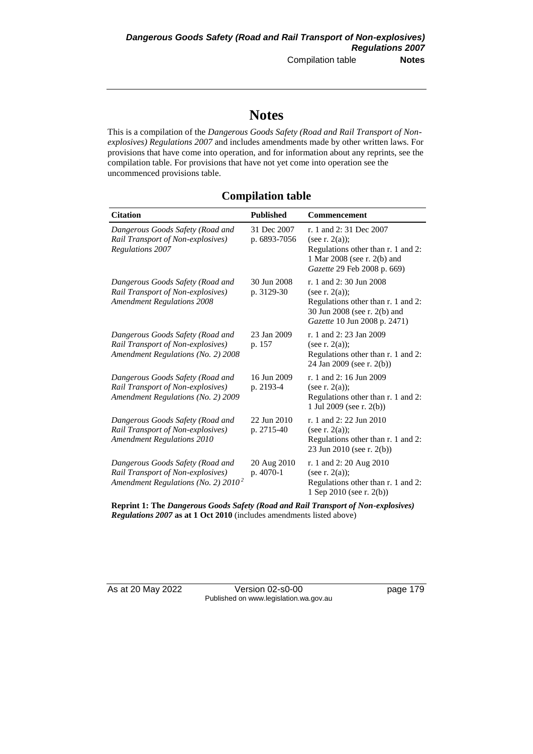## **Notes**

This is a compilation of the *Dangerous Goods Safety (Road and Rail Transport of Nonexplosives) Regulations 2007* and includes amendments made by other written laws. For provisions that have come into operation, and for information about any reprints, see the compilation table. For provisions that have not yet come into operation see the uncommenced provisions table.

### **Compilation table**

| <b>Citation</b>                                                                                                 | <b>Published</b>            | Commencement                                                                                                                                      |
|-----------------------------------------------------------------------------------------------------------------|-----------------------------|---------------------------------------------------------------------------------------------------------------------------------------------------|
| Dangerous Goods Safety (Road and<br>Rail Transport of Non-explosives)<br><b>Regulations 2007</b>                | 31 Dec 2007<br>p. 6893-7056 | r. 1 and 2:31 Dec 2007<br>(see r. $2(a)$ );<br>Regulations other than r. 1 and 2:<br>1 Mar 2008 (see r. 2(b) and<br>Gazette 29 Feb 2008 p. 669)   |
| Dangerous Goods Safety (Road and<br>Rail Transport of Non-explosives)<br><b>Amendment Regulations 2008</b>      | 30 Jun 2008<br>p. 3129-30   | r. 1 and 2:30 Jun 2008<br>(see r. $2(a)$ );<br>Regulations other than r. 1 and 2:<br>30 Jun 2008 (see r. 2(b) and<br>Gazette 10 Jun 2008 p. 2471) |
| Dangerous Goods Safety (Road and<br>Rail Transport of Non-explosives)<br>Amendment Regulations (No. 2) 2008     | 23 Jan 2009<br>p. 157       | r. 1 and 2: 23 Jan 2009<br>(see r. $2(a)$ );<br>Regulations other than r. 1 and 2:<br>24 Jan 2009 (see r. 2(b))                                   |
| Dangerous Goods Safety (Road and<br>Rail Transport of Non-explosives)<br>Amendment Regulations (No. 2) 2009     | 16 Jun 2009<br>p. 2193-4    | r. 1 and 2: 16 Jun 2009<br>(see r. $2(a)$ );<br>Regulations other than r. 1 and 2:<br>1 Jul 2009 (see r. 2(b))                                    |
| Dangerous Goods Safety (Road and<br>Rail Transport of Non-explosives)<br><b>Amendment Regulations 2010</b>      | 22 Jun 2010<br>p. 2715-40   | r. 1 and 2: 22 Jun 2010<br>(see r. $2(a)$ );<br>Regulations other than r. 1 and 2:<br>23 Jun 2010 (see r. 2(b))                                   |
| Dangerous Goods Safety (Road and<br>Rail Transport of Non-explosives)<br>Amendment Regulations (No. 2) $2010^2$ | 20 Aug 2010<br>p. 4070-1    | r. 1 and 2: 20 Aug 2010<br>(see r. $2(a)$ );<br>Regulations other than r. 1 and 2:<br>1 Sep 2010 (see r. 2(b))                                    |

**Reprint 1: The** *Dangerous Goods Safety (Road and Rail Transport of Non-explosives) Regulations 2007* **as at 1 Oct 2010** (includes amendments listed above)

As at 20 May 2022 Version 02-s0-00 Page 179 Published on www.legislation.wa.gov.au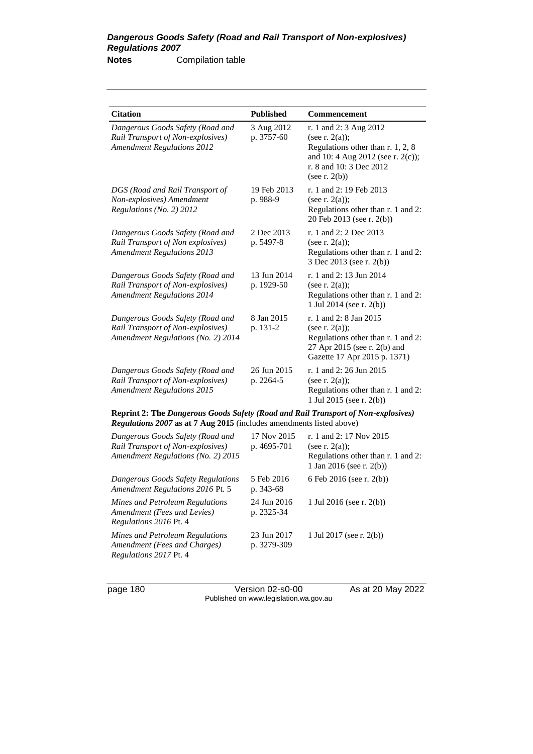| <b>Citation</b>                                                                                                                                                  | <b>Published</b>           | Commencement                                                                                                                                                         |
|------------------------------------------------------------------------------------------------------------------------------------------------------------------|----------------------------|----------------------------------------------------------------------------------------------------------------------------------------------------------------------|
| Dangerous Goods Safety (Road and<br>Rail Transport of Non-explosives)<br><b>Amendment Regulations 2012</b>                                                       | 3 Aug 2012<br>p. 3757-60   | r. 1 and 2: 3 Aug 2012<br>(see r. $2(a)$ );<br>Regulations other than r. 1, 2, 8<br>and 10: 4 Aug 2012 (see r. 2(c));<br>r. 8 and 10: 3 Dec 2012<br>(see r. $2(b)$ ) |
| DGS (Road and Rail Transport of<br>Non-explosives) Amendment<br>Regulations (No. 2) 2012                                                                         | 19 Feb 2013<br>p. 988-9    | r. 1 and 2: 19 Feb 2013<br>(see r. $2(a)$ );<br>Regulations other than r. 1 and 2:<br>20 Feb 2013 (see r. 2(b))                                                      |
| Dangerous Goods Safety (Road and<br>Rail Transport of Non explosives)<br><b>Amendment Regulations 2013</b>                                                       | 2 Dec 2013<br>p. 5497-8    | r. 1 and 2: 2 Dec 2013<br>(see r. $2(a)$ );<br>Regulations other than r. 1 and 2:<br>3 Dec 2013 (see r. 2(b))                                                        |
| Dangerous Goods Safety (Road and<br>Rail Transport of Non-explosives)<br><b>Amendment Regulations 2014</b>                                                       | 13 Jun 2014<br>p. 1929-50  | r. 1 and 2: 13 Jun 2014<br>(see r. $2(a)$ );<br>Regulations other than r. 1 and 2:<br>1 Jul 2014 (see r. 2(b))                                                       |
| Dangerous Goods Safety (Road and<br>Rail Transport of Non-explosives)<br>Amendment Regulations (No. 2) 2014                                                      | 8 Jan 2015<br>p. 131-2     | r. 1 and 2: 8 Jan 2015<br>(see r. $2(a)$ );<br>Regulations other than r. 1 and 2:<br>27 Apr 2015 (see r. 2(b) and<br>Gazette 17 Apr 2015 p. 1371)                    |
| Dangerous Goods Safety (Road and<br>Rail Transport of Non-explosives)<br><b>Amendment Regulations 2015</b>                                                       | 26 Jun 2015<br>p. 2264-5   | r. 1 and 2: 26 Jun 2015<br>(see r. $2(a)$ );<br>Regulations other than r. 1 and 2:<br>1 Jul 2015 (see r. 2(b))                                                       |
| <b>Reprint 2: The Dangerous Goods Safety (Road and Rail Transport of Non-explosives)</b><br>Regulations 2007 as at 7 Aug 2015 (includes amendments listed above) |                            |                                                                                                                                                                      |
| Dangerous Goods Safety (Road and<br>Rail Transport of Non-explosives)<br>Amendment Regulations (No. 2) 2015                                                      | 17 Nov 2015<br>p. 4695-701 | r. 1 and 2: 17 Nov 2015<br>(see r. $2(a)$ );<br>Regulations other than r. 1 and 2:<br>1 Jan 2016 (see r. 2(b))                                                       |
| Dangerous Goods Safety Regulations<br>Amendment Regulations 2016 Pt. 5                                                                                           | 5 Feb 2016<br>p. 343-68    | 6 Feb 2016 (see r. 2(b))                                                                                                                                             |
| Mines and Petroleum Regulations<br>Amendment (Fees and Levies)<br>Regulations 2016 Pt. 4                                                                         | 24 Jun 2016<br>p. 2325-34  | 1 Jul 2016 (see r. 2(b))                                                                                                                                             |
| Mines and Petroleum Regulations<br>Amendment (Fees and Charges)                                                                                                  | 23 Jun 2017<br>p. 3279-309 | 1 Jul 2017 (see r. 2(b))                                                                                                                                             |

*Regulations 2017* Pt. 4

page 180 Version 02-s0-00 As at 20 May 2022 Published on www.legislation.wa.gov.au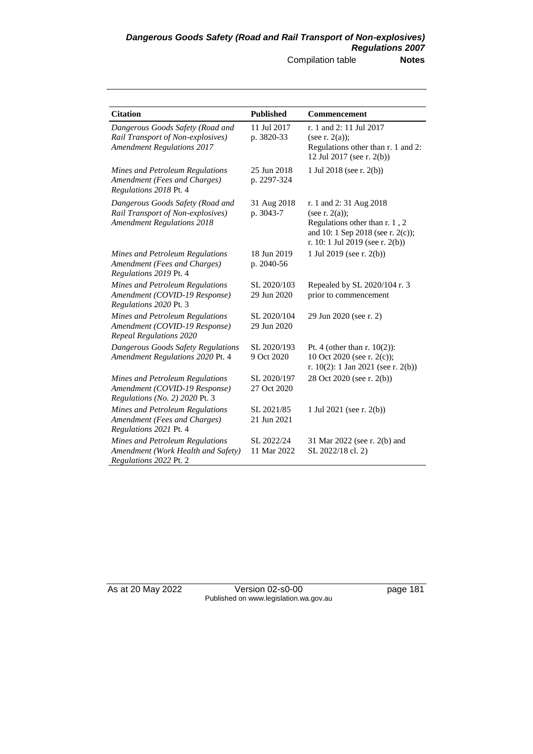| <b>Citation</b>                                                                                            | <b>Published</b>           | Commencement                                                                                                                                          |
|------------------------------------------------------------------------------------------------------------|----------------------------|-------------------------------------------------------------------------------------------------------------------------------------------------------|
| Dangerous Goods Safety (Road and<br>Rail Transport of Non-explosives)<br><b>Amendment Regulations 2017</b> | 11 Jul 2017<br>p. 3820-33  | r. 1 and 2: 11 Jul 2017<br>(see r. $2(a)$ );<br>Regulations other than r. 1 and 2:<br>12 Jul 2017 (see r. 2(b))                                       |
| Mines and Petroleum Regulations<br>Amendment (Fees and Charges)<br>Regulations 2018 Pt. 4                  | 25 Jun 2018<br>p. 2297-324 | 1 Jul 2018 (see r. 2(b))                                                                                                                              |
| Dangerous Goods Safety (Road and<br>Rail Transport of Non-explosives)<br><b>Amendment Regulations 2018</b> | 31 Aug 2018<br>p. 3043-7   | r. 1 and 2:31 Aug 2018<br>(see r. $2(a)$ );<br>Regulations other than r. 1, 2<br>and 10: 1 Sep 2018 (see r. 2(c));<br>r. 10: 1 Jul 2019 (see r. 2(b)) |
| Mines and Petroleum Regulations<br>Amendment (Fees and Charges)<br>Regulations 2019 Pt. 4                  | 18 Jun 2019<br>p. 2040-56  | 1 Jul 2019 (see r. 2(b))                                                                                                                              |
| Mines and Petroleum Regulations<br>Amendment (COVID-19 Response)<br>Regulations 2020 Pt. 3                 | SL 2020/103<br>29 Jun 2020 | Repealed by SL 2020/104 r. 3<br>prior to commencement                                                                                                 |
| Mines and Petroleum Regulations<br>Amendment (COVID-19 Response)<br><b>Repeal Regulations 2020</b>         | SL 2020/104<br>29 Jun 2020 | 29 Jun 2020 (see r. 2)                                                                                                                                |
| Dangerous Goods Safety Regulations<br>Amendment Regulations 2020 Pt. 4                                     | SL 2020/193<br>9 Oct 2020  | Pt. 4 (other than $r. 10(2)$ ):<br>10 Oct 2020 (see r. 2(c));<br>r. $10(2)$ : 1 Jan 2021 (see r. 2(b))                                                |
| Mines and Petroleum Regulations<br>Amendment (COVID-19 Response)<br>Regulations (No. 2) 2020 Pt. 3         | SL 2020/197<br>27 Oct 2020 | 28 Oct 2020 (see r. 2(b))                                                                                                                             |
| Mines and Petroleum Regulations<br>Amendment (Fees and Charges)<br>Regulations 2021 Pt. 4                  | SL 2021/85<br>21 Jun 2021  | 1 Jul 2021 (see r. 2(b))                                                                                                                              |
| Mines and Petroleum Regulations<br>Amendment (Work Health and Safety)<br>Regulations 2022 Pt. 2            | SL 2022/24<br>11 Mar 2022  | 31 Mar 2022 (see r. 2(b) and<br>SL 2022/18 cl. 2)                                                                                                     |

As at 20 May 2022 Version 02-s0-00 page 181 Published on www.legislation.wa.gov.au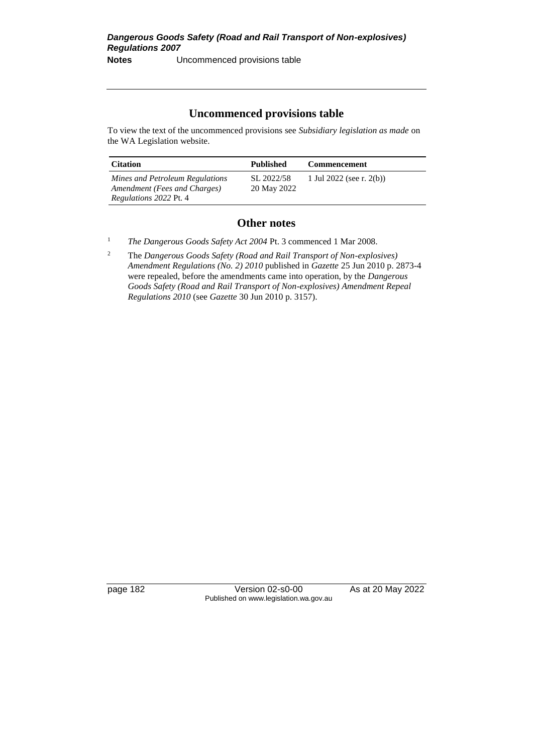### **Uncommenced provisions table**

To view the text of the uncommenced provisions see *Subsidiary legislation as made* on the WA Legislation website.

| <b>Citation</b>                                                 | Published                 | <b>Commencement</b>      |
|-----------------------------------------------------------------|---------------------------|--------------------------|
| Mines and Petroleum Regulations<br>Amendment (Fees and Charges) | SL 2022/58<br>20 May 2022 | 1 Jul 2022 (see r. 2(b)) |
| <i>Regulations 2022 Pt. 4</i>                                   |                           |                          |

### **Other notes**

<sup>1</sup> *The Dangerous Goods Safety Act 2004 Pt. 3 commenced 1 Mar 2008.* 

<sup>2</sup> The *Dangerous Goods Safety (Road and Rail Transport of Non-explosives) Amendment Regulations (No. 2) 2010* published in *Gazette* 25 Jun 2010 p. 2873-4 were repealed, before the amendments came into operation, by the *Dangerous Goods Safety (Road and Rail Transport of Non-explosives) Amendment Repeal Regulations 2010* (see *Gazette* 30 Jun 2010 p. 3157).

page 182 Version 02-s0-00 As at 20 May 2022 Published on www.legislation.wa.gov.au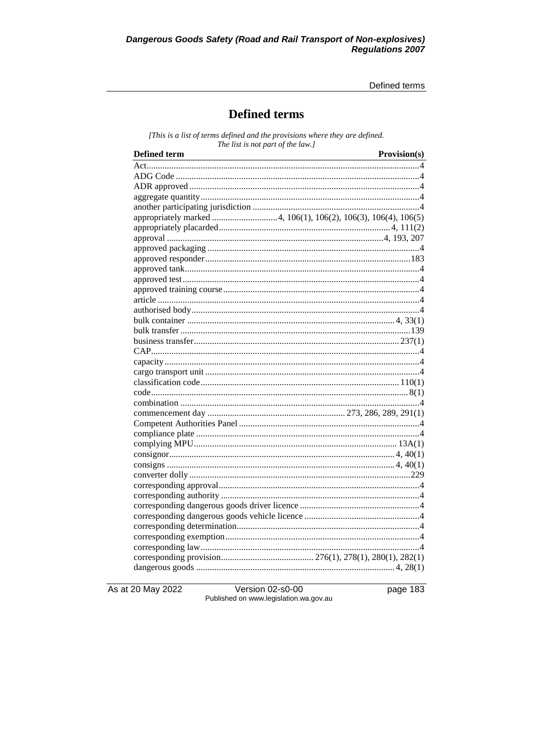Defined terms

## **Defined terms**

[This is a list of terms defined and the provisions where they are defined. The list is not part of the law.]

| <b>Defined term</b>                                            | Provision(s) |
|----------------------------------------------------------------|--------------|
|                                                                |              |
|                                                                |              |
|                                                                |              |
|                                                                |              |
|                                                                |              |
| appropriately marked 4, 106(1), 106(2), 106(3), 106(4), 106(5) |              |
|                                                                |              |
|                                                                |              |
|                                                                |              |
|                                                                |              |
|                                                                |              |
|                                                                |              |
|                                                                |              |
|                                                                |              |
|                                                                |              |
|                                                                |              |
|                                                                |              |
|                                                                |              |
|                                                                |              |
|                                                                |              |
|                                                                |              |
|                                                                |              |
|                                                                |              |
|                                                                |              |
|                                                                |              |
|                                                                |              |
|                                                                |              |
|                                                                |              |
|                                                                |              |
|                                                                |              |
|                                                                |              |
|                                                                |              |
|                                                                |              |
|                                                                |              |
|                                                                |              |
|                                                                |              |
|                                                                |              |
|                                                                |              |
|                                                                |              |
|                                                                |              |

As at 20 May 2022

Version 02-s0-00 Published on www.legislation.wa.gov.au page 183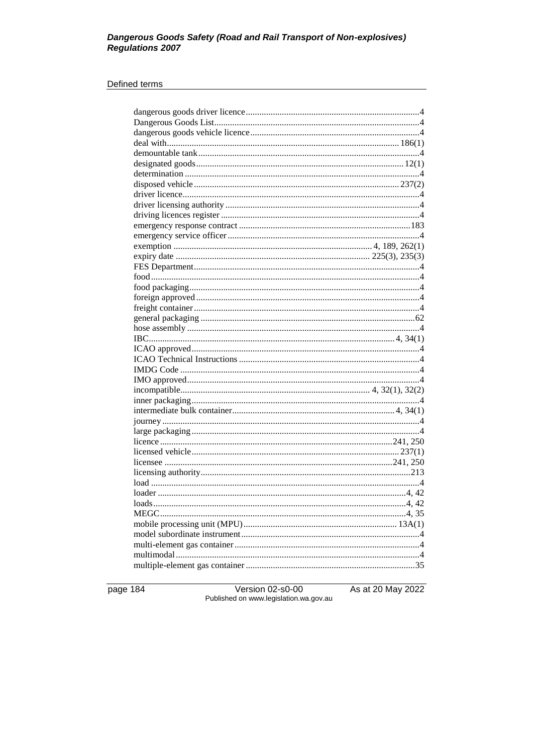# Dangerous Goods Safety (Road and Rail Transport of Non-explosives)<br>Regulations 2007

#### Defined terms

| loads. |  |
|--------|--|
|        |  |
|        |  |
|        |  |
|        |  |
|        |  |
|        |  |
|        |  |

page 184

Version 02-s0-00<br>Published on www.legislation.wa.gov.au

As at 20 May 2022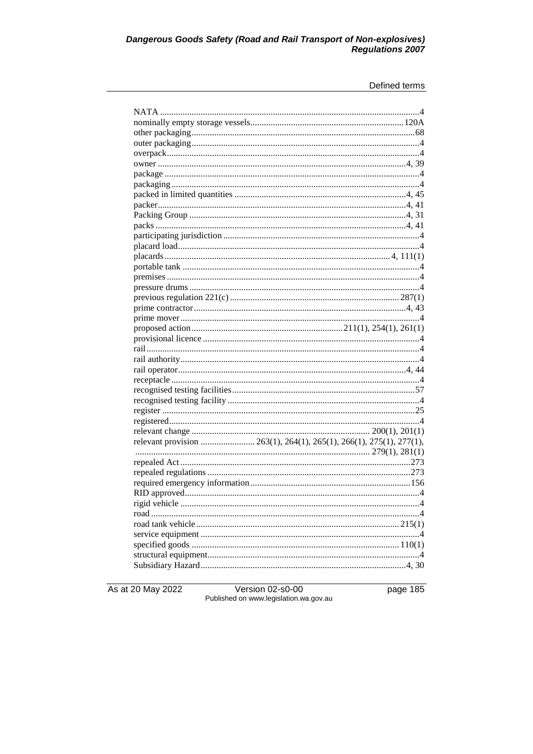# Dangerous Goods Safety (Road and Rail Transport of Non-explosives)<br>Regulations 2007

#### Defined terms

As at 20 May 2022

Version 02-s0-00<br>Published on www.legislation.wa.gov.au

page 185